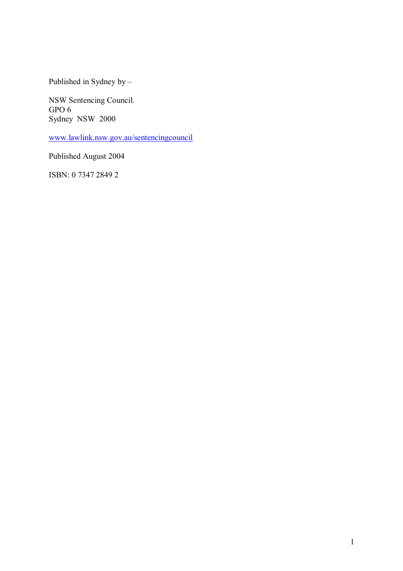Published in Sydney by  $-$ 

NSW Sentencing Council. GPO 6 Sydney NSW 2000

www.lawlink.nsw.gov.au/sentencingcouncil

Published August 2004

ISBN: 0 7347 2849 2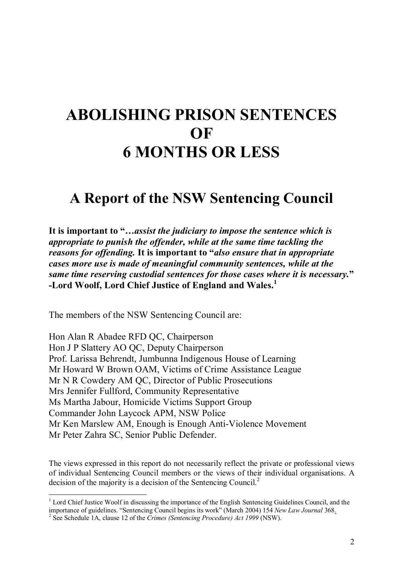## **ABOLISHING PRISON SENTENCES OF 6 MONTHS OR LESS**

## **A Report of the NSW Sentencing Council**

It is important to "...assist the judiciary to impose the sentence which is *appropriate to punish the offender, while at the same time tackling the reasons for offending.* **It is important to ì***also ensure that in appropriate cases more use is made of meaningful community sentences, while at the same time reserving custodial sentences for those cases where it is necessary.***î -Lord Woolf, Lord Chief Justice of England and Wales.<sup>1</sup>**

The members of the NSW Sentencing Council are:

Hon Alan R Abadee RFD QC, Chairperson Hon J P Slattery AO QC, Deputy Chairperson Prof. Larissa Behrendt, Jumbunna Indigenous House of Learning Mr Howard W Brown OAM, Victims of Crime Assistance League Mr N R Cowdery AM QC, Director of Public Prosecutions Mrs Jennifer Fullford, Community Representative Ms Martha Jabour, Homicide Victims Support Group Commander John Laycock APM, NSW Police Mr Ken Marslew AM, Enough is Enough Anti-Violence Movement Mr Peter Zahra SC, Senior Public Defender.

The views expressed in this report do not necessarily reflect the private or professional views of individual Sentencing Council members or the views of their individual organisations. A decision of the majority is a decision of the Sentencing Council.<sup>2</sup>

<sup>&</sup>lt;sup>1</sup> Lord Chief Justice Woolf in discussing the importance of the English Sentencing Guidelines Council, and the importance of guidelines. "Sentencing Council begins its work" (March 2004) 154 *New Law Journal* 368. <sup>2</sup> See Schedule 1A, clause 12 of the *Crimes (Sentencing Procedure) Act 1999* (NSW).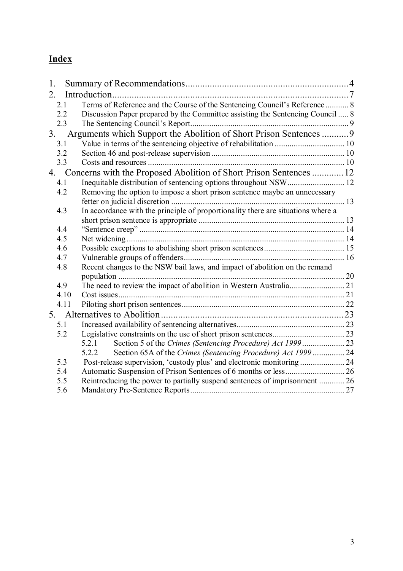### **Index**

| 1.  |      |                                                                                  |  |
|-----|------|----------------------------------------------------------------------------------|--|
| 2.  |      |                                                                                  |  |
| 2.1 |      | Terms of Reference and the Course of the Sentencing Council's Reference  8       |  |
| 2.2 |      | Discussion Paper prepared by the Committee assisting the Sentencing Council  8   |  |
| 2.3 |      |                                                                                  |  |
| 3.  |      | Arguments which Support the Abolition of Short Prison Sentences  9               |  |
| 3.1 |      |                                                                                  |  |
| 3.2 |      |                                                                                  |  |
| 3.3 |      |                                                                                  |  |
| 4.  |      | Concerns with the Proposed Abolition of Short Prison Sentences  12               |  |
| 4.1 |      |                                                                                  |  |
| 4.2 |      | Removing the option to impose a short prison sentence maybe an unnecessary       |  |
|     |      |                                                                                  |  |
| 4.3 |      | In accordance with the principle of proportionality there are situations where a |  |
|     |      |                                                                                  |  |
| 4.4 |      |                                                                                  |  |
| 4.5 |      |                                                                                  |  |
| 4.6 |      |                                                                                  |  |
| 4.7 |      |                                                                                  |  |
| 4.8 |      | Recent changes to the NSW bail laws, and impact of abolition on the remand       |  |
|     |      |                                                                                  |  |
| 4.9 |      |                                                                                  |  |
|     | 4.10 |                                                                                  |  |
|     | 4.11 |                                                                                  |  |
|     |      |                                                                                  |  |
| 5.1 |      |                                                                                  |  |
| 5.2 |      |                                                                                  |  |
|     |      | 5.2.1                                                                            |  |
|     |      | Section 65A of the Crimes (Sentencing Procedure) Act 1999  24<br>5.2.2           |  |
| 5.3 |      |                                                                                  |  |
| 5.4 |      |                                                                                  |  |
| 5.5 |      | Reintroducing the power to partially suspend sentences of imprisonment  26       |  |
| 5.6 |      |                                                                                  |  |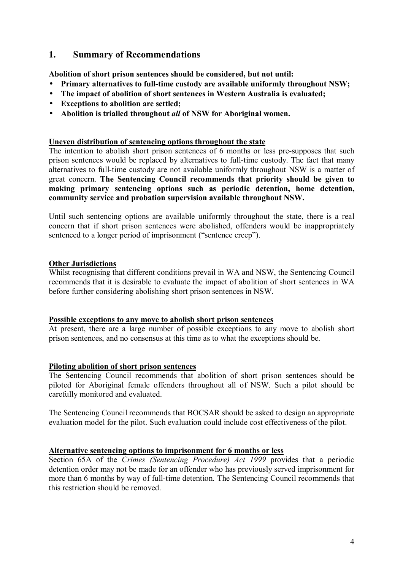#### **1. Summary of Recommendations**

**Abolition of short prison sentences should be considered, but not until:** 

- **Primary alternatives to full-time custody are available uniformly throughout NSW;**
- **The impact of abolition of short sentences in Western Australia is evaluated;**
- **Exceptions to abolition are settled;**
- **Abolition is trialled throughout** *all* **of NSW for Aboriginal women.**

#### **Uneven distribution of sentencing options throughout the state**

The intention to abolish short prison sentences of 6 months or less pre-supposes that such prison sentences would be replaced by alternatives to full-time custody. The fact that many alternatives to full-time custody are not available uniformly throughout NSW is a matter of great concern. **The Sentencing Council recommends that priority should be given to making primary sentencing options such as periodic detention, home detention, community service and probation supervision available throughout NSW.**

Until such sentencing options are available uniformly throughout the state, there is a real concern that if short prison sentences were abolished, offenders would be inappropriately sentenced to a longer period of imprisonment ("sentence creep").

#### **Other Jurisdictions**

Whilst recognising that different conditions prevail in WA and NSW, the Sentencing Council recommends that it is desirable to evaluate the impact of abolition of short sentences in WA before further considering abolishing short prison sentences in NSW.

#### **Possible exceptions to any move to abolish short prison sentences**

At present, there are a large number of possible exceptions to any move to abolish short prison sentences, and no consensus at this time as to what the exceptions should be.

#### **Piloting abolition of short prison sentences**

The Sentencing Council recommends that abolition of short prison sentences should be piloted for Aboriginal female offenders throughout all of NSW. Such a pilot should be carefully monitored and evaluated.

The Sentencing Council recommends that BOCSAR should be asked to design an appropriate evaluation model for the pilot. Such evaluation could include cost effectiveness of the pilot.

#### **Alternative sentencing options to imprisonment for 6 months or less**

Section 65A of the *Crimes (Sentencing Procedure) Act 1999* provides that a periodic detention order may not be made for an offender who has previously served imprisonment for more than 6 months by way of full-time detention. The Sentencing Council recommends that this restriction should be removed.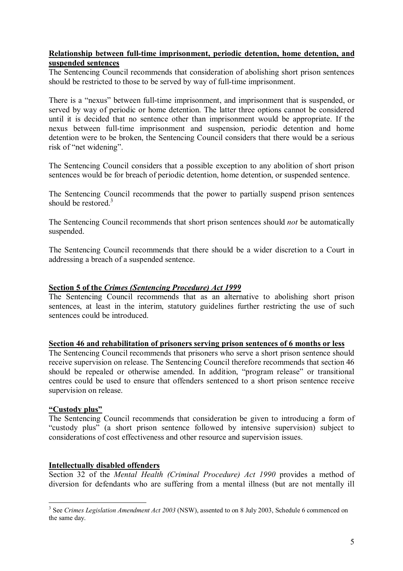#### **Relationship between full-time imprisonment, periodic detention, home detention, and suspended sentences**

The Sentencing Council recommends that consideration of abolishing short prison sentences should be restricted to those to be served by way of full-time imprisonment.

There is a "nexus" between full-time imprisonment, and imprisonment that is suspended, or served by way of periodic or home detention. The latter three options cannot be considered until it is decided that no sentence other than imprisonment would be appropriate. If the nexus between full-time imprisonment and suspension, periodic detention and home detention were to be broken, the Sentencing Council considers that there would be a serious risk of "net widening".

The Sentencing Council considers that a possible exception to any abolition of short prison sentences would be for breach of periodic detention, home detention, or suspended sentence.

The Sentencing Council recommends that the power to partially suspend prison sentences should be restored. $3$ 

The Sentencing Council recommends that short prison sentences should *not* be automatically suspended.

The Sentencing Council recommends that there should be a wider discretion to a Court in addressing a breach of a suspended sentence.

#### **Section 5 of the** *Crimes (Sentencing Procedure) Act 1999*

The Sentencing Council recommends that as an alternative to abolishing short prison sentences, at least in the interim, statutory guidelines further restricting the use of such sentences could be introduced.

#### **Section 46 and rehabilitation of prisoners serving prison sentences of 6 months or less**

The Sentencing Council recommends that prisoners who serve a short prison sentence should receive supervision on release. The Sentencing Council therefore recommends that section 46 should be repealed or otherwise amended. In addition, "program release" or transitional centres could be used to ensure that offenders sentenced to a short prison sentence receive supervision on release.

#### **ìCustody plusî**

The Sentencing Council recommends that consideration be given to introducing a form of ìcustody plusî (a short prison sentence followed by intensive supervision) subject to considerations of cost effectiveness and other resource and supervision issues.

#### **Intellectually disabled offenders**

Section 32 of the *Mental Health (Criminal Procedure) Act 1990* provides a method of diversion for defendants who are suffering from a mental illness (but are not mentally ill

 $\overline{a}$ <sup>3</sup> See *Crimes Legislation Amendment Act 2003* (NSW), assented to on 8 July 2003, Schedule 6 commenced on the same day.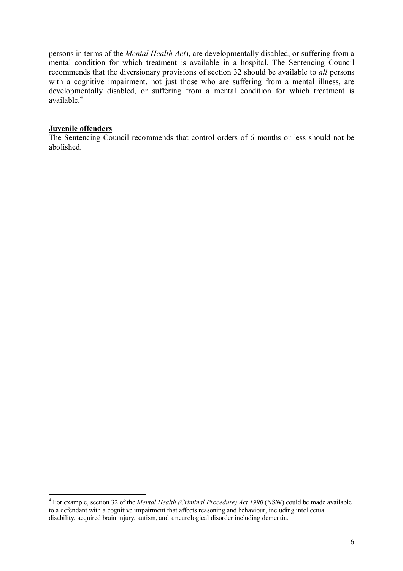persons in terms of the *Mental Health Act*), are developmentally disabled, or suffering from a mental condition for which treatment is available in a hospital. The Sentencing Council recommends that the diversionary provisions of section 32 should be available to *all* persons with a cognitive impairment, not just those who are suffering from a mental illness, are developmentally disabled, or suffering from a mental condition for which treatment is available.<sup>4</sup>

#### **Juvenile offenders**

 $\overline{a}$ 

The Sentencing Council recommends that control orders of 6 months or less should not be abolished.

<sup>4</sup> For example, section 32 of the *Mental Health (Criminal Procedure) Act 1990* (NSW) could be made available to a defendant with a cognitive impairment that affects reasoning and behaviour, including intellectual disability, acquired brain injury, autism, and a neurological disorder including dementia.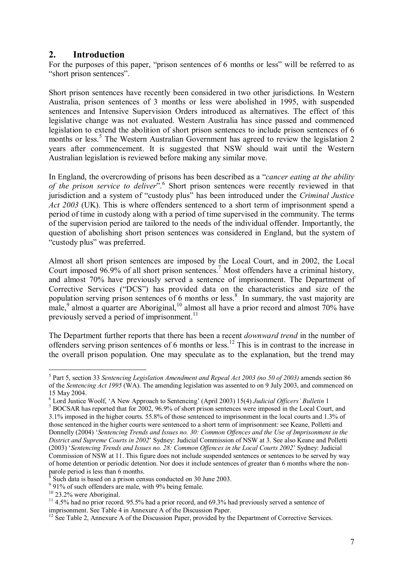#### **2. Introduction**

For the purposes of this paper, "prison sentences of 6 months or less" will be referred to as "short prison sentences".

Short prison sentences have recently been considered in two other jurisdictions. In Western Australia, prison sentences of 3 months or less were abolished in 1995, with suspended sentences and Intensive Supervision Orders introduced as alternatives. The effect of this legislative change was not evaluated. Western Australia has since passed and commenced legislation to extend the abolition of short prison sentences to include prison sentences of 6 months or less.<sup>5</sup> The Western Australian Government has agreed to review the legislation 2 years after commencement. It is suggested that NSW should wait until the Western Australian legislation is reviewed before making any similar move.

In England, the overcrowding of prisons has been described as a *"cancer eating at the ability* of the prison service to deliver<sup>". 6</sup> Short prison sentences were recently reviewed in that jurisdiction and a system of "custody plus" has been introduced under the *Criminal Justice Act 2003* (UK). This is where offenders sentenced to a short term of imprisonment spend a period of time in custody along with a period of time supervised in the community. The terms of the supervision period are tailored to the needs of the individual offender. Importantly, the question of abolishing short prison sentences was considered in England, but the system of "custody plus" was preferred.

Almost all short prison sentences are imposed by the Local Court, and in 2002, the Local Court imposed  $96.9\%$  of all short prison sentences.<sup>7</sup> Most offenders have a criminal history, and almost 70% have previously served a sentence of imprisonment. The Department of Corrective Services ("DCS") has provided data on the characteristics and size of the population serving prison sentences of 6 months or less.<sup>8</sup> In summary, the vast majority are male,  $9$  almost a quarter are Aboriginal,  $10$  almost all have a prior record and almost 70% have previously served a period of imprisonment.<sup>11</sup>

The Department further reports that there has been a recent *downward trend* in the number of offenders serving prison sentences of 6 months or less.12 This is in contrast to the increase in the overall prison population. One may speculate as to the explanation, but the trend may

<sup>5</sup> Part 5, section 33 *Sentencing Legislation Amendment and Repeal Act 2003 (no 50 of 2003)* amends section 86 of the *Sentencing Act 1995* (WA). The amending legislation was assented to on 9 July 2003, and commenced on 15 May 2004.

<sup>&</sup>lt;sup>6</sup> Lord Justice Woolf, 'A New Approach to Sentencing' (April 2003) 15(4) *Judicial Officers' Bulletin* 1<sup>7</sup> BOCS AB has reported that for 2002, 06.0% of short prison sentences were imposed in the Local Court

BOCSAR has reported that for 2002, 96.9% of short prison sentences were imposed in the Local Court, and 3.1% imposed in the higher courts. 55.8% of those sentenced to imprisonment in the local courts and 1.3% of those sentenced in the higher courts were sentenced to a short term of imprisonment: see Keane, Polletti and Donnelly (2004) ë*Sentencing Trends and Issues no. 30: Common Offences and the Use of Imprisonment in the District and Supreme Courts in 2002*í Sydney: Judicial Commission of NSW at 3. See also Keane and Polletti (2003) 'Sentencing Trends and Issues no. 28: Common Offences in the Local Courts 2002' Sydney: Judicial Commission of NSW at 11. This figure does not include suspended sentences or sentences to be served by way of home detention or periodic detention. Nor does it include sentences of greater than 6 months where the nonparole period is less than 6 months.

<sup>8</sup> Such data is based on a prison census conducted on 30 June 2003.

<sup>&</sup>lt;sup>9</sup> 91% of such offenders are male, with 9% being female.

<sup>&</sup>lt;sup>10</sup> 23.2% were Aboriginal.

 $11$  4.5% had no prior record. 95.5% had a prior record, and 69.3% had previously served a sentence of imprisonment. See Table 4 in Annexure A of the Discussion Paper.

 $12$  See Table 2, Annexure A of the Discussion Paper, provided by the Department of Corrective Services.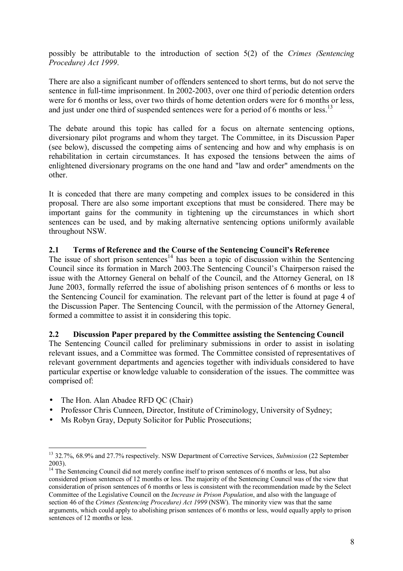possibly be attributable to the introduction of section 5(2) of the *Crimes (Sentencing Procedure) Act 1999*.

There are also a significant number of offenders sentenced to short terms, but do not serve the sentence in full-time imprisonment. In 2002-2003, over one third of periodic detention orders were for 6 months or less, over two thirds of home detention orders were for 6 months or less, and just under one third of suspended sentences were for a period of 6 months or less.<sup>13</sup>

The debate around this topic has called for a focus on alternate sentencing options, diversionary pilot programs and whom they target. The Committee, in its Discussion Paper (see below), discussed the competing aims of sentencing and how and why emphasis is on rehabilitation in certain circumstances. It has exposed the tensions between the aims of enlightened diversionary programs on the one hand and "law and order" amendments on the other.

It is conceded that there are many competing and complex issues to be considered in this proposal. There are also some important exceptions that must be considered. There may be important gains for the community in tightening up the circumstances in which short sentences can be used, and by making alternative sentencing options uniformly available throughout NSW.

#### **2.1 Terms of Reference and the Course of the Sentencing Council's Reference**

The issue of short prison sentences<sup>14</sup> has been a topic of discussion within the Sentencing Council since its formation in March 2003. The Sentencing Council's Chairperson raised the issue with the Attorney General on behalf of the Council, and the Attorney General, on 18 June 2003, formally referred the issue of abolishing prison sentences of 6 months or less to the Sentencing Council for examination. The relevant part of the letter is found at page 4 of the Discussion Paper. The Sentencing Council, with the permission of the Attorney General, formed a committee to assist it in considering this topic.

#### **2.2 Discussion Paper prepared by the Committee assisting the Sentencing Council**

The Sentencing Council called for preliminary submissions in order to assist in isolating relevant issues, and a Committee was formed. The Committee consisted of representatives of relevant government departments and agencies together with individuals considered to have particular expertise or knowledge valuable to consideration of the issues. The committee was comprised of:

• The Hon. Alan Abadee RFD QC (Chair)

- Professor Chris Cunneen, Director, Institute of Criminology, University of Sydney;
- Ms Robyn Gray, Deputy Solicitor for Public Prosecutions;

<sup>13 32.7%, 68.9%</sup> and 27.7% respectively. NSW Department of Corrective Services, *Submission* (22 September 2003).

<sup>&</sup>lt;sup>14</sup> The Sentencing Council did not merely confine itself to prison sentences of 6 months or less, but also considered prison sentences of 12 months or less. The majority of the Sentencing Council was of the view that consideration of prison sentences of 6 months or less is consistent with the recommendation made by the Select Committee of the Legislative Council on the *Increase in Prison Population*, and also with the language of section 46 of the *Crimes (Sentencing Procedure) Act 1999* (NSW). The minority view was that the same arguments, which could apply to abolishing prison sentences of 6 months or less, would equally apply to prison sentences of 12 months or less.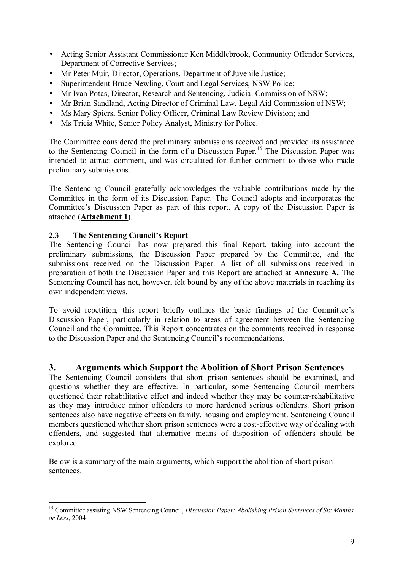- Acting Senior Assistant Commissioner Ken Middlebrook, Community Offender Services, Department of Corrective Services;
- Mr Peter Muir, Director, Operations, Department of Juvenile Justice;
- Superintendent Bruce Newling, Court and Legal Services, NSW Police;
- Mr Ivan Potas, Director, Research and Sentencing, Judicial Commission of NSW;
- Mr Brian Sandland, Acting Director of Criminal Law, Legal Aid Commission of NSW;
- Ms Mary Spiers, Senior Policy Officer, Criminal Law Review Division; and
- Ms Tricia White, Senior Policy Analyst, Ministry for Police.

The Committee considered the preliminary submissions received and provided its assistance to the Sentencing Council in the form of a Discussion Paper.15 The Discussion Paper was intended to attract comment, and was circulated for further comment to those who made preliminary submissions.

The Sentencing Council gratefully acknowledges the valuable contributions made by the Committee in the form of its Discussion Paper. The Council adopts and incorporates the Committee's Discussion Paper as part of this report. A copy of the Discussion Paper is attached (**Attachment 1**).

#### **2.3** The Sentencing Council's Report

The Sentencing Council has now prepared this final Report, taking into account the preliminary submissions, the Discussion Paper prepared by the Committee, and the submissions received on the Discussion Paper. A list of all submissions received in preparation of both the Discussion Paper and this Report are attached at **Annexure A.** The Sentencing Council has not, however, felt bound by any of the above materials in reaching its own independent views.

To avoid repetition, this report briefly outlines the basic findings of the Committee's Discussion Paper, particularly in relation to areas of agreement between the Sentencing Council and the Committee. This Report concentrates on the comments received in response to the Discussion Paper and the Sentencing Council's recommendations.

#### **3. Arguments which Support the Abolition of Short Prison Sentences**

The Sentencing Council considers that short prison sentences should be examined, and questions whether they are effective. In particular, some Sentencing Council members questioned their rehabilitative effect and indeed whether they may be counter-rehabilitative as they may introduce minor offenders to more hardened serious offenders. Short prison sentences also have negative effects on family, housing and employment. Sentencing Council members questioned whether short prison sentences were a cost-effective way of dealing with offenders, and suggested that alternative means of disposition of offenders should be explored.

Below is a summary of the main arguments, which support the abolition of short prison sentences.

 $\overline{a}$ 15 Committee assisting NSW Sentencing Council, *Discussion Paper: Abolishing Prison Sentences of Six Months or Less*, 2004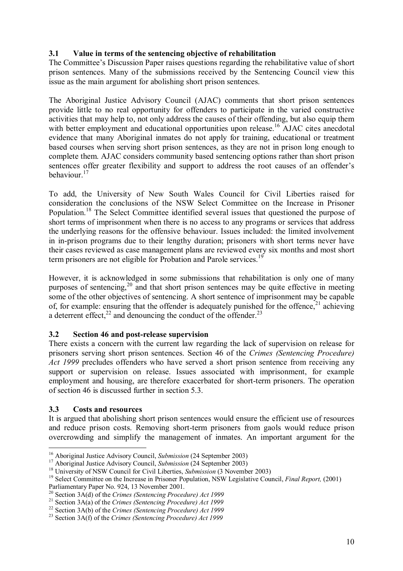#### **3.1 Value in terms of the sentencing objective of rehabilitation**

The Committee's Discussion Paper raises questions regarding the rehabilitative value of short prison sentences. Many of the submissions received by the Sentencing Council view this issue as the main argument for abolishing short prison sentences.

The Aboriginal Justice Advisory Council (AJAC) comments that short prison sentences provide little to no real opportunity for offenders to participate in the varied constructive activities that may help to, not only address the causes of their offending, but also equip them with better employment and educational opportunities upon release.<sup>16</sup> AJAC cites anecdotal evidence that many Aboriginal inmates do not apply for training, educational or treatment based courses when serving short prison sentences, as they are not in prison long enough to complete them. AJAC considers community based sentencing options rather than short prison sentences offer greater flexibility and support to address the root causes of an offender's behaviour.<sup>17</sup>

To add, the University of New South Wales Council for Civil Liberties raised for consideration the conclusions of the NSW Select Committee on the Increase in Prisoner Population.18 The Select Committee identified several issues that questioned the purpose of short terms of imprisonment when there is no access to any programs or services that address the underlying reasons for the offensive behaviour. Issues included: the limited involvement in in-prison programs due to their lengthy duration; prisoners with short terms never have their cases reviewed as case management plans are reviewed every six months and most short term prisoners are not eligible for Probation and Parole services.<sup>19</sup>

However, it is acknowledged in some submissions that rehabilitation is only one of many purposes of sentencing,<sup>20</sup> and that short prison sentences may be quite effective in meeting some of the other objectives of sentencing. A short sentence of imprisonment may be capable of, for example: ensuring that the offender is adequately punished for the offence,  $21$  achieving a deterrent effect,<sup>22</sup> and denouncing the conduct of the offender.<sup>23</sup>

#### **3.2 Section 46 and post-release supervision**

There exists a concern with the current law regarding the lack of supervision on release for prisoners serving short prison sentences. Section 46 of the *Crimes (Sentencing Procedure) Act 1999* precludes offenders who have served a short prison sentence from receiving any support or supervision on release. Issues associated with imprisonment, for example employment and housing, are therefore exacerbated for short-term prisoners. The operation of section 46 is discussed further in section 5.3.

#### **3.3 Costs and resources**

 $\overline{a}$ 

It is argued that abolishing short prison sentences would ensure the efficient use of resources and reduce prison costs. Removing short-term prisoners from gaols would reduce prison overcrowding and simplify the management of inmates. An important argument for the

<sup>&</sup>lt;sup>16</sup> Aboriginal Justice Advisory Council, *Submission* (24 September 2003)<br><sup>17</sup> Aboriginal Justice Advisory Council, *Submission* (24 September 2003)<br><sup>18</sup> University of NSW Council for Civil Liberties, *Submission* (3 Nov Parliamentary Paper No. 924, 13 November 2001.<br><sup>20</sup> Section 3A(d) of the *Crimes (Sentencing Procedure) Act 1999* 

<sup>&</sup>lt;sup>21</sup> Section 3A(a) of the Crimes (Sentencing Procedure) Act 1999<br><sup>22</sup> Section 3A(b) of the Crimes (Sentencing Procedure) Act 1999<br><sup>23</sup> Section 3A(f) of the Crimes (Sentencing Procedure) Act 1999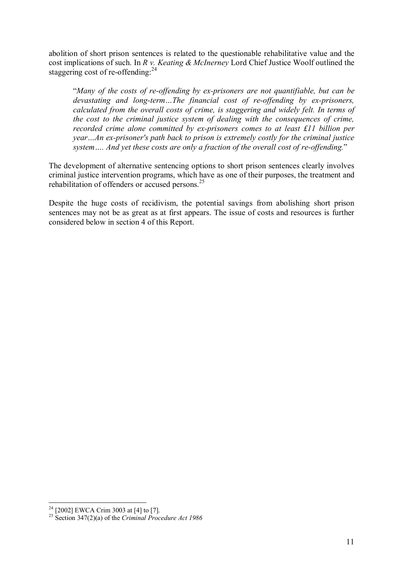abolition of short prison sentences is related to the questionable rehabilitative value and the cost implications of such. In *R v. Keating & McInerney* Lord Chief Justice Woolf outlined the staggering cost of re-offending: $^{24}$ 

ì*Many of the costs of re-offending by ex-prisoners are not quantifiable, but can be devastating and long-term...The financial cost of re-offending by ex-prisoners, calculated from the overall costs of crime, is staggering and widely felt. In terms of the cost to the criminal justice system of dealing with the consequences of crime, recorded crime alone committed by ex-prisoners comes to at least £11 billion per year*...An ex-prisoner's path back to prison is extremely costly for the criminal justice *system* .... And yet these costs are only a fraction of the overall cost of re-offending."

The development of alternative sentencing options to short prison sentences clearly involves criminal justice intervention programs, which have as one of their purposes, the treatment and rehabilitation of offenders or accused persons.<sup>25</sup>

Despite the huge costs of recidivism, the potential savings from abolishing short prison sentences may not be as great as at first appears. The issue of costs and resources is further considered below in section 4 of this Report.

 $2<sup>24</sup>$  [2002] EWCA Crim 3003 at [4] to [7].

<sup>25</sup> Section 347(2)(a) of the *Criminal Procedure Act 1986*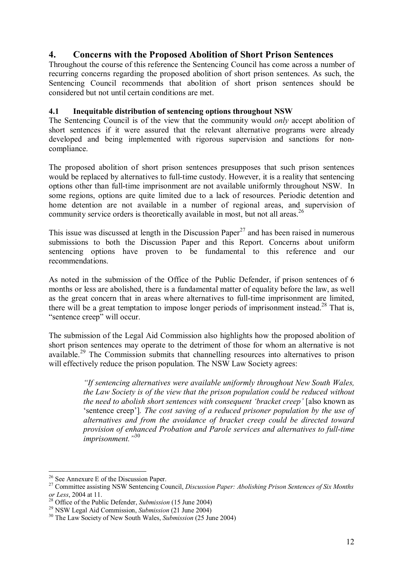#### **4. Concerns with the Proposed Abolition of Short Prison Sentences**

Throughout the course of this reference the Sentencing Council has come across a number of recurring concerns regarding the proposed abolition of short prison sentences. As such, the Sentencing Council recommends that abolition of short prison sentences should be considered but not until certain conditions are met.

#### **4.1 Inequitable distribution of sentencing options throughout NSW**

The Sentencing Council is of the view that the community would *only* accept abolition of short sentences if it were assured that the relevant alternative programs were already developed and being implemented with rigorous supervision and sanctions for noncompliance.

The proposed abolition of short prison sentences presupposes that such prison sentences would be replaced by alternatives to full-time custody. However, it is a reality that sentencing options other than full-time imprisonment are not available uniformly throughout NSW. In some regions, options are quite limited due to a lack of resources. Periodic detention and home detention are not available in a number of regional areas, and supervision of community service orders is theoretically available in most, but not all areas.<sup>26</sup>

This issue was discussed at length in the Discussion Paper<sup>27</sup> and has been raised in numerous submissions to both the Discussion Paper and this Report. Concerns about uniform sentencing options have proven to be fundamental to this reference and our recommendations.

As noted in the submission of the Office of the Public Defender, if prison sentences of 6 months or less are abolished, there is a fundamental matter of equality before the law, as well as the great concern that in areas where alternatives to full-time imprisonment are limited, there will be a great temptation to impose longer periods of imprisonment instead.<sup>28</sup> That is, "sentence creep" will occur.

The submission of the Legal Aid Commission also highlights how the proposed abolition of short prison sentences may operate to the detriment of those for whom an alternative is not available.29 The Commission submits that channelling resources into alternatives to prison will effectively reduce the prison population. The NSW Law Society agrees:

> *ìIf sentencing alternatives were available uniformly throughout New South Wales, the Law Society is of the view that the prison population could be reduced without the need to abolish short sentences with consequent 'bracket creep'* [also known as ësentence creepí]*. The cost saving of a reduced prisoner population by the use of alternatives and from the avoidance of bracket creep could be directed toward provision of enhanced Probation and Parole services and alternatives to full-time imprisonment.*<sup>"30</sup>

 $26$  See Annexure E of the Discussion Paper.

<sup>27</sup> Committee assisting NSW Sentencing Council, *Discussion Paper: Abolishing Prison Sentences of Six Months*  or Less, 2004 at 11.<br><sup>28</sup> Office of the Public Defender, *Submission* (15 June 2004)<br><sup>29</sup> NSW Legal Aid Commission, *Submission* (21 June 2004)<br><sup>30</sup> The Law Society of New South Wales, *Submission* (25 June 2004)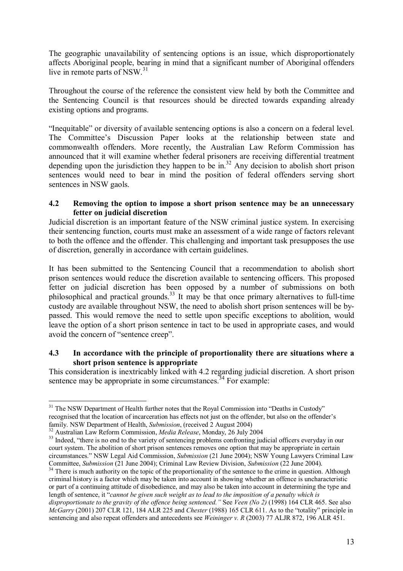The geographic unavailability of sentencing options is an issue, which disproportionately affects Aboriginal people, bearing in mind that a significant number of Aboriginal offenders live in remote parts of NSW. $31$ 

Throughout the course of the reference the consistent view held by both the Committee and the Sentencing Council is that resources should be directed towards expanding already existing options and programs.

"Inequitable" or diversity of available sentencing options is also a concern on a federal level. The Committee's Discussion Paper looks at the relationship between state and commonwealth offenders. More recently, the Australian Law Reform Commission has announced that it will examine whether federal prisoners are receiving differential treatment depending upon the jurisdiction they happen to be in.<sup>32</sup> Any decision to abolish short prison sentences would need to bear in mind the position of federal offenders serving short sentences in NSW gaols.

#### **4.2 Removing the option to impose a short prison sentence may be an unnecessary fetter on judicial discretion**

Judicial discretion is an important feature of the NSW criminal justice system. In exercising their sentencing function, courts must make an assessment of a wide range of factors relevant to both the offence and the offender. This challenging and important task presupposes the use of discretion, generally in accordance with certain guidelines.

It has been submitted to the Sentencing Council that a recommendation to abolish short prison sentences would reduce the discretion available to sentencing officers. This proposed fetter on judicial discretion has been opposed by a number of submissions on both philosophical and practical grounds.<sup>33</sup> It may be that once primary alternatives to full-time custody are available throughout NSW, the need to abolish short prison sentences will be bypassed. This would remove the need to settle upon specific exceptions to abolition, would leave the option of a short prison sentence in tact to be used in appropriate cases, and would avoid the concern of "sentence creep".

#### **4.3 In accordance with the principle of proportionality there are situations where a short prison sentence is appropriate**

This consideration is inextricably linked with 4.2 regarding judicial discretion. A short prison sentence may be appropriate in some circumstances.<sup>34</sup> For example:

 $31$  The NSW Department of Health further notes that the Royal Commission into "Deaths in Custody" recognised that the location of incarceration has effects not just on the offender, but also on the offender's family. NSW Department of Health, *Submission*, (received 2 August 2004)<br><sup>32</sup> Australian Law Reform Commission, *Media Release*, Monday, 26 July 2004<br><sup>33</sup> Indeed. "there is no end to the variety of sentencing problems conf

court system. The abolition of short prison sentences removes one option that may be appropriate in certain circumstances." NSW Legal Aid Commission, *Submission* (21 June 2004); NSW Young Lawyers Criminal Law Committee, *Submission* (21 June 2004); Criminal Law Review Division, *Submission* (22 June 2004).

<sup>&</sup>lt;sup>34</sup> There is much authority on the topic of the proportionality of the sentence to the crime in question. Although criminal history is a factor which may be taken into account in showing whether an offence is uncharacteristic or part of a continuing attitude of disobedience, and may also be taken into account in determining the type and length of sentence, it <sup>*"cannot be given such weight as to lead to the imposition of a penalty which is*</sup> *disproportionate to the gravity of the offence being sentenced.* "See *Veen (No 2)* (1998) 164 CLR 465. See also *McGarry* (2001) 207 CLR 121, 184 ALR 225 and *Chester* (1988) 165 CLR 611. As to the "totality" principle in sentencing and also repeat offenders and antecedents see *Weininger v. R* (2003) 77 ALJR 872, 196 ALR 451.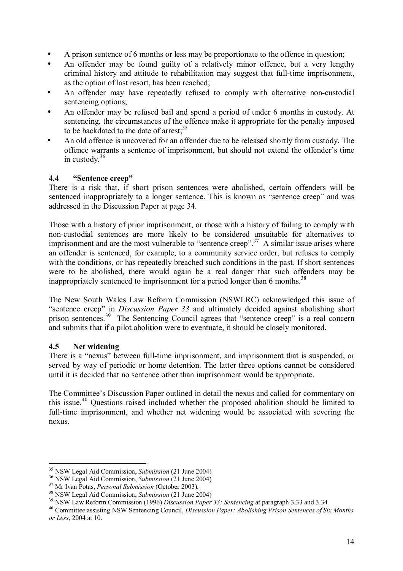- A prison sentence of 6 months or less may be proportionate to the offence in question;
- An offender may be found guilty of a relatively minor offence, but a very lengthy criminal history and attitude to rehabilitation may suggest that full-time imprisonment, as the option of last resort, has been reached;
- An offender may have repeatedly refused to comply with alternative non-custodial sentencing options;
- An offender may be refused bail and spend a period of under 6 months in custody. At sentencing, the circumstances of the offence make it appropriate for the penalty imposed to be backdated to the date of arrest; $35$
- An old offence is uncovered for an offender due to be released shortly from custody. The offence warrants a sentence of imprisonment, but should not extend the offender's time in custody. $36$

#### **4.4** *"Sentence creep***"**

There is a risk that, if short prison sentences were abolished, certain offenders will be sentenced inappropriately to a longer sentence. This is known as "sentence creep" and was addressed in the Discussion Paper at page 34.

Those with a history of prior imprisonment, or those with a history of failing to comply with non-custodial sentences are more likely to be considered unsuitable for alternatives to imprisonment and are the most vulnerable to "sentence creep".<sup>37</sup> A similar issue arises where an offender is sentenced, for example, to a community service order, but refuses to comply with the conditions, or has repeatedly breached such conditions in the past. If short sentences were to be abolished, there would again be a real danger that such offenders may be inappropriately sentenced to imprisonment for a period longer than 6 months.<sup>38</sup>

The New South Wales Law Reform Commission (NSWLRC) acknowledged this issue of "sentence creep" in *Discussion Paper 33* and ultimately decided against abolishing short prison sentences.<sup>39</sup> The Sentencing Council agrees that "sentence creep" is a real concern and submits that if a pilot abolition were to eventuate, it should be closely monitored.

#### **4.5 Net widening**

There is a "nexus" between full-time imprisonment, and imprisonment that is suspended, or served by way of periodic or home detention. The latter three options cannot be considered until it is decided that no sentence other than imprisonment would be appropriate.

The Committee's Discussion Paper outlined in detail the nexus and called for commentary on this issue.<sup>40</sup> Questions raised included whether the proposed abolition should be limited to full-time imprisonment, and whether net widening would be associated with severing the nexus.

 $\overline{a}$ 

<sup>&</sup>lt;sup>35</sup> NSW Legal Aid Commission, *Submission* (21 June 2004)<br><sup>36</sup> NSW Legal Aid Commission, *Submission* (21 June 2004)<br><sup>37</sup> Mr Ivan Potas, *Personal Submission* (October 2003).<br><sup>38</sup> NSW Legal Aid Commission, *Submission* ( *or Less*, 2004 at 10.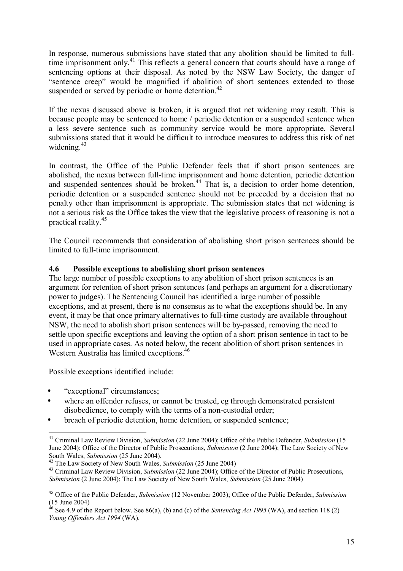In response, numerous submissions have stated that any abolition should be limited to fulltime imprisonment only.<sup>41</sup> This reflects a general concern that courts should have a range of sentencing options at their disposal. As noted by the NSW Law Society, the danger of "sentence creep" would be magnified if abolition of short sentences extended to those suspended or served by periodic or home detention.<sup>42</sup>

If the nexus discussed above is broken, it is argued that net widening may result. This is because people may be sentenced to home / periodic detention or a suspended sentence when a less severe sentence such as community service would be more appropriate. Several submissions stated that it would be difficult to introduce measures to address this risk of net widening.<sup>43</sup>

In contrast, the Office of the Public Defender feels that if short prison sentences are abolished, the nexus between full-time imprisonment and home detention, periodic detention and suspended sentences should be broken.<sup>44</sup> That is, a decision to order home detention, periodic detention or a suspended sentence should not be preceded by a decision that no penalty other than imprisonment is appropriate. The submission states that net widening is not a serious risk as the Office takes the view that the legislative process of reasoning is not a practical reality.45

The Council recommends that consideration of abolishing short prison sentences should be limited to full-time imprisonment.

#### **4.6 Possible exceptions to abolishing short prison sentences**

The large number of possible exceptions to any abolition of short prison sentences is an argument for retention of short prison sentences (and perhaps an argument for a discretionary power to judges). The Sentencing Council has identified a large number of possible exceptions, and at present, there is no consensus as to what the exceptions should be. In any event, it may be that once primary alternatives to full-time custody are available throughout NSW, the need to abolish short prison sentences will be by-passed, removing the need to settle upon specific exceptions and leaving the option of a short prison sentence in tact to be used in appropriate cases. As noted below, the recent abolition of short prison sentences in Western Australia has limited exceptions.<sup>46</sup>

Possible exceptions identified include:

- "exceptional" circumstances:
- where an offender refuses, or cannot be trusted, eg through demonstrated persistent disobedience, to comply with the terms of a non-custodial order;
- breach of periodic detention, home detention, or suspended sentence;

 $\overline{a}$ 41 Criminal Law Review Division, *Submission* (22 June 2004); Office of the Public Defender, *Submission* (15 June 2004); Office of the Director of Public Prosecutions, *Submission* (2 June 2004); The Law Society of New South Wales, *Submission* (25 June 2004).<br><sup>42</sup> The Law Society of New South Wales, *Submission* (25 June 2004)<br><sup>43</sup> Criminal Law Review Division, *Submission* (22 June 2004); Office of the Director of Public Prosecutions,

*Submission* (2 June 2004); The Law Society of New South Wales, *Submission* (25 June 2004)

<sup>45</sup> Office of the Public Defender, *Submission* (12 November 2003); Office of the Public Defender, *Submission* (15 June 2004)

 $46$  See 4.9 of the Report below. See 86(a), (b) and (c) of the *Sentencing Act* 1995 (WA), and section 118 (2) *Young Offenders Act 1994* (WA).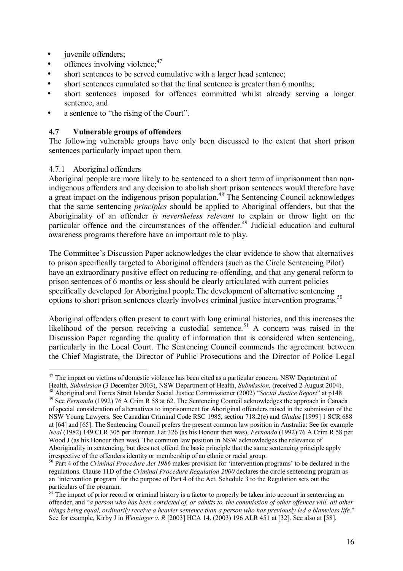- juvenile offenders;
- offences involving violence; $47$
- short sentences to be served cumulative with a larger head sentence;
- short sentences cumulated so that the final sentence is greater than 6 months;
- short sentences imposed for offences committed whilst already serving a longer sentence, and
- a sentence to "the rising of the Court".

#### **4.7 Vulnerable groups of offenders**

The following vulnerable groups have only been discussed to the extent that short prison sentences particularly impact upon them.

#### 4.7.1 Aboriginal offenders

 $\overline{a}$ 

Aboriginal people are more likely to be sentenced to a short term of imprisonment than nonindigenous offenders and any decision to abolish short prison sentences would therefore have a great impact on the indigenous prison population.<sup>48</sup> The Sentencing Council acknowledges that the same sentencing *principles* should be applied to Aboriginal offenders, but that the Aboriginality of an offender *is nevertheless relevant* to explain or throw light on the particular offence and the circumstances of the offender.<sup>49</sup> Judicial education and cultural awareness programs therefore have an important role to play.

The Committee's Discussion Paper acknowledges the clear evidence to show that alternatives to prison specifically targeted to Aboriginal offenders (such as the Circle Sentencing Pilot) have an extraordinary positive effect on reducing re-offending, and that any general reform to prison sentences of 6 months or less should be clearly articulated with current policies specifically developed for Aboriginal people.The development of alternative sentencing options to short prison sentences clearly involves criminal justice intervention programs.<sup>50</sup>

Aboriginal offenders often present to court with long criminal histories, and this increases the likelihood of the person receiving a custodial sentence.<sup>51</sup> A concern was raised in the Discussion Paper regarding the quality of information that is considered when sentencing, particularly in the Local Court. The Sentencing Council commends the agreement between the Chief Magistrate, the Director of Public Prosecutions and the Director of Police Legal

 $47$  The impact on victims of domestic violence has been cited as a particular concern. NSW Department of

Health, *Submission* (3 December 2003), NSW Department of Health, *Submission*, (received 2 August 2004).<br><sup>48</sup> Aboriginal and Torres Strait Islander Social Justice Commissioner (2002) "Social Justice Report" at p148<br><sup>49</sup> S of special consideration of alternatives to imprisonment for Aboriginal offenders raised in the submission of the NSW Young Lawyers. See Canadian Criminal Code RSC 1985, section 718.2(e) and *Gladue* [1999] 1 SCR 688 at [64] and [65]. The Sentencing Council prefers the present common law position in Australia: See for example *Neal* (1982) 149 CLR 305 per Brennan J at 326 (as his Honour then was), *Fernando* (1992) 76 A Crim R 58 per Wood J (as his Honour then was). The common law position in NSW acknowledges the relevance of Aboriginality in sentencing, but does not offend the basic principle that the same sentencing principle apply irrespective of the offenders identity or membership of an ethnic or racial group.

<sup>&</sup>lt;sup>50</sup> Part 4 of the *Criminal Procedure Act 1986* makes provision for 'intervention programs' to be declared in the regulations. Clause 11D of the *Criminal Procedure Regulation 2000* declares the circle sentencing program as an ëintervention programí for the purpose of Part 4 of the Act. Schedule 3 to the Regulation sets out the particulars of the program.

<sup>&</sup>lt;sup>51</sup> The impact of prior record or criminal history is a factor to properly be taken into account in sentencing an offender, and *<sup><i>a*</sup> a person who has been convicted of, or admits to, the commission of other offences will, all other *things being equal, ordinarily receive a heavier sentence than a person who has previously led a blameless life.*î See for example, Kirby J in *Weininger v. R* [2003] HCA 14, (2003) 196 ALR 451 at [32]. See also at [58].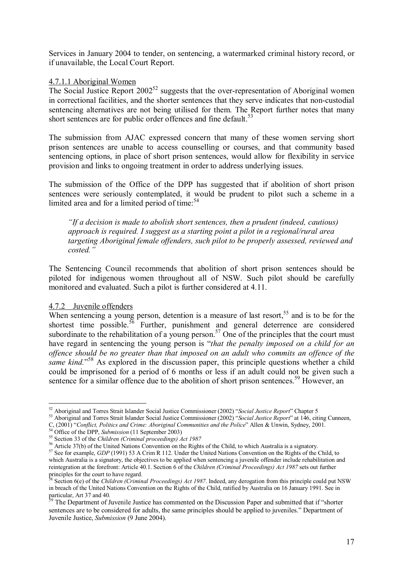Services in January 2004 to tender, on sentencing, a watermarked criminal history record, or if unavailable, the Local Court Report.

#### 4.7.1.1 Aboriginal Women

The Social Justice Report  $2002^{52}$  suggests that the over-representation of Aboriginal women in correctional facilities, and the shorter sentences that they serve indicates that non-custodial sentencing alternatives are not being utilised for them. The Report further notes that many short sentences are for public order offences and fine default.<sup>53</sup>

The submission from AJAC expressed concern that many of these women serving short prison sentences are unable to access counselling or courses, and that community based sentencing options, in place of short prison sentences, would allow for flexibility in service provision and links to ongoing treatment in order to address underlying issues.

The submission of the Office of the DPP has suggested that if abolition of short prison sentences were seriously contemplated, it would be prudent to pilot such a scheme in a limited area and for a limited period of time: $54$ 

*ìIf a decision is made to abolish short sentences, then a prudent (indeed, cautious) approach is required. I suggest as a starting point a pilot in a regional/rural area targeting Aboriginal female offenders, such pilot to be properly assessed, reviewed and costed.î* 

The Sentencing Council recommends that abolition of short prison sentences should be piloted for indigenous women throughout all of NSW. Such pilot should be carefully monitored and evaluated. Such a pilot is further considered at 4.11.

#### 4.7.2 Juvenile offenders

When sentencing a young person, detention is a measure of last resort,<sup>55</sup> and is to be for the shortest time possible.<sup>56</sup> Further, punishment and general deterrence are considered subordinate to the rehabilitation of a young person.<sup>57</sup> One of the principles that the court must have regard in sentencing the young person is *"that the penalty imposed on a child for an offence should be no greater than that imposed on an adult who commits an offence of the same kind.*<sup>58</sup> As explored in the discussion paper, this principle questions whether a child could be imprisoned for a period of 6 months or less if an adult could not be given such a sentence for a similar offence due to the abolition of short prison sentences.<sup>59</sup> However, an

 $\overline{a}$ <sup>52</sup> Aboriginal and Torres Strait Islander Social Justice Commissioner (2002) "Social Justice Report" Chapter 5<br><sup>53</sup> Aboriginal and Torres Strait Islander Social Justice Commissioner (2002) "Social Justice Report" at 146,

C, (2001) "Conflict, Politics and Crime: Aboriginal Communities and the Police" Allen & Unwin, Sydney, 2001.<br><sup>54</sup> Office of the DPP, Submission (11 September 2003)<br><sup>55</sup> Section 33 of the Children (Criminal proceedings) Ac

<sup>&</sup>lt;sup>57</sup> See for example, *GDP* (1991) 53 A Crim R 112. Under the United Nations Convention on the Rights of the Child, to which Australia is a signatory, the objectives to be applied when sentencing a juvenile offender include rehabilitation and reintegration at the forefront: Article 40.1. Section 6 of the *Children (Criminal Proceedings) Act 1987* sets out further principles for the court to have regard.

<sup>58</sup> Section 6(e) of the *Children (Criminal Proceedings) Act 1987*. Indeed, any derogation from this principle could put NSW in breach of the United Nations Convention on the Rights of the Child, ratified by Australia on 16 January 1991. See in particular, Art 37 and 40.

<sup>&</sup>lt;sup>59</sup> The Department of Juvenile Justice has commented on the Discussion Paper and submitted that if "shorter" sentences are to be considered for adults, the same principles should be applied to juveniles." Department of Juvenile Justice, *Submission* (9 June 2004).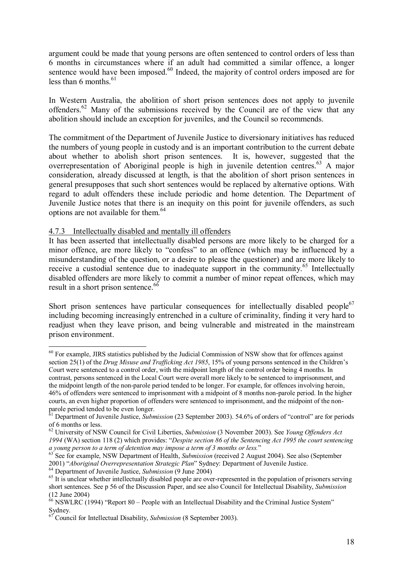argument could be made that young persons are often sentenced to control orders of less than 6 months in circumstances where if an adult had committed a similar offence, a longer sentence would have been imposed.<sup>60</sup> Indeed, the majority of control orders imposed are for less than 6 months. $61$ 

In Western Australia, the abolition of short prison sentences does not apply to juvenile offenders.62 Many of the submissions received by the Council are of the view that any abolition should include an exception for juveniles, and the Council so recommends.

The commitment of the Department of Juvenile Justice to diversionary initiatives has reduced the numbers of young people in custody and is an important contribution to the current debate about whether to abolish short prison sentences. It is, however, suggested that the overrepresentation of Aboriginal people is high in juvenile detention centres.<sup>63</sup> A major consideration, already discussed at length, is that the abolition of short prison sentences in general presupposes that such short sentences would be replaced by alternative options. With regard to adult offenders these include periodic and home detention. The Department of Juvenile Justice notes that there is an inequity on this point for juvenile offenders, as such options are not available for them.<sup>64</sup>

#### 4.7.3 Intellectually disabled and mentally ill offenders

It has been asserted that intellectually disabled persons are more likely to be charged for a minor offence, are more likely to "confess" to an offence (which may be influenced by a misunderstanding of the question, or a desire to please the questioner) and are more likely to receive a custodial sentence due to inadequate support in the community.<sup>65</sup> Intellectually disabled offenders are more likely to commit a number of minor repeat offences, which may result in a short prison sentence.<sup>66</sup>

Short prison sentences have particular consequences for intellectually disabled people $67$ including becoming increasingly entrenched in a culture of criminality, finding it very hard to readjust when they leave prison, and being vulnerable and mistreated in the mainstream prison environment.

 $60$  For example, JIRS statistics published by the Judicial Commission of NSW show that for offences against section 25(1) of the *Drug Misuse and Trafficking Act 1985*, 15% of young persons sentenced in the Children's Court were sentenced to a control order, with the midpoint length of the control order being 4 months. In contrast, persons sentenced in the Local Court were overall more likely to be sentenced to imprisonment, and the midpoint length of the non-parole period tended to be longer. For example, for offences involving heroin, 46% of offenders were sentenced to imprisonment with a midpoint of 8 months non-parole period. In the higher courts, an even higher proportion of offenders were sentenced to imprisonment, and the midpoint of the nonparole period tended to be even longer.

<sup>&</sup>lt;sup>61</sup> Department of Juvenile Justice, *Submission* (23 September 2003). 54.6% of orders of "control" are for periods of 6 months or less.

<sup>62</sup> University of NSW Council for Civil Liberties, *Submission* (3 November 2003). See *Young Offenders Act*  1994 (WA) section 118 (2) which provides: "Despite section 86 of the Sentencing Act 1995 the court sentencing *a young person to a term of detention may impose a term of 3 months or less.*<sup>7</sup><br><sup>63</sup> See for example, NSW Department of Health, *Submission* (received 2 August 2004). See also (September

<sup>2001) &</sup>quot;Aboriginal Overrepresentation Strategic Plan" Sydney: Department of Juvenile Justice.<br><sup>64</sup> Department of Juvenile Justice, Submission (9 June 2004)<br><sup>65</sup> It is unclear whether intellectually disabled people are over-

short sentences. See p 56 of the Discussion Paper, and see also Council for Intellectual Disability, *Submission* (12 June 2004)

 $66$  NSWLRC (1994) "Report 80 – People with an Intellectual Disability and the Criminal Justice System"  $\bigcup_{67}$  Sydney.

<sup>67</sup> Council for Intellectual Disability, *Submission* (8 September 2003).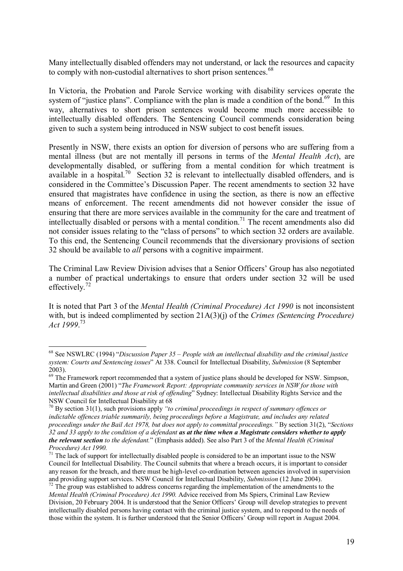Many intellectually disabled offenders may not understand, or lack the resources and capacity to comply with non-custodial alternatives to short prison sentences.<sup>68</sup>

In Victoria, the Probation and Parole Service working with disability services operate the system of "justice plans". Compliance with the plan is made a condition of the bond.<sup>69</sup> In this way, alternatives to short prison sentences would become much more accessible to intellectually disabled offenders. The Sentencing Council commends consideration being given to such a system being introduced in NSW subject to cost benefit issues.

Presently in NSW, there exists an option for diversion of persons who are suffering from a mental illness (but are not mentally ill persons in terms of the *Mental Health Act*), are developmentally disabled, or suffering from a mental condition for which treatment is available in a hospital.<sup>70</sup> Section 32 is relevant to intellectually disabled offenders, and is considered in the Committee's Discussion Paper. The recent amendments to section 32 have ensured that magistrates have confidence in using the section, as there is now an effective means of enforcement. The recent amendments did not however consider the issue of ensuring that there are more services available in the community for the care and treatment of intellectually disabled or persons with a mental condition.<sup>71</sup> The recent amendments also did not consider issues relating to the "class of persons" to which section 32 orders are available. To this end, the Sentencing Council recommends that the diversionary provisions of section 32 should be available to *all* persons with a cognitive impairment.

The Criminal Law Review Division advises that a Senior Officers' Group has also negotiated a number of practical undertakings to ensure that orders under section 32 will be used effectively.<sup>72</sup>

It is noted that Part 3 of the *Mental Health (Criminal Procedure) Act 1990* is not inconsistent with, but is indeed complimented by section 21A(3)(j) of the *Crimes (Sentencing Procedure) Act 1999*. 73

 $68$  See NSWLRC (1994) *iDiscussion Paper 35 – People with an intellectual disability and the criminal justice system: Courts and Sentencing issues*î At 338. Council for Intellectual Disability, *Submission* (8 September 2003).

<sup>&</sup>lt;sup>69</sup> The Framework report recommended that a system of justice plans should be developed for NSW. Simpson, Martin and Green (2001) "The Framework Report: Appropriate community services in NSW for those with *intellectual disabilities and those at risk of offending*î Sydney: Intellectual Disability Rights Service and the NSW Council for Intellectual Disability at 68

<sup>&</sup>lt;sup>70</sup> By section 31(1), such provisions apply "to criminal proceedings in respect of summary offences or *indictable offences triable summarily, being proceedings before a Magistrate, and includes any related proceedings under the Bail Act 1978, but does not apply to committal proceedings. "*By section 31(2), *"Sections 32 and 33 apply to the condition of a defendant as at the time when a Magistrate considers whether to apply the relevant section to the defendant.*î (Emphasis added). See also Part 3 of the *Mental Health (Criminal Procedure) Act 1990.*

 $71$  The lack of support for intellectually disabled people is considered to be an important issue to the NSW Council for Intellectual Disability. The Council submits that where a breach occurs, it is important to consider any reason for the breach, and there must be high-level co-ordination between agencies involved in supervision and providing support services. NSW Council for Intellectual Disability, *Submission* (12 June 2004).

<sup>&</sup>lt;sup>72</sup> The group was established to address concerns regarding the implementation of the amendments to the *Mental Health (Criminal Procedure) Act 1990.* Advice received from Ms Spiers, Criminal Law Review Division, 20 February 2004. It is understood that the Senior Officersí Group will develop strategies to prevent intellectually disabled persons having contact with the criminal justice system, and to respond to the needs of those within the system. It is further understood that the Senior Officers' Group will report in August 2004.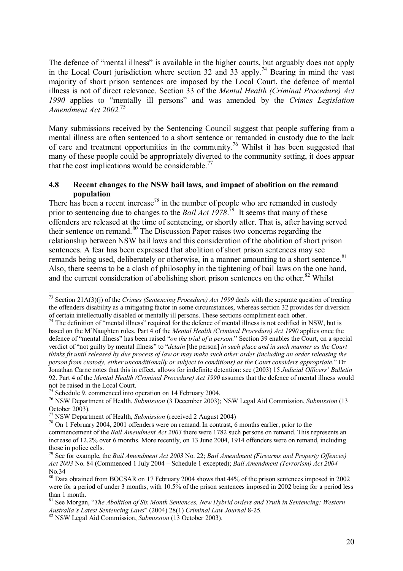The defence of "mental illness" is available in the higher courts, but arguably does not apply in the Local Court jurisdiction where section 32 and 33 apply.<sup>74</sup> Bearing in mind the vast majority of short prison sentences are imposed by the Local Court, the defence of mental illness is not of direct relevance. Section 33 of the *Mental Health (Criminal Procedure) Act* 1990 applies to "mentally ill persons" and was amended by the *Crimes Legislation Amendment Act 2002.*<sup>75</sup>

Many submissions received by the Sentencing Council suggest that people suffering from a mental illness are often sentenced to a short sentence or remanded in custody due to the lack of care and treatment opportunities in the community.76 Whilst it has been suggested that many of these people could be appropriately diverted to the community setting, it does appear that the cost implications would be considerable.<sup>77</sup>

#### **4.8 Recent changes to the NSW bail laws, and impact of abolition on the remand population**

There has been a recent increase<sup>78</sup> in the number of people who are remanded in custody prior to sentencing due to changes to the *Bail Act 1978*. 79 It seems that many of these offenders are released at the time of sentencing, or shortly after. That is, after having served their sentence on remand.<sup>80</sup> The Discussion Paper raises two concerns regarding the relationship between NSW bail laws and this consideration of the abolition of short prison sentences. A fear has been expressed that abolition of short prison sentences may see remands being used, deliberately or otherwise, in a manner amounting to a short sentence.<sup>81</sup> Also, there seems to be a clash of philosophy in the tightening of bail laws on the one hand, and the current consideration of abolishing short prison sentences on the other.<sup>82</sup> Whilst

 $74$  The definition of "mental illness" required for the defence of mental illness is not codified in NSW, but is based on the MíNaughten rules. Part 4 of the *Mental Health (Criminal Procedure) Act 1990* applies once the defence of "mental illness" has been raised "*on the trial of a person*." Section 39 enables the Court, on a special verdict of "not guilty by mental illness" to "*detain* [the person] *in such place and in such manner as the Court thinks fit until released by due process of law or may make such other order (including an order releasing the person from custody, either unconditionally or subject to conditions) as the Court considers appropriate.*î Dr Jonathan Carne notes that this in effect, allows for indefinite detention: see (2003) 15 *Judicial Officersí Bulletin* 92. Part 4 of the *Mental Health (Criminal Procedure) Act 1990* assumes that the defence of mental illness would not be raised in the Local Court.

<sup>75</sup> Schedule 9, commenced into operation on 14 February 2004.

 <sup>73</sup> Section 21A(3)(j) of the *Crimes (Sentencing Procedure) Act 1999* deals with the separate question of treating the offenders disability as a mitigating factor in some circumstances, whereas section 32 provides for diversion of certain intellectually disabled or mentally ill persons. These sections compliment each other.

<sup>76</sup> NSW Department of Health, *Submission* (3 December 2003); NSW Legal Aid Commission, *Submission* (13 October 2003).<br><sup>77</sup> NSW Department of Health, *Submission* (received 2 August 2004)

<sup>&</sup>lt;sup>78</sup> On 1 February 2004, 2001 offenders were on remand. In contrast, 6 months earlier, prior to the commencement of the *Bail Amendment Act 2003* there were 1782 such persons on remand. This represents an increase of 12.2% over 6 months. More recently, on 13 June 2004, 1914 offenders were on remand, including those in police cells.

<sup>79</sup> See for example, the *Bail Amendment Act 2003* No. 22; *Bail Amendment (Firearms and Property Offences) Act 2003* No. 84 (Commenced 1 July 2004 – Schedule 1 excepted); *Bail Amendment (Terrorism) Act 2004* No.34

<sup>80</sup> Data obtained from BOCSAR on 17 February 2004 shows that 44% of the prison sentences imposed in 2002 were for a period of under 3 months, with 10.5% of the prison sentences imposed in 2002 being for a period less than 1 month.

<sup>&</sup>lt;sup>81</sup> See Morgan, *"The Abolition of Six Month Sentences, New Hybrid orders and Truth in Sentencing: Western Australiaís Latest Sentencing Laws*î (2004) 28(1) *Criminal Law Journal* 8-25. 82 NSW Legal Aid Commission, *Submission* (13 October 2003).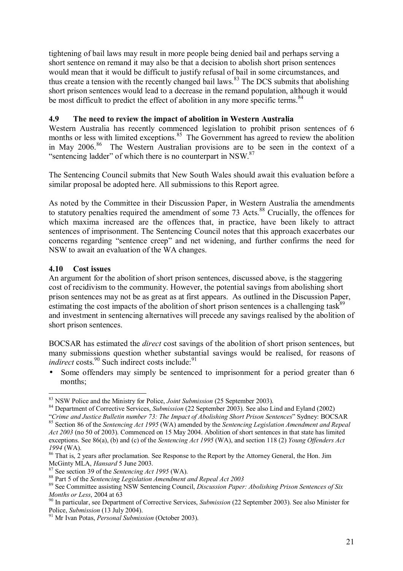tightening of bail laws may result in more people being denied bail and perhaps serving a short sentence on remand it may also be that a decision to abolish short prison sentences would mean that it would be difficult to justify refusal of bail in some circumstances, and thus create a tension with the recently changed bail laws.<sup>83</sup> The DCS submits that abolishing short prison sentences would lead to a decrease in the remand population, although it would be most difficult to predict the effect of abolition in any more specific terms.<sup>84</sup>

#### **4.9 The need to review the impact of abolition in Western Australia**

Western Australia has recently commenced legislation to prohibit prison sentences of 6 months or less with limited exceptions.<sup>85</sup> The Government has agreed to review the abolition in May 2006.<sup>86</sup> The Western Australian provisions are to be seen in the context of a "sentencing ladder" of which there is no counterpart in NSW. $87$ 

The Sentencing Council submits that New South Wales should await this evaluation before a similar proposal be adopted here. All submissions to this Report agree.

As noted by the Committee in their Discussion Paper, in Western Australia the amendments to statutory penalties required the amendment of some 73 Acts.<sup>88</sup> Crucially, the offences for which maxima increased are the offences that, in practice, have been likely to attract sentences of imprisonment. The Sentencing Council notes that this approach exacerbates our concerns regarding "sentence creep" and net widening, and further confirms the need for NSW to await an evaluation of the WA changes.

#### **4.10 Cost issues**

An argument for the abolition of short prison sentences, discussed above, is the staggering cost of recidivism to the community. However, the potential savings from abolishing short prison sentences may not be as great as at first appears. As outlined in the Discussion Paper, estimating the cost impacts of the abolition of short prison sentences is a challenging task<sup>89</sup> and investment in sentencing alternatives will precede any savings realised by the abolition of short prison sentences.

BOCSAR has estimated the *direct* cost savings of the abolition of short prison sentences, but many submissions question whether substantial savings would be realised, for reasons of *indirect* costs.<sup>90</sup> Such indirect costs include:<sup>91</sup>

Some offenders may simply be sentenced to imprisonment for a period greater than 6 months;

<sup>&</sup>lt;sup>83</sup> NSW Police and the Ministry for Police, *Joint Submission* (25 September 2003).

<sup>&</sup>lt;sup>84</sup> Department of Corrective Services, *Submission* (22 September 2003). See also Lind and Eyland (2002)<br>"Crime and Justice Bulletin number 73: The Impact of Abolishing Short Prison Sentences" Sydney: BOCSAR

<sup>&</sup>lt;sup>85</sup> Section 86 of the Sentencing Act 1995 (WA) amended by the Sentencing Legislation Amendment and Repeal *Act 2003* (no 50 of 2003). Commenced on 15 May 2004. Abolition of short sentences in that state has limited exceptions. See 86(a), (b) and (c) of the *Sentencing Act 1995* (WA), and section 118 (2) *Young Offenders Act* 

<sup>1994 (</sup>WA).<br><sup>86</sup> That is, 2 years after proclamation. See Response to the Report by the Attorney General, the Hon. Jim<br>McGinty MLA, *Hansard* 5 June 2003.

<sup>&</sup>lt;sup>87</sup> See section 39 of the *Sentencing Act 1995* (WA).<br><sup>88</sup> Part 5 of the *Sentencing Legislation Amendment and Repeal Act 2003*<br><sup>89</sup> See Committee assisting NSW Sentencing Council, *Discussion Paper: Abolishing Prison Se* 

<sup>&</sup>lt;sup>90</sup> In particular, see Department of Corrective Services, *Submission* (22 September 2003). See also Minister for Police, *Submission* (13 July 2004).

<sup>&</sup>lt;sup>91</sup> Mr Ivan Potas, *Personal Submission* (October 2003).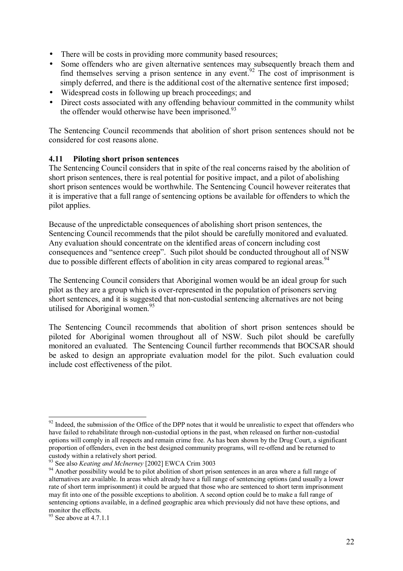- There will be costs in providing more community based resources;
- Some offenders who are given alternative sentences may subsequently breach them and find themselves serving a prison sentence in any event.<sup>92</sup> The cost of imprisonment is simply deferred, and there is the additional cost of the alternative sentence first imposed;
- Widespread costs in following up breach proceedings; and
- Direct costs associated with any offending behaviour committed in the community whilst the offender would otherwise have been imprisoned. $93$

The Sentencing Council recommends that abolition of short prison sentences should not be considered for cost reasons alone.

#### **4.11 Piloting short prison sentences**

The Sentencing Council considers that in spite of the real concerns raised by the abolition of short prison sentences, there is real potential for positive impact, and a pilot of abolishing short prison sentences would be worthwhile. The Sentencing Council however reiterates that it is imperative that a full range of sentencing options be available for offenders to which the pilot applies.

Because of the unpredictable consequences of abolishing short prison sentences, the Sentencing Council recommends that the pilot should be carefully monitored and evaluated. Any evaluation should concentrate on the identified areas of concern including cost consequences and "sentence creep". Such pilot should be conducted throughout all of NSW due to possible different effects of abolition in city areas compared to regional areas.<sup>94</sup>

The Sentencing Council considers that Aboriginal women would be an ideal group for such pilot as they are a group which is over-represented in the population of prisoners serving short sentences, and it is suggested that non-custodial sentencing alternatives are not being utilised for Aboriginal women.<sup>95</sup>

The Sentencing Council recommends that abolition of short prison sentences should be piloted for Aboriginal women throughout all of NSW. Such pilot should be carefully monitored an evaluated. The Sentencing Council further recommends that BOCSAR should be asked to design an appropriate evaluation model for the pilot. Such evaluation could include cost effectiveness of the pilot.

 $92$  Indeed, the submission of the Office of the DPP notes that it would be unrealistic to expect that offenders who have failed to rehabilitate through non-custodial options in the past, when released on further non-custodial options will comply in all respects and remain crime free. As has been shown by the Drug Court, a significant proportion of offenders, even in the best designed community programs, will re-offend and be returned to custody within a relatively short period.<br><sup>93</sup> See also *Keating and McInerney* [2002] EWCA Crim 3003

<sup>&</sup>lt;sup>94</sup> Another possibility would be to pilot abolition of short prison sentences in an area where a full range of alternatives are available. In areas which already have a full range of sentencing options (and usually a lower rate of short term imprisonment) it could be argued that those who are sentenced to short term imprisonment may fit into one of the possible exceptions to abolition. A second option could be to make a full range of sentencing options available, in a defined geographic area which previously did not have these options, and monitor the effects.

 $\frac{95}{95}$  See above at 4.7.1.1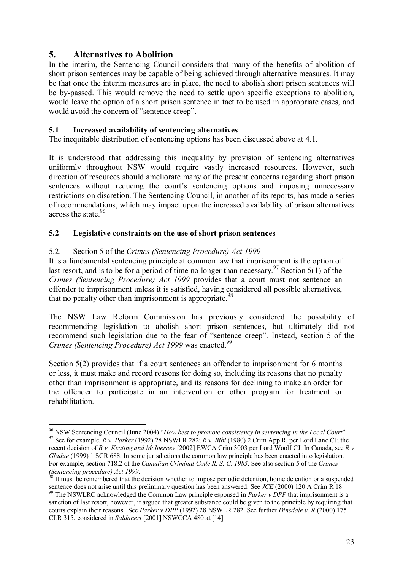#### **5. Alternatives to Abolition**

 $\overline{a}$ 

In the interim, the Sentencing Council considers that many of the benefits of abolition of short prison sentences may be capable of being achieved through alternative measures. It may be that once the interim measures are in place, the need to abolish short prison sentences will be by-passed. This would remove the need to settle upon specific exceptions to abolition, would leave the option of a short prison sentence in tact to be used in appropriate cases, and would avoid the concern of "sentence creep".

#### **5.1 Increased availability of sentencing alternatives**

The inequitable distribution of sentencing options has been discussed above at 4.1.

It is understood that addressing this inequality by provision of sentencing alternatives uniformly throughout NSW would require vastly increased resources. However, such direction of resources should ameliorate many of the present concerns regarding short prison sentences without reducing the court's sentencing options and imposing unnecessary restrictions on discretion. The Sentencing Council, in another of its reports, has made a series of recommendations, which may impact upon the increased availability of prison alternatives across the state.<sup>96</sup>

#### **5.2 Legislative constraints on the use of short prison sentences**

#### 5.2.1 Section 5 of the *Crimes (Sentencing Procedure) Act 1999*

It is a fundamental sentencing principle at common law that imprisonment is the option of last resort, and is to be for a period of time no longer than necessary.<sup>97</sup> Section 5(1) of the *Crimes (Sentencing Procedure) Act 1999* provides that a court must not sentence an offender to imprisonment unless it is satisfied, having considered all possible alternatives, that no penalty other than imprisonment is appropriate.<sup>98</sup>

The NSW Law Reform Commission has previously considered the possibility of recommending legislation to abolish short prison sentences, but ultimately did not recommend such legislation due to the fear of "sentence creep". Instead, section 5 of the *Crimes (Sentencing Procedure) Act 1999* was enacted.<sup>99</sup>

Section 5(2) provides that if a court sentences an offender to imprisonment for 6 months or less, it must make and record reasons for doing so, including its reasons that no penalty other than imprisonment is appropriate, and its reasons for declining to make an order for the offender to participate in an intervention or other program for treatment or rehabilitation.

<sup>&</sup>lt;sup>96</sup> NSW Sentencing Council (June 2004) "How best to promote consistency in sentencing in the Local Court".<br><sup>97</sup> See for example. *R v. Parker* (1992) 28 NSWLR 282; *R v. Bibi* (1980) 2 Crim App R. per Lord Lane CJ; the

recent decision of *R v. Keating and McInerney* [2002] EWCA Crim 3003 per Lord Woolf CJ. In Canada, see *R v Gladue* (1999) 1 SCR 688. In some jurisdictions the common law principle has been enacted into legislation. For example, section 718.2 of the *Canadian Criminal Code R. S. C. 1985*. See also section 5 of the *Crimes (Sentencing procedure) Act 1999.*<br><sup>98</sup> It must be remembered that the decision whether to impose periodic detention, home detention or a suspended

sentence does not arise until this preliminary question has been answered. See *JCE* (2000) 120 A Crim R 18<sup>99</sup> The NSWLRC acknowledged the Common Law principle espoused in *Parker v DPP* that imprisonment is a

sanction of last resort, however, it argued that greater substance could be given to the principle by requiring that courts explain their reasons. See *Parker v DPP* (1992) 28 NSWLR 282. See further *Dinsdale v. R* (2000) 175 CLR 315, considered in *Saldaneri* [2001] NSWCCA 480 at [14]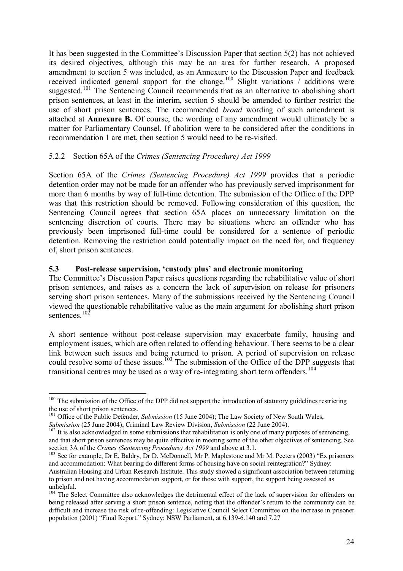It has been suggested in the Committee's Discussion Paper that section  $5(2)$  has not achieved its desired objectives, although this may be an area for further research. A proposed amendment to section 5 was included, as an Annexure to the Discussion Paper and feedback received indicated general support for the change.<sup>100</sup> Slight variations / additions were suggested.<sup>101</sup> The Sentencing Council recommends that as an alternative to abolishing short prison sentences, at least in the interim, section 5 should be amended to further restrict the use of short prison sentences. The recommended *broad* wording of such amendment is attached at **Annexure B.** Of course, the wording of any amendment would ultimately be a matter for Parliamentary Counsel. If abolition were to be considered after the conditions in recommendation 1 are met, then section 5 would need to be re-visited.

#### 5.2.2 Section 65A of the *Crimes (Sentencing Procedure) Act 1999*

Section 65A of the *Crimes (Sentencing Procedure) Act 1999* provides that a periodic detention order may not be made for an offender who has previously served imprisonment for more than 6 months by way of full-time detention. The submission of the Office of the DPP was that this restriction should be removed. Following consideration of this question, the Sentencing Council agrees that section 65A places an unnecessary limitation on the sentencing discretion of courts. There may be situations where an offender who has previously been imprisoned full-time could be considered for a sentence of periodic detention. Removing the restriction could potentially impact on the need for, and frequency of, short prison sentences.

#### **5.3 Post-release supervision, ëcustody plusí and electronic monitoring**

The Committee's Discussion Paper raises questions regarding the rehabilitative value of short prison sentences, and raises as a concern the lack of supervision on release for prisoners serving short prison sentences. Many of the submissions received by the Sentencing Council viewed the questionable rehabilitative value as the main argument for abolishing short prison sentences.<sup>102</sup>

A short sentence without post-release supervision may exacerbate family, housing and employment issues, which are often related to offending behaviour. There seems to be a clear link between such issues and being returned to prison. A period of supervision on release could resolve some of these issues.<sup>103</sup> The submission of the Office of the DPP suggests that transitional centres may be used as a way of re-integrating short term offenders.<sup>104</sup>

 $100$  The submission of the Office of the DPP did not support the introduction of statutory guidelines restricting the use of short prison sentences.

<sup>&</sup>lt;sup>101</sup> Office of the Public Defender, *Submission* (15 June 2004); The Law Society of New South Wales, *Submission* (25 June 2004); Criminal Law Review Division, *Submission* (22 June 2004).

<sup>&</sup>lt;sup>102</sup> It is also acknowledged in some submissions that rehabilitation is only one of many purposes of sentencing, and that short prison sentences may be quite effective in meeting some of the other objectives of sentencing. See

section 3A of the *Crimes (Sentencing Procedure) Act 1999* and above at 3.1.<br><sup>103</sup> See for example, Dr E. Baldry, Dr D. McDonnell, Mr P. Maplestone and Mr M. Peeters (2003) "Ex prisoners and accommodation: What bearing do different forms of housing have on social reintegration?" Sydney:

Australian Housing and Urban Research Institute. This study showed a significant association between returning to prison and not having accommodation support, or for those with support, the support being assessed as unhelpful.

<sup>&</sup>lt;sup>104</sup> The Select Committee also acknowledges the detrimental effect of the lack of supervision for offenders on being released after serving a short prison sentence, noting that the offender's return to the community can be difficult and increase the risk of re-offending: Legislative Council Select Committee on the increase in prisoner population (2001) "Final Report." Sydney: NSW Parliament, at 6.139-6.140 and 7.27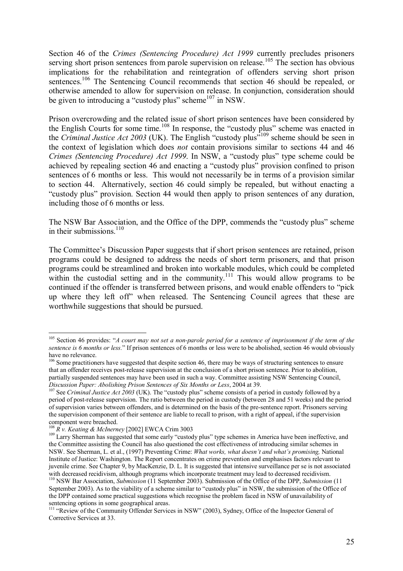Section 46 of the *Crimes (Sentencing Procedure) Act 1999* currently precludes prisoners serving short prison sentences from parole supervision on release.<sup>105</sup> The section has obvious implications for the rehabilitation and reintegration of offenders serving short prison sentences.<sup>106</sup> The Sentencing Council recommends that section 46 should be repealed, or otherwise amended to allow for supervision on release. In conjunction, consideration should be given to introducing a "custody plus" scheme $107$  in NSW.

Prison overcrowding and the related issue of short prison sentences have been considered by the English Courts for some time.<sup>108</sup> In response, the "custody plus" scheme was enacted in the *Criminal Justice Act* 2003 (UK). The English "custody plus<sup> $109$ </sup> scheme should be seen in the context of legislation which does *not* contain provisions similar to sections 44 and 46 *Crimes (Sentencing Procedure) Act 1999*. In NSW, a "custody plus" type scheme could be achieved by repealing section 46 and enacting a "custody plus" provision confined to prison sentences of 6 months or less. This would not necessarily be in terms of a provision similar to section 44. Alternatively, section 46 could simply be repealed, but without enacting a ìcustody plusî provision. Section 44 would then apply to prison sentences of any duration, including those of 6 months or less.

The NSW Bar Association, and the Office of the DPP, commends the "custody plus" scheme in their submissions. $110$ 

The Committee's Discussion Paper suggests that if short prison sentences are retained, prison programs could be designed to address the needs of short term prisoners, and that prison programs could be streamlined and broken into workable modules, which could be completed within the custodial setting and in the community.<sup>111</sup> This would allow programs to be continued if the offender is transferred between prisons, and would enable offenders to "pick" up where they left offî when released. The Sentencing Council agrees that these are worthwhile suggestions that should be pursued.

 $105$  Section 46 provides: "*A court may not set a non-parole period for a sentence of imprisonment if the term of the sentence is 6 months or less.*î If prison sentences of 6 months or less were to be abolished, section 46 would obviously have no relevance.

<sup>&</sup>lt;sup>106</sup> Some practitioners have suggested that despite section 46, there may be ways of structuring sentences to ensure that an offender receives post-release supervision at the conclusion of a short prison sentence. Prior to abolition, partially suspended sentences may have been used in such a way. Committee assisting NSW Sentencing Council, *Discussion Paper: Abolishing Prison Sentences of Six Months or Less*, 2004 at 39.

**Discussion Paper: Action Servers or Lesson Servers or Lesson Sentences of Six Months or Lesson See** *Criminal Justice Act* **2003 (UK). The "custody plus" scheme consists of a period in custody followed by a** period of post-release supervision. The ratio between the period in custody (between 28 and 51 weeks) and the period of supervision varies between offenders, and is determined on the basis of the pre-sentence report. Prisoners serving the supervision component of their sentence are liable to recall to prison, with a right of appeal, if the supervision component were breached.<br><sup>108</sup> R v. Keating & McInerney [2002] EWCA Crim 3003

<sup>&</sup>lt;sup>109</sup> Larry Sherman has suggested that some early "custody plus" type schemes in America have been ineffective, and <sup>109</sup> the Committee assisting the Council has also questioned the cost effectiveness of introducing similar schemes in NSW. See Sherman, L. et al., (1997) Preventing Crime: *What works, what doesnít and whatís promising,* National Institute of Justice: Washington. The Report concentrates on crime prevention and emphasises factors relevant to juvenile crime. See Chapter 9, by MacKenzie, D. L. It is suggested that intensive surveillance per se is not associated with decreased recidivism, although programs which incorporate treatment may lead to decreased recidivism. 110 NSW Bar Association, *Submission* (11 September 2003). Submission of the Office of the DPP, *Submission* (11 September 2003). As to the viability of a scheme similar to "custody plus" in NSW, the submission of the Office of the DPP contained some practical suggestions which recognise the problem faced in NSW of unavailability of sentencing options in some geographical areas.

<sup>&</sup>lt;sup>111</sup> "Review of the Community Offender Services in NSW" (2003), Sydney, Office of the Inspector General of Corrective Services at 33.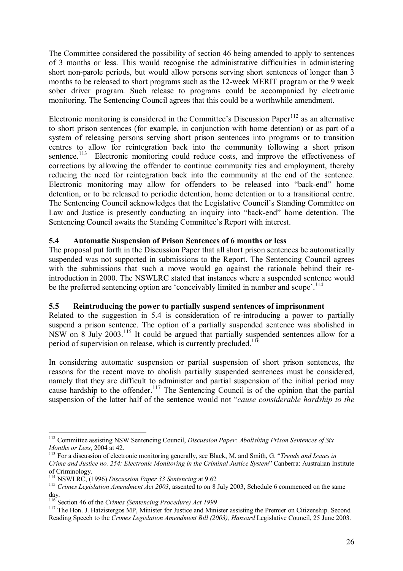The Committee considered the possibility of section 46 being amended to apply to sentences of 3 months or less. This would recognise the administrative difficulties in administering short non-parole periods, but would allow persons serving short sentences of longer than 3 months to be released to short programs such as the 12-week MERIT program or the 9 week sober driver program. Such release to programs could be accompanied by electronic monitoring. The Sentencing Council agrees that this could be a worthwhile amendment.

Electronic monitoring is considered in the Committee's Discussion Paper<sup>112</sup> as an alternative to short prison sentences (for example, in conjunction with home detention) or as part of a system of releasing persons serving short prison sentences into programs or to transition centres to allow for reintegration back into the community following a short prison sentence.<sup>113</sup> Electronic monitoring could reduce costs, and improve the effectiveness of corrections by allowing the offender to continue community ties and employment, thereby reducing the need for reintegration back into the community at the end of the sentence. Electronic monitoring may allow for offenders to be released into "back-end" home detention, or to be released to periodic detention, home detention or to a transitional centre. The Sentencing Council acknowledges that the Legislative Council's Standing Committee on Law and Justice is presently conducting an inquiry into "back-end" home detention. The Sentencing Council awaits the Standing Committee's Report with interest.

#### **5.4 Automatic Suspension of Prison Sentences of 6 months or less**

The proposal put forth in the Discussion Paper that all short prison sentences be automatically suspended was not supported in submissions to the Report. The Sentencing Council agrees with the submissions that such a move would go against the rationale behind their reintroduction in 2000. The NSWLRC stated that instances where a suspended sentence would be the preferred sentencing option are 'conceivably limited in number and scope'.<sup>114</sup>

#### **5.5 Reintroducing the power to partially suspend sentences of imprisonment**

Related to the suggestion in 5.4 is consideration of re-introducing a power to partially suspend a prison sentence. The option of a partially suspended sentence was abolished in NSW on 8 July 2003.115 It could be argued that partially suspended sentences allow for a period of supervision on release, which is currently precluded.<sup>1</sup>

In considering automatic suspension or partial suspension of short prison sentences, the reasons for the recent move to abolish partially suspended sentences must be considered, namely that they are difficult to administer and partial suspension of the initial period may cause hardship to the offender.<sup>117</sup> The Sentencing Council is of the opinion that the partial suspension of the latter half of the sentence would not *"cause considerable hardship to the* 

<sup>112</sup> Committee assisting NSW Sentencing Council, *Discussion Paper: Abolishing Prison Sentences of Six Months or Less*, 2004 at 42.<br><sup>113</sup> For a discussion of electronic monitoring generally, see Black, M. and Smith, G. *"Trends and Issues in* 

*Crime and Justice no. 254: Electronic Monitoring in the Criminal Justice System*î Canberra: Australian Institute of Criminology.<br><sup>114</sup> NSWLRC, (1996) *Discussion Paper 33 Sentencing* at 9.62

<sup>&</sup>lt;sup>115</sup> Crimes Legislation Amendment Act 2003, assented to on 8 July 2003, Schedule 6 commenced on the same

day.<br><sup>116</sup> Section 46 of the Crimes (Sentencing Procedure) Act 1999

<sup>&</sup>lt;sup>117</sup> The Hon. J. Hatzistergos MP, Minister for Justice and Minister assisting the Premier on Citizenship. Second Reading Speech to the *Crimes Legislation Amendment Bill (2003), Hansard* Legislative Council, 25 June 2003.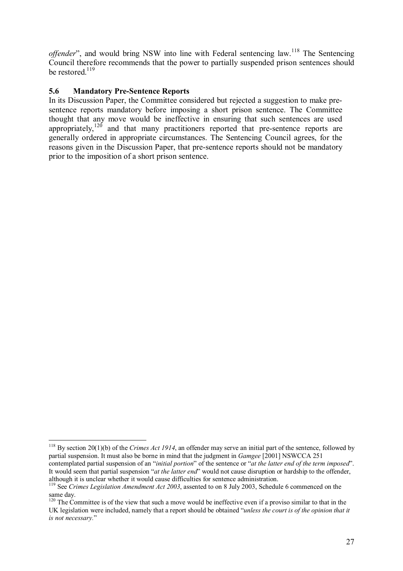*offender*<sup>"</sup>, and would bring NSW into line with Federal sentencing law.<sup>118</sup> The Sentencing Council therefore recommends that the power to partially suspended prison sentences should be restored  $^{119}$ 

#### **5.6 Mandatory Pre-Sentence Reports**

In its Discussion Paper, the Committee considered but rejected a suggestion to make presentence reports mandatory before imposing a short prison sentence. The Committee thought that any move would be ineffective in ensuring that such sentences are used appropriately, $120$  and that many practitioners reported that pre-sentence reports are generally ordered in appropriate circumstances. The Sentencing Council agrees, for the reasons given in the Discussion Paper, that pre-sentence reports should not be mandatory prior to the imposition of a short prison sentence.

although it is unclear whether it would cause difficulties for sentence administration.

<sup>118</sup> By section 20(1)(b) of the *Crimes Act 1914*, an offender may serve an initial part of the sentence, followed by partial suspension. It must also be borne in mind that the judgment in *Gamgee* [2001] NSWCCA 251 contemplated partial suspension of an "*initial portion*" of the sentence or "*at the latter end of the term imposed*". It would seem that partial suspension "*at the latter end*" would not cause disruption or hardship to the offender,

<sup>119</sup> See *Crimes Legislation Amendment Act 2003*, assented to on 8 July 2003, Schedule 6 commenced on the same day.

<sup>&</sup>lt;sup>120</sup> The Committee is of the view that such a move would be ineffective even if a proviso similar to that in the UK legislation were included, namely that a report should be obtained *<sup><i>unless the court is of the opinion that it*</sup> *is not necessary.*"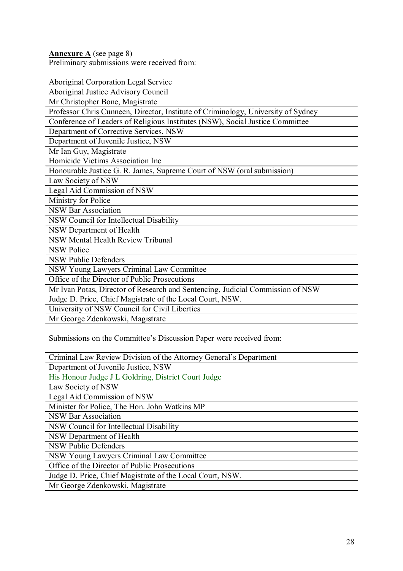**Annexure A** (see page 8)

Preliminary submissions were received from:

| Aboriginal Corporation Legal Service                                              |  |  |
|-----------------------------------------------------------------------------------|--|--|
| Aboriginal Justice Advisory Council                                               |  |  |
| Mr Christopher Bone, Magistrate                                                   |  |  |
| Professor Chris Cunneen, Director, Institute of Criminology, University of Sydney |  |  |
| Conference of Leaders of Religious Institutes (NSW), Social Justice Committee     |  |  |
| Department of Corrective Services, NSW                                            |  |  |
| Department of Juvenile Justice, NSW                                               |  |  |
| Mr Ian Guy, Magistrate                                                            |  |  |
| Homicide Victims Association Inc.                                                 |  |  |
| Honourable Justice G. R. James, Supreme Court of NSW (oral submission)            |  |  |
| Law Society of NSW                                                                |  |  |
| Legal Aid Commission of NSW                                                       |  |  |
| Ministry for Police                                                               |  |  |
| <b>NSW Bar Association</b>                                                        |  |  |
| NSW Council for Intellectual Disability                                           |  |  |
| NSW Department of Health                                                          |  |  |
| <b>NSW Mental Health Review Tribunal</b>                                          |  |  |
| <b>NSW Police</b>                                                                 |  |  |
| <b>NSW Public Defenders</b>                                                       |  |  |
| NSW Young Lawyers Criminal Law Committee                                          |  |  |
| Office of the Director of Public Prosecutions                                     |  |  |
| Mr Ivan Potas, Director of Research and Sentencing, Judicial Commission of NSW    |  |  |
| Judge D. Price, Chief Magistrate of the Local Court, NSW.                         |  |  |
| University of NSW Council for Civil Liberties                                     |  |  |
| Mr George Zdenkowski, Magistrate                                                  |  |  |

Submissions on the Committee's Discussion Paper were received from:

| Criminal Law Review Division of the Attorney General's Department |  |  |
|-------------------------------------------------------------------|--|--|
| Department of Juvenile Justice, NSW                               |  |  |
| His Honour Judge J L Goldring, District Court Judge               |  |  |
| Law Society of NSW                                                |  |  |
| Legal Aid Commission of NSW                                       |  |  |
| Minister for Police, The Hon. John Watkins MP                     |  |  |
| <b>NSW Bar Association</b>                                        |  |  |
| NSW Council for Intellectual Disability                           |  |  |
| NSW Department of Health                                          |  |  |
| <b>NSW Public Defenders</b>                                       |  |  |
| NSW Young Lawyers Criminal Law Committee                          |  |  |
| Office of the Director of Public Prosecutions                     |  |  |
| Judge D. Price, Chief Magistrate of the Local Court, NSW.         |  |  |
| Mr George Zdenkowski, Magistrate                                  |  |  |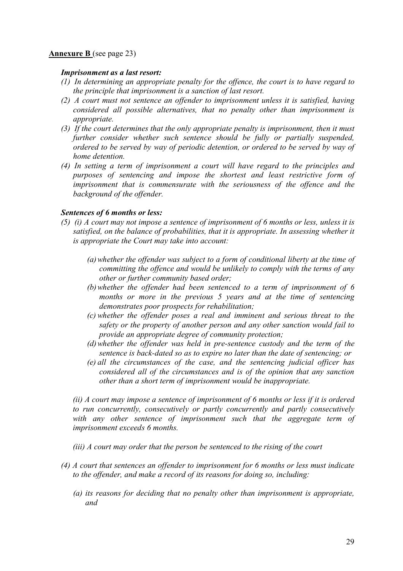#### **Annexure B** (see page 23)

#### *Imprisonment as a last resort:*

- *(1) In determining an appropriate penalty for the offence, the court is to have regard to the principle that imprisonment is a sanction of last resort.*
- *(2) A court must not sentence an offender to imprisonment unless it is satisfied, having considered all possible alternatives, that no penalty other than imprisonment is appropriate.*
- *(3) If the court determines that the only appropriate penalty is imprisonment, then it must further consider whether such sentence should be fully or partially suspended, ordered to be served by way of periodic detention, or ordered to be served by way of home detention.*
- *(4) In setting a term of imprisonment a court will have regard to the principles and purposes of sentencing and impose the shortest and least restrictive form of imprisonment that is commensurate with the seriousness of the offence and the background of the offender.*

#### *Sentences of 6 months or less:*

- *(5) (i) A court may not impose a sentence of imprisonment of 6 months or less, unless it is satisfied, on the balance of probabilities, that it is appropriate. In assessing whether it is appropriate the Court may take into account:* 
	- *(a) whether the offender was subject to a form of conditional liberty at the time of committing the offence and would be unlikely to comply with the terms of any other or further community based order;*
	- *(b) whether the offender had been sentenced to a term of imprisonment of 6 months or more in the previous 5 years and at the time of sentencing demonstrates poor prospects for rehabilitation;*
	- *(c) whether the offender poses a real and imminent and serious threat to the safety or the property of another person and any other sanction would fail to provide an appropriate degree of community protection;*
	- *(d) whether the offender was held in pre-sentence custody and the term of the sentence is back-dated so as to expire no later than the date of sentencing; or*
	- *(e) all the circumstances of the case, and the sentencing judicial officer has considered all of the circumstances and is of the opinion that any sanction other than a short term of imprisonment would be inappropriate.*

*(ii) A court may impose a sentence of imprisonment of 6 months or less if it is ordered to run concurrently, consecutively or partly concurrently and partly consecutively with any other sentence of imprisonment such that the aggregate term of imprisonment exceeds 6 months.* 

*(iii) A court may order that the person be sentenced to the rising of the court* 

- *(4) A court that sentences an offender to imprisonment for 6 months or less must indicate to the offender, and make a record of its reasons for doing so, including:* 
	- *(a) its reasons for deciding that no penalty other than imprisonment is appropriate, and*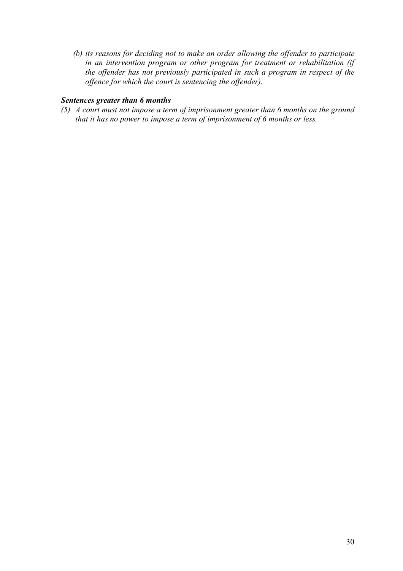*(b) its reasons for deciding not to make an order allowing the offender to participate in an intervention program or other program for treatment or rehabilitation (if the offender has not previously participated in such a program in respect of the offence for which the court is sentencing the offender).* 

#### *Sentences greater than 6 months*

*(5) A court must not impose a term of imprisonment greater than 6 months on the ground that it has no power to impose a term of imprisonment of 6 months or less.*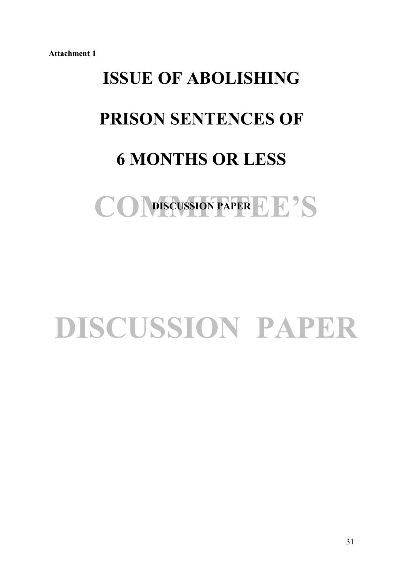# **ISSUE OF ABOLISHING PRISON SENTENCES OF 6 MONTHS OR LESS**

## COMSCUSSION PAPER LE'S **DISCUSSION PAPER**

## **DISCUSSION PAPER**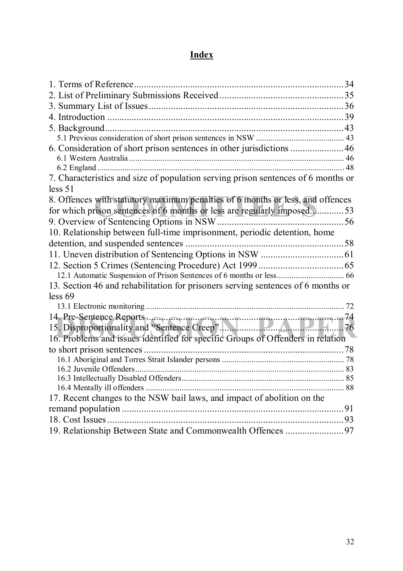### **Index**

| 7. Characteristics and size of population serving prison sentences of 6 months or |    |
|-----------------------------------------------------------------------------------|----|
| less 51                                                                           |    |
| 8. Offences with statutory maximum penalties of 6 months or less, and offences    |    |
| for which prison sentences of 6 months or less are regularly imposed53            |    |
|                                                                                   |    |
| 10. Relationship between full-time imprisonment, periodic detention, home         |    |
|                                                                                   |    |
|                                                                                   |    |
|                                                                                   |    |
|                                                                                   |    |
| 13. Section 46 and rehabilitation for prisoners serving sentences of 6 months or  |    |
| less 69                                                                           |    |
|                                                                                   |    |
|                                                                                   |    |
|                                                                                   |    |
| 16. Problems and issues identified for specific Groups of Offenders in relation   |    |
|                                                                                   |    |
|                                                                                   |    |
|                                                                                   |    |
|                                                                                   |    |
|                                                                                   |    |
| 17. Recent changes to the NSW bail laws, and impact of abolition on the           |    |
|                                                                                   | 91 |
|                                                                                   | 93 |
|                                                                                   |    |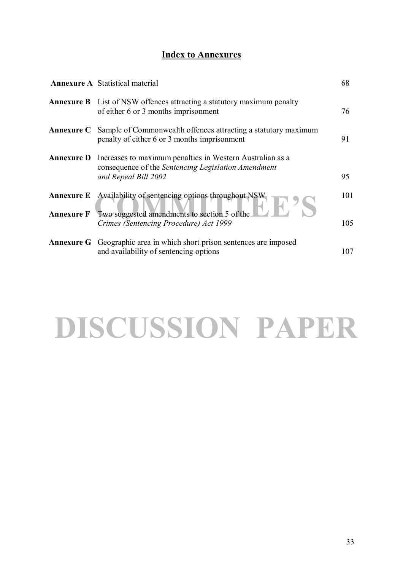#### **Index to Annexures**

|                   | <b>Annexure A</b> Statistical material                                                                                                   | 68  |
|-------------------|------------------------------------------------------------------------------------------------------------------------------------------|-----|
|                   | <b>Annexure B</b> List of NSW offences attracting a statutory maximum penalty<br>of either 6 or 3 months imprisonment                    | 76  |
|                   | <b>Annexure C</b> Sample of Commonwealth offences attracting a statutory maximum<br>penalty of either 6 or 3 months imprisonment         | 91  |
| <b>Annexure D</b> | Increases to maximum penalties in Western Australian as a<br>consequence of the Sentencing Legislation Amendment<br>and Repeal Bill 2002 | 95  |
| <b>Annexure E</b> | Availability of sentencing options throughout NSW                                                                                        | 101 |
| <b>Annexure F</b> | Two suggested amendments to section 5 of the<br>Crimes (Sentencing Procedure) Act 1999                                                   | 105 |
|                   | <b>Annexure G</b> Geographic area in which short prison sentences are imposed<br>and availability of sentencing options                  | 107 |

## **DISCUSSION PAPER**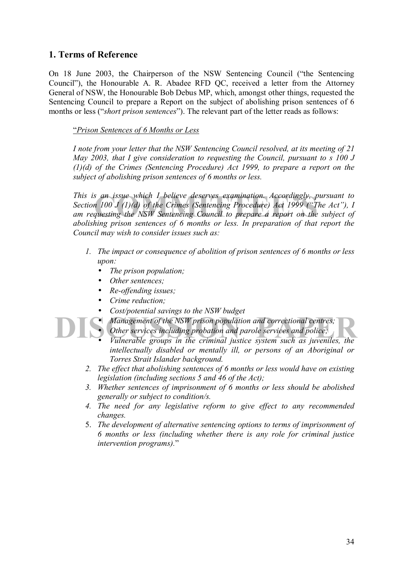#### **1. Terms of Reference**

On 18 June 2003, the Chairperson of the NSW Sentencing Council ("the Sentencing Councilî), the Honourable A. R. Abadee RFD QC, received a letter from the Attorney General of NSW, the Honourable Bob Debus MP, which, amongst other things, requested the Sentencing Council to prepare a Report on the subject of abolishing prison sentences of 6 months or less ("*short prison sentences*"). The relevant part of the letter reads as follows:

#### ì*Prison Sentences of 6 Months or Less*

*I note from your letter that the NSW Sentencing Council resolved, at its meeting of 21 May 2003, that I give consideration to requesting the Council, pursuant to s 100 J (1)(d) of the Crimes (Sentencing Procedure) Act 1999, to prepare a report on the subject of abolishing prison sentences of 6 months or less.* 

s an issue which I believe deserves examination. Accordingly, pur<br>n 100 J (1)(d) of the Crimes (Sentencing Procedure) Act 1999 ("The<br>questing the NSW Sentencing Council to prepare a report on the stripe *This is an issue which I believe deserves examination. Accordingly, pursuant to Section 100 J (1)(d) of the Crimes (Sentencing Procedure) Act 1999 ("The Act"), I am requesting the NSW Sentencing Council to prepare a report on the subject of abolishing prison sentences of 6 months or less. In preparation of that report the Council may wish to consider issues such as:* 

- *1. The impact or consequence of abolition of prison sentences of 6 months or less upon:* 
	- *The prison population;*
	- *Other sentences;*
	- *Re-offending issues;*
	- *Crime reduction;*
	- *Cost/potential savings to the NSW budget*
	- *Management of the NSW prison population and correctional centres;*
	- *Other services including probation and parole services and police;*
- **DISCUSSION PARK**<br> *Other services including probation and parole services and police;*<br> *Vulnerable groups in the criminal justice system such as juveniles, the intellectually disabled or mentally ill, or persons of an Aboriginal or Torres Strait Islander background.* 
	- *2. The effect that abolishing sentences of 6 months or less would have on existing legislation (including sections 5 and 46 of the Act);*
	- *3. Whether sentences of imprisonment of 6 months or less should be abolished generally or subject to condition/s.*
	- *4. The need for any legislative reform to give effect to any recommended changes.*
	- 5. *The development of alternative sentencing options to terms of imprisonment of 6 months or less (including whether there is any role for criminal justice intervention programs*)."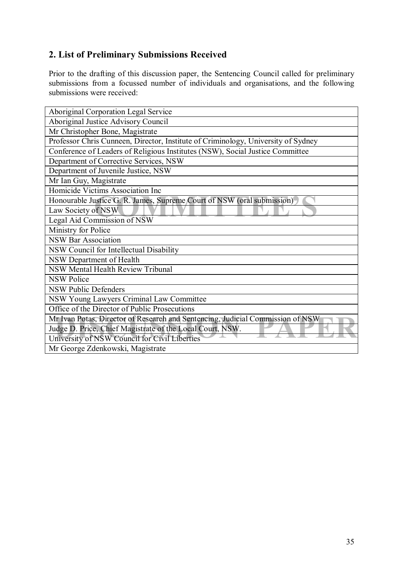#### **2. List of Preliminary Submissions Received**

Prior to the drafting of this discussion paper, the Sentencing Council called for preliminary submissions from a focussed number of individuals and organisations, and the following submissions were received:

| Aboriginal Corporation Legal Service                                              |
|-----------------------------------------------------------------------------------|
| Aboriginal Justice Advisory Council                                               |
| Mr Christopher Bone, Magistrate                                                   |
| Professor Chris Cunneen, Director, Institute of Criminology, University of Sydney |
| Conference of Leaders of Religious Institutes (NSW), Social Justice Committee     |
| Department of Corrective Services, NSW                                            |
| Department of Juvenile Justice, NSW                                               |
| Mr Ian Guy, Magistrate                                                            |
| Homicide Victims Association Inc                                                  |
| Honourable Justice G. R. James, Supreme Court of NSW (oral submission)            |
| Law Society of NSW                                                                |
| Legal Aid Commission of NSW                                                       |
| Ministry for Police                                                               |
| <b>NSW Bar Association</b>                                                        |
| NSW Council for Intellectual Disability                                           |
| NSW Department of Health                                                          |
| NSW Mental Health Review Tribunal                                                 |
| <b>NSW Police</b>                                                                 |
| <b>NSW Public Defenders</b>                                                       |
| NSW Young Lawyers Criminal Law Committee                                          |
| Office of the Director of Public Prosecutions                                     |
| Mr Ivan Potas, Director of Research and Sentencing, Judicial Commission of NSW    |
| Judge D. Price, Chief Magistrate of the Local Court, NSW.                         |
| University of NSW Council for Civil Liberties                                     |
| Mr George Zdenkowski, Magistrate                                                  |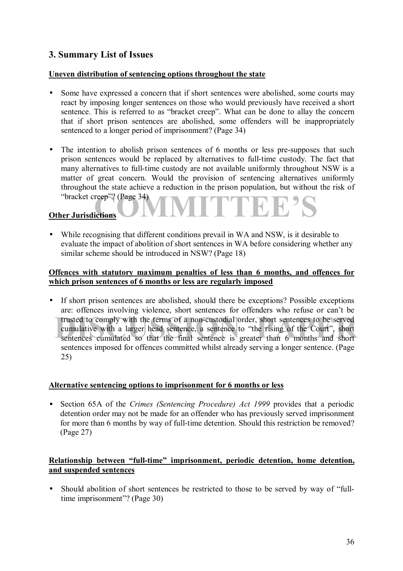#### **3. Summary List of Issues**

#### **Uneven distribution of sentencing options throughout the state**

- Some have expressed a concern that if short sentences were abolished, some courts may react by imposing longer sentences on those who would previously have received a short sentence. This is referred to as "bracket creep". What can be done to allay the concern that if short prison sentences are abolished, some offenders will be inappropriately sentenced to a longer period of imprisonment? (Page 34)
- **COMPage 34 VIVITTEE'S** • The intention to abolish prison sentences of 6 months or less pre-supposes that such prison sentences would be replaced by alternatives to full-time custody. The fact that many alternatives to full-time custody are not available uniformly throughout NSW is a matter of great concern. Would the provision of sentencing alternatives uniformly throughout the state achieve a reduction in the prison population, but without the risk of "bracket creep"? (Page 34)

#### **Other Jurisdictions**

• While recognising that different conditions prevail in WA and NSW, is it desirable to evaluate the impact of abolition of short sentences in WA before considering whether any similar scheme should be introduced in NSW? (Page 18)

#### **Offences with statutory maximum penalties of less than 6 months, and offences for which prison sentences of 6 months or less are regularly imposed**

trusted to comply with the terms of a non-custodial order, short sentences to be served cumulative with a larger head sentence, a sentence to "the rising of the Court", short sentences cumulated so that the final sentence • If short prison sentences are abolished, should there be exceptions? Possible exceptions are: offences involving violence, short sentences for offenders who refuse or can't be trusted to comply with the terms of a non-custodial order, short sentences to be served cumulative with a larger head sentence, a sentence to "the rising of the Court", short sentences imposed for offences committed whilst already serving a longer sentence. (Page 25)

#### **Alternative sentencing options to imprisonment for 6 months or less**

• Section 65A of the *Crimes (Sentencing Procedure) Act 1999* provides that a periodic detention order may not be made for an offender who has previously served imprisonment for more than 6 months by way of full-time detention. Should this restriction be removed? (Page 27)

#### Relationship between "full-time" imprisonment, periodic detention, home detention, **and suspended sentences**

• Should abolition of short sentences be restricted to those to be served by way of "fulltime imprisonment"? (Page 30)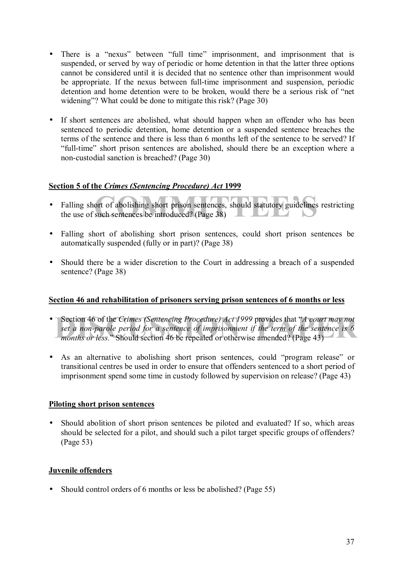- There is a "nexus" between "full time" imprisonment, and imprisonment that is suspended, or served by way of periodic or home detention in that the latter three options cannot be considered until it is decided that no sentence other than imprisonment would be appropriate. If the nexus between full-time imprisonment and suspension, periodic detention and home detention were to be broken, would there be a serious risk of "net widening<sup>2</sup>? What could be done to mitigate this risk? (Page 30)
- If short sentences are abolished, what should happen when an offender who has been sentenced to periodic detention, home detention or a suspended sentence breaches the terms of the sentence and there is less than 6 months left of the sentence to be served? If ìfull-timeî short prison sentences are abolished, should there be an exception where a non-custodial sanction is breached? (Page 30)

### **Section 5 of the** *Crimes (Sentencing Procedure) Act* **1999**

- ort of abolishing short prison sentences, should statutory guidelines resuch sentences be introduced? (Page 38) • Falling short of abolishing short prison sentences, should statutory guidelines restricting the use of such sentences be introduced? (Page 38)
- Falling short of abolishing short prison sentences, could short prison sentences be automatically suspended (fully or in part)? (Page 38)
- Should there be a wider discretion to the Court in addressing a breach of a suspended sentence? (Page 38)

### **Section 46 and rehabilitation of prisoners serving prison sentences of 6 months or less**

- Section 46 of the *Crimes (Sentencing Procedure) Act 1999* provides that *<sup><i>A*</sup> court may not set a non-parole period for a sentence of imprisonment if the term of the sentence is 6 months or less." Should section 46 be *set a non-parole period for a sentence of imprisonment if the term of the sentence is 6 months or less.*" Should section 46 be repealed or otherwise amended? (Page 43)
- As an alternative to abolishing short prison sentences, could "program release" or transitional centres be used in order to ensure that offenders sentenced to a short period of imprisonment spend some time in custody followed by supervision on release? (Page 43)

### **Piloting short prison sentences**

• Should abolition of short prison sentences be piloted and evaluated? If so, which areas should be selected for a pilot, and should such a pilot target specific groups of offenders? (Page 53)

### **Juvenile offenders**

• Should control orders of 6 months or less be abolished? (Page 55)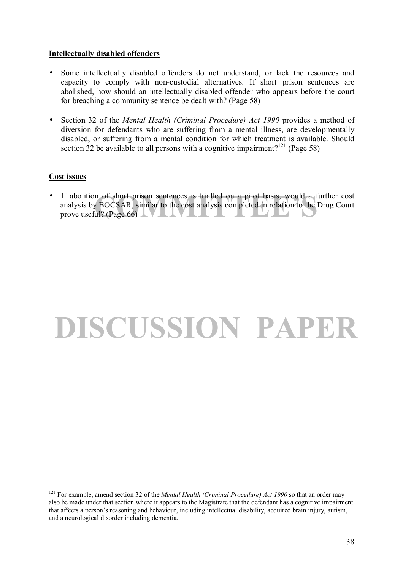### **Intellectually disabled offenders**

- Some intellectually disabled offenders do not understand, or lack the resources and capacity to comply with non-custodial alternatives. If short prison sentences are abolished, how should an intellectually disabled offender who appears before the court for breaching a community sentence be dealt with? (Page 58)
- Section 32 of the *Mental Health (Criminal Procedure) Act 1990* provides a method of diversion for defendants who are suffering from a mental illness, are developmentally disabled, or suffering from a mental condition for which treatment is available. Should section 32 be available to all persons with a cognitive impairment?<sup>121</sup> (Page 58)

### **Cost issues**

n of short prison sentences is trialled on a pilot basis, would a fur<br>
y BOCSAR, similar to the cost analysis completed in relation to the Dr<br>
ul? (Page 66) • If abolition of short prison sentences is trialled on a pilot basis, would a further cost analysis by BOCSAR, similar to the cost analysis completed in relation to the Drug Court prove useful? (Page 66)  $\perp \nabla \perp \perp \nabla \perp \perp$ .

## **DISCUSSION PAPER**

 $\overline{a}$ <sup>121</sup> For example, amend section 32 of the *Mental Health (Criminal Procedure) Act 1990* so that an order may also be made under that section where it appears to the Magistrate that the defendant has a cognitive impairment that affects a personís reasoning and behaviour, including intellectual disability, acquired brain injury, autism, and a neurological disorder including dementia.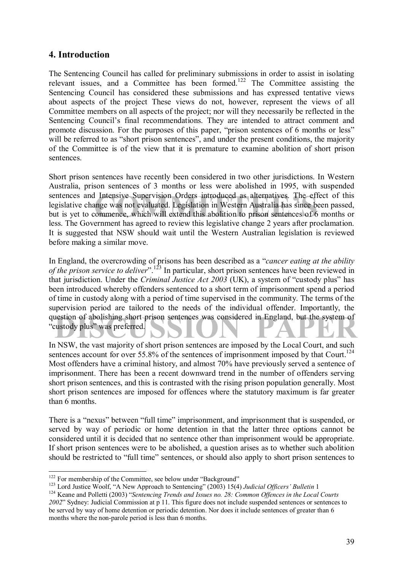### **4. Introduction**

The Sentencing Council has called for preliminary submissions in order to assist in isolating relevant issues, and a Committee has been formed.122 The Committee assisting the Sentencing Council has considered these submissions and has expressed tentative views about aspects of the project These views do not, however, represent the views of all Committee members on all aspects of the project; nor will they necessarily be reflected in the Sentencing Council's final recommendations. They are intended to attract comment and promote discussion. For the purposes of this paper, "prison sentences of 6 months or less" will be referred to as "short prison sentences", and under the present conditions, the majority of the Committee is of the view that it is premature to examine abolition of short prison sentences.

I Intensive Supervision Orders introduced as alternatives. The effecting<br>time was not evaluated. Legislation in Western Australia has since been<br>commence, which will extend this abolition to prison sentences of 6 m<br>comment Short prison sentences have recently been considered in two other jurisdictions. In Western Australia, prison sentences of 3 months or less were abolished in 1995, with suspended sentences and Intensive Supervision Orders introduced as alternatives. The effect of this legislative change was not evaluated. Legislation in Western Australia has since been passed, but is yet to commence, which will extend this abolition to prison sentences of 6 months or less. The Government has agreed to review this legislative change 2 years after proclamation. It is suggested that NSW should wait until the Western Australian legislation is reviewed before making a similar move.

question of abolishing short prison sentences was considered in England, but the system of "custody plus" was preferred. In England, the overcrowding of prisons has been described as a *"cancer eating at the ability of the prison service to deliver*<sup>". 123</sup> In particular, short prison sentences have been reviewed in that jurisdiction. Under the *Criminal Justice Act* 2003 (UK), a system of "custody plus" has been introduced whereby offenders sentenced to a short term of imprisonment spend a period of time in custody along with a period of time supervised in the community. The terms of the supervision period are tailored to the needs of the individual offender. Importantly, the "custody plus" was preferred.

In NSW, the vast majority of short prison sentences are imposed by the Local Court, and such sentences account for over 55.8% of the sentences of imprisonment imposed by that Court.<sup>124</sup> Most offenders have a criminal history, and almost 70% have previously served a sentence of imprisonment. There has been a recent downward trend in the number of offenders serving short prison sentences, and this is contrasted with the rising prison population generally. Most short prison sentences are imposed for offences where the statutory maximum is far greater than 6 months.

There is a "nexus" between "full time" imprisonment, and imprisonment that is suspended, or served by way of periodic or home detention in that the latter three options cannot be considered until it is decided that no sentence other than imprisonment would be appropriate. If short prison sentences were to be abolished, a question arises as to whether such abolition should be restricted to "full time" sentences, or should also apply to short prison sentences to

<sup>&</sup>lt;sup>122</sup> For membership of the Committee, see below under "Background"

<sup>&</sup>lt;sup>123</sup> Lord Justice Woolf, "A New Approach to Sentencing" (2003) 15(4) Judicial Officers' Bulletin 1<br><sup>124</sup> Keane and Polletti (2003) "Sentencing Trends and Issues no. 28: Common Offences in the Local Courts

*<sup>2002</sup>*î Sydney: Judicial Commission at p 11. This figure does not include suspended sentences or sentences to be served by way of home detention or periodic detention. Nor does it include sentences of greater than 6 months where the non-parole period is less than 6 months.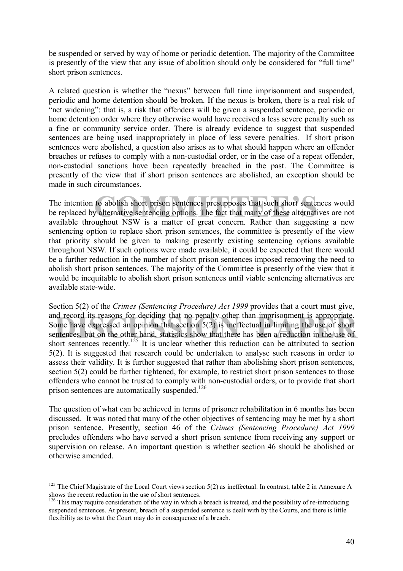be suspended or served by way of home or periodic detention. The majority of the Committee is presently of the view that any issue of abolition should only be considered for "full time" short prison sentences.

A related question is whether the "nexus" between full time imprisonment and suspended, periodic and home detention should be broken. If the nexus is broken, there is a real risk of ìnet wideningî: that is, a risk that offenders will be given a suspended sentence, periodic or home detention order where they otherwise would have received a less severe penalty such as a fine or community service order. There is already evidence to suggest that suspended sentences are being used inappropriately in place of less severe penalties. If short prison sentences were abolished, a question also arises as to what should happen where an offender breaches or refuses to comply with a non-custodial order, or in the case of a repeat offender, non-custodial sanctions have been repeatedly breached in the past. The Committee is presently of the view that if short prison sentences are abolished, an exception should be made in such circumstances.

to abolish short prison sentences presupposes that such short sentence<br>
valternative sentencing options. The fact that many of these alternative<br>
valghout NSW is a matter of great concern. Rather than suggesting The intention to abolish short prison sentences presupposes that such short sentences would be replaced by alternative sentencing options. The fact that many of these alternatives are not available throughout NSW is a matter of great concern. Rather than suggesting a new sentencing option to replace short prison sentences, the committee is presently of the view that priority should be given to making presently existing sentencing options available throughout NSW. If such options were made available, it could be expected that there would be a further reduction in the number of short prison sentences imposed removing the need to abolish short prison sentences. The majority of the Committee is presently of the view that it would be inequitable to abolish short prison sentences until viable sentencing alternatives are available state-wide.

and record its reasons for deciding that no penalty other than imprisonment is appropriate.<br>Some have expressed an opinion that section  $5(2)$  is ineffectual in limiting the use of short<br>sentences, but on the other hand, Section 5(2) of the *Crimes (Sentencing Procedure) Act 1999* provides that a court must give, and record its reasons for deciding that no penalty other than imprisonment is appropriate. Some have expressed an opinion that section 5(2) is ineffectual in limiting the use of short short sentences recently.<sup>125</sup> It is unclear whether this reduction can be attributed to section 5(2). It is suggested that research could be undertaken to analyse such reasons in order to assess their validity. It is further suggested that rather than abolishing short prison sentences, section 5(2) could be further tightened, for example, to restrict short prison sentences to those offenders who cannot be trusted to comply with non-custodial orders, or to provide that short prison sentences are automatically suspended.<sup>126</sup>

The question of what can be achieved in terms of prisoner rehabilitation in 6 months has been discussed. It was noted that many of the other objectives of sentencing may be met by a short prison sentence. Presently, section 46 of the *Crimes (Sentencing Procedure) Act 1999* precludes offenders who have served a short prison sentence from receiving any support or supervision on release. An important question is whether section 46 should be abolished or otherwise amended.

 $125$  The Chief Magistrate of the Local Court views section 5(2) as ineffectual. In contrast, table 2 in Annexure A shows the recent reduction in the use of short sentences.

 $126$  This may require consideration of the way in which a breach is treated, and the possibility of re-introducing suspended sentences. At present, breach of a suspended sentence is dealt with by the Courts, and there is little flexibility as to what the Court may do in consequence of a breach.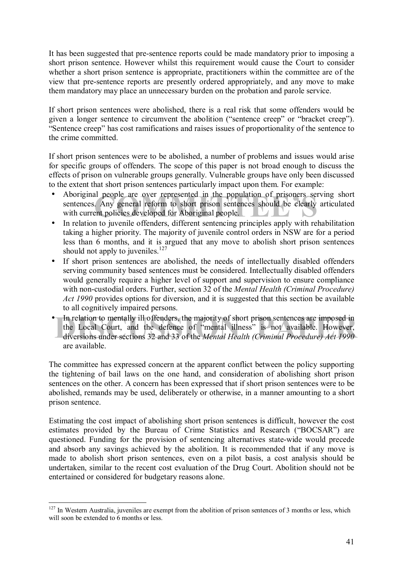It has been suggested that pre-sentence reports could be made mandatory prior to imposing a short prison sentence. However whilst this requirement would cause the Court to consider whether a short prison sentence is appropriate, practitioners within the committee are of the view that pre-sentence reports are presently ordered appropriately, and any move to make them mandatory may place an unnecessary burden on the probation and parole service.

If short prison sentences were abolished, there is a real risk that some offenders would be given a longer sentence to circumvent the abolition ("sentence creep" or "bracket creep"). ìSentence creepî has cost ramifications and raises issues of proportionality of the sentence to the crime committed.

If short prison sentences were to be abolished, a number of problems and issues would arise for specific groups of offenders. The scope of this paper is not broad enough to discuss the effects of prison on vulnerable groups generally. Vulnerable groups have only been discussed to the extent that short prison sentences particularly impact upon them. For example:

- If people are over represented in the population of prisoners service.<br>
Any general reform to short prison sentences should be clearly an<br>
ent policies developed for Aboriginal people. • Aboriginal people are over represented in the population of prisoners serving short sentences. Any general reform to short prison sentences should be clearly articulated with current policies developed for Aboriginal people.
- In relation to juvenile offenders, different sentencing principles apply with rehabilitation taking a higher priority. The majority of juvenile control orders in NSW are for a period less than 6 months, and it is argued that any move to abolish short prison sentences should not apply to juveniles.<sup>127</sup>
- If short prison sentences are abolished, the needs of intellectually disabled offenders serving community based sentences must be considered. Intellectually disabled offenders would generally require a higher level of support and supervision to ensure compliance with non-custodial orders. Further, section 32 of the *Mental Health (Criminal Procedure) Act 1990* provides options for diversion, and it is suggested that this section be available to all cognitively impaired persons.
- In relation to mentally ill offenders, the majority of short prison sentences are imposed in the Local Court, and the defence of "mental illness" is not available. However, diversions under sections 32 and 33 of the *Menta* • In relation to mentally ill offenders, the majority of short prison sentences are imposed in the Local Court, and the defence of "mental illness" is not available. However, diversions under sections 32 and 33 of the *Mental Health (Criminal Procedure) Act 1990* are available.

The committee has expressed concern at the apparent conflict between the policy supporting the tightening of bail laws on the one hand, and consideration of abolishing short prison sentences on the other. A concern has been expressed that if short prison sentences were to be abolished, remands may be used, deliberately or otherwise, in a manner amounting to a short prison sentence.

Estimating the cost impact of abolishing short prison sentences is difficult, however the cost estimates provided by the Bureau of Crime Statistics and Research ("BOCSAR") are questioned. Funding for the provision of sentencing alternatives state-wide would precede and absorb any savings achieved by the abolition. It is recommended that if any move is made to abolish short prison sentences, even on a pilot basis, a cost analysis should be undertaken, similar to the recent cost evaluation of the Drug Court. Abolition should not be entertained or considered for budgetary reasons alone.

 $\overline{a}$  $127$  In Western Australia, juveniles are exempt from the abolition of prison sentences of 3 months or less, which will soon be extended to 6 months or less.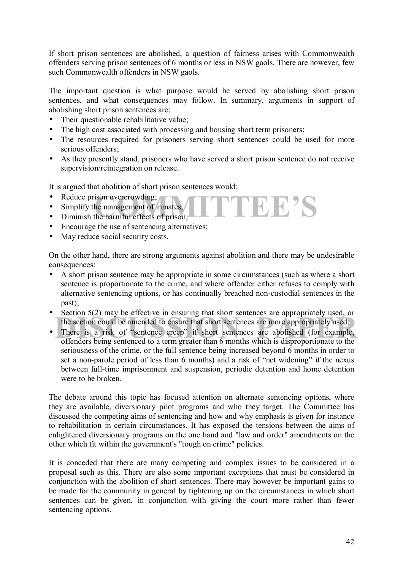If short prison sentences are abolished, a question of fairness arises with Commonwealth offenders serving prison sentences of 6 months or less in NSW gaols. There are however, few such Commonwealth offenders in NSW gaols.

The important question is what purpose would be served by abolishing short prison sentences, and what consequences may follow. In summary, arguments in support of abolishing short prison sentences are:

- Their questionable rehabilitative value:
- The high cost associated with processing and housing short term prisoners;
- The resources required for prisoners serving short sentences could be used for more serious offenders;
- As they presently stand, prisoners who have served a short prison sentence do not receive supervision/reintegration on release.

 $\Gamma$ EE'S

It is argued that abolition of short prison sentences would:

- Reduce prison overcrowding:
- Simplify the management of inmates;
- Diminish the harmful effects of prison;
- Encourage the use of sentencing alternatives;
- May reduce social security costs.

On the other hand, there are strong arguments against abolition and there may be undesirable consequences:

- A short prison sentence may be appropriate in some circumstances (such as where a short sentence is proportionate to the crime, and where offender either refuses to comply with alternative sentencing options, or has continually breached non-custodial sentences in the past);
- Section 5(2) may be effective in ensuring that short sentences are appropriately used, or the section could be amended to ensure that short sentences are more appropriately used;
- Section 9(2) may be criterive in ensuring that short sentences are appropriately used; the section could be amended to ensure that short sentences are more appropriately used;<br>There is a risk of "sentence creep" if short s • There is a risk of "sentence creep" if short sentences are abolished (for example, offenders being sentenced to a term greater than 6 months which is disproportionate to the seriousness of the crime, or the full sentence being increased beyond 6 months in order to set a non-parole period of less than 6 months) and a risk of "net widening" if the nexus between full-time imprisonment and suspension, periodic detention and home detention were to be broken

The debate around this topic has focused attention on alternate sentencing options, where they are available, diversionary pilot programs and who they target. The Committee has discussed the competing aims of sentencing and how and why emphasis is given for instance to rehabilitation in certain circumstances. It has exposed the tensions between the aims of enlightened diversionary programs on the one hand and "law and order" amendments on the other which fit within the government's "tough on crime" policies.

It is conceded that there are many competing and complex issues to be considered in a proposal such as this. There are also some important exceptions that must be considered in conjunction with the abolition of short sentences. There may however be important gains to be made for the community in general by tightening up on the circumstances in which short sentences can be given, in conjunction with giving the court more rather than fewer sentencing options.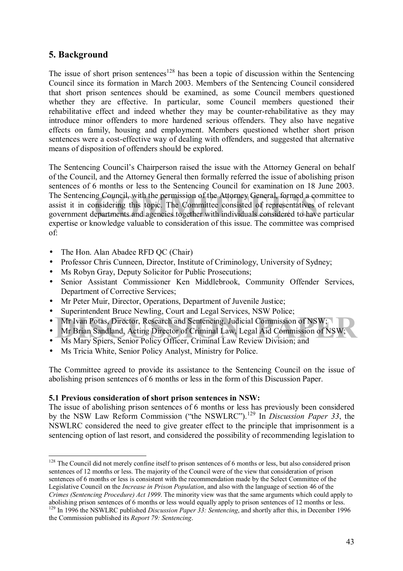### **5. Background**

The issue of short prison sentences<sup>128</sup> has been a topic of discussion within the Sentencing Council since its formation in March 2003. Members of the Sentencing Council considered that short prison sentences should be examined, as some Council members questioned whether they are effective. In particular, some Council members questioned their rehabilitative effect and indeed whether they may be counter-rehabilitative as they may introduce minor offenders to more hardened serious offenders. They also have negative effects on family, housing and employment. Members questioned whether short prison sentences were a cost-effective way of dealing with offenders, and suggested that alternative means of disposition of offenders should be explored.

In Council, with the permission of the Attorney General, formed a com<br>
insidering this topic. The Committee consisted of representatives of<br>
epartments and agencies together with individuals considered to have previation w The Sentencing Council's Chairperson raised the issue with the Attorney General on behalf of the Council, and the Attorney General then formally referred the issue of abolishing prison sentences of 6 months or less to the Sentencing Council for examination on 18 June 2003. The Sentencing Council, with the permission of the Attorney General, formed a committee to assist it in considering this topic. The Committee consisted of representatives of relevant government departments and agencies together with individuals considered to have particular expertise or knowledge valuable to consideration of this issue. The committee was comprised of:

- The Hon. Alan Abadee RFD QC (Chair)
- Professor Chris Cunneen, Director, Institute of Criminology, University of Sydney;
- Ms Robyn Gray, Deputy Solicitor for Public Prosecutions:
- Senior Assistant Commissioner Ken Middlebrook, Community Offender Services, Department of Corrective Services;
- Mr Peter Muir, Director, Operations, Department of Juvenile Justice;
- Superintendent Bruce Newling, Court and Legal Services, NSW Police;
- Mr Ivan Potas, Director, Research and Sentencing, Judicial Commission of NSW;<br>Mr Brian Sandland, Acting Director of Criminal Law, Legal Aid Commission of NSW;<br>Ms Mary Spiers. Senior Policy Officer. Criminal Law Review Divi • Mr Ivan Potas, Director, Research and Sentencing, Judicial Commission of NSW;
- Mr Brian Sandland, Acting Director of Criminal Law, Legal Aid Commission of NSW;
- Ms Mary Spiers, Senior Policy Officer, Criminal Law Review Division; and
- Ms Tricia White, Senior Policy Analyst, Ministry for Police.

The Committee agreed to provide its assistance to the Sentencing Council on the issue of abolishing prison sentences of 6 months or less in the form of this Discussion Paper.

### **5.1 Previous consideration of short prison sentences in NSW:**

The issue of abolishing prison sentences of 6 months or less has previously been considered by the NSW Law Reform Commission ("the NSWLRC").<sup>129</sup> In *Discussion Paper 33*, the NSWLRC considered the need to give greater effect to the principle that imprisonment is a sentencing option of last resort, and considered the possibility of recommending legislation to

 $\overline{a}$  $128$  The Council did not merely confine itself to prison sentences of 6 months or less, but also considered prison sentences of 12 months or less. The majority of the Council were of the view that consideration of prison sentences of 6 months or less is consistent with the recommendation made by the Select Committee of the Legislative Council on the *Increase in Prison Population*, and also with the language of section 46 of the *Crimes (Sentencing Procedure) Act 1999*. The minority view was that the same arguments which could apply to abolishing prison sentences of 6 months or less would equally apply to prison sentences of 12 months or less.

<sup>&</sup>lt;sup>129</sup> In 1996 the NSWLRC published *Discussion Paper 33:* Sentencing, and shortly after this, in December 1996 the Commission published its *Report 79: Sentencing*.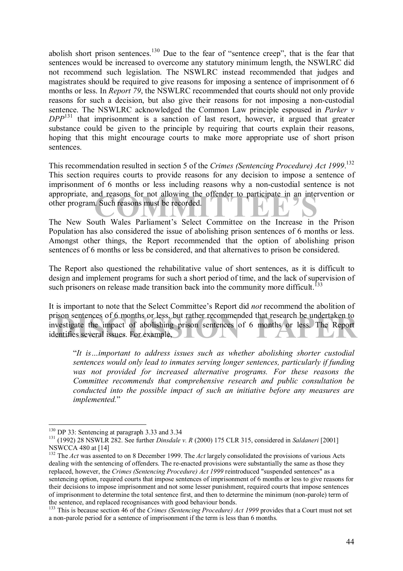abolish short prison sentences.<sup>130</sup> Due to the fear of "sentence creep", that is the fear that sentences would be increased to overcome any statutory minimum length, the NSWLRC did not recommend such legislation. The NSWLRC instead recommended that judges and magistrates should be required to give reasons for imposing a sentence of imprisonment of 6 months or less. In *Report 79*, the NSWLRC recommended that courts should not only provide reasons for such a decision, but also give their reasons for not imposing a non-custodial sentence. The NSWLRC acknowledged the Common Law principle espoused in *Parker v DPP*131 that imprisonment is a sanction of last resort, however, it argued that greater substance could be given to the principle by requiring that courts explain their reasons, hoping that this might encourage courts to make more appropriate use of short prison sentences.

appropriate, and reasons for not allowing the oftender to participate in an intervention or<br>
other program. Such reasons must be recorded.<br>
The New South Wales Parliament's Select Committee on the Increase in the Prison This recommendation resulted in section 5 of the *Crimes (Sentencing Procedure) Act 1999*. 132 This section requires courts to provide reasons for any decision to impose a sentence of imprisonment of 6 months or less including reasons why a non-custodial sentence is not appropriate, and reasons for not allowing the offender to participate in an intervention or other program. Such reasons must be recorded.

Population has also considered the issue of abolishing prison sentences of 6 months or less. Amongst other things, the Report recommended that the option of abolishing prison sentences of 6 months or less be considered, and that alternatives to prison be considered.

The Report also questioned the rehabilitative value of short sentences, as it is difficult to design and implement programs for such a short period of time, and the lack of supervision of such prisoners on release made transition back into the community more difficult.<sup>133</sup>

rison sentences of 6 months or less, but rather recommended that research be undertaken to vestigate the impact of abolishing prison sentences of 6 months or less. The Report entifies several issues. For example, It is important to note that the Select Committeeís Report did *not* recommend the abolition of prison sentences of 6 months or less, but rather recommended that research be undertaken to investigate the impact of abolishing prison sentences of 6 months or less. The Report identifies several issues. For example,

<sup>*It is ... important to address issues such as whether abolishing shorter custodial*</sup> *sentences would only lead to inmates serving longer sentences, particularly if funding*  was not provided for increased alternative programs. For these reasons the *Committee recommends that comprehensive research and public consultation be conducted into the possible impact of such an initiative before any measures are implemented.*"

<sup>&</sup>lt;sup>130</sup> DP 33: Sentencing at paragraph 3.33 and 3.34

<sup>&</sup>lt;sup>131</sup> (1992) 28 NSWLR 282. See further *Dinsdale v. R* (2000) 175 CLR 315, considered in *Saldaneri* [2001] NSWCCA 480 at [14]

<sup>&</sup>lt;sup>132</sup> The *Act* was assented to on 8 December 1999. The *Act* largely consolidated the provisions of various Acts dealing with the sentencing of offenders. The re-enacted provisions were substantially the same as those they replaced, however, the *Crimes (Sentencing Procedure) Act 1999* reintroduced "suspended sentences" as a sentencing option, required courts that impose sentences of imprisonment of 6 months or less to give reasons for their decisions to impose imprisonment and not some lesser punishment, required courts that impose sentences of imprisonment to determine the total sentence first, and then to determine the minimum (non-parole) term of the sentence, and replaced recognisances with good behaviour bonds.

<sup>&</sup>lt;sup>133</sup> This is because section 46 of the *Crimes (Sentencing Procedure) Act 1999* provides that a Court must not set a non-parole period for a sentence of imprisonment if the term is less than 6 months.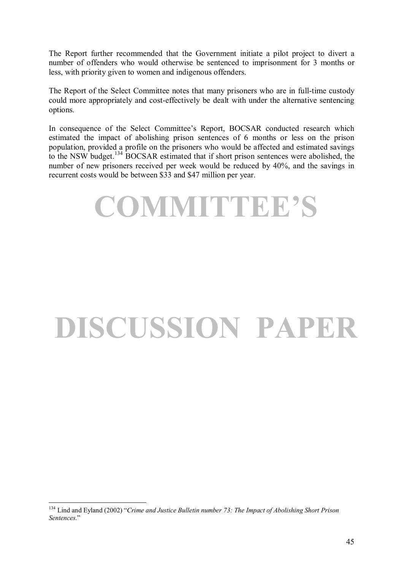The Report further recommended that the Government initiate a pilot project to divert a number of offenders who would otherwise be sentenced to imprisonment for 3 months or less, with priority given to women and indigenous offenders.

The Report of the Select Committee notes that many prisoners who are in full-time custody could more appropriately and cost-effectively be dealt with under the alternative sentencing options.

In consequence of the Select Committee's Report, BOCSAR conducted research which estimated the impact of abolishing prison sentences of 6 months or less on the prison population, provided a profile on the prisoners who would be affected and estimated savings to the NSW budget.134 BOCSAR estimated that if short prison sentences were abolished, the number of new prisoners received per week would be reduced by 40%, and the savings in recurrent costs would be between \$33 and \$47 million per year.



# **DISCUSSION PAPER**

 $\overline{a}$ <sup>134</sup> Lind and Eyland (2002) *<sup><i>Crime and Justice Bulletin number 73: The Impact of Abolishing Short Prison*</sup> *Sentences.*î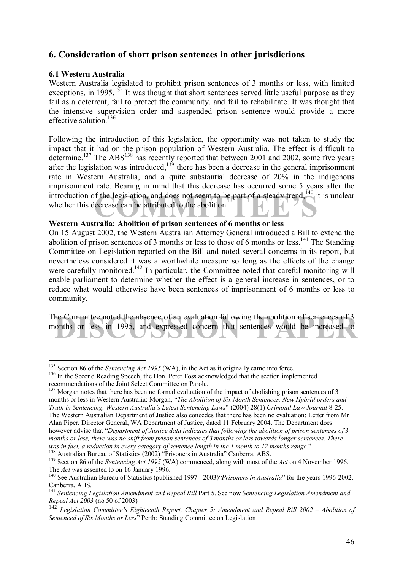### **6. Consideration of short prison sentences in other jurisdictions**

### **6.1 Western Australia**

Western Australia legislated to prohibit prison sentences of 3 months or less, with limited exceptions, in 1995.<sup>135</sup> It was thought that short sentences served little useful purpose as they fail as a deterrent, fail to protect the community, and fail to rehabilitate. It was thought that the intensive supervision order and suspended prison sentence would provide a more effective solution<sup>136</sup>

introduction of the legislation, and does not seem to be part of a steady trend,<sup>140</sup> it is unclear<br>whether this decrease can be attributed to the abolition. Following the introduction of this legislation, the opportunity was not taken to study the impact that it had on the prison population of Western Australia. The effect is difficult to determine.<sup>137</sup> The ABS<sup>138</sup> has recently reported that between 2001 and 2002, some five years after the legislation was introduced, $139$  there has been a decrease in the general imprisonment rate in Western Australia, and a quite substantial decrease of 20% in the indigenous imprisonment rate. Bearing in mind that this decrease has occurred some 5 years after the whether this decrease can be attributed to the abolition.

### **Western Australia: Abolition of prison sentences of 6 months or less**

On 15 August 2002, the Western Australian Attorney General introduced a Bill to extend the abolition of prison sentences of 3 months or less to those of 6 months or less.<sup>141</sup> The Standing Committee on Legislation reported on the Bill and noted several concerns in its report, but nevertheless considered it was a worthwhile measure so long as the effects of the change were carefully monitored.<sup>142</sup> In particular, the Committee noted that careful monitoring will enable parliament to determine whether the effect is a general increase in sentences, or to reduce what would otherwise have been sentences of imprisonment of 6 months or less to community.

he Committee noted the absence of an evaluation following the abolition of sentences of 3 onths or less in 1995, and expressed concern that sentences would be increased to The Committee noted the absence of an evaluation following the abolition of sentences of 3 months or less in 1995, and expressed concern that sentences would be increased to

<sup>&</sup>lt;sup>135</sup> Section 86 of the *Sentencing Act 1995* (WA), in the Act as it originally came into force.

<sup>&</sup>lt;sup>136</sup> In the Second Reading Speech, the Hon. Peter Foss acknowledged that the section implemented recommendations of the Joint Select Committee on Parole.

<sup>&</sup>lt;sup>137</sup> Morgan notes that there has been no formal evaluation of the impact of abolishing prison sentences of 3 months or less in Western Australia: Morgan, "*The Abolition of Six Month Sentences, New Hybrid orders and Truth in Sentencing: Western Australiaís Latest Sentencing Laws*î (2004) 28(1) *Criminal Law Journal* 8-25. The Western Australian Department of Justice also concedes that there has been no evaluation: Letter from Mr Alan Piper, Director General, WA Department of Justice, dated 11 February 2004. The Department does however advise that "Department of Justice data indicates that following the abolition of prison sentences of 3 *months or less, there was no shift from prison sentences of 3 months or less towards longer sentences. There*  was in fact, a reduction in every category of sentence length in the 1 month to 12 months range."<br><sup>138</sup> Australian Bureau of Statistics (2002) "Prisoners in Australia" Canberra, ABS.<br><sup>139</sup> Section 86 of the *Sentencing Act* 

The *Act* was assented to on 16 January 1996.<br><sup>140</sup> See Australian Bureau of Statistics (published 1997 - 2003)<sup>*'Prisoners in Australia*<sup>7</sup> for the years 1996-2002.</sup>

Canberra, ABS.

<sup>141</sup> *Sentencing Legislation Amendment and Repeal Bill* Part 5. See now *Sentencing Legislation Amendment and Repeal Act 2003* (no 50 of 2003)

Legislation Committee's Eighteenth Report, Chapter 5: Amendment and Repeal Bill 2002 – Abolition of *Sentenced of Six Months or Less*<sup>"</sup> Perth: Standing Committee on Legislation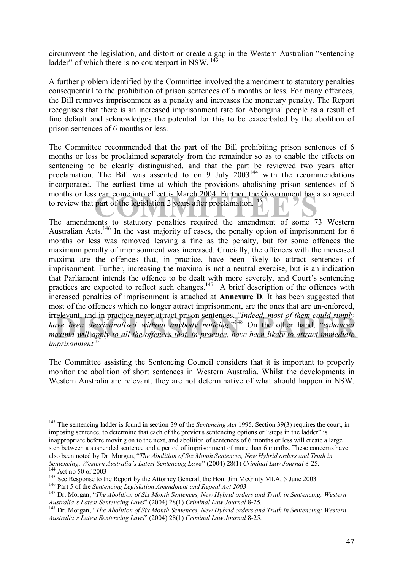circumvent the legislation, and distort or create a gap in the Western Australian "sentencing ladder" of which there is no counterpart in NSW.  $^{143}$ 

A further problem identified by the Committee involved the amendment to statutory penalties consequential to the prohibition of prison sentences of 6 months or less. For many offences, the Bill removes imprisonment as a penalty and increases the monetary penalty. The Report recognises that there is an increased imprisonment rate for Aboriginal people as a result of fine default and acknowledges the potential for this to be exacerbated by the abolition of prison sentences of 6 months or less.

S can come into effect is March 2004. Further, the Government has als<br>part of the legislation 2 years after proclamation.<sup>145</sup><br>ents to statutory penalties required the amendment of some 73 The Committee recommended that the part of the Bill prohibiting prison sentences of 6 months or less be proclaimed separately from the remainder so as to enable the effects on sentencing to be clearly distinguished, and that the part be reviewed two years after proclamation. The Bill was assented to on 9 July  $2003<sup>144</sup>$  with the recommendations incorporated. The earliest time at which the provisions abolishing prison sentences of 6 months or less can come into effect is March 2004. Further, the Government has also agreed to review that part of the legislation 2 years after proclamation.<sup>145</sup>

irrelevant, and in practice never attract prison sentences. "Indeed, most of them could simply have been decriminalised without anybody noticing."<sup>148</sup> On the other hand, "enhanced maxima will apply to all the offences tha The amendments to statutory penalties required the amendment of some 73 Western Australian Acts.<sup>146</sup> In the vast majority of cases, the penalty option of imprisonment for 6 months or less was removed leaving a fine as the penalty, but for some offences the maximum penalty of imprisonment was increased. Crucially, the offences with the increased maxima are the offences that, in practice, have been likely to attract sentences of imprisonment. Further, increasing the maxima is not a neutral exercise, but is an indication that Parliament intends the offence to be dealt with more severely, and Court's sentencing practices are expected to reflect such changes.<sup>147</sup> A brief description of the offences with increased penalties of imprisonment is attached at **Annexure D**. It has been suggested that most of the offences which no longer attract imprisonment, are the ones that are un-enforced, have been decriminalised without anybody noticing."<sup>148</sup> On the other hand, "enhanced *maxima will apply to all the offences that, in practice, have been likely to attract immediate*  imprisonment."

The Committee assisting the Sentencing Council considers that it is important to properly monitor the abolition of short sentences in Western Australia. Whilst the developments in Western Australia are relevant, they are not determinative of what should happen in NSW.

<sup>143</sup> The sentencing ladder is found in section 39 of the *Sentencing Act* 1995. Section 39(3) requires the court, in imposing sentence, to determine that each of the previous sentencing options or "steps in the ladder" is inappropriate before moving on to the next, and abolition of sentences of 6 months or less will create a large step between a suspended sentence and a period of imprisonment of more than 6 months. These concerns have also been noted by Dr. Morgan, "The Abolition of Six Month Sentences, New Hybrid orders and Truth in Sentencing: Western Australia's Latest Sentencing Laws" (2004) 28(1) Criminal Law Journal 8-25.<br><sup>144</sup> Act no 50 of 2003<br><sup>145</sup> See Response to the Report by the Attorney General, the Hon. Jim McGinty MLA, 5 June 2003<br><sup>146</sup>

<sup>&</sup>lt;sup>148</sup> Dr. Morgan, "The Abolition of Six Month Sentences, New Hybrid orders and Truth in Sentencing: Western *Australiaís Latest Sentencing Laws*î (2004) 28(1) *Criminal Law Journal* 8-25.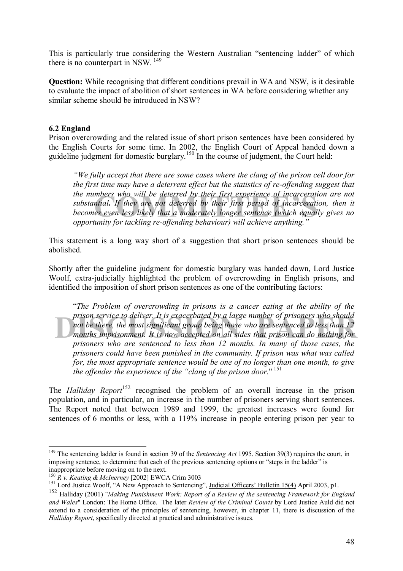This is particularly true considering the Western Australian "sentencing ladder" of which there is no counterpart in NSW. 149

**Question:** While recognising that different conditions prevail in WA and NSW, is it desirable to evaluate the impact of abolition of short sentences in WA before considering whether any similar scheme should be introduced in NSW?

### **6.2 England**

Prison overcrowding and the related issue of short prison sentences have been considered by the English Courts for some time. In 2002, the English Court of Appeal handed down a guideline judgment for domestic burglary.<sup>150</sup> In the course of judgment, the Court held:

mbers who will be deterred by their first experience of incarceration<br>ntial. If they are not deterred by their first period of incarceration<br>es even less likely that a moderately longer sentence (which equally<br>unity for ta *ìWe fully accept that there are some cases where the clang of the prison cell door for the first time may have a deterrent effect but the statistics of re-offending suggest that the numbers who will be deterred by their first experience of incarceration are not substantial. If they are not deterred by their first period of incarceration, then it becomes even less likely that a moderately longer sentence (which equally gives no opportunity for tackling re-offending behaviour) will achieve anything.*"

This statement is a long way short of a suggestion that short prison sentences should be abolished.

Shortly after the guideline judgment for domestic burglary was handed down, Lord Justice Woolf, extra-judicially highlighted the problem of overcrowding in English prisons, and identified the imposition of short prison sentences as one of the contributing factors:

prison service to deliver. It is exacerbated by a large number of prisoners who should<br> **not be there, the most significant group being those** who are sentenced to less than 12<br>
months imprisonment. It is now accepted on a ì*The Problem of overcrowding in prisons is a cancer eating at the ability of the prison service to deliver. It is exacerbated by a large number of prisoners who should not be there, the most significant group being those who are sentenced to less than 12 prisoners who are sentenced to less than 12 months. In many of those cases, the prisoners could have been punished in the community. If prison was what was called for, the most appropriate sentence would be one of no longer than one month, to give* the offender the experience of the "clang of the prison door."<sup>151</sup>

The *Halliday Report*<sup>152</sup> recognised the problem of an overall increase in the prison population, and in particular, an increase in the number of prisoners serving short sentences. The Report noted that between 1989 and 1999, the greatest increases were found for sentences of 6 months or less, with a 119% increase in people entering prison per year to

<sup>&</sup>lt;sup>149</sup> The sentencing ladder is found in section 39 of the *Sentencing Act* 1995. Section 39(3) requires the court, in imposing sentence, to determine that each of the previous sentencing options or "steps in the ladder" is

inappropriate before moving on to the next.<br> $^{150}R$  v. *Keating & McInerney* [2002] EWCA Crim 3003

<sup>&</sup>lt;sup>151</sup> Lord Justice Woolf, "A New Approach to Sentencing", <u>Judicial Officers' Bulletin 15(4)</u> April 2003, p1.

<sup>152</sup> Halliday (2001) "*Making Punishment Work: Report of a Review of the sentencing Framework for England and Wales*" London: The Home Office. The later *Review of the Criminal Courts* by Lord Justice Auld did not extend to a consideration of the principles of sentencing, however, in chapter 11, there is discussion of the *Halliday Report*, specifically directed at practical and administrative issues.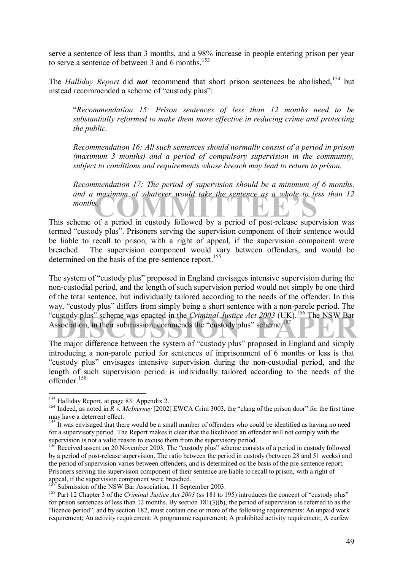serve a sentence of less than 3 months, and a 98% increase in people entering prison per year to serve a sentence of between 3 and 6 months.<sup>153</sup>

The *Halliday Report* did *not* recommend that short prison sentences be abolished.<sup>154</sup> but instead recommended a scheme of "custody plus":

ì*Recommendation 15: Prison sentences of less than 12 months need to be substantially reformed to make them more effective in reducing crime and protecting the public.* 

*Recommendation 16: All such sentences should normally consist of a period in prison (maximum 3 months) and a period of compulsory supervision in the community, subject to conditions and requirements whose breach may lead to return to prison.* 

and a maximum of whatever would take the sentence as a whole to less than 12<br> **Example 5** a period in custody followed by a period of post-release supervision was *Recommendation 17: The period of supervision should be a minimum of 6 months, months.* 

This scheme of a period in custody followed by a period of post-release supervision was termed "custody plus". Prisoners serving the supervision component of their sentence would be liable to recall to prison, with a right of appeal, if the supervision component were breached. The supervision component would vary between offenders, and would be determined on the basis of the pre-sentence report.<sup>155</sup>

"custody plus" scheme was enacted in the *Criminal Justice Act 2003* (UK).<sup>156</sup> The NSW Bar<br>Association, in their submission, commends the "custody plus" scheme.<sup>157</sup><br>The major difference between the system of "sustedy plu The system of "custody plus" proposed in England envisages intensive supervision during the non-custodial period, and the length of such supervision period would not simply be one third of the total sentence, but individually tailored according to the needs of the offender. In this way, "custody plus" differs from simply being a short sentence with a non-parole period. The Association, in their submission, commends the "custody plus" scheme. $157$ 

The major difference between the system of "custody plus" proposed in England and simply introducing a non-parole period for sentences of imprisonment of 6 months or less is that ìcustody plusî envisages intensive supervision during the non-custodial period, and the length of such supervision period is individually tailored according to the needs of the offender<sup>158</sup>

<sup>&</sup>lt;sup>153</sup> Halliday Report, at page 83: Appendix 2.

<sup>&</sup>lt;sup>154</sup> Indeed, as noted in  $\overrightarrow{R}$  *v. McInerney* [2002] EWCA Crim 3003, the "clang of the prison door" for the first time may have a deterrent effect.

<sup>&</sup>lt;sup>155</sup> It was envisaged that there would be a small number of offenders who could be identified as having no need for a supervisory period. The Report makes it clear that the likelihood an offender will not comply with the supervision is not a valid reason to excuse them from the supervisory period.

 $156$  Received assent on 20 November 2003. The "custody plus" scheme consists of a period in custody followed by a period of post-release supervision. The ratio between the period in custody (between 28 and 51 weeks) and the period of supervision varies between offenders, and is determined on the basis of the pre-sentence report. Prisoners serving the supervision component of their sentence are liable to recall to prison, with a right of appeal, if the supervision component were breached.<br><sup>157</sup> Submission of the NSW Bar Association, 11 September 2003.

<sup>&</sup>lt;sup>158</sup> Part 12 Chapter 3 of the *Criminal Justice Act* 2003 (ss 181 to 195) introduces the concept of "custody plus" for prison sentences of less than 12 months. By section 181(3)(b), the period of supervision is referred to as the ìlicence periodî, and by section 182, must contain one or more of the following requirements: An unpaid work requirement; An activity requirement; A programme requirement; A prohibited activity requirement; A curfew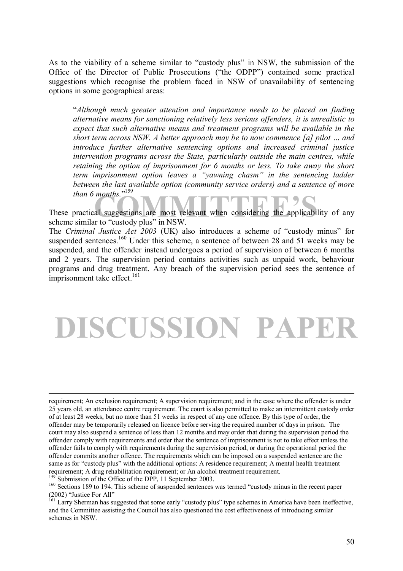As to the viability of a scheme similar to "custody plus" in NSW, the submission of the Office of the Director of Public Prosecutions ("the ODPP") contained some practical suggestions which recognise the problem faced in NSW of unavailability of sentencing options in some geographical areas:

ì*Although much greater attention and importance needs to be placed on finding alternative means for sanctioning relatively less serious offenders, it is unrealistic to expect that such alternative means and treatment programs will be available in the short term across NSW. A better approach may be to now commence [a] pilot ... and introduce further alternative sentencing options and increased criminal justice intervention programs across the State, particularly outside the main centres, while retaining the option of imprisonment for 6 months or less. To take away the short term imprisonment option leaves a "yawning chasm" in the sentencing ladder between the last available option (community service orders) and a sentence of more*  than 6 months.<sup>"159</sup>

months."<br>al suggestions are most relevant when considering the applicability<br>r to "custody plus" in NSW These practical suggestions are most relevant when considering the applicability of any scheme similar to "custody plus" in NSW.

The *Criminal Justice Act 2003* (UK) also introduces a scheme of "custody minus" for suspended sentences.<sup>160</sup> Under this scheme, a sentence of between 28 and 51 weeks may be suspended, and the offender instead undergoes a period of supervision of between 6 months and 2 years. The supervision period contains activities such as unpaid work, behaviour programs and drug treatment. Any breach of the supervision period sees the sentence of imprisonment take effect.<sup>161</sup>

### **DISCUSSION PAPER**

requirement; An exclusion requirement; A supervision requirement; and in the case where the offender is under 25 years old, an attendance centre requirement. The court is also permitted to make an intermittent custody order of at least 28 weeks, but no more than 51 weeks in respect of any one offence. By this type of order, the offender may be temporarily released on licence before serving the required number of days in prison. The court may also suspend a sentence of less than 12 months and may order that during the supervision period the offender comply with requirements and order that the sentence of imprisonment is not to take effect unless the offender fails to comply with requirements during the supervision period, or during the operational period the offender commits another offence. The requirements which can be imposed on a suspended sentence are the same as for "custody plus" with the additional options: A residence requirement; A mental health treatment requirement; A drug rehabilitation requirement; or An alcohol treatment requirement.<br><sup>159</sup> Submission of the Office of the DPP, 11 September 2003.

<sup>&</sup>lt;sup>160</sup> Sections 189 to 194. This scheme of suspended sentences was termed "custody minus in the recent paper  $(2002)$  "Justice For All"

<sup>&</sup>lt;sup>161</sup> Larry Sherman has suggested that some early "custody plus" type schemes in America have been ineffective, and the Committee assisting the Council has also questioned the cost effectiveness of introducing similar schemes in NSW.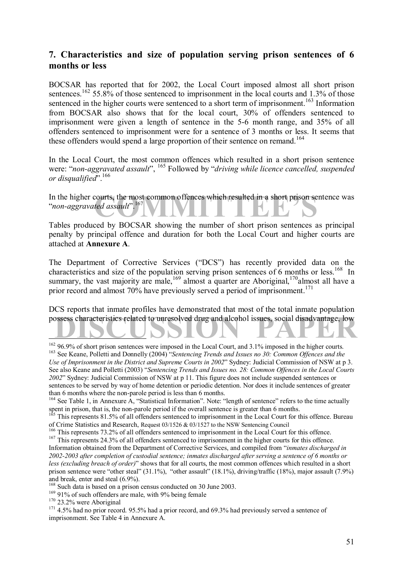### **7. Characteristics and size of population serving prison sentences of 6 months or less**

BOCSAR has reported that for 2002, the Local Court imposed almost all short prison sentences.<sup>162</sup> 55.8% of those sentenced to imprisonment in the local courts and 1.3% of those sentenced in the higher courts were sentenced to a short term of imprisonment.<sup>163</sup> Information from BOCSAR also shows that for the local court, 30% of offenders sentenced to imprisonment were given a length of sentence in the 5-6 month range, and 35% of all offenders sentenced to imprisonment were for a sentence of 3 months or less. It seems that these offenders would spend a large proportion of their sentence on remand.<sup>164</sup>

In the Local Court, the most common offences which resulted in a short prison sentence were: "*non-aggravated assault*", <sup>165</sup> Followed by "*driving while licence cancelled, suspended or disqualified*î.166

In the higher courts, the most common offences which resulted in a short prison sentence was<br>
"non-aggravated assault".<sup>167</sup> *<sup><i>'*non-aggravated assault</sub><sup>", 167</sup></sup>

Tables produced by BOCSAR showing the number of short prison sentences as principal penalty by principal offence and duration for both the Local Court and higher courts are attached at **Annexure A**.

The Department of Corrective Services ("DCS") has recently provided data on the characteristics and size of the population serving prison sentences of 6 months or less.<sup>168</sup> In summary, the vast majority are male,<sup>169</sup> almost a quarter are Aboriginal,<sup>170</sup>almost all have a prior record and almost 70% have previously served a period of imprisonment.<sup>171</sup>

possess characteristics related to unresolved drug and alcohol issues, social disadvantage, low DCS reports that inmate profiles have demonstrated that most of the total inmate population

<sup>&</sup>lt;sup>162</sup> 96.9% of short prison sentences were imposed in the Local Court, and 3.1% imposed in the higher courts. <sup>163</sup> See Keane, Polletti and Donnelly (2004) *i Sentencing Trends and Issues no 30:* Common Offences and the *Use of Imprisonment in the District and Supreme Courts in 2002*î Sydney: Judicial Commission of NSW at p 3. See also Keane and Polletti (2003) "Sentencing Trends and Issues no. 28: Common Offences in the Local Courts *2002*î Sydney: Judicial Commission of NSW at p 11. This figure does not include suspended sentences or sentences to be served by way of home detention or periodic detention. Nor does it include sentences of greater than 6 months where the non-parole period is less than 6 months.

 $164$  See Table 1, in Annexure A, "Statistical Information". Note: "length of sentence" refers to the time actually spent in prison, that is, the non-parole period if the overall sentence is greater than 6 months.

<sup>&</sup>lt;sup>165</sup> This represents 81.5% of all offenders sentenced to imprisonment in the Local Court for this offence. Bureau

of Crime Statistics and Research, Request  $03/1526$  &  $03/1527$  to the NSW Sentencing Council<br><sup>166</sup> This represents 73.2% of all offenders sentenced to imprisonment in the Local Court for this offence.<br><sup>167</sup> This represen

Information obtained from the Department of Corrective Services, and compiled from *'inmates discharged in 2002-2003 after completion of custodial sentence; inmates discharged after serving a sentence of 6 months or less (excluding breach of order)*<sup>"</sup> shows that for all courts, the most common offences which resulted in a short prison sentence were "other steal" (31.1%), "other assault" (18.1%), driving/traffic (18%), major assault (7.9%) and break, enter and steal (6.9%).<br><sup>168</sup> Such data is based on a prison census conducted on 30 June 2003.

<sup>&</sup>lt;sup>169</sup> 91% of such offenders are male, with 9% being female<br><sup>170</sup> 23.2% were Aboriginal<br><sup>171</sup> 4.5% had no prior record. 95.5% had a prior record, and 69.3% had previously served a sentence of imprisonment. See Table 4 in Annexure A.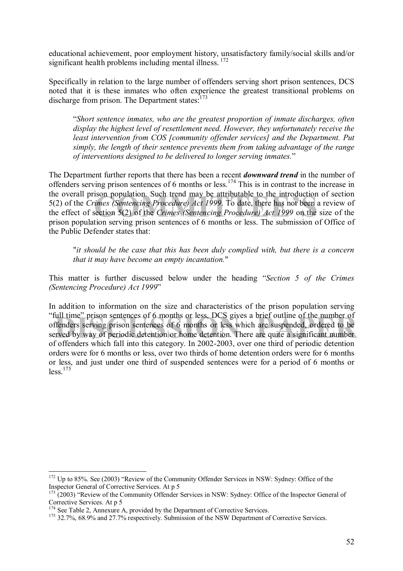educational achievement, poor employment history, unsatisfactory family/social skills and/or significant health problems including mental illness.<sup>172</sup>

Specifically in relation to the large number of offenders serving short prison sentences, DCS noted that it is these inmates who often experience the greatest transitional problems on discharge from prison. The Department states: $173$ 

ì*Short sentence inmates, who are the greatest proportion of inmate discharges, often display the highest level of resettlement need. However, they unfortunately receive the least intervention from COS [community offender services] and the Department. Put simply, the length of their sentence prevents them from taking advantage of the range of interventions designed to be delivered to longer serving inmates.*î

ison population. Such trend may be attributable to the introduction of<br>imes (Sentencing Procedure) Act 1999. To date, there has not been a rection 5(2) of the Crimes (Sentencing Procedure) Act 1999 on the site<br>tion serving The Department further reports that there has been a recent *downward trend* in the number of offenders serving prison sentences of 6 months or less.174 This is in contrast to the increase in the overall prison population. Such trend may be attributable to the introduction of section 5(2) of the *Crimes (Sentencing Procedure) Act 1999*. To date, there has not been a review of the effect of section 5(2) of the *Crimes (Sentencing Procedure) Act 1999* on the size of the prison population serving prison sentences of 6 months or less. The submission of Office of the Public Defender states that:

"*it should be the case that this has been duly complied with, but there is a concern that it may have become an empty incantation.*"

This matter is further discussed below under the heading *"Section 5 of the Crimes (Sentencing Procedure) Act 1999*î

"full time" prison sentences of 6 months or less, DCS gives a brief outline of the number of offenders serving prison sentences of 6 months or less which are suspended, ordered to be served by way of periodic detention or In addition to information on the size and characteristics of the prison population serving ìfull timeî prison sentences of 6 months or less, DCS gives a brief outline of the number of offenders serving prison sentences of 6 months or less which are suspended, ordered to be of offenders which fall into this category. In 2002-2003, over one third of periodic detention orders were for 6 months or less, over two thirds of home detention orders were for 6 months or less, and just under one third of suspended sentences were for a period of 6 months or  $less<sup>175</sup>$ 

 $172$  Up to 85%. See (2003) "Review of the Community Offender Services in NSW: Sydney: Office of the Inspector General of Corrective Services. At p 5

 $\frac{3}{2}$  (2003) "Review of the Community Offender Services in NSW: Sydney: Office of the Inspector General of Corrective Services. At p 5<br><sup>174</sup> See Table 2, Annexure A, provided by the Department of Corrective Services.

<sup>&</sup>lt;sup>175</sup> 32.7%, 68.9% and 27.7% respectively. Submission of the NSW Department of Corrective Services.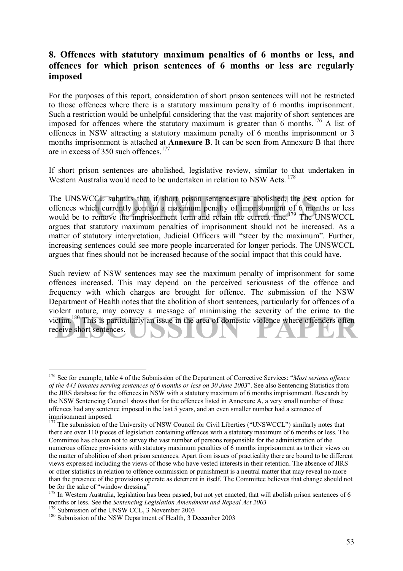### **8. Offences with statutory maximum penalties of 6 months or less, and offences for which prison sentences of 6 months or less are regularly imposed**

For the purposes of this report, consideration of short prison sentences will not be restricted to those offences where there is a statutory maximum penalty of 6 months imprisonment. Such a restriction would be unhelpful considering that the vast majority of short sentences are imposed for offences where the statutory maximum is greater than 6 months.<sup>176</sup> A list of offences in NSW attracting a statutory maximum penalty of 6 months imprisonment or 3 months imprisonment is attached at **Annexure B**. It can be seen from Annexure B that there are in excess of 350 such offences.<sup>177</sup>

If short prison sentences are abolished, legislative review, similar to that undertaken in Western Australia would need to be undertaken in relation to NSW Acts.<sup>178</sup>

The UNSWCCL submits that if short prison sentences are abolished, the best option for offences which currently contain a maximum penalty of imprisonment of 6 months or less would be to remove the imprisonment term and reta The UNSWCCL submits that if short prison sentences are abolished, the best option for offences which currently contain a maximum penalty of imprisonment of 6 months or less argues that statutory maximum penalties of imprisonment should not be increased. As a matter of statutory interpretation, Judicial Officers will "steer by the maximum". Further, increasing sentences could see more people incarcerated for longer periods. The UNSWCCL argues that fines should not be increased because of the social impact that this could have.

victim.<sup>180</sup> This is particularly an issue in the area of domestic violence where offenders often receive short sentences. Such review of NSW sentences may see the maximum penalty of imprisonment for some offences increased. This may depend on the perceived seriousness of the offence and frequency with which charges are brought for offence. The submission of the NSW Department of Health notes that the abolition of short sentences, particularly for offences of a violent nature, may convey a message of minimising the severity of the crime to the receive short sentences.

<sup>&</sup>lt;sup>176</sup> See for example, table 4 of the Submission of the Department of Corrective Services: "Most serious offence *of the 443 inmates serving sentences of 6 months or less on 30 June 2003*î. See also Sentencing Statistics from the JIRS database for the offences in NSW with a statutory maximum of 6 months imprisonment. Research by the NSW Sentencing Council shows that for the offences listed in Annexure A, a very small number of those offences had any sentence imposed in the last 5 years, and an even smaller number had a sentence of imprisonment imposed.

<sup>&</sup>lt;sup>177</sup> The submission of the University of NSW Council for Civil Liberties ("UNSWCCL") similarly notes that there are over 110 pieces of legislation containing offences with a statutory maximum of 6 months or less. The Committee has chosen not to survey the vast number of persons responsible for the administration of the numerous offence provisions with statutory maximum penalties of 6 months imprisonment as to their views on the matter of abolition of short prison sentences. Apart from issues of practicality there are bound to be different views expressed including the views of those who have vested interests in their retention. The absence of JIRS or other statistics in relation to offence commission or punishment is a neutral matter that may reveal no more than the presence of the provisions operate as deterrent in itself. The Committee believes that change should not be for the sake of "window dressing"

<sup>&</sup>lt;sup>178</sup> In Western Australia, legislation has been passed, but not yet enacted, that will abolish prison sentences of 6 months or less. See the *Sentencing Legislation Amendment and Repeal Act* 2003<sup>179</sup> Submission of the UNSW CCL, 3 November 2003<sup>180</sup> Submission of the NSW Department of Health, 3 December 2003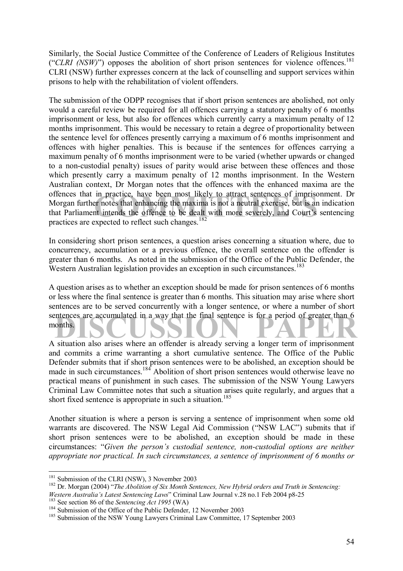Similarly, the Social Justice Committee of the Conference of Leaders of Religious Institutes ("CLRI (NSW)") opposes the abolition of short prison sentences for violence offences.<sup>181</sup> CLRI (NSW) further expresses concern at the lack of counselling and support services within prisons to help with the rehabilitation of violent offenders.

In practice, have been most likely to attract sentences of imprison<br>er notes that enhancing the maxima is not a neutral exercise, but is an in<br>timends the offence to be dealt with more severely, and Court's se<br>expected to The submission of the ODPP recognises that if short prison sentences are abolished, not only would a careful review be required for all offences carrying a statutory penalty of 6 months imprisonment or less, but also for offences which currently carry a maximum penalty of 12 months imprisonment. This would be necessary to retain a degree of proportionality between the sentence level for offences presently carrying a maximum of 6 months imprisonment and offences with higher penalties. This is because if the sentences for offences carrying a maximum penalty of 6 months imprisonment were to be varied (whether upwards or changed to a non-custodial penalty) issues of parity would arise between these offences and those which presently carry a maximum penalty of 12 months imprisonment. In the Western Australian context, Dr Morgan notes that the offences with the enhanced maxima are the offences that in practice, have been most likely to attract sentences of imprisonment. Dr Morgan further notes that enhancing the maxima is not a neutral exercise, but is an indication that Parliament intends the offence to be dealt with more severely, and Court's sentencing practices are expected to reflect such changes. $182$ 

In considering short prison sentences, a question arises concerning a situation where, due to concurrency, accumulation or a previous offence, the overall sentence on the offender is greater than 6 months. As noted in the submission of the Office of the Public Defender, the Western Australian legislation provides an exception in such circumstances.<sup>183</sup>

months. A question arises as to whether an exception should be made for prison sentences of 6 months or less where the final sentence is greater than 6 months. This situation may arise where short sentences are to be served concurrently with a longer sentence, or where a number of short months.

A situation also arises where an offender is already serving a longer term of imprisonment and commits a crime warranting a short cumulative sentence. The Office of the Public Defender submits that if short prison sentences were to be abolished, an exception should be made in such circumstances.184 Abolition of short prison sentences would otherwise leave no practical means of punishment in such cases. The submission of the NSW Young Lawyers Criminal Law Committee notes that such a situation arises quite regularly, and argues that a short fixed sentence is appropriate in such a situation.<sup>185</sup>

Another situation is where a person is serving a sentence of imprisonment when some old warrants are discovered. The NSW Legal Aid Commission ("NSW LAC") submits that if short prison sentences were to be abolished, an exception should be made in these circumstances: "Given the person's custodial sentence, non-custodial options are neither *appropriate nor practical. In such circumstances, a sentence of imprisonment of 6 months or* 

<sup>&</sup>lt;sup>181</sup> Submission of the CLRI (NSW), 3 November 2003

<sup>&</sup>lt;sup>182</sup> Dr. Morgan (2004) "The *Abolition of Six Month Sentences, New Hybrid orders and Truth in Sentencing: Western Australia's Latest Sentencing Laws* "Criminal Law Journal v.28 no.1 Feb 2004 p8-25

<sup>&</sup>lt;sup>183</sup> See section 86 of the *Sentencing Act 1995* (WA)<br><sup>184</sup> Submission of the Office of the Public Defender, 12 November 2003<br><sup>185</sup> Submission of the NSW Young Lawyers Criminal Law Committee, 17 September 2003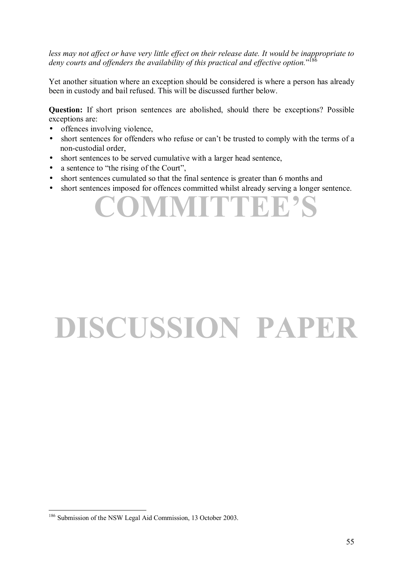*less may not affect or have very little effect on their release date. It would be inappropriate to*  deny courts and offenders the availability of this practical and effective option."<sup>186</sup>

Yet another situation where an exception should be considered is where a person has already been in custody and bail refused. This will be discussed further below.

**Question:** If short prison sentences are abolished, should there be exceptions? Possible exceptions are:

- offences involving violence,
- short sentences for offenders who refuse or can't be trusted to comply with the terms of a non-custodial order,
- short sentences to be served cumulative with a larger head sentence,
- $\bullet$  a sentence to "the rising of the Court",
- short sentences cumulated so that the final sentence is greater than 6 months and
- short sentences imposed for offences committed whilst already serving a longer sentence.

**COMMITTEE**'

# **DISCUSSION PAPER**

 $\overline{a}$ <sup>186</sup> Submission of the NSW Legal Aid Commission, 13 October 2003.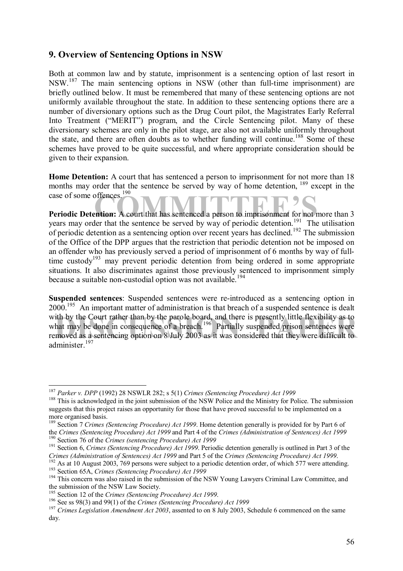### **9. Overview of Sentencing Options in NSW**

Both at common law and by statute, imprisonment is a sentencing option of last resort in NSW.187 The main sentencing options in NSW (other than full-time imprisonment) are briefly outlined below. It must be remembered that many of these sentencing options are not uniformly available throughout the state. In addition to these sentencing options there are a number of diversionary options such as the Drug Court pilot, the Magistrates Early Referral Into Treatment ("MERIT") program, and the Circle Sentencing pilot. Many of these diversionary schemes are only in the pilot stage, are also not available uniformly throughout the state, and there are often doubts as to whether funding will continue.<sup>188</sup> Some of these schemes have proved to be quite successful, and where appropriate consideration should be given to their expansion.

**Home Detention:** A court that has sentenced a person to imprisonment for not more than 18 months may order that the sentence be served by way of home detention. <sup>189</sup> except in the case of some offences.<sup>190</sup>

case of some offences.<sup>190</sup><br>**Periodic Detention:** A court that has sentenced a person to imprisonment for not more than 3 years may order that the sentence be served by way of periodic detention.<sup>191</sup> The utilisation of periodic detention as a sentencing option over recent years has declined.<sup>192</sup> The submission of the Office of the DPP argues that the restriction that periodic detention not be imposed on an offender who has previously served a period of imprisonment of 6 months by way of fulltime custody<sup>193</sup> may prevent periodic detention from being ordered in some appropriate situations. It also discriminates against those previously sentenced to imprisonment simply because a suitable non-custodial option was not available.<sup>194</sup>

ith by the Court rather than by the parole board, and there is presently little flexibility as to hat may be done in consequence of a breach.<sup>196</sup> Partially suspended prison sentences were moved as a sentencing option on **Suspended sentences**: Suspended sentences were re-introduced as a sentencing option in 2000.<sup>195</sup> An important matter of administration is that breach of a suspended sentence is dealt with by the Court rather than by the parole board, and there is presently little flexibility as to what may be done in consequence of a breach.<sup>196</sup> Partially suspended prison sentences were removed as a sentencing option on 8 July 2003 as it was considered that they were difficult to administer.<sup>197</sup>

<sup>&</sup>lt;sup>187</sup> *Parker v. DPP* (1992) 28 NSWLR 282; s 5(1) *Crimes (Sentencing Procedure) Act 1999*<br><sup>188</sup> This is acknowledged in the joint submission of the NSW Police and the Ministry for Police. The submission

suggests that this project raises an opportunity for those that have proved successful to be implemented on a more organised basis.

<sup>189</sup> Section 7 *Crimes (Sentencing Procedure) Act 1999*. Home detention generally is provided for by Part 6 of

the Crimes (Sentencing Procedure) Act 1999 and Part 4 of the Crimes (Administration of Sentences) Act 1999<br><sup>190</sup> Section 76 of the Crimes (sentencing Procedure) Act 1999<br><sup>191</sup> Section 6, Crimes (Sentencing Procedure) Act 1

<sup>&</sup>lt;sup>192</sup> As at 10 August 2003, 769 persons were subject to a periodic detention order, of which 577 were attending.<br><sup>193</sup> Section 65A, *Crimes (Sentencing Procedure) Act 1999*<br><sup>194</sup> This concern was also raised in the submis

the submission of the NSW Law Society.<br><sup>195</sup> Section 12 of the *Crimes (Sentencing Procedure) Act 1999*.

<sup>&</sup>lt;sup>196</sup> See ss 98(3) and 99(1) of the *Crimes (Sentencing Procedure) Act 1999*<br><sup>197</sup> *Crimes Legislation Amendment Act 2003*, assented to on 8 July 2003, Schedule 6 commenced on the same day.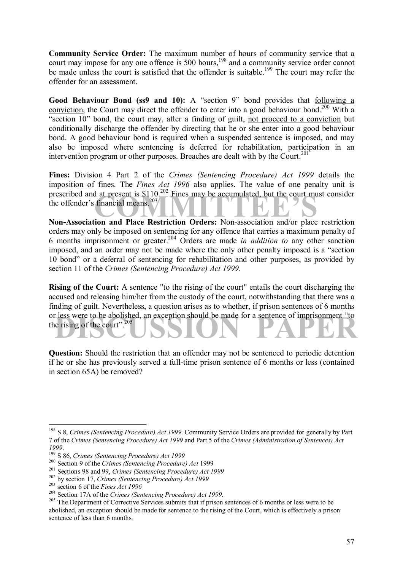**Community Service Order:** The maximum number of hours of community service that a court may impose for any one offence is 500 hours,<sup>198</sup> and a community service order cannot be made unless the court is satisfied that the offender is suitable.<sup>199</sup> The court may refer the offender for an assessment.

**Good Behaviour Bond (ss9 and 10):** A "section 9" bond provides that following a conviction, the Court may direct the offender to enter into a good behaviour bond.<sup>200</sup> With a "section 10" bond, the court may, after a finding of guilt, not proceed to a conviction but conditionally discharge the offender by directing that he or she enter into a good behaviour bond. A good behaviour bond is required when a suspended sentence is imposed, and may also be imposed where sentencing is deferred for rehabilitation, participation in an intervention program or other purposes. Breaches are dealt with by the Court.<sup>201</sup>

prescribed and at present is \$110.<sup>202</sup> Fines may be accumulated, but the court must consider<br>the offender's financial means.<sup>203</sup><br>Non-Association and Place Restriction Orders: Non-association and/or place restriction **Fines:** Division 4 Part 2 of the *Crimes (Sentencing Procedure) Act 1999* details the imposition of fines. The *Fines Act 1996* also applies. The value of one penalty unit is the offender's financial means. $203$ 

**Non-Association and Place Restriction Orders:** Non-association and/or place restriction orders may only be imposed on sentencing for any offence that carries a maximum penalty of 6 months imprisonment or greater.204 Orders are made *in addition to* any other sanction imposed, and an order may not be made where the only other penalty imposed is a "section" 10 bond" or a deferral of sentencing for rehabilitation and other purposes, as provided by section 11 of the *Crimes (Sentencing Procedure) Act 1999.* 

or less were to be abolished, an exception should be made for a sentence of imprisonment "to the rising of the court".<sup>205</sup> **Rising of the Court:** A sentence "to the rising of the court" entails the court discharging the accused and releasing him/her from the custody of the court, notwithstanding that there was a finding of guilt. Nevertheless, a question arises as to whether, if prison sentences of 6 months the rising of the court". $205$ 

**Question:** Should the restriction that an offender may not be sentenced to periodic detention if he or she has previously served a full-time prison sentence of 6 months or less (contained in section 65A) be removed?

<sup>198</sup> S 8, *Crimes (Sentencing Procedure) Act 1999*. Community Service Orders are provided for generally by Part 7 of the *Crimes (Sentencing Procedure) Act 1999* and Part 5 of the *Crimes (Administration of Sentences) Act*

<sup>1999.&</sup>lt;br><sup>1999</sup> S 86, *Crimes (Sentencing Procedure) Act 1999*<br><sup>200</sup> Section 9 of the *Crimes (Sentencing Procedure) Act 1999*<br><sup>201</sup> Sections 98 and 99, *Crimes (Sentencing Procedure) Act 1999*<br><sup>202</sup> by section 17, *Crimes (* abolished, an exception should be made for sentence to the rising of the Court, which is effectively a prison sentence of less than 6 months.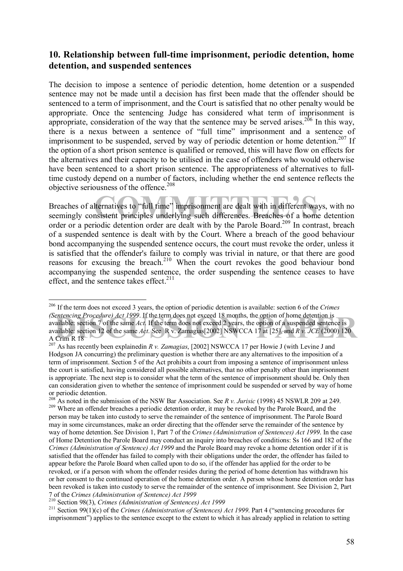### **10. Relationship between full-time imprisonment, periodic detention, home detention, and suspended sentences**

The decision to impose a sentence of periodic detention, home detention or a suspended sentence may not be made until a decision has first been made that the offender should be sentenced to a term of imprisonment, and the Court is satisfied that no other penalty would be appropriate. Once the sentencing Judge has considered what term of imprisonment is appropriate, consideration of the way that the sentence may be served arises.<sup>206</sup> In this way, there is a nexus between a sentence of "full time" imprisonment and a sentence of imprisonment to be suspended, served by way of periodic detention or home detention.<sup>207</sup> If the option of a short prison sentence is qualified or removed, this will have flow on effects for the alternatives and their capacity to be utilised in the case of offenders who would otherwise have been sentenced to a short prison sentence. The appropriateness of alternatives to fulltime custody depend on a number of factors, including whether the end sentence reflects the objective seriousness of the offence.<sup>208</sup>

Iternatives to "full time" imprisonment are dealt with in different ways<br>nsistent principles underlying such differences. Breaches of a home of Breaches of alternatives to "full time" imprisonment are dealt with in different ways, with no seemingly consistent principles underlying such differences. Breaches of a home detention order or a periodic detention order are dealt with by the Parole Board.<sup>209</sup> In contrast, breach of a suspended sentence is dealt with by the Court. Where a breach of the good behaviour bond accompanying the suspended sentence occurs, the court must revoke the order, unless it is satisfied that the offender's failure to comply was trivial in nature, or that there are good reasons for excusing the breach.<sup>210</sup> When the court revokes the good behaviour bond accompanying the suspended sentence, the order suspending the sentence ceases to have effect, and the sentence takes effect. $2^{11}$ 

*entencing Procedure) Act 1999.* If the term does not exceed 18 months, the option of home detention is valiable: section 7 of the same Act. If the term does not exceed 2 years, the option of a suspended sentence is valia  $\overline{a}$ 206 If the term does not exceed 3 years, the option of periodic detention is available: section 6 of the *Crimes (Sentencing Procedure) Act 1999*. If the term does not exceed 18 months, the option of home detention is available: section 7 of the same *Act*. If the term does not exceed 2 years, the option of a suspended sentence is available: section 12 of the same *Act*. See R v. Zamagias[2002] NSWCCA 17 at [25], and *R v. JCE* (2000) 120 A Crim R 18

<sup>207</sup> As has recently been explainedin *R v. Zamagias*, [2002] NSWCCA 17 per Howie J (with Levine J and Hodgson JA concurring) the preliminary question is whether there are any alternatives to the imposition of a term of imprisonment. Section 5 of the Act prohibits a court from imposing a sentence of imprisonment unless the court is satisfied, having considered all possible alternatives, that no other penalty other than imprisonment is appropriate. The next step is to consider what the term of the sentence of imprisonment should be. Only then can consideration given to whether the sentence of imprisonment could be suspended or served by way of home or periodic detention.<br>
<sup>208</sup> As noted in the submission of the NSW Bar Association. See *R v. Jurisic* (1998) 45 NSWLR 209 at 249.

<sup>&</sup>lt;sup>209</sup> Where an offender breaches a periodic detention order, it may be revoked by the Parole Board, and the person may be taken into custody to serve the remainder of the sentence of imprisonment. The Parole Board may in some circumstances, make an order directing that the offender serve the remainder of the sentence by way of home detention. See Division 1, Part 7 of the *Crimes (Administration of Sentences) Act 1999*. In the case of Home Detention the Parole Board may conduct an inquiry into breaches of conditions: Ss 166 and 182 of the *Crimes (Administration of Sentence) Act 1999* and the Parole Board may revoke a home detention order if it is satisfied that the offender has failed to comply with their obligations under the order, the offender has failed to appear before the Parole Board when called upon to do so, if the offender has applied for the order to be revoked, or if a person with whom the offender resides during the period of home detention has withdrawn his or her consent to the continued operation of the home detention order. A person whose home detention order has been revoked is taken into custody to serve the remainder of the sentence of imprisonment. See Division 2, Part 7 of the Crimes (Administration of Sentence) Act 1999<br><sup>210</sup> Section 98(3), Crimes (Administration of Sentences) Act 1999<br><sup>211</sup> Section 99(1)(c) of the Crimes (Administration of Sentences) Act 1999. Part 4 ("sentencing proc

imprisonment") applies to the sentence except to the extent to which it has already applied in relation to setting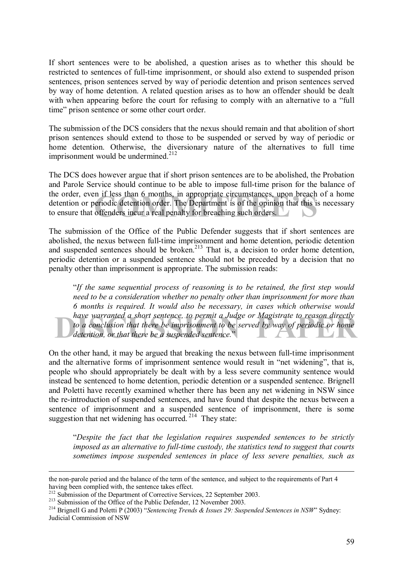If short sentences were to be abolished, a question arises as to whether this should be restricted to sentences of full-time imprisonment, or should also extend to suspended prison sentences, prison sentences served by way of periodic detention and prison sentences served by way of home detention. A related question arises as to how an offender should be dealt with when appearing before the court for refusing to comply with an alternative to a "full" time" prison sentence or some other court order.

The submission of the DCS considers that the nexus should remain and that abolition of short prison sentences should extend to those to be suspended or served by way of periodic or home detention. Otherwise, the diversionary nature of the alternatives to full time imprisonment would be undermined.<sup>212</sup>

If it less than 6 months, in appropriate circumstances, upon breach of<br>eriodic detention order. The Department is of the opinion that this is r<br>offenders incur a real penalty for breaching such orders. The DCS does however argue that if short prison sentences are to be abolished, the Probation and Parole Service should continue to be able to impose full-time prison for the balance of the order, even if less than 6 months, in appropriate circumstances, upon breach of a home detention or periodic detention order. The Department is of the opinion that this is necessary to ensure that offenders incur a real penalty for breaching such orders.

The submission of the Office of the Public Defender suggests that if short sentences are abolished, the nexus between full-time imprisonment and home detention, periodic detention and suspended sentences should be broken.<sup>213</sup> That is, a decision to order home detention, periodic detention or a suspended sentence should not be preceded by a decision that no penalty other than imprisonment is appropriate. The submission reads:

have warranted a short sentence, to permit a Judge or Magistrate to reason directly<br>to a conclusion that there be imprisonment to be served by way of periodic or home<br>detention, or that there be a suspended sentence." ì*If the same sequential process of reasoning is to be retained, the first step would need to be a consideration whether no penalty other than imprisonment for more than 6 months is required. It would also be necessary, in cases which otherwise would have warranted a short sentence, to permit a Judge or Magistrate to reason directly*  to a conclusion that there be imprisonment to be served by way of periodic or home *detention, or that there be a suspended sentence.*î

On the other hand, it may be argued that breaking the nexus between full-time imprisonment and the alternative forms of imprisonment sentence would result in "net widening", that is, people who should appropriately be dealt with by a less severe community sentence would instead be sentenced to home detention, periodic detention or a suspended sentence. Brignell and Poletti have recently examined whether there has been any net widening in NSW since the re-introduction of suspended sentences, and have found that despite the nexus between a sentence of imprisonment and a suspended sentence of imprisonment, there is some suggestion that net widening has occurred.<sup>214</sup> They state:

ì*Despite the fact that the legislation requires suspended sentences to be strictly imposed as an alternative to full-time custody, the statistics tend to suggest that courts sometimes impose suspended sentences in place of less severe penalties, such as* 

the non-parole period and the balance of the term of the sentence, and subject to the requirements of Part 4 having been complied with, the sentence takes effect.<br><sup>212</sup> Submission of the Department of Corrective Services, 22 September 2003.

<sup>&</sup>lt;sup>213</sup> Submission of the Office of the Public Defender, 12 November 2003.<br><sup>214</sup> Brignell G and Poletti P (2003) "Sentencing Trends & Issues 29: Suspended Sentences in NSW" Sydney: Judicial Commission of NSW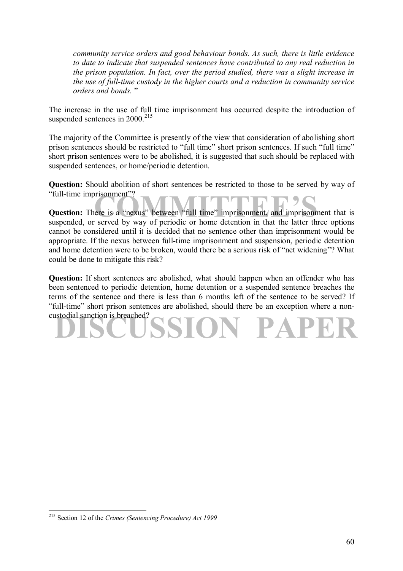*community service orders and good behaviour bonds. As such, there is little evidence to date to indicate that suspended sentences have contributed to any real reduction in the prison population. In fact, over the period studied, there was a slight increase in the use of full-time custody in the higher courts and a reduction in community service orders and bonds.* î

The increase in the use of full time imprisonment has occurred despite the introduction of suspended sentences in  $2000.<sup>215</sup>$ 

The majority of the Committee is presently of the view that consideration of abolishing short prison sentences should be restricted to "full time" short prison sentences. If such "full time" short prison sentences were to be abolished, it is suggested that such should be replaced with suspended sentences, or home/periodic detention.

**Question:** Should abolition of short sentences be restricted to those to be served by way of "full-time imprisonment"?

risonment"?<br>
ere is a "nexus" between "full time" imprisonment, and imprisonment<br>
correct by way of periodic or home detention in that the latter three **Question:** There is a "nexus" between "full time" imprisonment, and imprisonment that is suspended, or served by way of periodic or home detention in that the latter three options cannot be considered until it is decided that no sentence other than imprisonment would be appropriate. If the nexus between full-time imprisonment and suspension, periodic detention and home detention were to be broken, would there be a serious risk of "net widening"? What could be done to mitigate this risk?

**DISCUSSION PAPER Question:** If short sentences are abolished, what should happen when an offender who has been sentenced to periodic detention, home detention or a suspended sentence breaches the terms of the sentence and there is less than 6 months left of the sentence to be served? If ìfull-timeî short prison sentences are abolished, should there be an exception where a noncustodial sanction is breached?

<sup>215</sup> Section 12 of the *Crimes (Sentencing Procedure) Act 1999*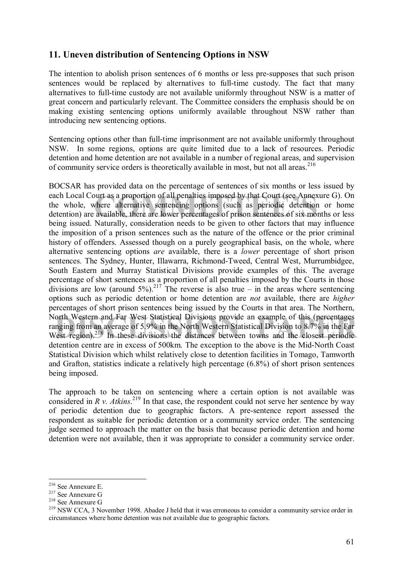### **11. Uneven distribution of Sentencing Options in NSW**

The intention to abolish prison sentences of 6 months or less pre-supposes that such prison sentences would be replaced by alternatives to full-time custody. The fact that many alternatives to full-time custody are not available uniformly throughout NSW is a matter of great concern and particularly relevant. The Committee considers the emphasis should be on making existing sentencing options uniformly available throughout NSW rather than introducing new sentencing options.

Sentencing options other than full-time imprisonment are not available uniformly throughout NSW. In some regions, options are quite limited due to a lack of resources. Periodic detention and home detention are not available in a number of regional areas, and supervision of community service orders is theoretically available in most, but not all areas.<sup>216</sup>

each Local Court as a proportion of all penalties imposed by that Court (see Annexure G). On the whole, where alternative sentencing options (such as periodic detention or home detention) are available, there are lower per North Western and Far West-Statistical Divisions provide an example of this (percentages ranging from an average of 5.9% in the North Western Statistical Division to 8.7% in the Far West region).<sup>218</sup> In these divisions th BOCSAR has provided data on the percentage of sentences of six months or less issued by each Local Court as a proportion of all penalties imposed by that Court (see Annexure G). On the whole, where alternative sentencing options (such as periodic detention or home being issued. Naturally, consideration needs to be given to other factors that may influence the imposition of a prison sentences such as the nature of the offence or the prior criminal history of offenders. Assessed though on a purely geographical basis, on the whole, where alternative sentencing options *are* available, there is a *lower* percentage of short prison sentences. The Sydney, Hunter, Illawarra, Richmond-Tweed, Central West, Murrumbidgee, South Eastern and Murray Statistical Divisions provide examples of this. The average percentage of short sentences as a proportion of all penalties imposed by the Courts in those divisions are low (around 5%).<sup>217</sup> The reverse is also true – in the areas where sentencing options such as periodic detention or home detention are *not* available, there are *higher* percentages of short prison sentences being issued by the Courts in that area. The Northern, North Western and Far West Statistical Divisions provide an example of this (percentages ranging from an average of 5.9% in the North Western Statistical Division to 8.7% in the Far detention centre are in excess of 500km. The exception to the above is the Mid-North Coast Statistical Division which whilst relatively close to detention facilities in Tomago, Tamworth and Grafton, statistics indicate a relatively high percentage (6.8%) of short prison sentences being imposed.

The approach to be taken on sentencing where a certain option is not available was considered in  $R$  v. Atkins.<sup>219</sup> In that case, the respondent could not serve her sentence by way of periodic detention due to geographic factors. A pre-sentence report assessed the respondent as suitable for periodic detention or a community service order. The sentencing judge seemed to approach the matter on the basis that because periodic detention and home detention were not available, then it was appropriate to consider a community service order.

<sup>&</sup>lt;sup>216</sup> See Annexure E.

<sup>&</sup>lt;sup>217</sup> See Annexure G<br><sup>218</sup> See Annexure G<br><sup>219</sup> NSW CCA, 3 November 1998. Abadee J held that it was erroneous to consider a community service order in circumstances where home detention was not available due to geographic factors.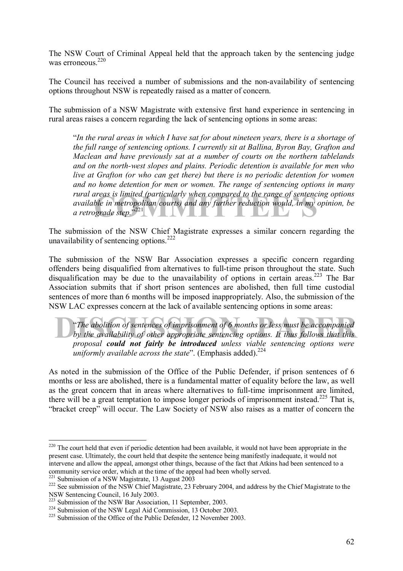The NSW Court of Criminal Appeal held that the approach taken by the sentencing judge was erroneous<sup>220</sup>

The Council has received a number of submissions and the non-availability of sentencing options throughout NSW is repeatedly raised as a matter of concern.

The submission of a NSW Magistrate with extensive first hand experience in sentencing in rural areas raises a concern regarding the lack of sentencing options in some areas:

ireas is limited (particularly when compared to the range of sentencing<br>ble in metropolitan courts) and any further reduction would, in my op<br>grade step.<sup>7221</sup> ì*In the rural areas in which I have sat for about nineteen years, there is a shortage of the full range of sentencing options. I currently sit at Ballina, Byron Bay, Grafton and Maclean and have previously sat at a number of courts on the northern tablelands and on the north-west slopes and plains. Periodic detention is available for men who live at Grafton (or who can get there) but there is no periodic detention for women and no home detention for men or women. The range of sentencing options in many rural areas is limited (particularly when compared to the range of sentencing options available in metropolitan courts) and any further reduction would, in my opinion, be a retrograde step.*î 221

The submission of the NSW Chief Magistrate expresses a similar concern regarding the unavailability of sentencing options.<sup>222</sup>

The submission of the NSW Bar Association expresses a specific concern regarding offenders being disqualified from alternatives to full-time prison throughout the state. Such disqualification may be due to the unavailability of options in certain areas.<sup>223</sup> The Bar Association submits that if short prison sentences are abolished, then full time custodial sentences of more than 6 months will be imposed inappropriately. Also, the submission of the NSW LAC expresses concern at the lack of available sentencing options in some areas:

The abolition of sentences of imprisonment of 6 months or less must be accompanied<br>by the availability of other appropriate sentencing options. It thus follows that this ì*The abolition of sentences of imprisonment of 6 months or less must be accompanied by the availability of other appropriate sentencing options. It thus follows that this proposal could not fairly be introduced unless viable sentencing options were uniformly available across the state*". (Emphasis added).<sup>224</sup>

As noted in the submission of the Office of the Public Defender, if prison sentences of 6 months or less are abolished, there is a fundamental matter of equality before the law, as well as the great concern that in areas where alternatives to full-time imprisonment are limited, there will be a great temptation to impose longer periods of imprisonment instead.<sup>225</sup> That is, ìbracket creepî will occur. The Law Society of NSW also raises as a matter of concern the

 $220$  The court held that even if periodic detention had been available, it would not have been appropriate in the present case. Ultimately, the court held that despite the sentence being manifestly inadequate, it would not intervene and allow the appeal, amongst other things, because of the fact that Atkins had been sentenced to a community service order, which at the time of the appeal had been wholly served.<br><sup>221</sup> Submission of a NSW Magistrate, 13 August 2003

 $222$  See submission of the NSW Chief Magistrate, 23 February 2004, and address by the Chief Magistrate to the NSW Sentencing Council, 16 July 2003.<br><sup>223</sup> Submission of the NSW Bar Association. 11 September. 2003.

<sup>&</sup>lt;sup>224</sup> Submission of the NSW Legal Aid Commission, 13 October 2003.<br><sup>225</sup> Submission of the Office of the Public Defender, 12 November 2003.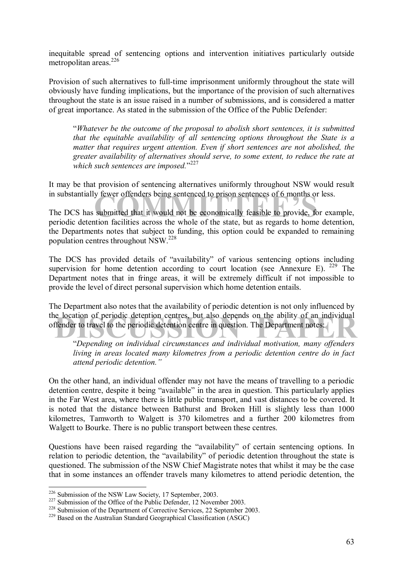inequitable spread of sentencing options and intervention initiatives particularly outside metropolitan areas.<sup>226</sup>

Provision of such alternatives to full-time imprisonment uniformly throughout the state will obviously have funding implications, but the importance of the provision of such alternatives throughout the state is an issue raised in a number of submissions, and is considered a matter of great importance. As stated in the submission of the Office of the Public Defender:

ì*Whatever be the outcome of the proposal to abolish short sentences, it is submitted that the equitable availability of all sentencing options throughout the State is a matter that requires urgent attention. Even if short sentences are not abolished, the greater availability of alternatives should serve, to some extent, to reduce the rate at which such sentences are imposed.*<sup>227</sup>

It may be that provision of sentencing alternatives uniformly throughout NSW would result in substantially fewer offenders being sentenced to prison sentences of 6 months or less.

If the second to prison sentences of 6 months or les<br>
submitted that it would not be economically feasible to provide, for<br>
the facilities across the whole of the state but as regards to home d The DCS has submitted that it would not be economically feasible to provide, for example, periodic detention facilities across the whole of the state, but as regards to home detention, the Departments notes that subject to funding, this option could be expanded to remaining population centres throughout NSW.228

The DCS has provided details of "availability" of various sentencing options including supervision for home detention according to court location (see Annexure E).  $229$  The Department notes that in fringe areas, it will be extremely difficult if not impossible to provide the level of direct personal supervision which home detention entails.

Le location of periodic detention centres, but also depends on the ability of an individual<br>
detention centre in question. The Department notes:<br>
Changer on individual given property and individual methods may offendants The Department also notes that the availability of periodic detention is not only influenced by the location of periodic detention centres, but also depends on the ability of an individual offender to travel to the periodic detention centre in question. The Department notes:

ì*Depending on individual circumstances and individual motivation, many offenders living in areas located many kilometres from a periodic detention centre do in fact attend periodic detention.î* 

On the other hand, an individual offender may not have the means of travelling to a periodic detention centre, despite it being "available" in the area in question. This particularly applies in the Far West area, where there is little public transport, and vast distances to be covered. It is noted that the distance between Bathurst and Broken Hill is slightly less than 1000 kilometres, Tamworth to Walgett is 370 kilometres and a further 200 kilometres from Walgett to Bourke. There is no public transport between these centres.

Questions have been raised regarding the "availability" of certain sentencing options. In relation to periodic detention, the "availability" of periodic detention throughout the state is questioned. The submission of the NSW Chief Magistrate notes that whilst it may be the case that in some instances an offender travels many kilometres to attend periodic detention, the

<sup>&</sup>lt;sup>226</sup> Submission of the NSW Law Society, 17 September, 2003.

<sup>&</sup>lt;sup>227</sup> Submission of the Office of the Public Defender, 12 November 2003.<br><sup>228</sup> Submission of the Department of Corrective Services, 22 September 2003.<br><sup>229</sup> Based on the Australian Standard Geographical Classification (AS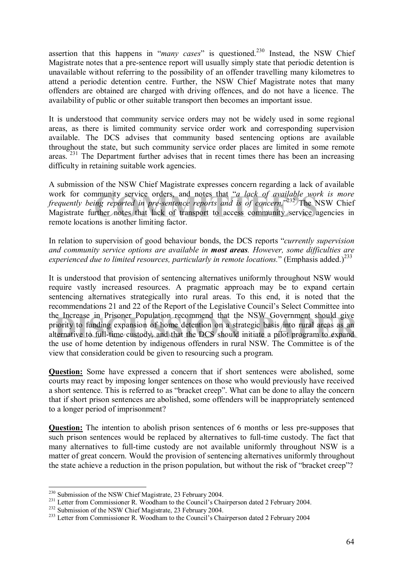assertion that this happens in *"many cases"* is questioned.<sup>230</sup> Instead, the NSW Chief Magistrate notes that a pre-sentence report will usually simply state that periodic detention is unavailable without referring to the possibility of an offender travelling many kilometres to attend a periodic detention centre. Further, the NSW Chief Magistrate notes that many offenders are obtained are charged with driving offences, and do not have a licence. The availability of public or other suitable transport then becomes an important issue.

It is understood that community service orders may not be widely used in some regional areas, as there is limited community service order work and corresponding supervision available. The DCS advises that community based sentencing options are available throughout the state, but such community service order places are limited in some remote areas.<sup>231</sup> The Department further advises that in recent times there has been an increasing difficulty in retaining suitable work agencies.

nmunity service orders, and notes that "*a lack of available work*<br>*ing reported in pre-sentence reports and is of concern.*"<sup>232</sup> The NS<br>rther notes that lack of transport to access community service age<br>ins is another li A submission of the NSW Chief Magistrate expresses concern regarding a lack of available work for community service orders, and notes that "a lack of available work is more frequently being reported in pre-sentence reports and is of concern.<sup>3232</sup> The NSW Chief Magistrate further notes that lack of transport to access community service agencies in remote locations is another limiting factor.

In relation to supervision of good behaviour bonds, the DCS reports *"currently supervision*" *and community service options are available in most areas. However, some difficulties are experienced due to limited resources, particularly in remote locations.*" (Emphasis added.)<sup>233</sup>

the Increase in Prisoner Population recommend that the NSW Government should give<br>priority to funding expansion of home detention on a strategic basis into rural areas as an<br>alternative to full-time custody, and that the D It is understood that provision of sentencing alternatives uniformly throughout NSW would require vastly increased resources. A pragmatic approach may be to expand certain sentencing alternatives strategically into rural areas. To this end, it is noted that the recommendations 21 and 22 of the Report of the Legislative Council's Select Committee into the Increase in Prisoner Population recommend that the NSW Government should give priority to funding expansion of home detention on a strategic basis into rural areas as an the use of home detention by indigenous offenders in rural NSW. The Committee is of the view that consideration could be given to resourcing such a program.

**Question:** Some have expressed a concern that if short sentences were abolished, some courts may react by imposing longer sentences on those who would previously have received a short sentence. This is referred to as "bracket creep". What can be done to allay the concern that if short prison sentences are abolished, some offenders will be inappropriately sentenced to a longer period of imprisonment?

**Question:** The intention to abolish prison sentences of 6 months or less pre-supposes that such prison sentences would be replaced by alternatives to full-time custody. The fact that many alternatives to full-time custody are not available uniformly throughout NSW is a matter of great concern. Would the provision of sentencing alternatives uniformly throughout the state achieve a reduction in the prison population, but without the risk of "bracket creep"?

<sup>&</sup>lt;sup>230</sup> Submission of the NSW Chief Magistrate, 23 February 2004.

<sup>&</sup>lt;sup>231</sup> Letter from Commissioner R. Woodham to the Council's Chairperson dated 2 February 2004.<br><sup>232</sup> Submission of the NSW Chief Magistrate, 23 February 2004.<br><sup>233</sup> Letter from Commissioner R. Woodham to the Council's Chai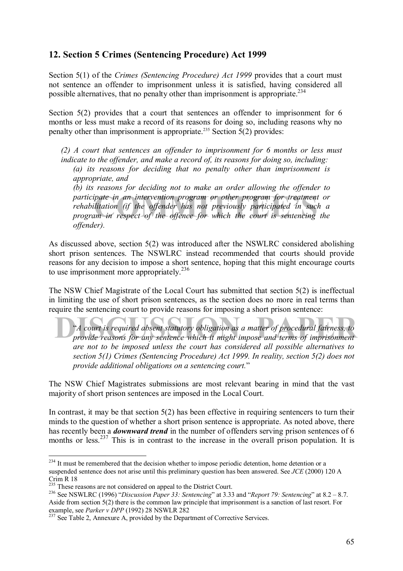### **12. Section 5 Crimes (Sentencing Procedure) Act 1999**

Section 5(1) of the *Crimes (Sentencing Procedure) Act 1999* provides that a court must not sentence an offender to imprisonment unless it is satisfied, having considered all possible alternatives, that no penalty other than imprisonment is appropriate.234

Section 5(2) provides that a court that sentences an offender to imprisonment for 6 months or less must make a record of its reasons for doing so, including reasons why no penalty other than imprisonment is appropriate.<sup>235</sup> Section  $\frac{5(2)}{2}$  provides:

*(2) A court that sentences an offender to imprisonment for 6 months or less must indicate to the offender, and make a record of, its reasons for doing so, including: (a) its reasons for deciding that no penalty other than imprisonment is appropriate, and (b) its reasons for deciding not to make an order allowing the offender to participate in an intervention program or other program for treatment or* 

pate in an intervention program or other program for treatment c<br>litation (if the offender has not previously participated in such<br>im in respect-of the offence for which the court is sentencing th *rehabilitation (if the offender has not previously participated in such a program in respect of the offence for which the court is sentencing the offender).* 

As discussed above, section 5(2) was introduced after the NSWLRC considered abolishing short prison sentences. The NSWLRC instead recommended that courts should provide reasons for any decision to impose a short sentence, hoping that this might encourage courts to use imprisonment more appropriately.<sup>236</sup>

The NSW Chief Magistrate of the Local Court has submitted that section 5(2) is ineffectual in limiting the use of short prison sentences, as the section does no more in real terms than require the sentencing court to provide reasons for imposing a short prison sentence:

<sup>24</sup> Court is required absent statutory obligation as a matter of procedural fairness, to<br>provide reasons for any sentence which it might impose and terms of imprisonment ì*A court is required absent statutory obligation as a matter of procedural fairness, to provide reasons for any sentence which it might impose and terms of imprisonment are not to be imposed unless the court has considered all possible alternatives to section 5(1) Crimes (Sentencing Procedure) Act 1999. In reality, section 5(2) does not provide additional obligations on a sentencing court.*î

The NSW Chief Magistrates submissions are most relevant bearing in mind that the vast majority of short prison sentences are imposed in the Local Court.

In contrast, it may be that section 5(2) has been effective in requiring sentencers to turn their minds to the question of whether a short prison sentence is appropriate. As noted above, there has recently been a *downward trend* in the number of offenders serving prison sentences of 6 months or less.<sup>237</sup> This is in contrast to the increase in the overall prison population. It is

<sup>&</sup>lt;sup>234</sup> It must be remembered that the decision whether to impose periodic detention, home detention or a suspended sentence does not arise until this preliminary question has been answered. See *JCE* (2000) 120 A Crim R 18<br><sup>235</sup> These reasons are not considered on appeal to the District Court.

<sup>&</sup>lt;sup>236</sup> See NSWLRC (1996) *''Discussion Paper 33: Sentencing*'' at 3.33 and *''Report 79: Sentencing*'' at 8.2 – 8.7. Aside from section 5(2) there is the common law principle that imprisonment is a sanction of last resort. For example, see *Parker v DPP* (1992) 28 NSWLR 282<br><sup>237</sup> See Table 2, Annexure A, provided by the Department of Corrective Services.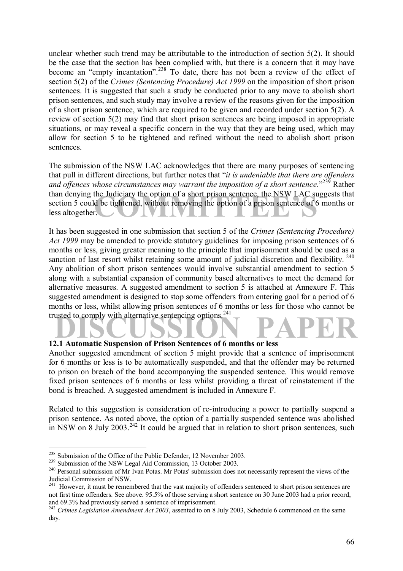unclear whether such trend may be attributable to the introduction of section 5(2). It should be the case that the section has been complied with, but there is a concern that it may have become an "empty incantation".<sup>238</sup> To date, there has not been a review of the effect of section 5(2) of the *Crimes (Sentencing Procedure) Act 1999* on the imposition of short prison sentences. It is suggested that such a study be conducted prior to any move to abolish short prison sentences, and such study may involve a review of the reasons given for the imposition of a short prison sentence, which are required to be given and recorded under section 5(2). A review of section 5(2) may find that short prison sentences are being imposed in appropriate situations, or may reveal a specific concern in the way that they are being used, which may allow for section 5 to be tightened and refined without the need to abolish short prison sentences.

the Judiciary the option of a short prison sentence, the NSW LAC sugged be tightened, without removing the option of a prison sentence of 6 m The submission of the NSW LAC acknowledges that there are many purposes of sentencing that pull in different directions, but further notes that "*it is undeniable that there are offenders* and offences whose circumstances may warrant the imposition of a short sentence.<sup>"239</sup> Rather than denying the Judiciary the option of a short prison sentence, the NSW LAC suggests that section 5 could be tightened, without removing the option of a prison sentence of 6 months or less altogether.

trusted to comply with alternative sentencing options.<sup>241</sup><br>
12.1 Automatic Supponsion of Prison Sentences of 6 months or less It has been suggested in one submission that section 5 of the *Crimes (Sentencing Procedure) Act 1999* may be amended to provide statutory guidelines for imposing prison sentences of 6 months or less, giving greater meaning to the principle that imprisonment should be used as a sanction of last resort whilst retaining some amount of judicial discretion and flexibility.<sup>240</sup> Any abolition of short prison sentences would involve substantial amendment to section 5 along with a substantial expansion of community based alternatives to meet the demand for alternative measures. A suggested amendment to section 5 is attached at Annexure F. This suggested amendment is designed to stop some offenders from entering gaol for a period of 6 months or less, whilst allowing prison sentences of 6 months or less for those who cannot be

### **12.1 Automatic Suspension of Prison Sentences of 6 months or less**

Another suggested amendment of section 5 might provide that a sentence of imprisonment for 6 months or less is to be automatically suspended, and that the offender may be returned to prison on breach of the bond accompanying the suspended sentence. This would remove fixed prison sentences of 6 months or less whilst providing a threat of reinstatement if the bond is breached. A suggested amendment is included in Annexure F.

Related to this suggestion is consideration of re-introducing a power to partially suspend a prison sentence. As noted above, the option of a partially suspended sentence was abolished in NSW on 8 July 2003.<sup>242</sup> It could be argued that in relation to short prison sentences, such

<sup>&</sup>lt;sup>238</sup> Submission of the Office of the Public Defender, 12 November 2003.<br><sup>239</sup> Submission of the NSW Legal Aid Commission, 13 October 2003.<br><sup>240</sup> Personal submission of Mr Ivan Potas. Mr Potas' submission does not necessa Judicial Commission of NSW.

<sup>&</sup>lt;sup>241</sup> However, it must be remembered that the vast majority of offenders sentenced to short prison sentences are not first time offenders. See above. 95.5% of those serving a short sentence on 30 June 2003 had a prior record, and 69.3% had previously served a sentence of imprisonment.

<sup>&</sup>lt;sup>242</sup> *Crimes Legislation Amendment Act 2003*, assented to on 8 July 2003, Schedule 6 commenced on the same day.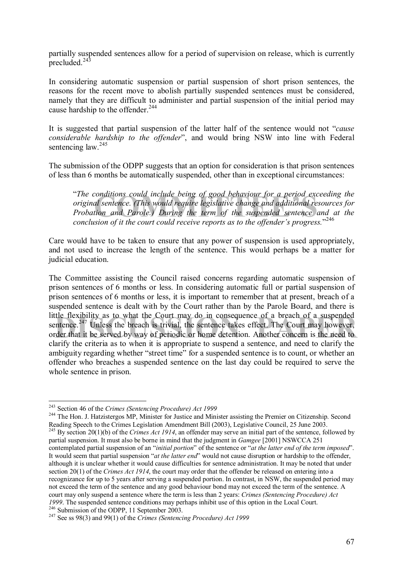partially suspended sentences allow for a period of supervision on release, which is currently precluded. $24\overline{3}$ 

In considering automatic suspension or partial suspension of short prison sentences, the reasons for the recent move to abolish partially suspended sentences must be considered, namely that they are difficult to administer and partial suspension of the initial period may cause hardship to the offender.<sup>244</sup>

It is suggested that partial suspension of the latter half of the sentence would not *"cause considerable hardship to the offender*î, and would bring NSW into line with Federal sentencing law <sup>245</sup>

The submission of the ODPP suggests that an option for consideration is that prison sentences of less than 6 months be automatically suspended, other than in exceptional circumstances:

conditions could include being of good behaviour for a period exceential sentence. (This would require legislative change and additional resortion and Parole.) During the term of the suspended sentence and<br>ion and Parole.) ì*The conditions could include being of good behaviour for a period exceeding the original sentence. (This would require legislative change and additional resources for Probation and Parole.) During the term of the suspended sentence and at the*  conclusion of it the court could receive reports as to the offender's progress.<sup>7246</sup>

Care would have to be taken to ensure that any power of suspension is used appropriately, and not used to increase the length of the sentence. This would perhaps be a matter for judicial education.

the flexibility as to what the Court may do in consequence of a breach of a suspended<br>entence.<sup>247</sup> Unless the breach is trivial, the sentence takes effect. The Court may however,<br>rder that it be served by way of periodic The Committee assisting the Council raised concerns regarding automatic suspension of prison sentences of 6 months or less. In considering automatic full or partial suspension of prison sentences of 6 months or less, it is important to remember that at present, breach of a suspended sentence is dealt with by the Court rather than by the Parole Board, and there is little flexibility as to what the Court may do in consequence of a breach of a suspended sentence.<sup>247</sup> Unless the breach is trivial, the sentence takes effect. The Court may however, order that it be served by way of periodic or home detention. Another concern is the need to clarify the criteria as to when it is appropriate to suspend a sentence, and need to clarify the ambiguity regarding whether "street time" for a suspended sentence is to count, or whether an offender who breaches a suspended sentence on the last day could be required to serve the whole sentence in prison.

<sup>244</sup> The Hon. J. Hatzistergos MP, Minister for Justice and Minister assisting the Premier on Citizenship. Second Reading Speech to the Crimes Legislation Amendment Bill (2003), Legislative Council, 25 June 2003. 245 By section 20(1)(b) of the *Crimes Act 1914*, an offender may serve an initial part of the sentence, followed by

partial suspension. It must also be borne in mind that the judgment in *Gamgee* [2001] NSWCCA 251 contemplated partial suspension of an *"initial portion"* of the sentence or "*at the latter end of the term imposed*". It would seem that partial suspension "*at the latter end*" would not cause disruption or hardship to the offender, although it is unclear whether it would cause difficulties for sentence administration. It may be noted that under section 20(1) of the *Crimes Act 1914*, the court may order that the offender be released on entering into a recognizance for up to 5 years after serving a suspended portion. In contrast, in NSW, the suspended period may not exceed the term of the sentence and any good behaviour bond may not exceed the term of the sentence. A court may only suspend a sentence where the term is less than 2 years: *Crimes (Sentencing Procedure) Act*  1999. The suspended sentence conditions may perhaps inhibit use of this option in the Local Court.<br><sup>246</sup> Submission of the ODPP, 11 September 2003.<br><sup>247</sup> See ss 98(3) and 99(1) of the *Crimes (Sentencing Procedure) Act 19* 

<sup>&</sup>lt;sup>243</sup> Section 46 of the Crimes (Sentencing Procedure) Act 1999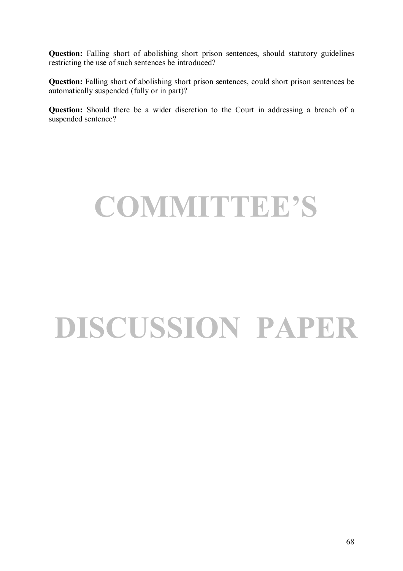**Question:** Falling short of abolishing short prison sentences, should statutory guidelines restricting the use of such sentences be introduced?

**Question:** Falling short of abolishing short prison sentences, could short prison sentences be automatically suspended (fully or in part)?

**Question:** Should there be a wider discretion to the Court in addressing a breach of a suspended sentence?

### **COMMITTEEíS**

# **DISCUSSION PAPER**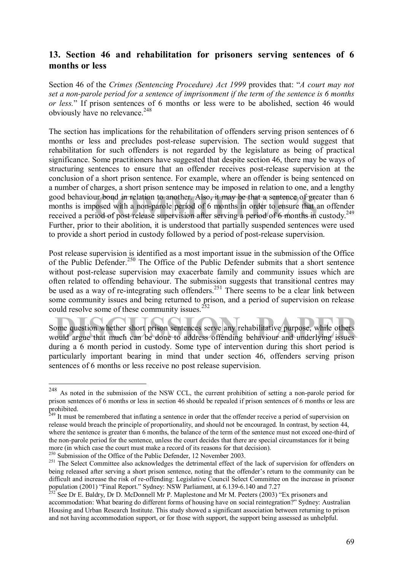### **13. Section 46 and rehabilitation for prisoners serving sentences of 6 months or less**

Section 46 of the *Crimes (Sentencing Procedure) Act 1999* provides that: "A court may not *set a non-parole period for a sentence of imprisonment if the term of the sentence is 6 months or less.*î If prison sentences of 6 months or less were to be abolished, section 46 would obviously have no relevance.<sup>248</sup>

good behaviour bond in relation to another. Also, it may be that a sentence of greater than 6 months is imposed with a non-parole period of 6 months in order to ensure that an offender received a period of post release sup The section has implications for the rehabilitation of offenders serving prison sentences of 6 months or less and precludes post-release supervision. The section would suggest that rehabilitation for such offenders is not regarded by the legislature as being of practical significance. Some practitioners have suggested that despite section 46, there may be ways of structuring sentences to ensure that an offender receives post-release supervision at the conclusion of a short prison sentence. For example, where an offender is being sentenced on a number of charges, a short prison sentence may be imposed in relation to one, and a lengthy good behaviour bond in relation to another. Also, it may be that a sentence of greater than 6 months is imposed with a non-parole period of 6 months in order to ensure that an offender Further, prior to their abolition, it is understood that partially suspended sentences were used to provide a short period in custody followed by a period of post-release supervision.

Post release supervision is identified as a most important issue in the submission of the Office of the Public Defender.<sup>250</sup> The Office of the Public Defender submits that a short sentence without post-release supervision may exacerbate family and community issues which are often related to offending behaviour. The submission suggests that transitional centres may be used as a way of re-integrating such offenders.<sup>251</sup> There seems to be a clear link between some community issues and being returned to prison, and a period of supervision on release could resolve some of these community issues.<sup>252</sup>

ome question whether short prison sentences serve any rehabilitative purpose, while others ould argue that much can be done to address offending behaviour and underlying issues Some question whether short prison sentences serve any rehabilitative purpose, while others would argue that much can be done to address offending behaviour and underlying issues during a 6 month period in custody. Some type of intervention during this short period is particularly important bearing in mind that under section 46, offenders serving prison sentences of 6 months or less receive no post release supervision.

<sup>248</sup> As noted in the submission of the NSW CCL, the current prohibition of setting a non-parole period for prison sentences of 6 months or less in section 46 should be repealed if prison sentences of 6 months or less are prohibited.

<sup>&</sup>lt;sup>249</sup> It must be remembered that inflating a sentence in order that the offender receive a period of supervision on release would breach the principle of proportionality, and should not be encouraged. In contrast, by section 44, where the sentence is greater than 6 months, the balance of the term of the sentence must not exceed one-third of the non-parole period for the sentence, unless the court decides that there are special circumstances for it being more (in which case the court must make a record of its reasons for that decision).<br><sup>250</sup> Submission of the Office of the Public Defender, 12 November 2003.

<sup>&</sup>lt;sup>251</sup> The Select Committee also acknowledges the detrimental effect of the lack of supervision for offenders on being released after serving a short prison sentence, noting that the offender's return to the community can be difficult and increase the risk of re-offending: Legislative Council Select Committee on the increase in prisoner population (2001) "Final Report." Sydney: NSW Parliament, at 6.139-6.140 and 7.27

See Dr E. Baldry, Dr D. McDonnell Mr P. Maplestone and Mr M. Peeters (2003) "Ex prisoners and accommodation: What bearing do different forms of housing have on social reintegration?" Sydney: Australian Housing and Urban Research Institute. This study showed a significant association between returning to prison and not having accommodation support, or for those with support, the support being assessed as unhelpful.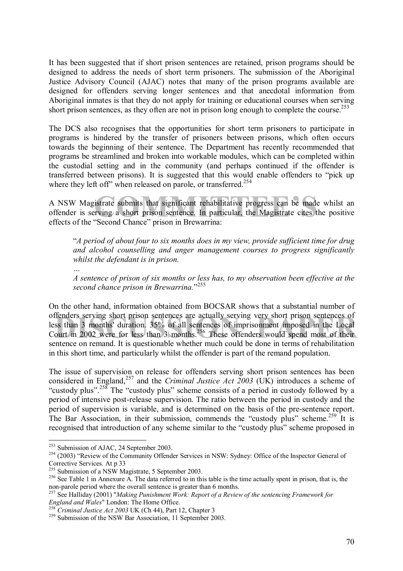It has been suggested that if short prison sentences are retained, prison programs should be designed to address the needs of short term prisoners. The submission of the Aboriginal Justice Advisory Council (AJAC) notes that many of the prison programs available are designed for offenders serving longer sentences and that anecdotal information from Aboriginal inmates is that they do not apply for training or educational courses when serving short prison sentences, as they often are not in prison long enough to complete the course.<sup>253</sup>

The DCS also recognises that the opportunities for short term prisoners to participate in programs is hindered by the transfer of prisoners between prisons, which often occurs towards the beginning of their sentence. The Department has recently recommended that programs be streamlined and broken into workable modules, which can be completed within the custodial setting and in the community (and perhaps continued if the offender is transferred between prisons). It is suggested that this would enable offenders to "pick up where they left off" when released on parole, or transferred.<sup>254</sup>

istrate submits that significant rehabilitative progress can be made v<br>rying a short prison sentence. In particular, the Magistrate cites the<br>"Second Chance" prison in Brewarrina: A NSW Magistrate submits that significant rehabilitative progress can be made whilst an offender is serving a short prison sentence. In particular, the Magistrate cites the positive effects of the "Second Chance" prison in Brewarrina:

ì*A period of about four to six months does in my view, provide sufficient time for drug and alcohol counselling and anger management courses to progress significantly whilst the defendant is in prison.* 

*A sentence of prison of six months or less has, to my observation been effective at the*  second chance prison in Brewarrina."<sup>255</sup>

offenders serving short prison sentences are actually serving very short prison sentences of<br>less than 3 months' duration. 35% of all sentences of imprisonment imposed in the Local<br>Court in 2002 were for less than 3 months On the other hand, information obtained from BOCSAR shows that a substantial number of offenders serving short prison sentences are actually serving very short prison sentences of less than 3 months' duration. 35% of all sentences of imprisonment imposed in the Local sentence on remand. It is questionable whether much could be done in terms of rehabilitation in this short time, and particularly whilst the offender is part of the remand population.

The issue of supervision on release for offenders serving short prison sentences has been considered in England,<sup>257</sup> and the *Criminal Justice Act* 2003 (UK) introduces a scheme of "custody plus".<sup>258</sup> The "custody plus" scheme consists of a period in custody followed by a period of intensive post-release supervision. The ratio between the period in custody and the period of supervision is variable, and is determined on the basis of the pre-sentence report. The Bar Association, in their submission, commends the "custody plus" scheme.<sup>259</sup> It is recognised that introduction of any scheme similar to the "custody plus" scheme proposed in

*Ö* 

<sup>&</sup>lt;sup>253</sup> Submission of AJAC, 24 September 2003.

<sup>&</sup>lt;sup>254</sup> (2003) "Review of the Community Offender Services in NSW: Sydney: Office of the Inspector General of Corrective Services. At p 33<br><sup>255</sup> Submission of a NSW Magistrate, 5 September 2003.

 $256$  See Table 1 in Annexure A. The data referred to in this table is the time actually spent in prison, that is, the non-parole period where the overall sentence is greater than 6 months.

<sup>&</sup>lt;sup>257</sup> See Halliday (2001) "*Making Punishment Work: Report of a Review of the sentencing Framework for England and Wales*" London: The Home Office.

<sup>&</sup>lt;sup>258</sup> *Criminal Justice Act 2003* UK (Ch 44), Part 12, Chapter 3 <sup>259</sup> Submission of the NSW Bar Association, 11 September 2003.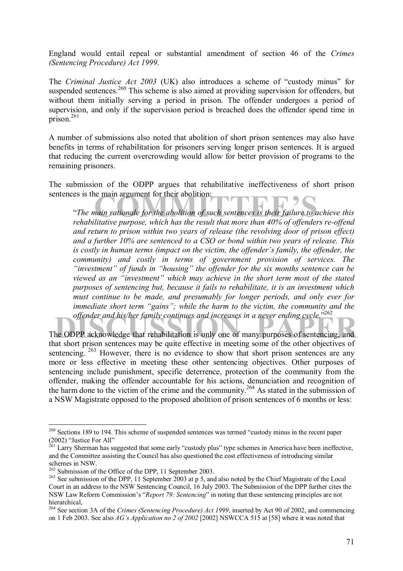England would entail repeal or substantial amendment of section 46 of the *Crimes (Sentencing Procedure) Act 1999*.

The *Criminal Justice Act 2003* (UK) also introduces a scheme of "custody minus" for suspended sentences.<sup>260</sup> This scheme is also aimed at providing supervision for offenders, but without them initially serving a period in prison. The offender undergoes a period of supervision, and only if the supervision period is breached does the offender spend time in prison. $261$ 

A number of submissions also noted that abolition of short prison sentences may also have benefits in terms of rehabilitation for prisoners serving longer prison sentences. It is argued that reducing the current overcrowding would allow for better provision of programs to the remaining prisoners.

The submission of the ODPP argues that rehabilitative ineffectiveness of short prison sentences is the main argument for their abolition:

is main argument for their abolition:<br> **Community** mixture for the abolition of such sentences is their failure to ack<br>
itative mixpose, which has the result that more than 40% of offenders <sup>*a*The main rationale for the abolition of such sentences is their failure to achieve this</sup> *rehabilitative purpose, which has the result that more than 40% of offenders re-offend and return to prison within two years of release (the revolving door of prison effect) and a further 10% are sentenced to a CSO or bond within two years of release. This is costly in human terms (impact on the victim, the offender's family, the offender, the community) and costly in terms of government provision of services. The <sup>2</sup>investment" of funds in "housing" the offender for the six months sentence can be* viewed as an "investment" which may achieve in the short term most of the stated *purposes of sentencing but, because it fails to rehabilitate, it is an investment which must continue to be made, and presumably for longer periods, and only ever for immediate short term "gains"; while the harm to the victim, the community and the* offender and his/her family continues and increases in a never ending cycle.<sup>5262</sup>

offender and his/her family continues and increases in a never ending cycle.<sup>3202</sup><br>The ODPP acknowledge that rehabilitation is only one of many purposes of sentencing, and<br>that short prison sontaneos may be quite offective that short prison sentences may be quite effective in meeting some of the other objectives of sentencing.  $263$  However, there is no evidence to show that short prison sentences are any more or less effective in meeting these other sentencing objectives. Other purposes of sentencing include punishment, specific deterrence, protection of the community from the offender, making the offender accountable for his actions, denunciation and recognition of the harm done to the victim of the crime and the community.<sup>264</sup> As stated in the submission of a NSW Magistrate opposed to the proposed abolition of prison sentences of 6 months or less:

 $260$  Sections 189 to 194. This scheme of suspended sentences was termed "custody minus in the recent paper  $(2002)$  "Justice For All"

<sup>&</sup>lt;sup>261</sup> Larry Sherman has suggested that some early "custody plus" type schemes in America have been ineffective, and the Committee assisting the Council has also questioned the cost effectiveness of introducing similar schemes in NSW.<br><sup>262</sup> Submission of the Office of the DPP, 11 September 2003.

<sup>&</sup>lt;sup>263</sup> See submission of the DPP, 11 September 2003 at p 5, and also noted by the Chief Magistrate of the Local Court in an address to the NSW Sentencing Council, 16 July 2003. The Submission of the DPP further cites the NSW Law Reform Commission's "*Report 79: Sentencing*" in noting that these sentencing principles are not hierarchical,

<sup>264</sup> See section 3A of the *Crimes (Sentencing Procedure) Act 1999*, inserted by Act 90 of 2002, and commencing on 1 Feb 2003. See also *AGís Application no 2 of 2002* [2002] NSWCCA 515 at [58] where it was noted that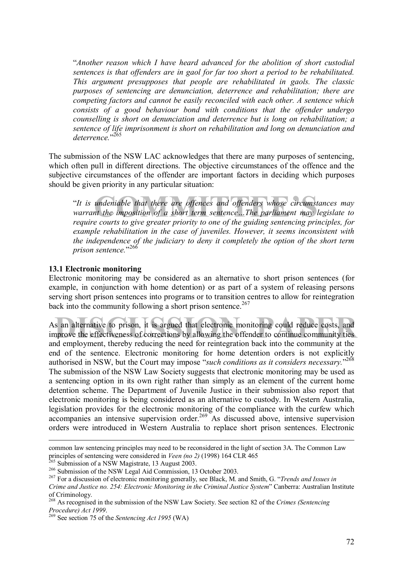ì*Another reason which I have heard advanced for the abolition of short custodial sentences is that offenders are in gaol for far too short a period to be rehabilitated. This argument presupposes that people are rehabilitated in gaols. The classic purposes of sentencing are denunciation, deterrence and rehabilitation; there are competing factors and cannot be easily reconciled with each other. A sentence which consists of a good behaviour bond with conditions that the offender undergo counselling is short on denunciation and deterrence but is long on rehabilitation; a sentence of life imprisonment is short on rehabilitation and long on denunciation and*  deterrence."<sup>265</sup>

The submission of the NSW LAC acknowledges that there are many purposes of sentencing, which often pull in different directions. The objective circumstances of the offence and the subjective circumstances of the offender are important factors in deciding which purposes should be given priority in any particular situation:

andeniable that there are offences and offenders whose circumstan<br>it the imposition of a short term sentence...The parliament may leg ì*It is undeniable that there are offences and offenders whose circumstances may warrant the imposition of a short term sentence*...The *parliament may legislate to require courts to give greater priority to one of the guiding sentencing principles, for example rehabilitation in the case of juveniles. However, it seems inconsistent with the independence of the judiciary to deny it completely the option of the short term*  prison sentence.<sup>3266</sup>

#### **13.1 Electronic monitoring**

Electronic monitoring may be considered as an alternative to short prison sentences (for example, in conjunction with home detention) or as part of a system of releasing persons serving short prison sentences into programs or to transition centres to allow for reintegration back into the community following a short prison sentence.<sup>267</sup>

In alternative to prison, it is argued that electronic monitoring could reduce costs, and<br>nprove the effectiveness of corrections by allowing the offender to continue community ties As an alternative to prison, it is argued that electronic monitoring could reduce costs, and improve the effectiveness of corrections by allowing the offender to continue community ties and employment, thereby reducing the need for reintegration back into the community at the end of the sentence. Electronic monitoring for home detention orders is not explicitly authorised in NSW, but the Court may impose "such conditions as it considers necessary."<sup>268</sup> The submission of the NSW Law Society suggests that electronic monitoring may be used as a sentencing option in its own right rather than simply as an element of the current home detention scheme. The Department of Juvenile Justice in their submission also report that electronic monitoring is being considered as an alternative to custody. In Western Australia, legislation provides for the electronic monitoring of the compliance with the curfew which accompanies an intensive supervision order.<sup>269</sup> As discussed above, intensive supervision orders were introduced in Western Australia to replace short prison sentences. Electronic

common law sentencing principles may need to be reconsidered in the light of section 3A. The Common Law principles of sentencing were considered in *Veen (no 2)* (1998) 164 CLR 465<br><sup>265</sup> Submission of a NSW Magistrate, 13 August 2003.<br><sup>266</sup> Submission of the NSW Legal Aid Commission, 13 October 2003.<br><sup>267</sup> For a discussion

*Crime and Justice no. 254: Electronic Monitoring in the Criminal Justice System*î Canberra: Australian Institute of Criminology.

<sup>268</sup> As recognised in the submission of the NSW Law Society. See section 82 of the *Crimes (Sentencing Procedure) Act 1999.*<br><sup>269</sup> See section 75 of the *Sentencing Act 1995* (WA)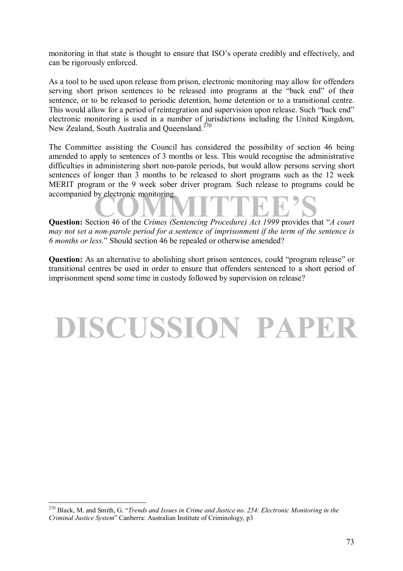monitoring in that state is thought to ensure that ISO's operate credibly and effectively, and can be rigorously enforced.

As a tool to be used upon release from prison, electronic monitoring may allow for offenders serving short prison sentences to be released into programs at the "back end" of their sentence, or to be released to periodic detention, home detention or to a transitional centre. This would allow for a period of reintegration and supervision upon release. Such "back end" electronic monitoring is used in a number of jurisdictions including the United Kingdom, New Zealand, South Australia and Queensland.<sup>270</sup>

The Committee assisting the Council has considered the possibility of section 46 being amended to apply to sentences of 3 months or less. This would recognise the administrative difficulties in administering short non-parole periods, but would allow persons serving short sentences of longer than 3 months to be released to short programs such as the 12 week MERIT program or the 9 week sober driver program. Such release to programs could be accompanied by electronic monitoring.

**COMMITTEE 18 ACCOMMING ACCOMMING ACCOMMING ACCOMMING ACCOUNT**<br> **Question:** Section 46 of the *Crimes (Sentencing Procedure) Act 1999* provides that *<sup><i>A*</sup> court *may not set a non-parole period for a sentence of imprisonment if the term of the sentence is 6 months or less.*î Should section 46 be repealed or otherwise amended?

**Question:** As an alternative to abolishing short prison sentences, could "program release" or transitional centres be used in order to ensure that offenders sentenced to a short period of imprisonment spend some time in custody followed by supervision on release?

# **DISCUSSION PAPER**

<sup>&</sup>lt;sup>270</sup> Black, M. and Smith, G. "Trends and Issues in Crime and Justice no. 254: Electronic Monitoring in the *Criminal Justice System*î Canberra: Australian Institute of Criminology, p3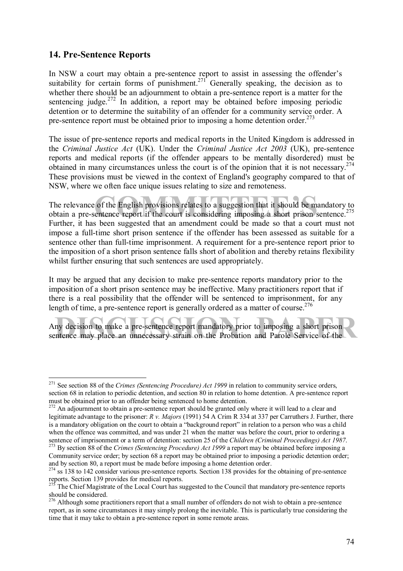# **14. Pre-Sentence Reports**

 $\overline{a}$ 

In NSW a court may obtain a pre-sentence report to assist in assessing the offender's suitability for certain forms of punishment.<sup>271</sup> Generally speaking, the decision as to whether there should be an adjournment to obtain a pre-sentence report is a matter for the sentencing judge.<sup>272</sup> In addition, a report may be obtained before imposing periodic detention or to determine the suitability of an offender for a community service order. A pre-sentence report must be obtained prior to imposing a home detention order.<sup>273</sup>

The issue of pre-sentence reports and medical reports in the United Kingdom is addressed in the *Criminal Justice Act* (UK). Under the *Criminal Justice Act 2003* (UK), pre-sentence reports and medical reports (if the offender appears to be mentally disordered) must be obtained in many circumstances unless the court is of the opinion that it is not necessary.<sup>274</sup> These provisions must be viewed in the context of England's geography compared to that of NSW, where we often face unique issues relating to size and remoteness.

of the English provisions relates to a suggestion that it should be mandened report if the court is considering imposing a short prison ser The relevance of the English provisions relates to a suggestion that it should be mandatory to obtain a pre-sentence report if the court is considering imposing a short prison sentence.<sup>275</sup> Further, it has been suggested that an amendment could be made so that a court must not impose a full-time short prison sentence if the offender has been assessed as suitable for a sentence other than full-time imprisonment. A requirement for a pre-sentence report prior to the imposition of a short prison sentence falls short of abolition and thereby retains flexibility whilst further ensuring that such sentences are used appropriately.

It may be argued that any decision to make pre-sentence reports mandatory prior to the imposition of a short prison sentence may be ineffective. Many practitioners report that if there is a real possibility that the offender will be sentenced to imprisonment, for any length of time, a pre-sentence report is generally ordered as a matter of course.<sup>276</sup>

In the make a pre-sentence report mandatory prior to imposing a short prison<br>Antence may place an unnecessary strain on the Probation and Parole Service of the Any decision to make a pre-sentence report mandatory prior to imposing a short prison sentence may place an unnecessary strain on the Probation and Parole Service of the

<sup>&</sup>lt;sup>271</sup> See section 88 of the *Crimes (Sentencing Procedure) Act 1999* in relation to community service orders, section 68 in relation to periodic detention, and section 80 in relation to home detention. A pre-sentence report must be obtained prior to an offender being sentenced to home detention.

<sup>&</sup>lt;sup>272</sup> An adjournment to obtain a pre-sentence report should be granted only where it will lead to a clear and legitimate advantage to the prisoner: *R v. Majors* (1991) 54 A Crim R 334 at 337 per Carruthers J. Further, there is a mandatory obligation on the court to obtain a "background report" in relation to a person who was a child when the offence was committed, and was under 21 when the matter was before the court, prior to ordering a sentence of imprisonment or a term of detention: section 25 of the Children (Criminal Proceedings) Act 1987.<br><sup>273</sup> By section 88 of the Crimes (Sentencing Procedure) Act 1999 a report may be obtained before imposing a

Community service order; by section 68 a report may be obtained prior to imposing a periodic detention order; and by section 80, a report must be made before imposing a home detention order.

 $274$  ss 138 to 142 consider various pre-sentence reports. Section 138 provides for the obtaining of pre-sentence reports. Section 139 provides for medical reports.

The Chief Magistrate of the Local Court has suggested to the Council that mandatory pre-sentence reports should be considered.

<sup>&</sup>lt;sup>276</sup> Although some practitioners report that a small number of offenders do not wish to obtain a pre-sentence report, as in some circumstances it may simply prolong the inevitable. This is particularly true considering the time that it may take to obtain a pre-sentence report in some remote areas.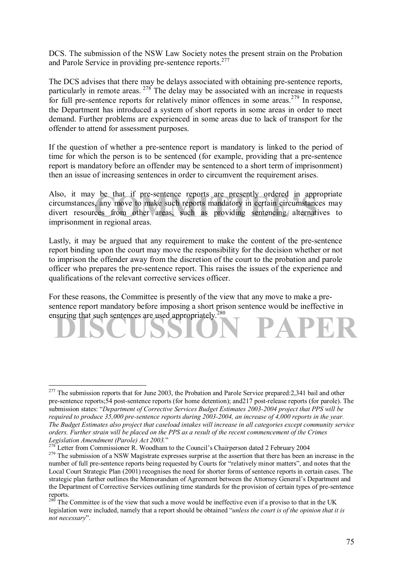DCS. The submission of the NSW Law Society notes the present strain on the Probation and Parole Service in providing pre-sentence reports.<sup>277</sup>

The DCS advises that there may be delays associated with obtaining pre-sentence reports, particularly in remote areas.  $278$  The delay may be associated with an increase in requests for full pre-sentence reports for relatively minor offences in some areas.<sup>279</sup> In response, the Department has introduced a system of short reports in some areas in order to meet demand. Further problems are experienced in some areas due to lack of transport for the offender to attend for assessment purposes.

If the question of whether a pre-sentence report is mandatory is linked to the period of time for which the person is to be sentenced (for example, providing that a pre-sentence report is mandatory before an offender may be sentenced to a short term of imprisonment) then an issue of increasing sentences in order to circumvent the requirement arises.

be that if pre-sentence reports are presently ordered in approp<br>, any move to make such reports mandatory in certain circumstances<br>ces from other areas, such as providing sentencing alternative<br>in regional areas Also, it may be that if pre-sentence reports are presently ordered in appropriate circumstances, any move to make such reports mandatory in certain circumstances may divert resources from other areas, such as providing sentencing alternatives to imprisonment in regional areas.

Lastly, it may be argued that any requirement to make the content of the pre-sentence report binding upon the court may move the responsibility for the decision whether or not to imprison the offender away from the discretion of the court to the probation and parole officer who prepares the pre-sentence report. This raises the issues of the experience and qualifications of the relevant corrective services officer.

ensuring that such sentences are used appropriately.<sup>280</sup> For these reasons, the Committee is presently of the view that any move to make a presentence report mandatory before imposing a short prison sentence would be ineffective in

 $^{277}$  The submission reports that for June 2003, the Probation and Parole Service prepared: 2,341 bail and other pre-sentence reports;54 post-sentence reports (for home detention); and217 post-release reports (for parole). The submission states: "Department of Corrective Services Budget Estimates 2003-2004 project that PPS will be *required to produce 35,000 pre-sentence reports during 2003-2004, an increase of 4,000 reports in the year. The Budget Estimates also project that caseload intakes will increase in all categories except community service orders. Further strain will be placed on the PPS as a result of the recent commencement of the Crimes Legislation Amendment (Parole) Act 2003.*"<br><sup>278</sup> Letter from Canceliasi

<sup>&</sup>lt;sup>278</sup> Letter from Commissioner R. Woodham to the Council's Chairperson dated 2 February 2004<br><sup>279</sup> The submission of a NSW Magistrate expresses surprise at the assertion that there has been an increase in the number of full pre-sentence reports being requested by Courts for "relatively minor matters", and notes that the Local Court Strategic Plan (2001) recognises the need for shorter forms of sentence reports in certain cases. The strategic plan further outlines the Memorandum of Agreement between the Attorney General's Department and the Department of Corrective Services outlining time standards for the provision of certain types of pre-sentence reports.

 $280$  The Committee is of the view that such a move would be ineffective even if a proviso to that in the UK legislation were included, namely that a report should be obtained *<sup><i>'unless the court is of the opinion that it is*</sup> *not necessary*î.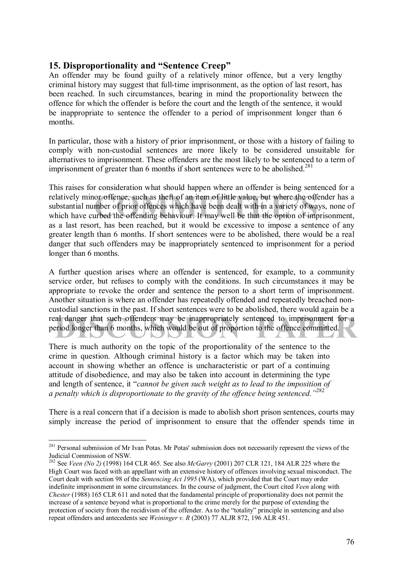# **15. Disproportionality and "Sentence Creep"**

An offender may be found guilty of a relatively minor offence, but a very lengthy criminal history may suggest that full-time imprisonment, as the option of last resort, has been reached. In such circumstances, bearing in mind the proportionality between the offence for which the offender is before the court and the length of the sentence, it would be inappropriate to sentence the offender to a period of imprisonment longer than 6 months.

In particular, those with a history of prior imprisonment, or those with a history of failing to comply with non-custodial sentences are more likely to be considered unsuitable for alternatives to imprisonment. These offenders are the most likely to be sentenced to a term of imprisonment of greater than 6 months if short sentences were to be abolished.<sup>281</sup>

or offence, such as theft of an item of little value, but where the offen<br>mber of prior offences which have been dealt with in a variety of ways<br>urbed the offending behaviour. It may well be that the option of impri This raises for consideration what should happen where an offender is being sentenced for a relatively minor offence, such as theft of an item of little value, but where the offender has a substantial number of prior offences which have been dealt with in a variety of ways, none of which have curbed the offending behaviour. It may well be that the option of imprisonment, as a last resort, has been reached, but it would be excessive to impose a sentence of any greater length than 6 months. If short sentences were to be abolished, there would be a real danger that such offenders may be inappropriately sentenced to imprisonment for a period longer than 6 months.

al danger that such offenders may be inappropriately sentenced to imprisonment for a period longer than 6 months, which would be out of proportion to the offence committed. A further question arises where an offender is sentenced, for example, to a community service order, but refuses to comply with the conditions. In such circumstances it may be appropriate to revoke the order and sentence the person to a short term of imprisonment. Another situation is where an offender has repeatedly offended and repeatedly breached noncustodial sanctions in the past. If short sentences were to be abolished, there would again be a real danger that such offenders may be inappropriately sentenced to imprisonment for a period longer than 6 months, which would be out of proportion to the offence committed.

There is much authority on the topic of the proportionality of the sentence to the crime in question. Although criminal history is a factor which may be taken into account in showing whether an offence is uncharacteristic or part of a continuing attitude of disobedience, and may also be taken into account in determining the type and length of sentence, it *"cannot be given such weight as to lead to the imposition of a penalty which is disproportionate to the gravity of the offence being sentenced.*<sup>3282</sup>

There is a real concern that if a decision is made to abolish short prison sentences, courts may simply increase the period of imprisonment to ensure that the offender spends time in

<sup>&</sup>lt;sup>281</sup> Personal submission of Mr Ivan Potas. Mr Potas' submission does not necessarily represent the views of the Judicial Commission of NSW.

<sup>282</sup> See *Veen (No 2)* (1998) 164 CLR 465. See also *McGarry* (2001) 207 CLR 121, 184 ALR 225 where the High Court was faced with an appellant with an extensive history of offences involving sexual misconduct. The Court dealt with section 98 of the *Sentencing Act 1995* (WA), which provided that the Court may order indefinite imprisonment in some circumstances. In the course of judgment, the Court cited *Veen* along with *Chester* (1988) 165 CLR 611 and noted that the fundamental principle of proportionality does not permit the increase of a sentence beyond what is proportional to the crime merely for the purpose of extending the protection of society from the recidivism of the offender. As to the "totality" principle in sentencing and also repeat offenders and antecedents see *Weininger v. R* (2003) 77 ALJR 872, 196 ALR 451.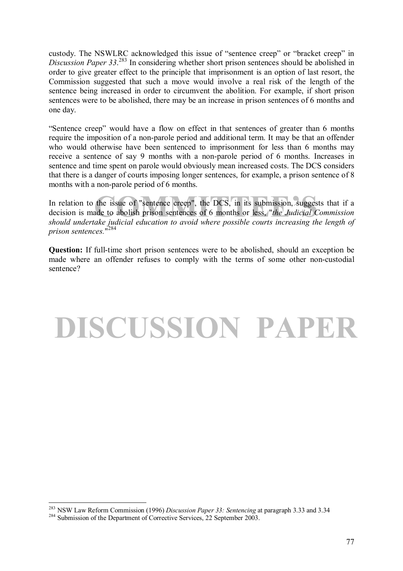custody. The NSWLRC acknowledged this issue of "sentence creep" or "bracket creep" in *Discussion Paper 33*. 283 In considering whether short prison sentences should be abolished in order to give greater effect to the principle that imprisonment is an option of last resort, the Commission suggested that such a move would involve a real risk of the length of the sentence being increased in order to circumvent the abolition. For example, if short prison sentences were to be abolished, there may be an increase in prison sentences of 6 months and one day.

ìSentence creepî would have a flow on effect in that sentences of greater than 6 months require the imposition of a non-parole period and additional term. It may be that an offender who would otherwise have been sentenced to imprisonment for less than 6 months may receive a sentence of say 9 months with a non-parole period of 6 months. Increases in sentence and time spent on parole would obviously mean increased costs. The DCS considers that there is a danger of courts imposing longer sentences, for example, a prison sentence of 8 months with a non-parole period of 6 months.

the issue of "sentence creep", the DCS, in its submission, suggests<br>ade to abolish prison sentences of 6 months or less, "*the Judicial Cor*<br>ake judicial education to avoid where possible courts increasing the In relation to the issue of "sentence creep", the DCS, in its submission, suggests that if a decision is made to abolish prison sentences of 6 months or less, "*the Judicial Commission should undertake judicial education to avoid where possible courts increasing the length of prison sentences.*" 284

**Question:** If full-time short prison sentences were to be abolished, should an exception be made where an offender refuses to comply with the terms of some other non-custodial sentence?

# **DISCUSSION PAPER**

 $\overline{a}$ <sup>283</sup> NSW Law Reform Commission (1996) *Discussion Paper 33: Sentencing* at paragraph 3.33 and 3.34 Submission of the Department of Corrective Services, 22 September 2003.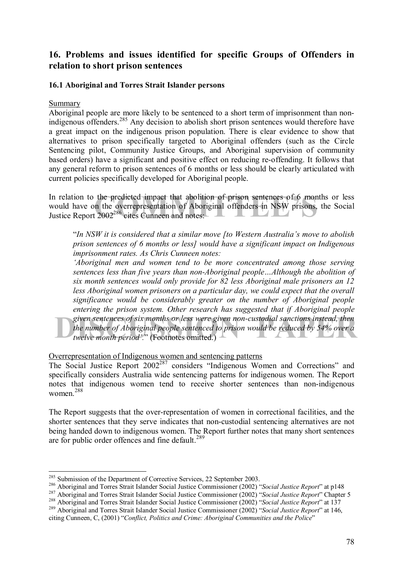# **16. Problems and issues identified for specific Groups of Offenders in relation to short prison sentences**

# **16.1 Aboriginal and Torres Strait Islander persons**

**Summary** 

Aboriginal people are more likely to be sentenced to a short term of imprisonment than nonindigenous offenders.285 Any decision to abolish short prison sentences would therefore have a great impact on the indigenous prison population. There is clear evidence to show that alternatives to prison specifically targeted to Aboriginal offenders (such as the Circle Sentencing pilot, Community Justice Groups, and Aboriginal supervision of community based orders) have a significant and positive effect on reducing re-offending. It follows that any general reform to prison sentences of 6 months or less should be clearly articulated with current policies specifically developed for Aboriginal people.

the predicted impact that abolition of prison sentences of 6 month<br>in the overrepresentation of Aboriginal offenders in NSW prisons, the<br>2002<sup>286</sup> eites Cunneen and notes: In relation to the predicted impact that abolition of prison sentences of 6 months or less would have on the overrepresentation of Aboriginal offenders in NSW prisons, the Social Justice Report 2002<sup>286</sup> cites Cunneen and notes:

<sup>*iIn NSW it is considered that a similar move [to Western Australia's move to abolish iin*</sup> *prison sentences of 6 months or less] would have a significant impact on Indigenous imprisonment rates. As Chris Cunneen notes:* 

given sentences of six months or less were given non-custodial sanctions instead, then<br>the number of Aboriginal people sentenced to prison would be reduced by 54% over a<br>twelve month period'." (Footnotes omitted.) *ëAboriginal men and women tend to be more concentrated among those serving sentences less than five years than non-Aboriginal people...Although the abolition of six month sentences would only provide for 82 less Aboriginal male prisoners an 12 less Aboriginal women prisoners on a particular day, we could expect that the overall significance would be considerably greater on the number of Aboriginal people entering the prison system. Other research has suggested that if Aboriginal people given sentences of six months or less were given non-custodial sanctions instead, then the number of Aboriginal people sentenced to prison would be reduced by 54% over a twelve month period*'.<sup>*n*</sup> (Footnotes omitted.)  $\rightarrow$ 

Overrepresentation of Indigenous women and sentencing patterns

The Social Justice Report  $2002^{287}$  considers "Indigenous Women and Corrections" and specifically considers Australia wide sentencing patterns for indigenous women. The Report notes that indigenous women tend to receive shorter sentences than non-indigenous women.288

The Report suggests that the over-representation of women in correctional facilities, and the shorter sentences that they serve indicates that non-custodial sentencing alternatives are not being handed down to indigenous women. The Report further notes that many short sentences are for public order offences and fine default.<sup>289</sup>

<sup>&</sup>lt;sup>285</sup> Submission of the Department of Corrective Services, 22 September 2003.

<sup>&</sup>lt;sup>286</sup> Aboriginal and Torres Strait Islander Social Justice Commissioner (2002) "Social Justice Report" at p148<br><sup>287</sup> Aboriginal and Torres Strait Islander Social Justice Commissioner (2002) "Social Justice Report" Chapter

citing Cunneen, C, (2001) *<sup><i>Conflict, Politics and Crime: Aboriginal Communities and the Police*<sup>*n*</sup></sup>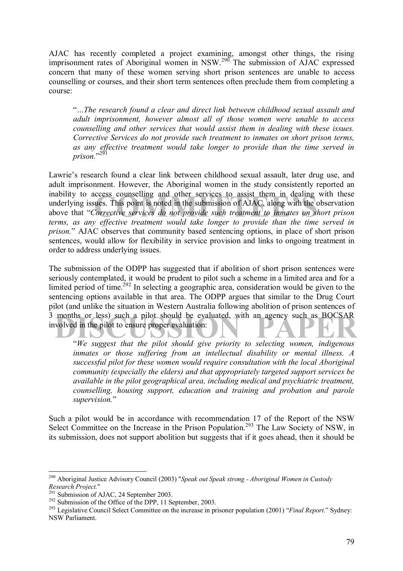AJAC has recently completed a project examining, amongst other things, the rising imprisonment rates of Aboriginal women in NSW.<sup>290</sup> The submission of AJAC expressed concern that many of these women serving short prison sentences are unable to access counselling or courses, and their short term sentences often preclude them from completing a course:

ì*ÖThe research found a clear and direct link between childhood sexual assault and adult imprisonment, however almost all of those women were unable to access counselling and other services that would assist them in dealing with these issues. Corrective Services do not provide such treatment to inmates on short prison terms, as any effective treatment would take longer to provide than the time served in*  prison."<sup>291</sup>

ccess counselling and other services to assist them in dealing wi<br>ues. This point is noted in the submission of AJAC, along with the obs<br>*Corrective services do not provide such treatment to inmates on shot*<br>*contective tr* Lawrie's research found a clear link between childhood sexual assault, later drug use, and adult imprisonment. However, the Aboriginal women in the study consistently reported an inability to access counselling and other services to assist them in dealing with these underlying issues. This point is noted in the submission of AJAC, along with the observation above that "Corrective services do not provide such treatment to inmates on short prison *terms, as any effective treatment would take longer to provide than the time served in prison.*î AJAC observes that community based sentencing options, in place of short prison sentences, would allow for flexibility in service provision and links to ongoing treatment in order to address underlying issues.

3 months or less) such a pilot should be evaluated, with an agency such as BOCSAR<br>involved in the pilot to ensure proper evaluation: The submission of the ODPP has suggested that if abolition of short prison sentences were seriously contemplated, it would be prudent to pilot such a scheme in a limited area and for a limited period of time.<sup>292</sup> In selecting a geographic area, consideration would be given to the sentencing options available in that area. The ODPP argues that similar to the Drug Court pilot (and unlike the situation in Western Australia following abolition of prison sentences of involved in the pilot to ensure proper evaluation:

ì*We suggest that the pilot should give priority to selecting women, indigenous inmates or those suffering from an intellectual disability or mental illness. A successful pilot for these women would require consultation with the local Aboriginal community (especially the elders) and that appropriately targeted support services be available in the pilot geographical area, including medical and psychiatric treatment, counselling, housing support, education and training and probation and parole*  supervision."

Such a pilot would be in accordance with recommendation 17 of the Report of the NSW Select Committee on the Increase in the Prison Population.<sup>293</sup> The Law Society of NSW, in its submission, does not support abolition but suggests that if it goes ahead, then it should be

<sup>290</sup> Aboriginal Justice Advisory Council (2003) "*Speak out Speak strong - Aboriginal Women in Custody*  Research Project."<br>
<sup>291</sup> Submission of AJAC, 24 September 2003.<br>
<sup>292</sup> Submission of the Office of the DPP, 11 September, 2003.<br>
<sup>293</sup> Legislative Council Select Committee on the increase in prisoner population (2001) "*F* 

NSW Parliament.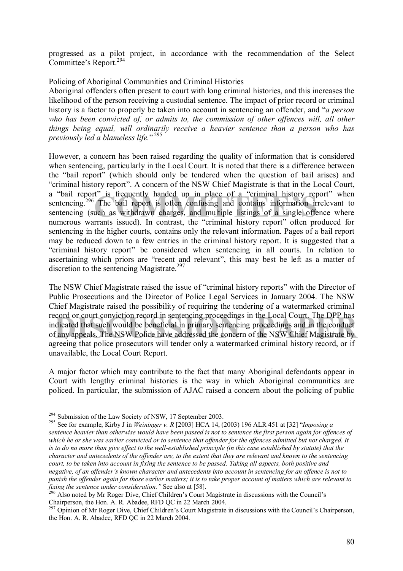progressed as a pilot project, in accordance with the recommendation of the Select Committee's Report.<sup>294</sup>

# Policing of Aboriginal Communities and Criminal Histories

Aboriginal offenders often present to court with long criminal histories, and this increases the likelihood of the person receiving a custodial sentence. The impact of prior record or criminal history is a factor to properly be taken into account in sentencing an offender, and *<sup><i>a*</sup> person who has been convicted of, or admits to, the commission of other offences will, all other *things being equal, will ordinarily receive a heavier sentence than a person who has*  previously led a blameless life."<sup>295</sup>

t" is frequently handed up in place of a "criminal history report<br>The bail report is often confusing and contains information irrel<br>uch as withdrawn charges, and multiple listings of a single offence<br>rrants issued). In con However, a concern has been raised regarding the quality of information that is considered when sentencing, particularly in the Local Court. It is noted that there is a difference between the "bail report" (which should only be tendered when the question of bail arises) and "criminal history report". A concern of the NSW Chief Magistrate is that in the Local Court, a "bail report" is frequently handed up in place of a "criminal history report" when sentencing.<sup>296</sup> The bail report is often confusing and contains information irrelevant to sentencing (such as withdrawn charges, and multiple listings of a single offence where numerous warrants issued). In contrast, the "criminal history report" often produced for sentencing in the higher courts, contains only the relevant information. Pages of a bail report may be reduced down to a few entries in the criminal history report. It is suggested that a "criminal history report" be considered when sentencing in all courts. In relation to ascertaining which priors are "recent and relevant", this may best be left as a matter of discretion to the sentencing Magistrate.<sup>297</sup>

record or court conviction record in sentencing proceedings in the Local Court. The DPP has<br>
indicated that such would be beneficial in primary sentencing proceedings and in the conduct<br>
of any appeals. The NSW Police have The NSW Chief Magistrate raised the issue of "criminal history reports" with the Director of Public Prosecutions and the Director of Police Legal Services in January 2004. The NSW Chief Magistrate raised the possibility of requiring the tendering of a watermarked criminal record or court conviction record in sentencing proceedings in the Local Court. The DPP has indicated that such would be beneficial in primary sentencing proceedings and in the conduct agreeing that police prosecutors will tender only a watermarked criminal history record, or if unavailable, the Local Court Report.

A major factor which may contribute to the fact that many Aboriginal defendants appear in Court with lengthy criminal histories is the way in which Aboriginal communities are policed. In particular, the submission of AJAC raised a concern about the policing of public

 $\overline{a}$ 

<sup>&</sup>lt;sup>294</sup> Submission of the Law Society of NSW, 17 September 2003.<br><sup>295</sup> See for example, Kirby J in *Weininger v. R* [2003] HCA 14, (2003) 196 ALR 451 at [32] *''Imposing a sentence heavier than otherwise would have been passed is not to sentence the first person again for offences of which he or she was earlier convicted or to sentence that offender for the offences admitted but not charged. It is to do no more than give effect to the well-established principle (in this case established by statute) that the character and antecedents of the offender are, to the extent that they are relevant and known to the sentencing court, to be taken into account in fixing the sentence to be passed. Taking all aspects, both positive and*  negative, of an offender's known character and antecedents into account in sentencing for an offence is not to *punish the offender again for those earlier matters; it is to take proper account of matters which are relevant to fixing the sentence under consideration.*<sup>7</sup> See also at [58].<br><sup>296</sup> Also noted by Mr Roger Dive, Chief Children<sup>'</sup>s Court Magistrate in discussions with the Council<sup>'</sup>s

Chairperson, the Hon. A. R. Abadee, RFD QC in 22 March 2004.

<sup>&</sup>lt;sup>297</sup> Opinion of Mr Roger Dive, Chief Children's Court Magistrate in discussions with the Council's Chairperson, the Hon. A. R. Abadee, RFD QC in 22 March 2004.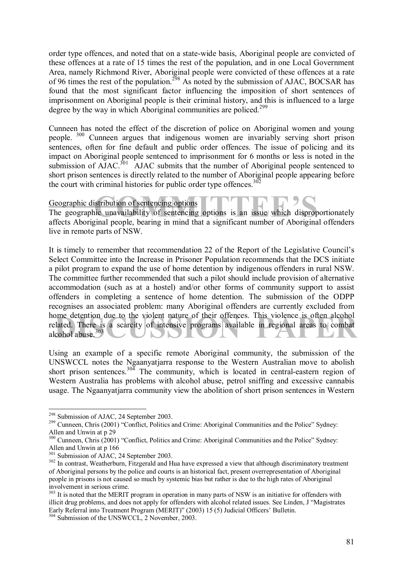order type offences, and noted that on a state-wide basis, Aboriginal people are convicted of these offences at a rate of 15 times the rest of the population, and in one Local Government Area, namely Richmond River, Aboriginal people were convicted of these offences at a rate of 96 times the rest of the population.<sup>298</sup> As noted by the submission of AJAC, BOCSAR has found that the most significant factor influencing the imposition of short sentences of imprisonment on Aboriginal people is their criminal history, and this is influenced to a large degree by the way in which Aboriginal communities are policed.<sup>299</sup>

Cunneen has noted the effect of the discretion of police on Aboriginal women and young people. 300 Cunneen argues that indigenous women are invariably serving short prison sentences, often for fine default and public order offences. The issue of policing and its impact on Aboriginal people sentenced to imprisonment for 6 months or less is noted in the submission of  $\tilde{A}$ JAC.<sup>301</sup> AJAC submits that the number of Aboriginal people sentenced to short prison sentences is directly related to the number of Aboriginal people appearing before the court with criminal histories for public order type offences. $302$ 

Geographic distribution of sentencing options

**COMMITTEE**<br> **COMMITTEE**<br> **COMMITTEE**<br> **COMMITTEE**<br> **COMMITTEE**<br> **COMMITTEE**<br> **COMMITTEE**<br> **COMMITTEE**<br> **COMMITTEE**<br> **COMMITTEE**<br> **COMMITTEE**<br> **COMMITTEE**<br> **COMMITTEEE**<br> **COMMITTEEEE**<br> **COMMITTEEEEEEEEEEEEEEEEEEEEEEEEEEEEE** The geographic unavailability of sentencing options is an issue which disproportionately affects Aboriginal people, bearing in mind that a significant number of Aboriginal offenders live in remote parts of NSW.

be detention due to the violent nature of their offences. This violence is often alcohol<br>lated. There is a scarcity of intensive programs available in regional areas to combat<br>cohol abuse.<sup>303</sup> It is timely to remember that recommendation 22 of the Report of the Legislative Council's Select Committee into the Increase in Prisoner Population recommends that the DCS initiate a pilot program to expand the use of home detention by indigenous offenders in rural NSW. The committee further recommended that such a pilot should include provision of alternative accommodation (such as at a hostel) and/or other forms of community support to assist offenders in completing a sentence of home detention. The submission of the ODPP recognises an associated problem: many Aboriginal offenders are currently excluded from home detention due to the violent nature of their offences. This violence is often alcohol related. There is a scarcity of intensive programs available in regional areas to combat alcohol abuse.303

Using an example of a specific remote Aboriginal community, the submission of the UNSWCCL notes the Ngaanyatjarra response to the Western Australian move to abolish short prison sentences.<sup>304</sup> The community, which is located in central-eastern region of Western Australia has problems with alcohol abuse, petrol sniffing and excessive cannabis usage. The Ngaanyatjarra community view the abolition of short prison sentences in Western

<sup>&</sup>lt;sup>298</sup> Submission of AJAC, 24 September 2003.<br><sup>299</sup> Cunneen, Chris (2001) "Conflict, Politics and Crime: Aboriginal Communities and the Police" Sydney: Allen and Unwin at p 29

<sup>&</sup>lt;sup>300</sup> Cunneen, Chris (2001) "Conflict, Politics and Crime: Aboriginal Communities and the Police" Sydney: Allen and Unwin at p 166<br><sup>301</sup> Submission of AJAC, 24 September 2003.

<sup>&</sup>lt;sup>302</sup> In contrast, Weatherburn, Fitzgerald and Hua have expressed a view that although discriminatory treatment of Aboriginal persons by the police and courts is an historical fact, present overrepresentation of Aboriginal people in prisons is not caused so much by systemic bias but rather is due to the high rates of Aboriginal involvement in serious crime.

<sup>&</sup>lt;sup>303</sup> It is noted that the MERIT program in operation in many parts of NSW is an initiative for offenders with illicit drug problems, and does not apply for offenders with alcohol related issues. See Linden, J "Magistrates Early Referral into Treatment Program (MERIT)" (2003) 15 (5) Judicial Officers' Bulletin.

<sup>&</sup>lt;sup>304</sup> Submission of the UNSWCCL, 2 November, 2003.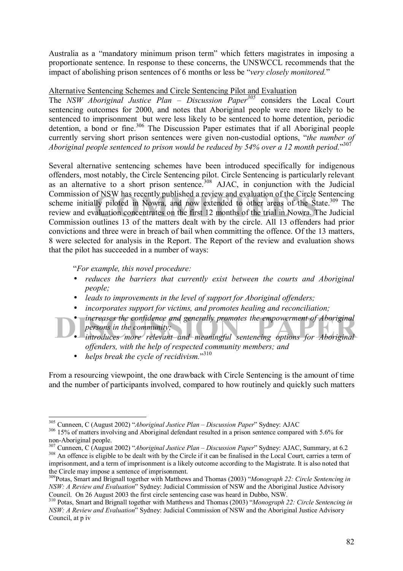Australia as a "mandatory minimum prison term" which fetters magistrates in imposing a proportionate sentence. In response to these concerns, the UNSWCCL recommends that the impact of abolishing prison sentences of 6 months or less be *"very closely monitored.*"

# Alternative Sentencing Schemes and Circle Sentencing Pilot and Evaluation

The *NSW Aboriginal Justice Plan – Discussion Paper<sup>305</sup>* considers the Local Court sentencing outcomes for 2000, and notes that Aboriginal people were more likely to be sentenced to imprisonment but were less likely to be sentenced to home detention, periodic detention, a bond or fine.<sup>306</sup> The Discussion Paper estimates that if all Aboriginal people currently serving short prison sentences were given non-custodial options, "*the number of* Aboriginal people sentenced to prison would be reduced by 54% over a 12 month period.<sup>3307</sup>

If NSW has recently published a review and evaluation of the Circle Se<br>Ily piloted in Nowra, and now extended to other areas of the State<br>aluation concentrates on the first 12 months of the trial in Nowra. The<br>putlines 13 Several alternative sentencing schemes have been introduced specifically for indigenous offenders, most notably, the Circle Sentencing pilot. Circle Sentencing is particularly relevant as an alternative to a short prison sentence.<sup>308</sup> AJAC, in conjunction with the Judicial Commission of NSW has recently published a review and evaluation of the Circle Sentencing scheme initially piloted in Nowra, and now extended to other areas of the State.<sup>309</sup> The review and evaluation concentrates on the first 12 months of the trial in Nowra. The Judicial Commission outlines 13 of the matters dealt with by the circle. All 13 offenders had prior convictions and three were in breach of bail when committing the offence. Of the 13 matters, 8 were selected for analysis in the Report. The Report of the review and evaluation shows that the pilot has succeeded in a number of ways:

ì*For example, this novel procedure:* 

- *reduces the barriers that currently exist between the courts and Aboriginal people;*
- *leads to improvements in the level of support for Aboriginal offenders;*
- *incorporates support for victims, and promotes healing and reconciliation;*
- *increases the confidence and generally promotes the empowerment of Aboriginal persons in the community;*<br>
introduces more relevant and meaningful sentencing options for Aboriginal • *increases the confidence and generally promotes the empowerment of Aboriginal persons in the community;* 
	- *offenders, with the help of respected community members; and*

• *helps break the cycle of recidivism.*"310

From a resourcing viewpoint, the one drawback with Circle Sentencing is the amount of time and the number of participants involved, compared to how routinely and quickly such matters

<sup>&</sup>lt;sup>305</sup> Cunneen, C (August 2002) "Aboriginal Justice Plan – Discussion Paper" Sydney: AJAC

<sup>&</sup>lt;sup>306</sup> 15% of matters involving and Aboriginal defendant resulted in a prison sentence compared with 5.6% for non-Aboriginal people.<br>
<sup>307</sup> Cunneen, C (August 2002) "*Aboriginal Justice Plan – Discussion Paper*" Sydney: AJAC, Summary, at 6.2

<sup>308</sup> An offence is eligible to be dealt with by the Circle if it can be finalised in the Local Court, carries a term of imprisonment, and a term of imprisonment is a likely outcome according to the Magistrate. It is also noted that the Circle may impose a sentence of imprisonment.

<sup>&</sup>lt;sup>309</sup>Potas, Smart and Brignall together with Matthews and Thomas (2003) *<sup><i>Alonograph 22: Circle Sentencing in*</sup> *NSW: A Review and Evaluation*<sup>7</sup> Sydney: Judicial Commission of NSW and the Aboriginal Justice Advisory<br>Council. On 26 August 2003 the first circle sentencing case was heard in Dubbo. NSW.

<sup>&</sup>lt;sup>310</sup> Potas, Smart and Brignall together with Matthews and Thomas (2003) *<sup><i>Monograph 22: Circle Sentencing in*</sup> *NSW: A Review and Evaluation*î Sydney: Judicial Commission of NSW and the Aboriginal Justice Advisory Council, at p iv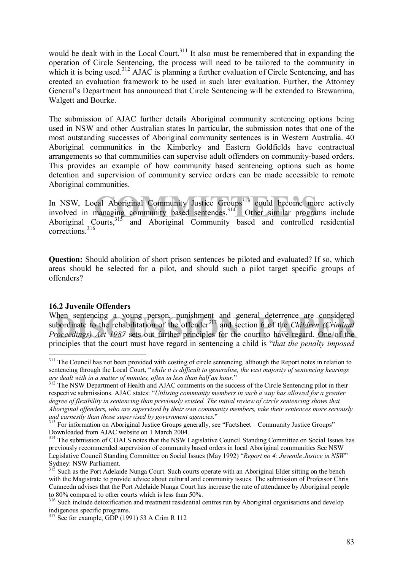would be dealt with in the Local Court.<sup>311</sup> It also must be remembered that in expanding the operation of Circle Sentencing, the process will need to be tailored to the community in which it is being used.<sup>312</sup> AJAC is planning a further evaluation of Circle Sentencing, and has created an evaluation framework to be used in such later evaluation. Further, the Attorney General's Department has announced that Circle Sentencing will be extended to Brewarrina, Walgett and Bourke.

The submission of AJAC further details Aboriginal community sentencing options being used in NSW and other Australian states In particular, the submission notes that one of the most outstanding successes of Aboriginal community sentences is in Western Australia. 40 Aboriginal communities in the Kimberley and Eastern Goldfields have contractual arrangements so that communities can supervise adult offenders on community-based orders. This provides an example of how community based sentencing options such as home detention and supervision of community service orders can be made accessible to remote Aboriginal communities.

cal Aboriginal Community Justice Groups<sup>313</sup> could become more<br>managing community based sentences.<sup>314</sup> Other similar programs In NSW, Local Aboriginal Community Justice Groups<sup>313</sup> could become more actively involved in managing community based sentences.<sup>314</sup> Other similar programs include Aboriginal Courts,<sup>315</sup> and Aboriginal Community based and controlled residential corrections.<sup>316</sup>

**Question:** Should abolition of short prison sentences be piloted and evaluated? If so, which areas should be selected for a pilot, and should such a pilot target specific groups of offenders?

# **16.2 Juvenile Offenders**

 $\overline{a}$ 

When sentencing a young person, punishment and general deterrence are considered<br>subordinate to the rehabilitation of the offender<sup>317</sup> and section 6 of the *Children (Criminal*<br>*Proceedings) Act 1987* sets out further pri subordinate to the rehabilitation of the offender<sup>317</sup> and section 6 of the *Children (Criminal Proceedings) Act 1987* sets out further principles for the court to have regard. One of the principles that the court must have regard in sentencing a child is *'that the penalty imposed* 

<sup>&</sup>lt;sup>311</sup> The Council has not been provided with costing of circle sentencing, although the Report notes in relation to sentencing through the Local Court, "while it is difficult to generalise, the vast majority of sentencing hearings are dealt with in a matter of minutes, often in less than half an hour.<sup>?</sup><br><sup>312</sup> The NSW Department of Health and AJAC comments on the success of the Circle Sentencing pilot in their

respective submissions. AJAC states: "Utilising community members in such a way has allowed for a greater *degree of flexibility in sentencing than previously existed. The initial review of circle sentencing shows that Aboriginal offenders, who are supervised by their own community members, take their sentences more seriously and earnestly than those supervised by government agencies.*<sup>2</sup><br><sup>313</sup> For information on Aboriginal Justice Groups generally, see "Factsheet – Community Justice Groups"

Downloaded from AJAC website on 1 March 2004.

<sup>&</sup>lt;sup>314</sup> The submission of COALS notes that the NSW Legislative Council Standing Committee on Social Issues has previously recommended supervision of community based orders in local Aboriginal communities See NSW Legislative Council Standing Committee on Social Issues (May 1992) "Report no 4: Juvenile Justice in NSW" Sydney: NSW Parliament.

<sup>&</sup>lt;sup>315</sup> Such as the Port Adelaide Nunga Court. Such courts operate with an Aboriginal Elder sitting on the bench with the Magistrate to provide advice about cultural and community issues. The submission of Professor Chris Cunneedn advises that the Port Adelaide Nunga Court has increase the rate of attendance by Aboriginal people to 80% compared to other courts which is less than 50%.

<sup>&</sup>lt;sup>316</sup> Such include detoxification and treatment residential centres run by Aboriginal organisations and develop indigenous specific programs.

 $317$  See for example, GDP (1991) 53 A Crim R 112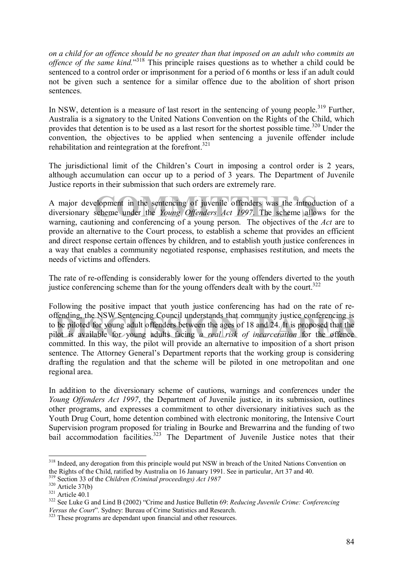*on a child for an offence should be no greater than that imposed on an adult who commits an*  offence of the same kind.<sup>318</sup> This principle raises questions as to whether a child could be sentenced to a control order or imprisonment for a period of 6 months or less if an adult could not be given such a sentence for a similar offence due to the abolition of short prison sentences.

In NSW, detention is a measure of last resort in the sentencing of young people.<sup>319</sup> Further, Australia is a signatory to the United Nations Convention on the Rights of the Child, which provides that detention is to be used as a last resort for the shortest possible time.<sup>320</sup> Under the convention, the objectives to be applied when sentencing a juvenile offender include rehabilitation and reintegration at the forefront.<sup>321</sup>

The jurisdictional limit of the Children's Court in imposing a control order is 2 years, although accumulation can occur up to a period of 3 years. The Department of Juvenile Justice reports in their submission that such orders are extremely rare.

elopment in the sentencing of juvenile offenders was the introduct<br>scheme under the Young Offenders Act 1997. The scheme allows<br>ioning and conferencing of a young person. The objectives of the 4 A major development in the sentencing of juvenile offenders was the introduction of a diversionary scheme under the *Young Offenders Act 1997*. The scheme allows for the warning, cautioning and conferencing of a young person. The objectives of the *Act* are to provide an alternative to the Court process, to establish a scheme that provides an efficient and direct response certain offences by children, and to establish youth justice conferences in a way that enables a community negotiated response, emphasises restitution, and meets the needs of victims and offenders.

The rate of re-offending is considerably lower for the young offenders diverted to the youth justice conferencing scheme than for the young offenders dealt with by the court.<sup>322</sup>

offending, the NSW Sentencing Council understands that community justice conferencing is<br>to be piloted for young adult offenders between the ages of 18 and 24. It is proposed that the<br>pilot is available for young adults fa Following the positive impact that youth justice conferencing has had on the rate of reoffending, the NSW Sentencing Council understands that community justice conferencing is to be piloted for young adult offenders between the ages of 18 and 24. It is proposed that the committed. In this way, the pilot will provide an alternative to imposition of a short prison sentence. The Attorney General's Department reports that the working group is considering drafting the regulation and that the scheme will be piloted in one metropolitan and one regional area.

In addition to the diversionary scheme of cautions, warnings and conferences under the *Young Offenders Act 1997*, the Department of Juvenile justice, in its submission, outlines other programs, and expresses a commitment to other diversionary initiatives such as the Youth Drug Court, home detention combined with electronic monitoring, the Intensive Court Supervision program proposed for trialing in Bourke and Brewarrina and the funding of two bail accommodation facilities.<sup>323</sup> The Department of Juvenile Justice notes that their

<sup>&</sup>lt;sup>318</sup> Indeed, any derogation from this principle would put NSW in breach of the United Nations Convention on the Rights of the Child, ratified by Australia on 16 January 1991. See in particular, Art 37 and 40.<br><sup>319</sup> Section 33 of the Children (Criminal proceedings) Act 1987

<sup>&</sup>lt;sup>320</sup> Article 37(b)<br><sup>321</sup> Article 40.1<br><sup>322</sup> See Luke G and Lind B (2002) "Crime and Justice Bulletin 69: *Reducing Juvenile Crime: Conferencing*<br>*Versus the Court*". Sydney: Bureau of Crime Statistics and Research.

<sup>&</sup>lt;sup>323</sup> These programs are dependant upon financial and other resources.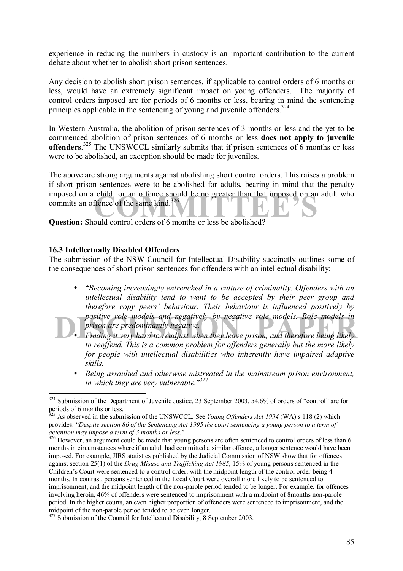experience in reducing the numbers in custody is an important contribution to the current debate about whether to abolish short prison sentences.

Any decision to abolish short prison sentences, if applicable to control orders of 6 months or less, would have an extremely significant impact on young offenders. The majority of control orders imposed are for periods of 6 months or less, bearing in mind the sentencing principles applicable in the sentencing of young and juvenile offenders.<sup>324</sup>

In Western Australia, the abolition of prison sentences of 3 months or less and the yet to be commenced abolition of prison sentences of 6 months or less **does not apply to juvenile offenders.**<sup>325</sup> The UNSWCCL similarly submits that if prison sentences of 6 months or less were to be abolished, an exception should be made for juveniles.

imposed on a child for an offence should be no greater than that imposed on an adult who<br>commits an offence of the same kind.<sup>326</sup><br>Question: Should control orders of 6 months or less be abolished? The above are strong arguments against abolishing short control orders. This raises a problem if short prison sentences were to be abolished for adults, bearing in mind that the penalty commits an offence of the same kind.<sup>326</sup>

**Question:** Should control orders of 6 months or less be abolished?

#### **16.3 Intellectually Disabled Offenders**

The submission of the NSW Council for Intellectual Disability succinctly outlines some of the consequences of short prison sentences for offenders with an intellectual disability:

- **DESPEND FINDING PAPER FINDING PAPER FINDING POSITIVE THE PROPRIME TO A PRIME THE PROPRIME PROPRIME TO A PRIME PRI<br><b>Finding it very hard to readjust** when they leave prison, and therefore being likely **Finding** it very har • ì*Becoming increasingly entrenched in a culture of criminality. Offenders with an intellectual disability tend to want to be accepted by their peer group and therefore copy peersí behaviour. Their behaviour is influenced positively by positive role models and negatively by negative role models. Role models in prison are predominantly negative.* 
	- *to reoffend. This is a common problem for offenders generally but the more likely for people with intellectual disabilities who inherently have impaired adaptive skills.*
	- *Being assaulted and otherwise mistreated in the mainstream prison environment,*  in which they are very vulnerable.<sup>"327</sup>

 $\overline{a}$ <sup>324</sup> Submission of the Department of Juvenile Justice, 23 September 2003. 54.6% of orders of "control" are for periods of 6 months or less.

<sup>&</sup>lt;sup>325</sup> As observed in the submission of the UNSWCCL. See *Young Offenders Act 1994* (WA) s 118 (2) which provides: "Despite section 86 of the Sentencing Act 1995 the court sentencing a young person to a term of detention may impose a term of 3 months or less."

<sup>&</sup>lt;sup>326</sup> However, an argument could be made that young persons are often sentenced to control orders of less than 6 months in circumstances where if an adult had committed a similar offence, a longer sentence would have been imposed. For example, JIRS statistics published by the Judicial Commission of NSW show that for offences against section 25(1) of the *Drug Misuse and Trafficking Act 1985*, 15% of young persons sentenced in the Children's Court were sentenced to a control order, with the midpoint length of the control order being 4 months. In contrast, persons sentenced in the Local Court were overall more likely to be sentenced to imprisonment, and the midpoint length of the non-parole period tended to be longer. For example, for offences involving heroin, 46% of offenders were sentenced to imprisonment with a midpoint of 8months non-parole period. In the higher courts, an even higher proportion of offenders were sentenced to imprisonment, and the midpoint of the non-parole period tended to be even longer.

<sup>&</sup>lt;sup>327</sup> Submission of the Council for Intellectual Disability, 8 September 2003.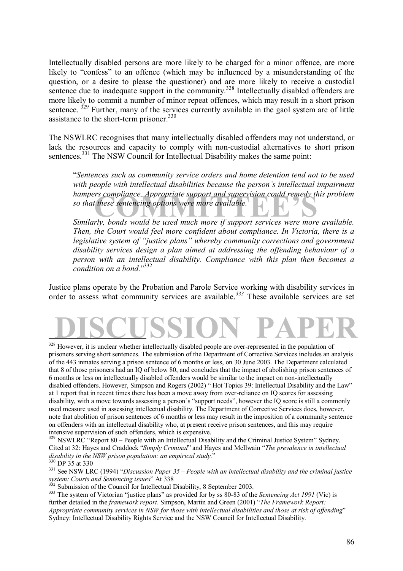Intellectually disabled persons are more likely to be charged for a minor offence, are more likely to "confess" to an offence (which may be influenced by a misunderstanding of the question, or a desire to please the questioner) and are more likely to receive a custodial sentence due to inadequate support in the community.<sup>328</sup> Intellectually disabled offenders are more likely to commit a number of minor repeat offences, which may result in a short prison sentence.  $329$  Further, many of the services currently available in the gaol system are of little assistance to the short-term prisoner. $330$ 

The NSWLRC recognises that many intellectually disabled offenders may not understand, or lack the resources and capacity to comply with non-custodial alternatives to short prison sentences.<sup>331</sup> The NSW Council for Intellectual Disability makes the same point:

hampers compliance. Appropriate support and supervision could remedy this problem<br>so that these sentencing options were more available.<br>Similarly, bonds would be used much more if support services were more available. ì*Sentences such as community service orders and home detention tend not to be used*  with people with intellectual disabilities because the person's intellectual impairment *hampers compliance. Appropriate support and supervision could remedy this problem so that these sentencing options were more available.* 

*Then, the Court would feel more confident about compliance. In Victoria, there is a legislative system of "justice plans" whereby community corrections and government disability services design a plan aimed at addressing the offending behaviour of a person with an intellectual disability. Compliance with this plan then becomes a*  condition on a bond."<sup>332</sup>

Justice plans operate by the Probation and Parole Service working with disability services in order to assess what community services are available.*<sup>333</sup>* These available services are set

# **DISCUSSION PAPER**  $\overline{a}$

<sup>328</sup> However, it is unclear whether intellectually disabled people are over-represented in the population of prisoners serving short sentences. The submission of the Department of Corrective Services includes an analysis of the 443 inmates serving a prison sentence of 6 months or less, on 30 June 2003. The Department calculated that 8 of those prisoners had an IQ of below 80, and concludes that the impact of abolishing prison sentences of 6 months or less on intellectually disabled offenders would be similar to the impact on non-intellectually disabled offenders. However, Simpson and Rogers (2002) "Hot Topics 39: Intellectual Disability and the Law" at 1 report that in recent times there has been a move away from over-reliance on IQ scores for assessing disability, with a move towards assessing a person's "support needs", however the IQ score is still a commonly used measure used in assessing intellectual disability. The Department of Corrective Services does, however, note that abolition of prison sentences of 6 months or less may result in the imposition of a community sentence on offenders with an intellectual disability who, at present receive prison sentences, and this may require intensive supervision of such offenders, which is expensive.

 $329$  NSWLRC "Report 80 – People with an Intellectual Disability and the Criminal Justice System" Sydney. Cited at 32: Hayes and Craddock "Simply Criminal" and Hayes and McIlwain "The prevalence in intellectual disability in the NSW prison population: an empirical study."

further detailed in the *framework report*. Simpson, Martin and Green (2001) *'The Framework Report: Appropriate community services in NSW for those with intellectual disabilities and those at risk of offending*î Sydney: Intellectual Disability Rights Service and the NSW Council for Intellectual Disability.

<sup>&</sup>lt;sup>330</sup> DP 35 at 330<br><sup>331</sup> See NSW LRC (1994) *''Discussion Paper 35 – People with an intellectual disability and the criminal justice* system: Courts and Sentencing issues" At 338<br><sup>332</sup> Submission of the Council for Intellectual Disability, 8 September 2003.<br><sup>333</sup> The system of Victorian "justice plans" as provided for by ss 80-83 of the *Sentencing Act 1*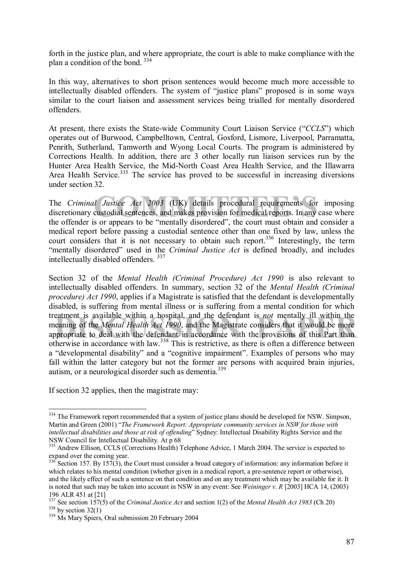forth in the justice plan, and where appropriate, the court is able to make compliance with the plan a condition of the bond. 334

In this way, alternatives to short prison sentences would become much more accessible to intellectually disabled offenders. The system of "justice plans" proposed is in some ways similar to the court liaison and assessment services being trialled for mentally disordered offenders.

At present, there exists the State-wide Community Court Liaison Service ("CCLS") which operates out of Burwood, Campbelltown, Central, Gosford, Lismore, Liverpool, Parramatta, Penrith, Sutherland, Tamworth and Wyong Local Courts. The program is administered by Corrections Health. In addition, there are 3 other locally run liaison services run by the Hunter Area Health Service, the Mid-North Coast Area Health Service, and the Illawarra Area Health Service.<sup>335</sup> The service has proved to be successful in increasing diversions under section 32.

*COMPA Compared to Letails* (UK) details procedural requirements for interested in the country of the country of the country of the country of the country and contained contained contained contained contained contained con The *Criminal Justice Act 2003* (UK) details procedural requirements for imposing discretionary custodial sentences, and makes provision for medical reports. In any case where the offender is or appears to be "mentally disordered", the court must obtain and consider a medical report before passing a custodial sentence other than one fixed by law, unless the court considers that it is not necessary to obtain such report.<sup>336</sup> Interestingly, the term ìmentally disorderedî used in the *Criminal Justice Act* is defined broadly, and includes intellectually disabled offenders. <sup>337</sup>

treatment is available within a hospital, and the defendant is *not* mentally ill within the<br>meaning of the *Mental Health Act 1990*, and the Magistrate considers that it would be more<br>appropriate to deal with the defendan Section 32 of the *Mental Health (Criminal Procedure) Act 1990* is also relevant to intellectually disabled offenders. In summary, section 32 of the *Mental Health (Criminal procedure) Act 1990*, applies if a Magistrate is satisfied that the defendant is developmentally disabled, is suffering from mental illness or is suffering from a mental condition for which treatment is available within a hospital, and the defendant is *not* mentally ill within the meaning of the *Mental Health Act 1990*, and the Magistrate considers that it would be more otherwise in accordance with law.338 This is restrictive, as there is often a difference between a "developmental disability" and a "cognitive impairment". Examples of persons who may fall within the latter category but not the former are persons with acquired brain injuries, autism, or a neurological disorder such as dementia.<sup>339</sup>

If section 32 applies, then the magistrate may:

 $\overline{a}$ <sup>334</sup> The Framework report recommended that a system of justice plans should be developed for NSW. Simpson, Martin and Green (2001) *"The Framework Report: Appropriate community services in NSW for those with intellectual disabilities and those at risk of offending*î Sydney: Intellectual Disability Rights Service and the NSW Council for Intellectual Disability. At p 68

<sup>&</sup>lt;sup>335</sup> Andrew Ellison, CCLS (Corrections Health) Telephone Advice, 1 March 2004. The service is expected to expand over the coming year.

 $336$  Section 157. By 157(3), the Court must consider a broad category of information: any information before it which relates to his mental condition (whether given in a medical report, a pre-sentence report or otherwise), and the likely effect of such a sentence on that condition and on any treatment which may be available for it. It is noted that such may be taken into account in NSW in any event: See *Weininger v. R* [2003] HCA 14, (2003) 196 ALR 451 at [21]

<sup>&</sup>lt;sup>337</sup> See section 157(5) of the *Criminal Justice Act* and section 1(2) of the *Mental Health Act* 1983 (Ch 20) <sup>338</sup> Ms Marv Spiers. Oral submission 20 February 2004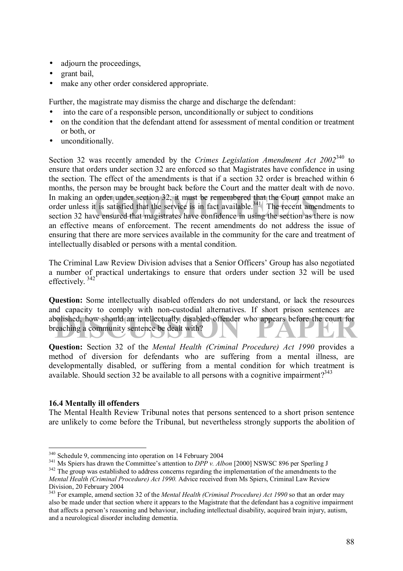- adjourn the proceedings,
- grant bail,
- make any other order considered appropriate.

Further, the magistrate may dismiss the charge and discharge the defendant:

- into the care of a responsible person, unconditionally or subject to conditions
- on the condition that the defendant attend for assessment of mental condition or treatment or both, or
- unconditionally.

order under section 32, it must be remembered that the Court cannot<br>t is satisfied that the service is in fact available.<sup>341</sup> The recent amend<br>ve ensured that magistrates have confidence in using the section as then Section 32 was recently amended by the *Crimes Legislation Amendment Act 2002*340 to ensure that orders under section 32 are enforced so that Magistrates have confidence in using the section. The effect of the amendments is that if a section 32 order is breached within 6 months, the person may be brought back before the Court and the matter dealt with de novo. In making an order under section 32, it must be remembered that the Court cannot make an order unless it is satisfied that the service is in fact available.<sup>341</sup> The recent amendments to section 32 have ensured that magistrates have confidence in using the section as there is now an effective means of enforcement. The recent amendments do not address the issue of ensuring that there are more services available in the community for the care and treatment of intellectually disabled or persons with a mental condition.

The Criminal Law Review Division advises that a Senior Officers' Group has also negotiated a number of practical undertakings to ensure that orders under section 32 will be used effectively.<sup>342</sup>

abolished, how should an intellectually disabled offender who appears before the court for breaching a community sentence be dealt with? **Question:** Some intellectually disabled offenders do not understand, or lack the resources and capacity to comply with non-custodial alternatives. If short prison sentences are breaching a community sentence be dealt with?

**Question:** Section 32 of the *Mental Health (Criminal Procedure) Act 1990* provides a method of diversion for defendants who are suffering from a mental illness, are developmentally disabled, or suffering from a mental condition for which treatment is available. Should section 32 be available to all persons with a cognitive impairment?<sup>343</sup>

# **16.4 Mentally ill offenders**

 $\overline{a}$ 

The Mental Health Review Tribunal notes that persons sentenced to a short prison sentence are unlikely to come before the Tribunal, but nevertheless strongly supports the abolition of

<sup>&</sup>lt;sup>340</sup> Schedule 9, commencing into operation on 14 February 2004<br><sup>341</sup> Ms Spiers has drawn the Committee's attention to *DPP v. Albon* [2000] NSWSC 896 per Sperling J<br><sup>342</sup> The group was established to address concerns reg *Mental Health (Criminal Procedure) Act 1990.* Advice received from Ms Spiers, Criminal Law Review Division, 20 February 2004

<sup>&</sup>lt;sup>343</sup> For example, amend section 32 of the *Mental Health (Criminal Procedure) Act 1990* so that an order may also be made under that section where it appears to the Magistrate that the defendant has a cognitive impairment that affects a personís reasoning and behaviour, including intellectual disability, acquired brain injury, autism, and a neurological disorder including dementia.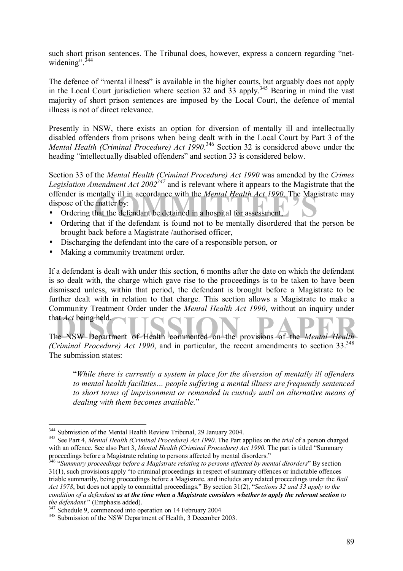such short prison sentences. The Tribunal does, however, express a concern regarding "netwidening". $344$ 

The defence of "mental illness" is available in the higher courts, but arguably does not apply in the Local Court jurisdiction where section 32 and 33 apply.<sup>345</sup> Bearing in mind the vast majority of short prison sentences are imposed by the Local Court, the defence of mental illness is not of direct relevance.

Presently in NSW, there exists an option for diversion of mentally ill and intellectually disabled offenders from prisons when being dealt with in the Local Court by Part 3 of the *Mental Health (Criminal Procedure) Act 1990*. <sup>346</sup> Section 32 is considered above under the heading "intellectually disabled offenders" and section 33 is considered below.

offender is mentally ill in accordance with the *Mental Health Act 1990*. The Magist<br>
• Ordering that the defendant be detained in a hospital for assessment,<br>
• Ordering that if the defendant is found not to be mentally di Section 33 of the *Mental Health (Criminal Procedure) Act 1990* was amended by the *Crimes Legislation Amendment Act 2002347* and is relevant where it appears to the Magistrate that the offender is mentally ill in accordance with the *Mental Health Act 1990*. The Magistrate may dispose of the matter by:

- 
- Ordering that if the defendant is found not to be mentally disordered that the person be brought back before a Magistrate /authorised officer,
- Discharging the defendant into the care of a responsible person, or
- Making a community treatment order.

If a defendant is dealt with under this section, 6 months after the date on which the defendant is so dealt with, the charge which gave rise to the proceedings is to be taken to have been dismissed unless, within that period, the defendant is brought before a Magistrate to be further dealt with in relation to that charge. This section allows a Magistrate to make a Community Treatment Order under the *Mental Health Act 1990*, without an inquiry under that *Act* being held.

that Act being held.<br>The NSW Department of Health commented on the provisions of the *Mental Health (Criminal Procedure) Act 1990*, and in particular, the recent amendments to section 33.<sup>348</sup> The submission states:

ì*While there is currently a system in place for the diversion of mentally ill offenders*  to mental health facilities... people suffering a mental illness are frequently sentenced *to short terms of imprisonment or remanded in custody until an alternative means of dealing with them becomes available.*î

<sup>&</sup>lt;sup>344</sup> Submission of the Mental Health Review Tribunal, 29 January 2004.

<sup>&</sup>lt;sup>345</sup> See Part 4, *Mental Health (Criminal Procedure) Act 1990*. The Part applies on the *trial* of a person charged with an offence. See also Part 3, *Mental Health (Criminal Procedure) Act 1990*. The part is titled "Summary" proceedings before a Magistrate relating to persons affected by mental disorders."

<sup>&</sup>lt;sup>346</sup> "Summary proceedings before a Magistrate relating to persons affected by mental disorders" By section  $31(1)$ , such provisions apply "to criminal proceedings in respect of summary offences or indictable offences triable summarily, being proceedings before a Magistrate, and includes any related proceedings under the *Bail Act 1978*, but does not apply to committal proceedings." By section 31(2), "Sections 32 and 33 apply to the *condition of a defendant as at the time when a Magistrate considers whether to apply the relevant section to the defendant.*" (Emphasis added).<br><sup>347</sup> Schedule 9, commenced into operation on 14 February 2004<br><sup>348</sup> Submission of the NSW Department of Health, 3 December 2003.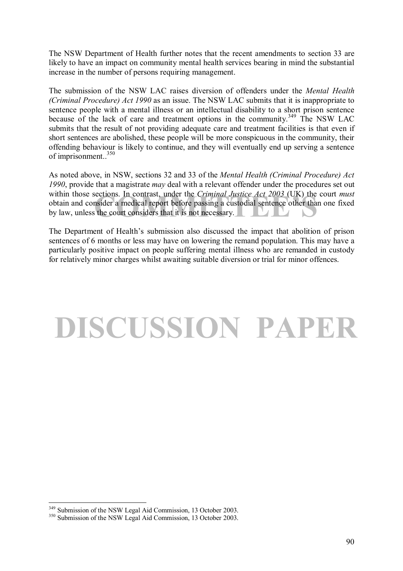The NSW Department of Health further notes that the recent amendments to section 33 are likely to have an impact on community mental health services bearing in mind the substantial increase in the number of persons requiring management.

The submission of the NSW LAC raises diversion of offenders under the *Mental Health (Criminal Procedure) Act 1990* as an issue. The NSW LAC submits that it is inappropriate to sentence people with a mental illness or an intellectual disability to a short prison sentence because of the lack of care and treatment options in the community.<sup>349</sup> The NSW LAC submits that the result of not providing adequate care and treatment facilities is that even if short sentences are abolished, these people will be more conspicuous in the community, their offending behaviour is likely to continue, and they will eventually end up serving a sentence of imprisonment..350

Exections. In contrast, under the *Criminal Justice Act 2003* (UK) the consider a medical report before passing a custodial sentence other than considers that it is not necessary. As noted above, in NSW, sections 32 and 33 of the *Mental Health (Criminal Procedure) Act 1990*, provide that a magistrate *may* deal with a relevant offender under the procedures set out within those sections. In contrast, under the *Criminal Justice Act 2003* (UK) the court *must* obtain and consider a medical report before passing a custodial sentence other than one fixed by law, unless the court considers that it is not necessary.

The Department of Health's submission also discussed the impact that abolition of prison sentences of 6 months or less may have on lowering the remand population. This may have a particularly positive impact on people suffering mental illness who are remanded in custody for relatively minor charges whilst awaiting suitable diversion or trial for minor offences.

# **DISCUSSION PAPER**

 $\overline{a}$ <sup>349</sup> Submission of the NSW Legal Aid Commission, 13 October 2003.<br><sup>350</sup> Submission of the NSW Legal Aid Commission, 13 October 2003.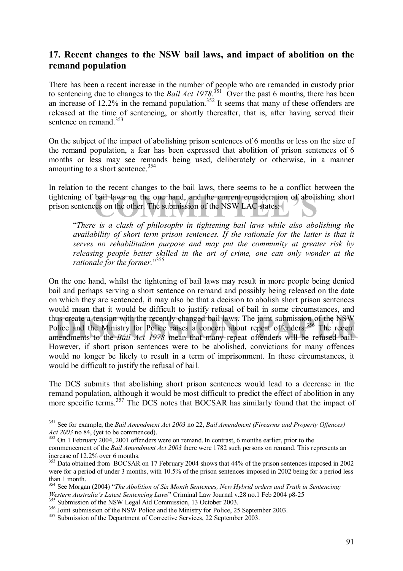# **17. Recent changes to the NSW bail laws, and impact of abolition on the remand population**

There has been a recent increase in the number of people who are remanded in custody prior to sentencing due to changes to the *Bail Act 1978*.<sup>351</sup> Over the past 6 months, there has been an increase of 12.2% in the remand population.<sup>352</sup> It seems that many of these offenders are released at the time of sentencing, or shortly thereafter, that is, after having served their sentence on remand.<sup>353</sup>

On the subject of the impact of abolishing prison sentences of 6 months or less on the size of the remand population, a fear has been expressed that abolition of prison sentences of 6 months or less may see remands being used, deliberately or otherwise, in a manner amounting to a short sentence.<sup>354</sup>

tightening of bail laws on the one hand, and the current consideration of abolishing short prison sentences on the other. The submission of the NSW LAC states: In relation to the recent changes to the bail laws, there seems to be a conflict between the prison sentences on the other. The submission of the NSW LAC states:

ì*There is a clash of philosophy in tightening bail laws while also abolishing the availability of short term prison sentences. If the rationale for the latter is that it serves no rehabilitation purpose and may put the community at greater risk by releasing people better skilled in the art of crime, one can only wonder at the*  rationale for the former.<sup>"355</sup>

us create a tension with the recently changed bail laws. The joint submission of the NSW plice and the Ministry for Police raises a concern about repeat offenders.<sup>356</sup> The recent nendments to the *Bail Act 1978* mean that On the one hand, whilst the tightening of bail laws may result in more people being denied bail and perhaps serving a short sentence on remand and possibly being released on the date on which they are sentenced, it may also be that a decision to abolish short prison sentences would mean that it would be difficult to justify refusal of bail in some circumstances, and thus create a tension with the recently changed bail laws. The joint submission of the NSW Police and the Ministry for Police raises a concern about repeat offenders.<sup>356</sup> The recent amendments to the *Bail Act 1978* mean that many repeat offenders will be refused bail. However, if short prison sentences were to be abolished, convictions for many offences would no longer be likely to result in a term of imprisonment. In these circumstances, it would be difficult to justify the refusal of bail.

The DCS submits that abolishing short prison sentences would lead to a decrease in the remand population, although it would be most difficult to predict the effect of abolition in any more specific terms.<sup>357</sup> The DCS notes that BOCSAR has similarly found that the impact of

 $\overline{a}$ 351 See for example, the *Bail Amendment Act 2003* no 22, *Bail Amendment (Firearms and Property Offences) Act 2003* no 84, (yet to be commenced).<br><sup>352</sup> On 1 February 2004, 2001 offenders were on remand. In contrast, 6 months earlier, prior to the

commencement of the *Bail Amendment Act 2003* there were 1782 such persons on remand. This represents an increase of 12.2% over 6 months.

<sup>&</sup>lt;sup>353</sup> Data obtained from BOCSAR on 17 February 2004 shows that 44% of the prison sentences imposed in 2002 were for a period of under 3 months, with 10.5% of the prison sentences imposed in 2002 being for a period less than 1 month.

<sup>&</sup>lt;sup>354</sup> See Morgan (2004) "*The Abolition of Six Month Sentences, New Hybrid orders and Truth in Sentencing: Western Australia's Latest Sentencing Laws* Criminal Law Journal v.28 no.1 Feb 2004 p8-25

<sup>&</sup>lt;sup>355</sup> Submission of the NSW Legal Aid Commission, 13 October 2003.<br><sup>356</sup> Joint submission of the NSW Police and the Ministry for Police, 25 September 2003.<br><sup>357</sup> Submission of the Department of Corrective Services, 22 Sept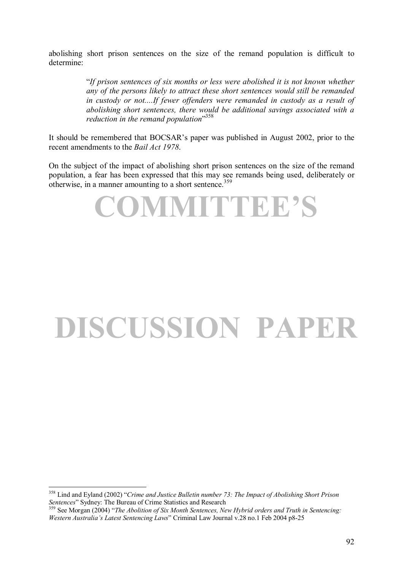abolishing short prison sentences on the size of the remand population is difficult to determine:

> ì*If prison sentences of six months or less were abolished it is not known whether any of the persons likely to attract these short sentences would still be remanded in custody or not....If fewer offenders were remanded in custody as a result of abolishing short sentences, there would be additional savings associated with a*  reduction in the remand population<sup>358</sup>

It should be remembered that BOCSAR's paper was published in August 2002, prior to the recent amendments to the *Bail Act 1978*.

On the subject of the impact of abolishing short prison sentences on the size of the remand population, a fear has been expressed that this may see remands being used, deliberately or otherwise, in a manner amounting to a short sentence.<sup>359</sup>



# **DISCUSSION PAPER**

<sup>&</sup>lt;sup>358</sup> Lind and Eyland (2002) *<sup><i>Crime and Justice Bulletin number 73: The Impact of Abolishing Short Prison*</sup> *Sentences*<sup>*n*</sup> Sydney: The Bureau of Crime Statistics and Research 359 See Morgan (2004) *<sup>359</sup>* See Morgan (2004) *<sup><i>The Abolition of Six Month Sentences, New Hybrid orders and Truth in Sentencing:*</sup>

*Western Australiaís Latest Sentencing Laws*î Criminal Law Journal v.28 no.1 Feb 2004 p8-25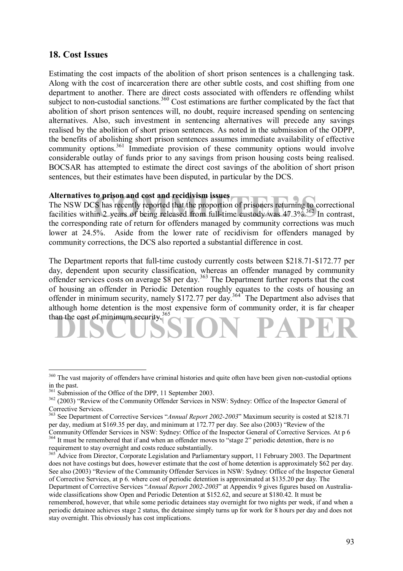# **18. Cost Issues**

Estimating the cost impacts of the abolition of short prison sentences is a challenging task. Along with the cost of incarceration there are other subtle costs, and cost shifting from one department to another. There are direct costs associated with offenders re offending whilst subject to non-custodial sanctions.<sup>360</sup> Cost estimations are further complicated by the fact that abolition of short prison sentences will, no doubt, require increased spending on sentencing alternatives. Also, such investment in sentencing alternatives will precede any savings realised by the abolition of short prison sentences. As noted in the submission of the ODPP, the benefits of abolishing short prison sentences assumes immediate availability of effective community options.<sup>361</sup> Immediate provision of these community options would involve considerable outlay of funds prior to any savings from prison housing costs being realised. BOCSAR has attempted to estimate the direct cost savings of the abolition of short prison sentences, but their estimates have been disputed, in particular by the DCS.

#### **Alternatives to prison and cost and recidivism issues**

**COMMITTEE 10 FOR SET ASSESS**<br>
S has recently reported that the proportion of prisoners returning to cor<br>
in 2 years of being released from full-time custody was 47.3% <sup>362</sup> In<br>
ding rate of return for a fraction managed b The NSW DCS has recently reported that the proportion of prisoners returning to correctional facilities within 2 years of being released from full-time custody was 47.3%.<sup>362</sup> In contrast, the corresponding rate of return for offenders managed by community corrections was much lower at 24.5%. Aside from the lower rate of recidivism for offenders managed by community corrections, the DCS also reported a substantial difference in cost.

than the cost of minimum security.<sup>365</sup>SION PAPER The Department reports that full-time custody currently costs between \$218.71-\$172.77 per day, dependent upon security classification, whereas an offender managed by community offender services costs on average \$8 per day.<sup>363</sup> The Department further reports that the cost of housing an offender in Periodic Detention roughly equates to the costs of housing an offender in minimum security, namely \$172.77 per day.<sup>364</sup> The Department also advises that although home detention is the most expensive form of community order, it is far cheaper

<sup>&</sup>lt;sup>360</sup> The vast majority of offenders have criminal histories and quite often have been given non-custodial options in the past.<br><sup>361</sup> Submission of the Office of the DPP, 11 September 2003.

<sup>&</sup>lt;sup>362</sup> (2003) "Review of the Community Offender Services in NSW: Sydney: Office of the Inspector General of Corrective Services.

<sup>&</sup>lt;sup>363</sup> See Department of Corrective Services "Annual Report 2002-2003" Maximum security is costed at \$218.71 per day, medium at  $$169.35$  per day, and minimum at  $172.77$  per day. See also (2003) *'Review of the* Community Offender Services in NSW: Sydney: Office of the Inspector General of Corrective Services. At p 6

<sup>&</sup>lt;sup>364</sup> It must be remembered that if and when an offender moves to "stage 2" periodic detention, there is no requirement to stay overnight and costs reduce substantially.

<sup>&</sup>lt;sup>365</sup> Advice from Director, Corporate Legislation and Parliamentary support, 11 February 2003. The Department does not have costings but does, however estimate that the cost of home detention is approximately \$62 per day. See also (2003) "Review of the Community Offender Services in NSW: Sydney: Office of the Inspector General of Corrective Services, at p 6. where cost of periodic detention is approximated at \$135.20 per day. The Department of Corrective Services "Annual Report 2002-2003" at Appendix 9 gives figures based on Australiawide classifications show Open and Periodic Detention at \$152.62, and secure at \$180.42. It must be remembered, however, that while some periodic detainees stay overnight for two nights per week, if and when a periodic detainee achieves stage 2 status, the detainee simply turns up for work for 8 hours per day and does not stay overnight. This obviously has cost implications.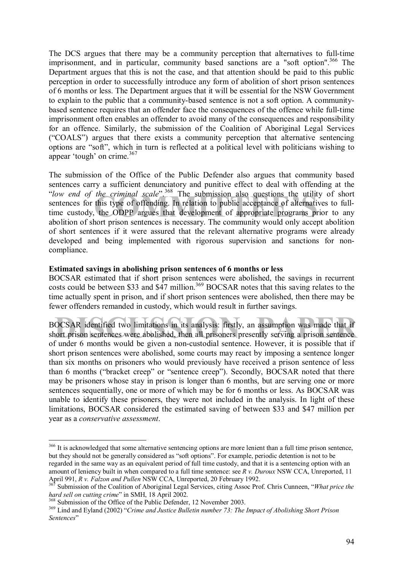The DCS argues that there may be a community perception that alternatives to full-time imprisonment, and in particular, community based sanctions are a "soft option".<sup>366</sup> The Department argues that this is not the case, and that attention should be paid to this public perception in order to successfully introduce any form of abolition of short prison sentences of 6 months or less. The Department argues that it will be essential for the NSW Government to explain to the public that a community-based sentence is not a soft option. A communitybased sentence requires that an offender face the consequences of the offence while full-time imprisonment often enables an offender to avoid many of the consequences and responsibility for an offence. Similarly, the submission of the Coalition of Aboriginal Legal Services  $({\rm "COALS"})$  argues that there exists a community perception that alternative sentencing options are "soft", which in turn is reflected at a political level with politicians wishing to appear 'tough' on crime. $367$ 

*the criminal scale*<br>
The submission also questions the utility<br>
this type of offending. In relation to public acceptance of alternative<br>
the ODPP argues that development of appropriate programs prior<br>
nort prison septence The submission of the Office of the Public Defender also argues that community based sentences carry a sufficient denunciatory and punitive effect to deal with offending at the *ilow end of the criminal scale*<sup>?</sup><sup>368</sup>. The submission also questions the utility of short sentences for this type of offending. In relation to public acceptance of alternatives to fulltime custody, the ODPP argues that development of appropriate programs prior to any abolition of short prison sentences is necessary. The community would only accept abolition of short sentences if it were assured that the relevant alternative programs were already developed and being implemented with rigorous supervision and sanctions for noncompliance.

#### **Estimated savings in abolishing prison sentences of 6 months or less**

BOCSAR estimated that if short prison sentences were abolished, the savings in recurrent costs could be between \$33 and  $\frac{647}{100}$  million.<sup>369</sup> BOCSAR notes that this saving relates to the time actually spent in prison, and if short prison sentences were abolished, then there may be fewer offenders remanded in custody, which would result in further savings.

**OCSAR** identified two limitations in its analysis: firstly, an assumption was made that if nort prison sentences were abolished, then all prisoners presently serving a prison sentence BOCSAR identified two limitations in its analysis: firstly, an assumption was made that if short prison sentences were abolished, then all prisoners presently serving a prison sentence of under 6 months would be given a non-custodial sentence. However, it is possible that if short prison sentences were abolished, some courts may react by imposing a sentence longer than six months on prisoners who would previously have received a prison sentence of less than 6 months ("bracket creep" or "sentence creep"). Secondly, BOCSAR noted that there may be prisoners whose stay in prison is longer than 6 months, but are serving one or more sentences sequentially, one or more of which may be for 6 months or less. As BOCSAR was unable to identify these prisoners, they were not included in the analysis. In light of these limitations, BOCSAR considered the estimated saving of between \$33 and \$47 million per year as a *conservative assessment*.

<sup>&</sup>lt;sup>366</sup> It is acknowledged that some alternative sentencing options are more lenient than a full time prison sentence, but they should not be generally considered as "soft options". For example, periodic detention is not to be regarded in the same way as an equivalent period of full time custody, and that it is a sentencing option with an amount of leniency built in when compared to a full time sentence: see *R v. Duroux* NSW CCA, Unreported, 11 April 991, *R v. Falzon and Pullen* NSW CCA, Unreported, 20 February 1992.

<sup>&</sup>lt;sup>367</sup> Submission of the Coalition of Aboriginal Legal Services, citing Assoc Prof. Chris Cunneen, *<sup><i>'What price the hard sell on cutting crime*" in SMH, 18 April 2002.</sup>

<sup>&</sup>lt;sup>368</sup> Submission of the Office of the Public Defender, 12 November 2003.<br><sup>369</sup> Lind and Evland (2002) "Crime and Justice Bulletin number 73: The Impact of Abolishing Short Prison Sentences<sup>"</sup>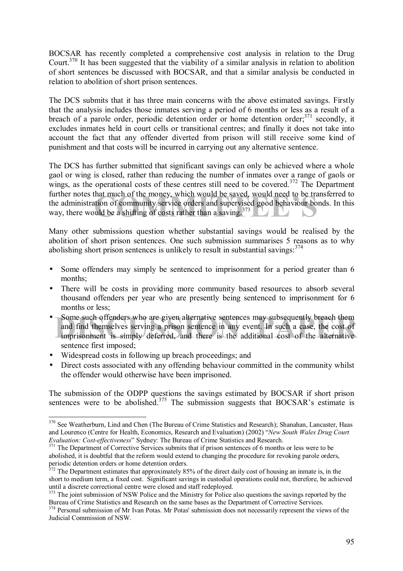BOCSAR has recently completed a comprehensive cost analysis in relation to the Drug Court.370 It has been suggested that the viability of a similar analysis in relation to abolition of short sentences be discussed with BOCSAR, and that a similar analysis be conducted in relation to abolition of short prison sentences.

The DCS submits that it has three main concerns with the above estimated savings. Firstly that the analysis includes those inmates serving a period of 6 months or less as a result of a breach of a parole order, periodic detention order or home detention order; $371$  secondly, it excludes inmates held in court cells or transitional centres; and finally it does not take into account the fact that any offender diverted from prison will still receive some kind of punishment and that costs will be incurred in carrying out any alternative sentence.

that much of the money, which would be saved, would need to be trans<br>tion of community service orders and supervised good behaviour bond<br>uld be a shifting of costs rather than a saving.<sup>373</sup> The DCS has further submitted that significant savings can only be achieved where a whole gaol or wing is closed, rather than reducing the number of inmates over a range of gaols or wings, as the operational costs of these centres still need to be covered.<sup>372</sup> The Department further notes that much of the money, which would be saved, would need to be transferred to the administration of community service orders and supervised good behaviour bonds. In this way, there would be a shifting of costs rather than a saying.<sup>373</sup>

Many other submissions question whether substantial savings would be realised by the abolition of short prison sentences. One such submission summarises 5 reasons as to why abolishing short prison sentences is unlikely to result in substantial savings:  $374$ 

- Some offenders may simply be sentenced to imprisonment for a period greater than 6 months;
- There will be costs in providing more community based resources to absorb several thousand offenders per year who are presently being sentenced to imprisonment for 6 months or less;
- Some such offenders who are given alternative sentences may subsequently breach them<br>and find themselves serving a prison sentence in any event. In such a case, the cost of<br>imprisonment is simply deferred, and there is the • Some such offenders who are given alternative sentences may subsequently breach them and find themselves serving a prison sentence in any event. In such a case, the cost of sentence first imposed;
- Widespread costs in following up breach proceedings; and

 $\overline{a}$ 

• Direct costs associated with any offending behaviour committed in the community whilst the offender would otherwise have been imprisoned.

The submission of the ODPP questions the savings estimated by BOCSAR if short prison sentences were to be abolished. $375$  The submission suggests that BOCSAR's estimate is

<sup>&</sup>lt;sup>370</sup> See Weatherburn, Lind and Chen (The Bureau of Crime Statistics and Research); Shanahan, Lancaster, Haas and Lourenco (Centre for Health, Economics, Research and Evaluation) (2002) *'New South Wales Drug Court Evaluation: Cost-effectiveness*<sup>"</sup> Sydney: The Bureau of Crime Statistics and Research.<br><sup>371</sup> The Department of Corrective Services submits that if prison sentences of 6 months or less were to be

abolished, it is doubtful that the reform would extend to changing the procedure for revoking parole orders, periodic detention orders or home detention orders.

 $372$  The Department estimates that approximately 85% of the direct daily cost of housing an inmate is, in the short to medium term, a fixed cost. Significant savings in custodial operations could not, therefore, be achieved until a discrete correctional centre were closed and staff redeployed.

<sup>&</sup>lt;sup>373</sup> The joint submission of NSW Police and the Ministry for Police also questions the savings reported by the Bureau of Crime Statistics and Research on the same bases as the Department of Corrective Services.

<sup>&</sup>lt;sup>374</sup> Personal submission of Mr Ivan Potas. Mr Potas' submission does not necessarily represent the views of the Judicial Commission of NSW.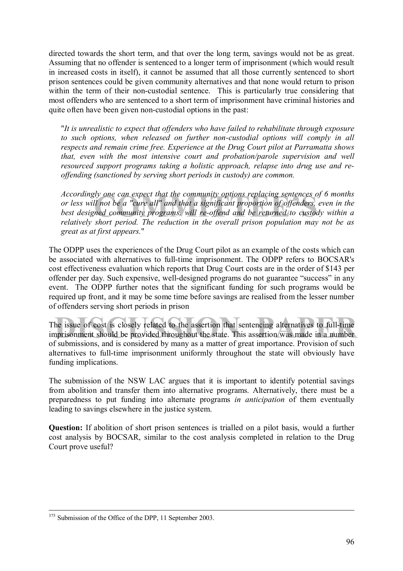directed towards the short term, and that over the long term, savings would not be as great. Assuming that no offender is sentenced to a longer term of imprisonment (which would result in increased costs in itself), it cannot be assumed that all those currently sentenced to short prison sentences could be given community alternatives and that none would return to prison within the term of their non-custodial sentence. This is particularly true considering that most offenders who are sentenced to a short term of imprisonment have criminal histories and quite often have been given non-custodial options in the past:

"*It is unrealistic to expect that offenders who have failed to rehabilitate through exposure to such options, when released on further non-custodial options will comply in all respects and remain crime free. Experience at the Drug Court pilot at Parramatta shows that, even with the most intensive court and probation/parole supervision and well resourced support programs taking a holistic approach, relapse into drug use and reoffending (sanctioned by serving short periods in custody) are common.* 

Iy one can expect that the community options replacing sentences of *Q*<br>I not be a "cure all" and that a significant proportion of offenders, ev<br>ned community programs, will re-offend and be returned to custody<br>short perio *Accordingly one can expect that the community options replacing sentences of 6 months or less will not be a "cure all" and that a significant proportion of offenders, even in the best designed community programs, will re-offend and be returned to custody within a relatively short period. The reduction in the overall prison population may not be as great as at first appears.*"

The ODPP uses the experiences of the Drug Court pilot as an example of the costs which can be associated with alternatives to full-time imprisonment. The ODPP refers to BOCSAR's cost effectiveness evaluation which reports that Drug Court costs are in the order of \$143 per offender per day. Such expensive, well-designed programs do not guarantee "success" in any event. The ODPP further notes that the significant funding for such programs would be required up front, and it may be some time before savings are realised from the lesser number of offenders serving short periods in prison

the issue of cost is closely related to the assertion that sentencing alternatives to full-time<br>prisonment should be provided throughout the state. This assertion was made in a number The issue of cost is closely related to the assertion that sentencing alternatives to full-time imprisonment should be provided throughout the state. This assertion was made in a number of submissions, and is considered by many as a matter of great importance. Provision of such alternatives to full-time imprisonment uniformly throughout the state will obviously have funding implications.

The submission of the NSW LAC argues that it is important to identify potential savings from abolition and transfer them into alternative programs. Alternatively, there must be a preparedness to put funding into alternate programs *in anticipation* of them eventually leading to savings elsewhere in the justice system.

**Question:** If abolition of short prison sentences is trialled on a pilot basis, would a further cost analysis by BOCSAR, similar to the cost analysis completed in relation to the Drug Court prove useful?

<sup>&</sup>lt;sup>375</sup> Submission of the Office of the DPP, 11 September 2003.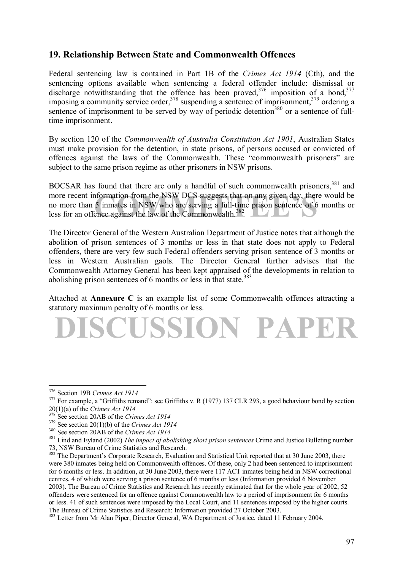# **19. Relationship Between State and Commonwealth Offences**

Federal sentencing law is contained in Part 1B of the *Crimes Act 1914* (Cth), and the sentencing options available when sentencing a federal offender include: dismissal or discharge notwithstanding that the offence has been proved,  $376$  imposition of a bond,  $377$ imposing a community service order,<sup>378</sup> suspending a sentence of imprisonment,<sup>379</sup> ordering a imposing a community service order.<sup>378</sup> sentence of imprisonment to be served by way of periodic detention<sup>380</sup> or a sentence of fulltime imprisonment.

By section 120 of the *Commonwealth of Australia Constitution Act 1901*, Australian States must make provision for the detention, in state prisons, of persons accused or convicted of offences against the laws of the Commonwealth. These "commonwealth prisoners" are subject to the same prison regime as other prisoners in NSW prisons.

formation from the NSW DCS suggests that on any given day, there v<br>5 inmates in NSW who are serving a full-time prison sentence of 6 m<br>ence against the law of the Commonwealth.<sup>382</sup> BOCSAR has found that there are only a handful of such commonwealth prisoners,<sup>381</sup> and more recent information from the NSW DCS suggests that on any given day, there would be no more than 5 inmates in NSW who are serving a full-time prison sentence of 6 months or less for an offence against the law of the Commonwealth.<sup>382</sup>

The Director General of the Western Australian Department of Justice notes that although the abolition of prison sentences of 3 months or less in that state does not apply to Federal offenders, there are very few such Federal offenders serving prison sentence of 3 months or less in Western Australian gaols. The Director General further advises that the Commonwealth Attorney General has been kept appraised of the developments in relation to abolishing prison sentences of 6 months or less in that state.<sup>383</sup>

Attached at **Annexure C** is an example list of some Commonwealth offences attracting a statutory maximum penalty of 6 months or less.

**DISCUSSION PAPER**

<sup>&</sup>lt;sup>376</sup> Section 19B Crimes Act 1914

<sup>&</sup>lt;sup>377</sup> For example, a "Griffiths remand": see Griffiths v. R (1977) 137 CLR 293, a good behaviour bond by section  $20(1)(a)$  of the *Crimes Act* 1914<br><sup>378</sup> See gootion 204 B of the *Crimes Act* 1914

<sup>&</sup>lt;sup>378</sup> See section 20AB of the *Crimes Act 1914*<br><sup>379</sup> See section 20(1)(b) of the *Crimes Act 1914*<br><sup>380</sup> See section 20AB of the *Crimes Act 1914*<br><sup>381</sup> Lind and Evland (2002) *The impact of abolishing short prison sente* 73, NSW Bureau of Crime Statistics and Research.

 $382$ <sup>2</sup> The Department's Corporate Research, Evaluation and Statistical Unit reported that at 30 June 2003, there were 380 inmates being held on Commonwealth offences. Of these, only 2 had been sentenced to imprisonment for 6 months or less. In addition, at 30 June 2003, there were 117 ACT inmates being held in NSW correctional centres, 4 of which were serving a prison sentence of 6 months or less (Information provided 6 November 2003). The Bureau of Crime Statistics and Research has recently estimated that for the whole year of 2002, 52 offenders were sentenced for an offence against Commonwealth law to a period of imprisonment for 6 months or less. 41 of such sentences were imposed by the Local Court, and 11 sentences imposed by the higher courts. The Bureau of Crime Statistics and Research: Information provided 27 October 2003.

<sup>&</sup>lt;sup>383</sup> Letter from Mr Alan Piper, Director General, WA Department of Justice, dated 11 February 2004.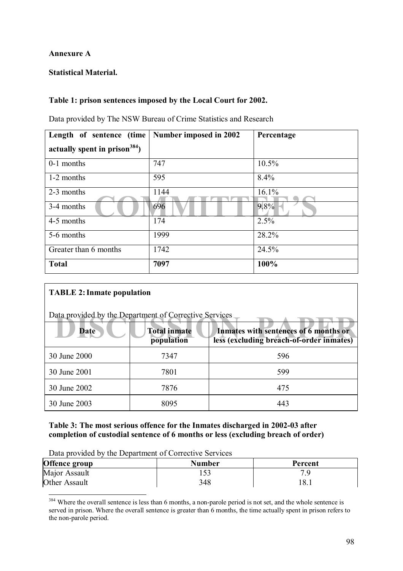# **Annexure A**

# **Statistical Material.**

# **Table 1: prison sentences imposed by the Local Court for 2002.**

Data provided by The NSW Bureau of Crime Statistics and Research

| Length of sentence (time         | Number imposed in 2002 | Percentage |
|----------------------------------|------------------------|------------|
| actually spent in prison $384$ ) |                        |            |
| 0-1 months                       | 747                    | 10.5%      |
| 1-2 months                       | 595                    | 8.4%       |
| 2-3 months                       | 1144                   | 16.1%      |
| 3-4 months                       | 696                    | 9.8%       |
| 4-5 months                       | 174                    | 2.5%       |
| 5-6 months                       | 1999                   | 28.2%      |
| Greater than 6 months            | 1742                   | 24.5%      |
| <b>Total</b>                     | 7097                   | 100%       |

# **TABLE 2: Inmate population**

 $\overline{a}$ 

| Data provided by the Department of Corrective Services |                                   |                                                                                   |  |  |  |  |  |
|--------------------------------------------------------|-----------------------------------|-----------------------------------------------------------------------------------|--|--|--|--|--|
| <b>Date</b>                                            | <b>Total inmate</b><br>population | Inmates with sentences of 6 months or<br>less (excluding breach-of-order inmates) |  |  |  |  |  |
| 30 June 2000                                           | 7347                              | 596                                                                               |  |  |  |  |  |
| 30 June 2001                                           | 7801                              | 599                                                                               |  |  |  |  |  |
| 30 June 2002                                           | 7876                              | 475                                                                               |  |  |  |  |  |
| 30 June 2003                                           | 8095                              | 443                                                                               |  |  |  |  |  |

# **Table 3: The most serious offence for the Inmates discharged in 2002-03 after completion of custodial sentence of 6 months or less (excluding breach of order)**

| Data provided by the Department of Corrective Services |  |
|--------------------------------------------------------|--|
|--------------------------------------------------------|--|

| Offence group | <b>Number</b> | Percent |  |  |  |  |
|---------------|---------------|---------|--|--|--|--|
| Major Assault |               |         |  |  |  |  |
| Other Assault | 348           | 18.1    |  |  |  |  |

<sup>&</sup>lt;sup>384</sup> Where the overall sentence is less than 6 months, a non-parole period is not set, and the whole sentence is served in prison. Where the overall sentence is greater than 6 months, the time actually spent in prison refers to the non-parole period.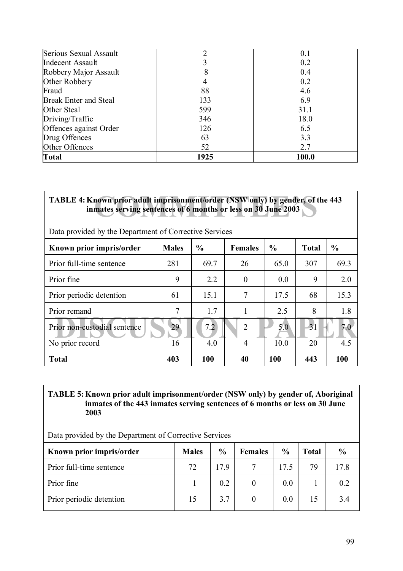| Serious Sexual Assault       |      | 0.1   |
|------------------------------|------|-------|
| Indecent Assault             |      | 0.2   |
| Robbery Major Assault        | Χ    | 0.4   |
| Other Robbery                | 4    | 0.2   |
| Fraud                        | 88   | 4.6   |
| <b>Break Enter and Steal</b> | 133  | 6.9   |
| Other Steal                  | 599  | 31.1  |
| Driving/Traffic              | 346  | 18.0  |
| Offences against Order       | 126  | 6.5   |
| Drug Offences                | 63   | 3.3   |
| Other Offences               | 52   | 2.7   |
| <b>Total</b>                 | 1925 | 100.0 |

# TABLE 4: Known prior adult imprisonment/order (NSW only) by gender, of the 443 inmates serving sentences of 6 months or less on 30 June 2003 **inmates serving sentences of 6 months or less on 30 June 2003**

| Data provided by the Department of Corrective Services |              |               |                |               |              |               |  |
|--------------------------------------------------------|--------------|---------------|----------------|---------------|--------------|---------------|--|
| Known prior impris/order                               | <b>Males</b> | $\frac{0}{0}$ | <b>Females</b> | $\frac{0}{0}$ | <b>Total</b> | $\frac{0}{0}$ |  |
| Prior full-time sentence                               | 281          | 69.7          | 26             | 65.0          | 307          | 69.3          |  |
| Prior fine                                             | 9            | 2.2           | $\overline{0}$ | 0.0           | 9            | 2.0           |  |
| Prior periodic detention                               | 61           | 15.1          | 7              | 17.5          | 68           | 15.3          |  |
| Prior remand                                           | 7            | 1.7           |                | 2.5           | 8            | 1.8           |  |
| Prior non-custodial sentence                           | 29           | 7.2           | $\overline{2}$ | 5.0           | 31           | 7.0           |  |
| No prior record                                        | 16           | 4.0           | 4              | 10.0          | 20           | 4.5           |  |
| <b>Total</b>                                           | 403          | <b>100</b>    | 40             | <b>100</b>    | 443          | 100           |  |

# **TABLE 5: Known prior adult imprisonment/order (NSW only) by gender of, Aboriginal inmates of the 443 inmates serving sentences of 6 months or less on 30 June 2003**

Data provided by the Department of Corrective Services

| Known prior impris/order | <b>Males</b> | $\frac{6}{9}$ | <b>Females</b> | $\frac{0}{0}$ | <b>Total</b> | $\frac{0}{0}$ |
|--------------------------|--------------|---------------|----------------|---------------|--------------|---------------|
| Prior full-time sentence | 72           | 179           |                |               | 79           | 17.8          |
| Prior fine               |              | 0.2           |                | 0.0           |              | 0.2           |
| Prior periodic detention | 15           | 3.7           |                | 0.0           | 15           | 3.4           |
|                          |              |               |                |               |              |               |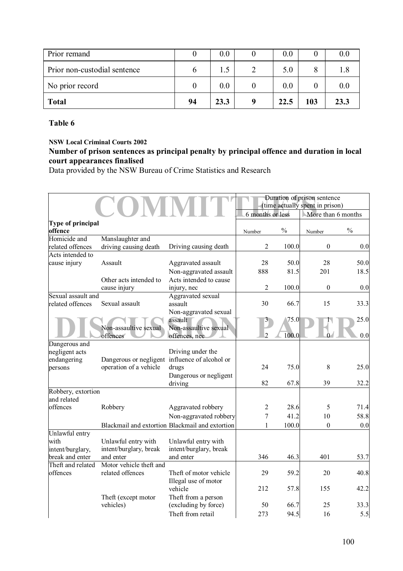| Prior remand                 |    | 0.0  | 0.0  |     |      |
|------------------------------|----|------|------|-----|------|
| Prior non-custodial sentence |    |      | 5.0  |     |      |
| No prior record              |    | 0.0  | 0.0  |     |      |
| <b>Total</b>                 | 94 | 23.3 | 22.5 | 103 | 23.3 |

## **Table 6**

**NSW Local Criminal Courts 2002** 

# **Number of prison sentences as principal penalty by principal offence and duration in local court appearances finalised**

Data provided by the NSW Bureau of Crime Statistics and Research

|                                        |                                                |                                                 |                  |               | Duration of prison sentence<br>(time actually spent in prison) |               |
|----------------------------------------|------------------------------------------------|-------------------------------------------------|------------------|---------------|----------------------------------------------------------------|---------------|
|                                        |                                                |                                                 | 6 months or less |               | More than 6 months                                             |               |
| Type of principal<br>offence           |                                                |                                                 | Number           | $\frac{0}{0}$ | Number                                                         | $\frac{0}{0}$ |
| Homicide and<br>related offences       | Manslaughter and<br>driving causing death      | Driving causing death                           | $\overline{2}$   | 100.0         | $\boldsymbol{0}$                                               | 0.0           |
| Acts intended to                       |                                                |                                                 |                  |               |                                                                |               |
| cause injury                           | Assault                                        | Aggravated assault                              | 28               | 50.0          | 28                                                             | 50.0          |
|                                        |                                                | Non-aggravated assault                          | 888              | 81.5          | 201                                                            | 18.5          |
|                                        | Other acts intended to                         | Acts intended to cause                          |                  |               |                                                                |               |
|                                        | cause injury                                   | injury, nec                                     | $\overline{2}$   | 100.0         | $\boldsymbol{0}$                                               | 0.0           |
| Sexual assault and<br>related offences | Sexual assault                                 | Aggravated sexual<br>assault                    | 30               | 66.7          | 15                                                             |               |
|                                        |                                                |                                                 |                  |               |                                                                | 33.3          |
|                                        |                                                | Non-aggravated sexual<br>assault                |                  | 75.0          |                                                                | 25.0          |
|                                        | Non-assaultive sexual                          | Non-assaultive sexual                           |                  |               |                                                                |               |
|                                        | offences                                       | offences, nec                                   | $\overline{2}$   | 100.0         |                                                                | 0.0           |
| Dangerous and                          |                                                |                                                 |                  |               |                                                                |               |
| negligent acts                         |                                                | Driving under the                               |                  |               |                                                                |               |
| endangering                            | Dangerous or negligent influence of alcohol or |                                                 |                  |               |                                                                |               |
| persons                                | operation of a vehicle                         | drugs                                           | 24               | 75.0          | 8                                                              | 25.0          |
|                                        |                                                | Dangerous or negligent                          |                  |               |                                                                |               |
|                                        |                                                | driving                                         | 82               | 67.8          | 39                                                             | 32.2          |
| Robbery, extortion                     |                                                |                                                 |                  |               |                                                                |               |
| and related                            |                                                |                                                 |                  |               |                                                                |               |
| offences                               | Robbery                                        | Aggravated robbery                              | 2                | 28.6          | 5                                                              | 71.4          |
|                                        |                                                | Non-aggravated robbery                          | $\overline{7}$   | 41.2          | 10                                                             | 58.8          |
|                                        |                                                | Blackmail and extortion Blackmail and extortion | 1                | 100.0         | $\boldsymbol{0}$                                               | 0.0           |
| Unlawful entry                         |                                                |                                                 |                  |               |                                                                |               |
| with                                   | Unlawful entry with                            | Unlawful entry with                             |                  |               |                                                                |               |
| intent/burglary,                       | intent/burglary, break                         | intent/burglary, break                          |                  |               |                                                                |               |
| break and enter                        | and enter                                      | and enter                                       | 346              | 46.3          | 401                                                            | 53.7          |
| Theft and related<br>offences          | Motor vehicle theft and<br>related offences    | Theft of motor vehicle                          | 29               | 59.2          | 20                                                             | 40.8          |
|                                        |                                                | Illegal use of motor                            |                  |               |                                                                |               |
|                                        |                                                | vehicle                                         | 212              | 57.8          | 155                                                            | 42.2          |
|                                        | Theft (except motor                            | Theft from a person                             |                  |               |                                                                |               |
|                                        | vehicles)                                      | (excluding by force)                            | 50               | 66.7          | 25                                                             | 33.3          |
|                                        |                                                | Theft from retail                               | 273              | 94.5          | 16                                                             | 5.5           |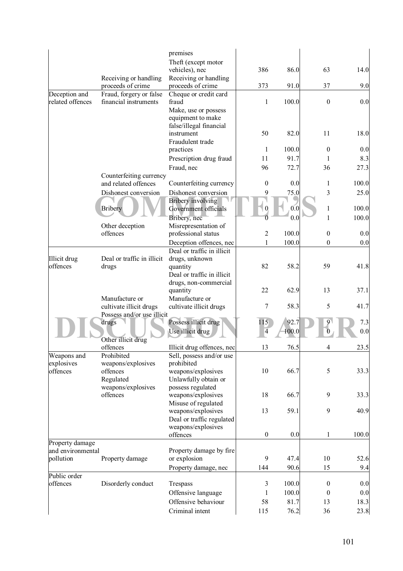|                           |                                                 | premises<br>Theft (except motor                                       |                  |              |                  |             |
|---------------------------|-------------------------------------------------|-----------------------------------------------------------------------|------------------|--------------|------------------|-------------|
|                           | Receiving or handling<br>proceeds of crime      | vehicles), nec<br>Receiving or handling<br>proceeds of crime          | 386<br>373       | 86.0<br>91.0 | 63<br>37         | 14.0<br>9.0 |
| Deception and             | Fraud, forgery or false                         | Cheque or credit card                                                 |                  |              |                  |             |
| related offences          | financial instruments                           | fraud                                                                 | 1                | 100.0        | $\boldsymbol{0}$ | 0.0         |
|                           |                                                 | Make, use or possess<br>equipment to make<br>false/illegal financial  |                  |              |                  |             |
|                           |                                                 | instrument<br>Fraudulent trade                                        | 50               | 82.0         | 11               | 18.0        |
|                           |                                                 | practices                                                             | 1                | 100.0        | $\boldsymbol{0}$ | 0.0         |
|                           |                                                 | Prescription drug fraud                                               | 11               | 91.7         | 1                | 8.3         |
|                           |                                                 | Fraud, nec                                                            | 96               | 72.7         | 36               | 27.3        |
|                           | Counterfeiting currency<br>and related offences | Counterfeiting currency                                               | $\mathbf{0}$     | 0.0          | 1                | 100.0       |
|                           |                                                 |                                                                       |                  |              |                  |             |
|                           | Dishonest conversion                            | Dishonest conversion<br><b>Bribery</b> involving                      | 9                | 75.0         | 3                | 25.0        |
|                           | <b>Bribery</b>                                  | Government officials                                                  |                  | 0.0          | 1                | 100.0       |
|                           |                                                 | Bribery, nec                                                          |                  | 0.0          | $\mathbf{1}$     | 100.0       |
|                           | Other deception                                 | Misrepresentation of                                                  |                  |              |                  |             |
|                           | offences                                        | professional status                                                   | $\overline{2}$   | 100.0        | $\boldsymbol{0}$ | 0.0         |
|                           |                                                 | Deception offences, nec                                               | 1                | 100.0        | $\boldsymbol{0}$ | 0.0         |
|                           |                                                 | Deal or traffic in illicit                                            |                  |              |                  |             |
| Illicit drug<br>offences  | Deal or traffic in illicit                      | drugs, unknown                                                        |                  |              |                  |             |
|                           | drugs                                           | quantity<br>Deal or traffic in illicit                                | 82               | 58.2         | 59               | 41.8        |
|                           |                                                 | drugs, non-commercial                                                 |                  |              |                  |             |
|                           |                                                 | quantity                                                              | 22               | 62.9         | 13               | 37.1        |
|                           | Manufacture or                                  | Manufacture or                                                        |                  |              |                  |             |
|                           | cultivate illicit drugs                         | cultivate illicit drugs                                               | 7                | 58.3         | 5                | 41.7        |
|                           | Possess and/or use illicit                      |                                                                       | 115              | 92.7         |                  |             |
|                           | drugs<br>Other illicit drug                     | Possess illicit drug<br>Use illicit drug                              | 4                | 100.0        |                  | 7.3<br>0.0  |
|                           | offences                                        | Illicit drug offences, nec                                            | 13               | 76.5         | 4                | 23.5        |
| Weapons and<br>explosives | Prohibited<br>weapons/explosives                | Sell, possess and/or use<br>prohibited                                |                  |              |                  |             |
| offences                  | offences<br>Regulated<br>weapons/explosives     | weapons/explosives<br>Unlawfully obtain or<br>possess regulated       | 10               | 66.7         | 5                | 33.3        |
|                           | offences                                        | weapons/explosives<br>Misuse of regulated                             | 18               | 66.7         | 9                | 33.3        |
|                           |                                                 | weapons/explosives<br>Deal or traffic regulated<br>weapons/explosives | 13               | 59.1         | 9                | 40.9        |
|                           |                                                 | offences                                                              | $\boldsymbol{0}$ | 0.0          | 1                | 100.0       |
| Property damage           |                                                 |                                                                       |                  |              |                  |             |
| and environmental         |                                                 | Property damage by fire                                               |                  |              |                  |             |
| pollution                 | Property damage                                 | or explosion                                                          | 9                | 47.4         | 10               | 52.6        |
| Public order              |                                                 | Property damage, nec                                                  | 144              | 90.6         | 15               | 9.4         |
| offences                  | Disorderly conduct                              | Trespass                                                              | 3                | 100.0        | $\boldsymbol{0}$ | 0.0         |
|                           |                                                 | Offensive language                                                    | 1                | 100.0        | $\mathbf{0}$     | 0.0         |
|                           |                                                 | Offensive behaviour                                                   | 58               | 81.7         | 13               | 18.3        |
|                           |                                                 | Criminal intent                                                       | 115              | 76.2         | 36               | 23.8        |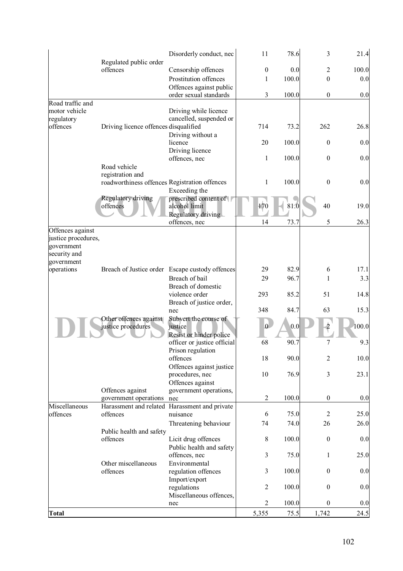|                            |                                               | Disorderly conduct, nec                         | 11               | 78.6  | 3                | 21.4  |
|----------------------------|-----------------------------------------------|-------------------------------------------------|------------------|-------|------------------|-------|
|                            | Regulated public order<br>offences            | Censorship offences                             | $\boldsymbol{0}$ | 0.0   | 2                | 100.0 |
|                            |                                               | Prostitution offences                           | 1                | 100.0 | $\boldsymbol{0}$ | 0.0   |
|                            |                                               | Offences against public                         |                  |       |                  |       |
|                            |                                               | order sexual standards                          | 3                | 100.0 | $\mathbf{0}$     | 0.0   |
| Road traffic and           |                                               |                                                 |                  |       |                  |       |
| motor vehicle              |                                               | Driving while licence                           |                  |       |                  |       |
| regulatory                 |                                               | cancelled, suspended or                         |                  |       |                  |       |
| offences                   | Driving licence offences disqualified         |                                                 | 714              | 73.2  | 262              | 26.8  |
|                            |                                               | Driving without a<br>licence                    | 20               | 100.0 | $\mathbf{0}$     | 0.0   |
|                            |                                               | Driving licence                                 |                  |       |                  |       |
|                            |                                               | offences, nec                                   | 1                | 100.0 | $\mathbf{0}$     | 0.0   |
|                            | Road vehicle                                  |                                                 |                  |       |                  |       |
|                            | registration and                              |                                                 |                  |       |                  |       |
|                            | roadworthiness offences Registration offences |                                                 | 1                | 100.0 | $\boldsymbol{0}$ | 0.0   |
|                            |                                               | Exceeding the                                   |                  |       |                  |       |
|                            | Regulatory driving<br>offences                | prescribed content of<br>alcohol limit          | 170              | 81.0  | 40               | 19.0  |
|                            |                                               | Regulatory driving                              |                  |       |                  |       |
|                            |                                               | offences, nec                                   | 14               | 73.7  | 5                | 26.3  |
| Offences against           |                                               |                                                 |                  |       |                  |       |
| justice procedures,        |                                               |                                                 |                  |       |                  |       |
| government                 |                                               |                                                 |                  |       |                  |       |
| security and<br>government |                                               |                                                 |                  |       |                  |       |
| operations                 |                                               | Breach of Justice order Escape custody offences | 29               | 82.9  | 6                | 17.1  |
|                            |                                               | Breach of bail                                  | 29               | 96.7  | 1                | 3.3   |
|                            |                                               | Breach of domestic                              |                  |       |                  |       |
|                            |                                               | violence order                                  | 293              | 85.2  | 51               | 14.8  |
|                            |                                               | Breach of justice order,                        |                  |       |                  |       |
|                            |                                               | nec                                             | 348              | 84.7  | 63               | 15.3  |
|                            | Other offences against                        | Subvert the course of                           | $\overline{0}$   |       |                  |       |
|                            | justice procedures                            | justice<br>Resist or hinder police              |                  | 0.0   |                  | 100.0 |
|                            |                                               | officer or justice official                     | 68               | 90.7  | 7                | 9.3   |
|                            |                                               | Prison regulation                               |                  |       |                  |       |
|                            |                                               | offences                                        | 18               | 90.0  | $\overline{2}$   | 10.0  |
|                            |                                               | Offences against justice                        |                  |       |                  |       |
|                            |                                               | procedures, nec                                 | 10               | 76.9  | 3                | 23.1  |
|                            | Offences against                              | Offences against<br>government operations,      |                  |       |                  |       |
|                            | government operations                         | nec                                             | $\overline{2}$   | 100.0 | $\boldsymbol{0}$ | 0.0   |
| Miscellaneous              | Harassment and related                        | Harassment and private                          |                  |       |                  |       |
| offences                   | offences                                      | nuisance                                        | 6                | 75.0  | $\overline{2}$   | 25.0  |
|                            |                                               | Threatening behaviour                           | 74               | 74.0  | 26               | 26.0  |
|                            | Public health and safety                      |                                                 |                  |       |                  |       |
|                            | offences                                      | Licit drug offences                             | 8                | 100.0 | $\mathbf{0}$     | 0.0   |
|                            |                                               | Public health and safety                        |                  |       |                  |       |
|                            | Other miscellaneous                           | offences, nec<br>Environmental                  | 3                | 75.0  | 1                | 25.0  |
|                            | offences                                      | regulation offences                             | 3                | 100.0 | $\overline{0}$   | 0.0   |
|                            |                                               | Import/export                                   |                  |       |                  |       |
|                            |                                               | regulations                                     | $\overline{2}$   | 100.0 | $\mathbf{0}$     | 0.0   |
|                            |                                               | Miscellaneous offences,                         |                  |       |                  |       |
|                            |                                               | nec                                             | $\overline{2}$   | 100.0 | $\overline{0}$   | 0.0   |
| <b>Total</b>               |                                               |                                                 | 5,355            | 75.5  | 1,742            | 24.5  |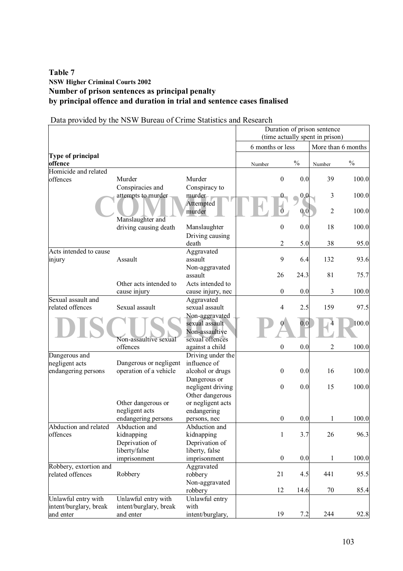# **Table 7 NSW Higher Criminal Courts 2002 Number of prison sentences as principal penalty by principal offence and duration in trial and sentence cases finalised**

# Data provided by the NSW Bureau of Crime Statistics and Research

|                                                            | Duration of prison sentence<br>(time actually spent in prison) |                                                       |                  |                  |               |                    |               |  |
|------------------------------------------------------------|----------------------------------------------------------------|-------------------------------------------------------|------------------|------------------|---------------|--------------------|---------------|--|
|                                                            |                                                                |                                                       | 6 months or less |                  |               | More than 6 months |               |  |
| Type of principal<br>offence                               |                                                                |                                                       | Number           |                  | $\frac{0}{0}$ | Number             | $\frac{0}{0}$ |  |
| Homicide and related<br>offences                           | Murder                                                         | Murder                                                |                  | 0                | 0.0           | 39                 | 100.0         |  |
|                                                            | Conspiracies and<br>attempts to murder                         | Conspiracy to<br>murder-                              |                  |                  | 0,0           | 3                  | 100.0         |  |
|                                                            | Manslaughter and                                               | Attempted<br>murder                                   |                  |                  | 0,0           | $\sqrt{2}$         | 100.0         |  |
|                                                            | driving causing death                                          | Manslaughter                                          |                  | $\boldsymbol{0}$ | 0.0           | 18                 | 100.0         |  |
|                                                            |                                                                | Driving causing<br>death                              |                  | 2                | 5.0           | 38                 | 95.0          |  |
| Acts intended to cause<br>injury                           | Assault                                                        | Aggravated<br>assault<br>Non-aggravated               |                  | 9                | 6.4           | 132                | 93.6          |  |
|                                                            | Other acts intended to                                         | assault<br>Acts intended to                           |                  | 26               | 24.3          | 81                 | 75.7          |  |
| Sexual assault and                                         | cause injury                                                   | cause injury, nec                                     |                  | $\boldsymbol{0}$ | 0.0           | 3                  | 100.0         |  |
| related offences                                           | Sexual assault                                                 | Aggravated<br>sexual assault<br>Non-aggravated        |                  | 4                | 2.5           | 159                | 97.5          |  |
|                                                            | Non-assaultive sexual                                          | sexual assault<br>Non-assaultive<br>sexual offences   |                  |                  | 0.0           |                    | 100.0         |  |
|                                                            | offences                                                       | against a child                                       |                  | $\boldsymbol{0}$ | 0.0           | $\overline{c}$     | 100.0         |  |
| Dangerous and<br>negligent acts<br>endangering persons     | Dangerous or negligent<br>operation of a vehicle               | Driving under the<br>influence of<br>alcohol or drugs |                  | $\boldsymbol{0}$ | 0.0           | 16                 | 100.0         |  |
|                                                            |                                                                | Dangerous or<br>negligent driving<br>Other dangerous  |                  | $\boldsymbol{0}$ | 0.0           | 15                 | 100.0         |  |
|                                                            | Other dangerous or<br>negligent acts<br>endangering persons    | or negligent acts<br>endangering<br>persons, nec      |                  | $\boldsymbol{0}$ | 0.0           | 1                  | 100.0         |  |
| Abduction and related<br>offences                          | Abduction and<br>kidnapping<br>Deprivation of                  | Abduction and<br>kidnapping<br>Deprivation of         |                  | $\mathbf{1}$     | 3.7           | 26                 | 96.3          |  |
|                                                            | liberty/false<br>imprisonment                                  | liberty, false<br>imprisonment                        |                  | $\boldsymbol{0}$ | 0.0           | 1                  | 100.0         |  |
| Robbery, extortion and<br>related offences                 | Robbery                                                        | Aggravated<br>robbery                                 |                  | 21               | 4.5           | 441                | 95.5          |  |
|                                                            |                                                                | Non-aggravated<br>robbery                             |                  | 12               | 14.6          | 70                 | 85.4          |  |
| Unlawful entry with<br>intent/burglary, break<br>and enter | Unlawful entry with<br>intent/burglary, break<br>and enter     | Unlawful entry<br>with<br>intent/burglary,            |                  | 19               | 7.2           | 244                | 92.8          |  |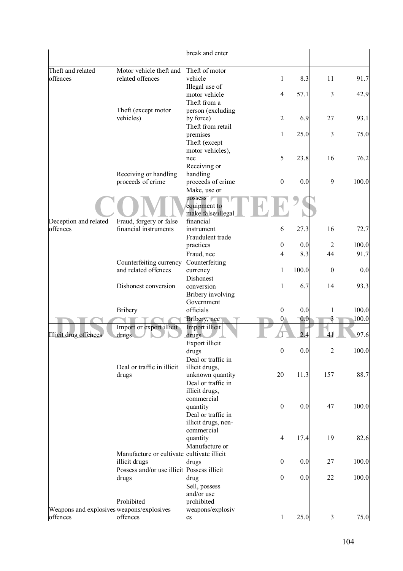|                                                       |                                                  | break and enter                           |                  |       |                |       |
|-------------------------------------------------------|--------------------------------------------------|-------------------------------------------|------------------|-------|----------------|-------|
| Theft and related                                     | Motor vehicle theft and                          | Theft of motor                            |                  |       |                |       |
| offences                                              | related offences                                 | vehicle                                   | $\mathbf{1}$     | 8.3   | 11             | 91.7  |
|                                                       |                                                  | Illegal use of                            |                  |       |                |       |
|                                                       |                                                  | motor vehicle                             | $\overline{4}$   | 57.1  | $\mathfrak{Z}$ | 42.9  |
|                                                       |                                                  | Theft from a                              |                  |       |                |       |
|                                                       | Theft (except motor                              | person (excluding                         |                  |       |                |       |
|                                                       | vehicles)                                        | by force)                                 | $\overline{2}$   | 6.9   | 27             | 93.1  |
|                                                       |                                                  | Theft from retail                         |                  |       |                |       |
|                                                       |                                                  | premises                                  | $\mathbf{1}$     | 25.0  | 3              | 75.0  |
|                                                       |                                                  | Theft (except<br>motor vehicles),         |                  |       |                |       |
|                                                       |                                                  | nec                                       | $\mathfrak s$    | 23.8  | 16             | 76.2  |
|                                                       |                                                  | Receiving or                              |                  |       |                |       |
|                                                       | Receiving or handling                            | handling                                  |                  |       |                |       |
|                                                       | proceeds of crime                                | proceeds of crime                         | $\boldsymbol{0}$ | 0.0   | 9              | 100.0 |
|                                                       |                                                  | Make, use or                              |                  |       |                |       |
|                                                       |                                                  | possess                                   |                  |       |                |       |
|                                                       |                                                  | equipment to                              |                  |       |                |       |
|                                                       |                                                  | make false/illegal                        |                  |       |                |       |
| Deception and related                                 | Fraud, forgery or false<br>financial instruments | financial                                 |                  |       | 16             |       |
| offences                                              |                                                  | instrument<br>Fraudulent trade            | 6                | 27.3  |                | 72.7  |
|                                                       |                                                  | practices                                 | $\boldsymbol{0}$ | 0.0   | 2              | 100.0 |
|                                                       |                                                  | Fraud, nec                                | $\overline{4}$   | 8.3   | 44             | 91.7  |
|                                                       | Counterfeiting currency                          | Counterfeiting                            |                  |       |                |       |
|                                                       | and related offences                             | currency                                  | 1                | 100.0 | $\mathbf{0}$   | 0.0   |
|                                                       |                                                  | Dishonest                                 |                  |       |                |       |
|                                                       | Dishonest conversion                             | conversion                                | $\mathbf{1}$     | 6.7   | 14             | 93.3  |
|                                                       |                                                  | Bribery involving                         |                  |       |                |       |
|                                                       |                                                  | Government                                |                  |       |                |       |
|                                                       | <b>Bribery</b>                                   | officials                                 | $\boldsymbol{0}$ | 0.0   | 1              | 100.0 |
|                                                       |                                                  | Bribery, nec                              | $\mathbf{0}$     | 0.0   | 3              | 100.0 |
| Illicit drug offences                                 | Import or export illicit<br>drugs                | Import illicit<br>drugs                   |                  | 24    |                | 97.6  |
|                                                       |                                                  | Export illicit                            |                  |       |                |       |
|                                                       |                                                  | drugs                                     | $\boldsymbol{0}$ | 0.0   | 2              | 100.0 |
|                                                       |                                                  | Deal or traffic in                        |                  |       |                |       |
|                                                       | Deal or traffic in illicit                       | illicit drugs,                            |                  |       |                |       |
|                                                       | drugs                                            | unknown quantity                          | 20               | 11.3  | 157            | 88.7  |
|                                                       |                                                  | Deal or traffic in                        |                  |       |                |       |
|                                                       |                                                  | illicit drugs,                            |                  |       |                |       |
|                                                       |                                                  | commercial                                |                  |       |                |       |
|                                                       |                                                  | quantity                                  | $\boldsymbol{0}$ | 0.0   | 47             | 100.0 |
|                                                       |                                                  | Deal or traffic in<br>illicit drugs, non- |                  |       |                |       |
|                                                       |                                                  | commercial                                |                  |       |                |       |
|                                                       |                                                  | quantity                                  | $\overline{4}$   | 17.4  | 19             | 82.6  |
|                                                       |                                                  | Manufacture or                            |                  |       |                |       |
|                                                       | Manufacture or cultivate cultivate illicit       |                                           |                  |       |                |       |
|                                                       | illicit drugs                                    | drugs                                     | $\boldsymbol{0}$ | 0.0   | 27             | 100.0 |
|                                                       | Possess and/or use illicit Possess illicit       |                                           |                  |       |                |       |
|                                                       | drugs                                            | drug                                      | $\boldsymbol{0}$ | 0.0   | 22             | 100.0 |
|                                                       |                                                  | Sell, possess                             |                  |       |                |       |
|                                                       |                                                  | and/or use                                |                  |       |                |       |
|                                                       | Prohibited                                       | prohibited                                |                  |       |                |       |
| Weapons and explosives weapons/explosives<br>offences | offences                                         | weapons/explosiv                          |                  |       | $\mathfrak{Z}$ |       |
|                                                       |                                                  | es                                        | $\mathbf{1}$     | 25.0  |                | 75.0  |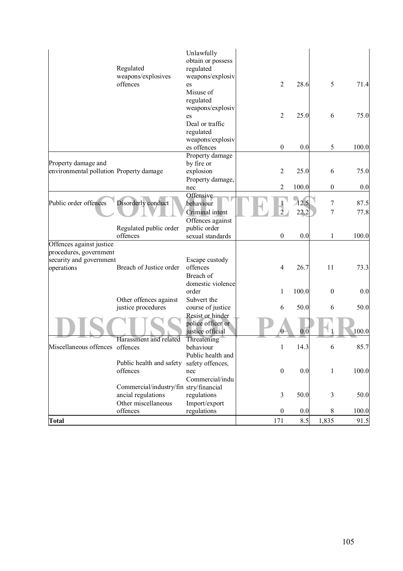|                                                                 | Regulated<br>weapons/explosives<br>offences                                         | Unlawfully<br>obtain or possess<br>regulated<br>weapons/explosiv<br>es<br>Misuse of<br>regulated | $\sqrt{2}$       | 28.6         | 5                | 71.4         |
|-----------------------------------------------------------------|-------------------------------------------------------------------------------------|--------------------------------------------------------------------------------------------------|------------------|--------------|------------------|--------------|
|                                                                 |                                                                                     | weapons/explosiv<br>es<br>Deal or traffic<br>regulated                                           | $\sqrt{2}$       | 25.0         | 6                | 75.0         |
|                                                                 |                                                                                     | weapons/explosiv<br>es offences                                                                  | $\boldsymbol{0}$ | 0.0          | 5                | 100.0        |
| Property damage and<br>environmental pollution Property damage  |                                                                                     | Property damage<br>by fire or<br>explosion<br>Property damage,                                   | $\overline{2}$   | 25.0         | 6                | 75.0         |
|                                                                 |                                                                                     | nec                                                                                              | $\overline{2}$   | 100.0        | $\boldsymbol{0}$ | 0.0          |
| Public order offences                                           | Disorderly conduct                                                                  | Offensive<br>behaviour<br>Criminal intent                                                        | $\overline{2}$   | 12.5<br>22.2 | 7<br>7           | 87.5<br>77.8 |
|                                                                 | Regulated public order<br>offences                                                  | Offences against<br>public order<br>sexual standards                                             | $\boldsymbol{0}$ | 0.0          | $\mathbf{1}$     | 100.0        |
| Offences against justice                                        |                                                                                     |                                                                                                  |                  |              |                  |              |
| procedures, government<br>security and government<br>operations | Breach of Justice order                                                             | Escape custody<br>offences<br>Breach of                                                          | $\overline{4}$   | 26.7         | 11               | 73.3         |
|                                                                 |                                                                                     | domestic violence<br>order                                                                       | $\mathbf{1}$     | 100.0        | $\boldsymbol{0}$ | 0.0          |
|                                                                 | Other offences against<br>justice procedures                                        | Subvert the<br>course of justice<br>Resist or hinder                                             | 6                | 50.0         | 6                | 50.0         |
|                                                                 |                                                                                     | police officer or<br>justice official                                                            |                  | 0.0          |                  | 100.0        |
| Miscellaneous offences offences                                 | Harassment and related                                                              | Threatening<br>behaviour<br>Public health and                                                    | $\mathbf{1}$     | 14.3         | 6                | 85.7         |
|                                                                 | Public health and safety<br>offences                                                | safety offences,<br>nec<br>Commercial/indu                                                       | $\boldsymbol{0}$ | 0.0          | 1                | 100.0        |
|                                                                 | Commercial/industry/fin stry/financial<br>ancial regulations<br>Other miscellaneous | regulations<br>Import/export                                                                     | $\mathfrak{Z}$   | 50.0         | 3                | 50.0         |
|                                                                 | offences                                                                            | regulations                                                                                      | $\boldsymbol{0}$ | 0.0          | 8                | 100.0        |
| <b>Total</b>                                                    |                                                                                     |                                                                                                  | 171              | 8.5          | 1,835            | 91.5         |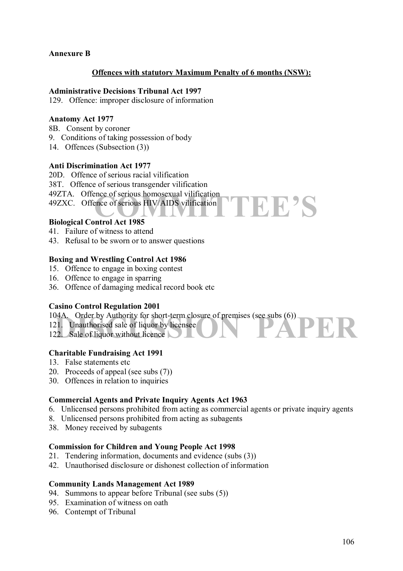## **Annexure B**

#### **Offences with statutory Maximum Penalty of 6 months (NSW):**

**TEE'S** 

#### **Administrative Decisions Tribunal Act 1997**

129. Offence: improper disclosure of information

#### **Anatomy Act 1977**

- 8B. Consent by coroner
- 9. Conditions of taking possession of body
- 14. Offences (Subsection (3))

#### **Anti Discrimination Act 1977**

- 20D. Offence of serious racial vilification
- 38T. Offence of serious transgender vilification
- 49ZTA. Offence of serious homosexual vilification
- 49ZXC. Offence of serious HIV/AIDS vilification

#### **Biological Control Act 1985**

- 41. Failure of witness to attend
- 43. Refusal to be sworn or to answer questions

#### **Boxing and Wrestling Control Act 1986**

- 15. Offence to engage in boxing contest
- 16. Offence to engage in sparring
- 36. Offence of damaging medical record book etc

#### **Casino Control Regulation 2001**

- 104A. Order by Authority for short-term closure of premises (see subs (6))<br>
121. Unauthorised sale of liquor by licensee<br>
122. Sale of liquor without licence
- 121. Unauthorised sale of liquor by licensee
- 122. Sale of liquor without licence

#### **Charitable Fundraising Act 1991**

- 13. False statements etc
- 20. Proceeds of appeal (see subs (7))
- 30. Offences in relation to inquiries

#### **Commercial Agents and Private Inquiry Agents Act 1963**

- 6. Unlicensed persons prohibited from acting as commercial agents or private inquiry agents
- 8. Unlicensed persons prohibited from acting as subagents
- 38. Money received by subagents

#### **Commission for Children and Young People Act 1998**

- 21. Tendering information, documents and evidence (subs (3))
- 42. Unauthorised disclosure or dishonest collection of information

#### **Community Lands Management Act 1989**

- 94. Summons to appear before Tribunal (see subs (5))
- 95. Examination of witness on oath
- 96. Contempt of Tribunal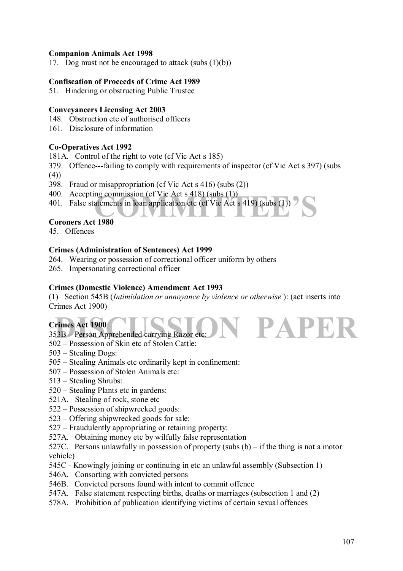# **Companion Animals Act 1998**

17. Dog must not be encouraged to attack (subs  $(1)(b)$ )

## **Confiscation of Proceeds of Crime Act 1989**

51. Hindering or obstructing Public Trustee

#### **Conveyancers Licensing Act 2003**

- 148. Obstruction etc of authorised officers
- 161. Disclosure of information

## **Co-Operatives Act 1992**

181A. Control of the right to vote (cf Vic Act s 185)

- 379. Offence---failing to comply with requirements of inspector (cf Vic Act s 397) (subs
- $(4)$
- 398. Fraud or misappropriation (cf Vic Act s 416) (subs (2))
- 400. Accepting commission (cf Vic Act s 418) (subs (1))
- ng commission (cf Vic Act s 418) (subs (1))<br>atements in loan application etc (cf Vic Act s 419) (subs (1)) <sup>2</sup> 401. False statements in loan application etc (cf Vic Act s 419) (subs (1))

#### **Coroners Act 1980**

45. Offences

#### **Crimes (Administration of Sentences) Act 1999**

- 264. Wearing or possession of correctional officer uniform by others
- 265. Impersonating correctional officer

## **Crimes (Domestic Violence) Amendment Act 1993**

(1) Section 545B (*Intimidation or annoyance by violence or otherwise* ): (act inserts into Crimes Act 1900)

# **Crimes Act 1900**

# $353B -$  Person Apprehended carrying Razor etc:

- 502 Possession of Skin etc of Stolen Cattle:
- $503$  Stealing Dogs:
- 505 Stealing Animals etc ordinarily kept in confinement:
- 507 Possession of Stolen Animals etc:
- $513$  Stealing Shrubs:
- $520 Stealing$  Plants etc in gardens:
- 521A. Stealing of rock, stone etc
- $522 -$ Possession of shipwrecked goods:
- $523 -$  Offering shipwrecked goods for sale:
- $527$  Fraudulently appropriating or retaining property:
- 527A. Obtaining money etc by wilfully false representation
- 527C. Persons unlawfully in possession of property (subs  $(b)$  if the thing is not a motor vehicle)
- 545C Knowingly joining or continuing in etc an unlawful assembly (Subsection 1)
- 546A. Consorting with convicted persons
- 546B. Convicted persons found with intent to commit offence
- 547A. False statement respecting births, deaths or marriages (subsection 1 and (2)
- 578A. Prohibition of publication identifying victims of certain sexual offences

**PAPE**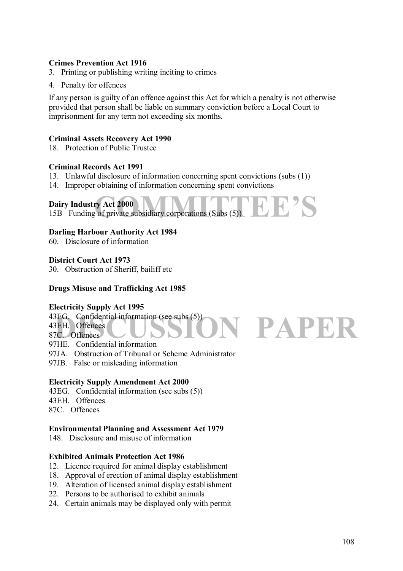# **Crimes Prevention Act 1916**

- 3. Printing or publishing writing inciting to crimes
- 4. Penalty for offences

If any person is guilty of an offence against this Act for which a penalty is not otherwise provided that person shall be liable on summary conviction before a Local Court to imprisonment for any term not exceeding six months.

#### **Criminal Assets Recovery Act 1990**

18. Protection of Public Trustee

#### **Criminal Records Act 1991**

- 13. Unlawful disclosure of information concerning spent convictions (subs (1))
- 14. Improper obtaining of information concerning spent convictions

# **Dairy Industry Act 2000**

Dairy Industry Act 2000<br>15B Funding of private subsidiary corporations (Subs (5))

#### **Darling Harbour Authority Act 1984**

60. Disclosure of information

#### **District Court Act 1973**

30. Obstruction of Sheriff, bailiff etc

## **Drugs Misuse and Trafficking Act 1985**

# **Electricity Supply Act 1995**

**PAPER** 43EG. Confidential information (see subs (5)) 43EH. Offences 87C. Offences

97HE. Confidential information

- 97JA. Obstruction of Tribunal or Scheme Administrator
- 97JB. False or misleading information

#### **Electricity Supply Amendment Act 2000**

- 43EG. Confidential information (see subs (5))
- 43EH. Offences
- 87C. Offences

#### **Environmental Planning and Assessment Act 1979**

148. Disclosure and misuse of information

#### **Exhibited Animals Protection Act 1986**

- 12. Licence required for animal display establishment
- 18. Approval of erection of animal display establishment
- 19. Alteration of licensed animal display establishment
- 22. Persons to be authorised to exhibit animals
- 24. Certain animals may be displayed only with permit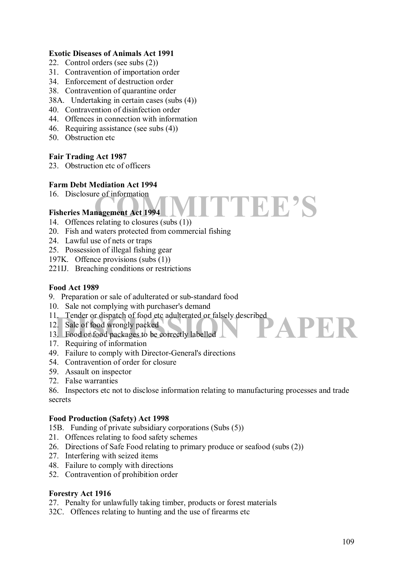## **Exotic Diseases of Animals Act 1991**

- 22. Control orders (see subs (2))
- 31. Contravention of importation order
- 34. Enforcement of destruction order
- 38. Contravention of quarantine order
- 38A. Undertaking in certain cases (subs (4))
- 40. Contravention of disinfection order
- 44. Offences in connection with information
- 46. Requiring assistance (see subs (4))
- 50. Obstruction etc

## **Fair Trading Act 1987**

23 Obstruction etc of officers

## **Farm Debt Mediation Act 1994**

16. Disclosure of information

## **Fisheries Management Act 1994**

- 14. Offences relating to closures (subs (1))
- 20. Fish and waters protected from commercial fishing
- 24. Lawful use of nets or traps
- 25. Possession of illegal fishing gear
- 197K. Offence provisions (subs (1))
- 221IJ. Breaching conditions or restrictions

## **Food Act 1989**

- 9. Preparation or sale of adulterated or sub-standard food
- 10. Sale not complying with purchaser's demand
- 11. Tender or dispatch of food etc adulterated or falsely described
- 12. Sale of food wrongly packed
- 11. Tender or dispatch of food etc adulterated or falsely described<br>
12. Sale of food wrongly packed<br>
13. Food or food packages to be correctly labelled<br>
17. Pequiring of information
- 17. Requiring of information
- 49. Failure to comply with Director-General's directions
- 54. Contravention of order for closure
- 59. Assault on inspector
- 72. False warranties

86. Inspectors etc not to disclose information relating to manufacturing processes and trade secrets

**COMMITTEE** 

#### **Food Production (Safety) Act 1998**

- 15B. Funding of private subsidiary corporations (Subs (5))
- 21. Offences relating to food safety schemes
- 26. Directions of Safe Food relating to primary produce or seafood (subs (2))
- 27. Interfering with seized items
- 48. Failure to comply with directions
- 52. Contravention of prohibition order

## **Forestry Act 1916**

27. Penalty for unlawfully taking timber, products or forest materials

32C. Offences relating to hunting and the use of firearms etc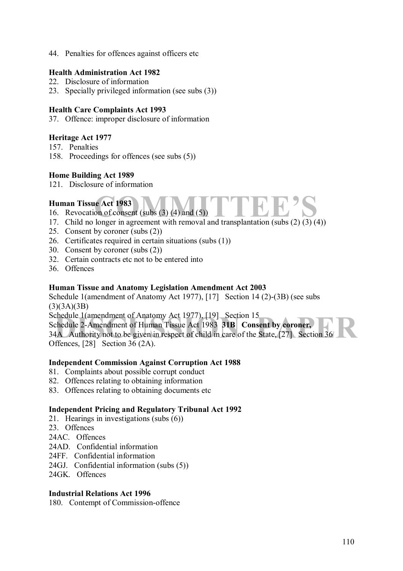44. Penalties for offences against officers etc

## **Health Administration Act 1982**

- 22. Disclosure of information
- 23. Specially privileged information (see subs (3))

## **Health Care Complaints Act 1993**

37. Offence: improper disclosure of information

## **Heritage Act 1977**

- 157. Penalties
- 158. Proceedings for offences (see subs (5))

## **Home Building Act 1989**

121. Disclosure of information

## **Human Tissue Act 1983**

- 16. Revocation of consent (subs  $(3)$   $(4)$  and  $(5)$ )
- **COMMITTE EIGE ACT 1983**<br>
16. Revocation of consent (subs (3) (4) and (5))<br>
17. Child no longer in agreement with removal and transplantation (subs (2) (3) (4))
- 25. Consent by coroner (subs (2))
- 26. Certificates required in certain situations (subs (1))
- 30. Consent by coroner (subs (2))
- 32. Certain contracts etc not to be entered into
- 36. Offences

## **Human Tissue and Anatomy Legislation Amendment Act 2003**

Schedule 1(amendment of Anatomy Act 1977), [17] Section 14 (2)-(3B) (see subs  $(3)(3A)(3B)$ 

Schedule 1(amendment of Anatomy Act 1977), [19] Section 15

chedule 1 (amendment of Anatomy Act 1977), [19] Section 15<br>chedule 2-Amendment of Human Tissue Act 1983 **31B Consent by coroner,**<br>1A Authority not to be given in respect of child in care of the State, [27] Section 36 Schedule 2-Amendment of Human Tissue Act 1983 **31B Consent by coroner,**  34A Authority not to be given in respect of child in care of the State, [27] Section 36 Offences, [28] Section 36 (2A).

## **Independent Commission Against Corruption Act 1988**

- 81. Complaints about possible corrupt conduct
- 82. Offences relating to obtaining information
- 83. Offences relating to obtaining documents etc

## **Independent Pricing and Regulatory Tribunal Act 1992**

- 21. Hearings in investigations (subs (6))
- 23. Offences
- 24AC. Offences
- 24AD. Confidential information
- 24FF. Confidential information
- 24GJ. Confidential information (subs (5))
- 24GK. Offences

#### **Industrial Relations Act 1996**

180. Contempt of Commission-offence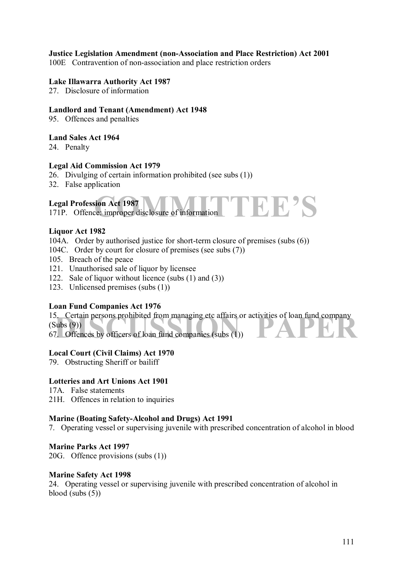## **Justice Legislation Amendment (non-Association and Place Restriction) Act 2001**

100E Contravention of non-association and place restriction orders

#### **Lake Illawarra Authority Act 1987**

27. Disclosure of information

#### **Landlord and Tenant (Amendment) Act 1948**

95. Offences and penalties

#### **Land Sales Act 1964**

24. Penalty

#### **Legal Aid Commission Act 1979**

26. Divulging of certain information prohibited (see subs (1))

32. False application

## **Legal Profession Act 1987**

171P. Offence: improper disclosure of information

## **Liquor Act 1982**

- 104A. Order by authorised justice for short-term closure of premises (subs (6))
- 104C. Order by court for closure of premises (see subs (7))
- 105. Breach of the peace
- 121. Unauthorised sale of liquor by licensee
- 122. Sale of liquor without licence (subs (1) and (3))
- 123. Unlicensed premises (subs (1))

## **Loan Fund Companies Act 1976**

15. Certain persons prohibited from managing etc affairs or activities of loan fund company<br>
(Subs (9))<br>
67. Offences by officers of loan fund companies (subs (1)) 15. Certain persons prohibited from managing etc affairs or activities of loan fund company  $(Subs (9))$ 

**COMMITTEE** 

## **Local Court (Civil Claims) Act 1970**

79. Obstructing Sheriff or bailiff

## **Lotteries and Art Unions Act 1901**

- 17A. False statements
- 21H. Offences in relation to inquiries

#### **Marine (Boating Safety-Alcohol and Drugs) Act 1991**

7. Operating vessel or supervising juvenile with prescribed concentration of alcohol in blood

#### **Marine Parks Act 1997**

20G. Offence provisions (subs (1))

#### **Marine Safety Act 1998**

24. Operating vessel or supervising juvenile with prescribed concentration of alcohol in blood (subs  $(5)$ )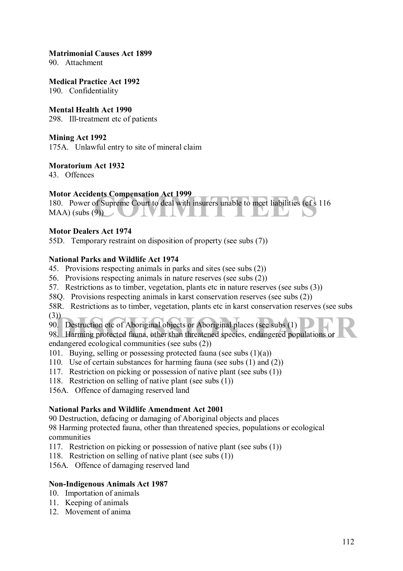#### **Matrimonial Causes Act 1899**

90. Attachment

**Medical Practice Act 1992** 

190. Confidentiality

#### **Mental Health Act 1990**

298. Ill-treatment etc of patients

#### **Mining Act 1992**

175A. Unlawful entry to site of mineral claim

## **Moratorium Act 1932**

43. Offences

## **Motor Accidents Compensation Act 1999**

ents Compensation Act 1999<br>
of Supreme Court to deal with insurers unable to meet liabilities (cf s 11<br>
9) 180. Power of Supreme Court to deal with insurers unable to meet liabilities (cf s 116  $MAA$ ) (subs  $(9)$ )

## **Motor Dealers Act 1974**

55D. Temporary restraint on disposition of property (see subs (7))

## **National Parks and Wildlife Act 1974**

- 45. Provisions respecting animals in parks and sites (see subs (2))
- 56. Provisions respecting animals in nature reserves (see subs (2))
- 57. Restrictions as to timber, vegetation, plants etc in nature reserves (see subs (3))
- 58Q. Provisions respecting animals in karst conservation reserves (see subs (2))
- 58R. Restrictions as to timber, vegetation, plants etc in karst conservation reserves (see subs  $(3))_$
- 90. Destruction etc of Aboriginal objects or Aboriginal places (see subs (1)

(3))<br>90. Destruction etc of Aboriginal objects or Aboriginal places (see subs (1)<br>98. Harming protected fauna, other than threatened species, endangered populations or endangered ecological communities (see subs (2))

- 101. Buving, selling or possessing protected fauna (see subs  $(1)(a)$ )
- 110. Use of certain substances for harming fauna (see subs (1) and (2))
- 117. Restriction on picking or possession of native plant (see subs (1))
- 118. Restriction on selling of native plant (see subs (1))
- 156A. Offence of damaging reserved land

## **National Parks and Wildlife Amendment Act 2001**

90 Destruction, defacing or damaging of Aboriginal objects and places

98 Harming protected fauna, other than threatened species, populations or ecological communities

- 117. Restriction on picking or possession of native plant (see subs (1))
- 118. Restriction on selling of native plant (see subs (1))

156A. Offence of damaging reserved land

## **Non-Indigenous Animals Act 1987**

- 10. Importation of animals
- 11. Keeping of animals
- 12. Movement of anima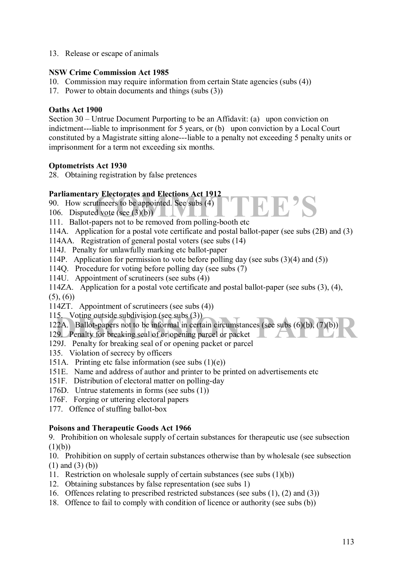13. Release or escape of animals

## **NSW Crime Commission Act 1985**

- 10. Commission may require information from certain State agencies (subs (4))
- 17. Power to obtain documents and things (subs (3))

## **Oaths Act 1900**

Section 30 – Untrue Document Purporting to be an Affidavit: (a) upon conviction on indictment---liable to imprisonment for 5 years, or (b) upon conviction by a Local Court constituted by a Magistrate sitting alone---liable to a penalty not exceeding 5 penalty units or imprisonment for a term not exceeding six months.

## **Optometrists Act 1930**

28. Obtaining registration by false pretences

## **Parliamentary Electorates and Elections Act 1912**

- **COMMITTEE SECURITY SECURITY SECURITY SECURITY OF SECURITY OF SECURITY OF SECURITY SECURITY SECURITY SECURITY SECURITY SECURITY SECURITY SECURITY SECURITY SECURITY SECURITY SECURITY SECURITY SECURITY SECURITY SECURITY SECU** 90. How scrutineers to be appointed. See subs (4)
- 106. Disputed vote (see  $(3)(b)$ )
- 111. Ballot-papers not to be removed from polling-booth etc
- 114A. Application for a postal vote certificate and postal ballot-paper (see subs (2B) and (3)
- 114AA. Registration of general postal voters (see subs (14)
- 114J. Penalty for unlawfully marking etc ballot-paper
- 114P. Application for permission to vote before polling day (see subs (3)(4) and (5))
- 114Q. Procedure for voting before polling day (see subs (7)
- 114U. Appointment of scrutineers (see subs (4))
- 114ZA. Application for a postal vote certificate and postal ballot-paper (see subs (3), (4),  $(5)$ ,  $(6)$
- 114ZT. Appointment of scrutineers (see subs (4))
- 115. Voting outside subdivision (see subs (3))

15. Voting outside subdivision (see subs (3))<br>22A. Ballot-papers not to be informal in certain circumstances (see subs (6)(b), (7)(b))<br>29. Penalty for breaking seal of or opening parcel or packet<br>201. Banalty for breaking 122A. Ballot-papers not to be informal in certain circumstances (see subs (6)(b), (7)(b))

- 129. Penalty for breaking seal of or opening parcel or packet
- 129J. Penalty for breaking seal of or opening packet or parcel
- 135. Violation of secrecy by officers
- 151A. Printing etc false information (see subs  $(1)(e)$ )
- 151E. Name and address of author and printer to be printed on advertisements etc
- 151F. Distribution of electoral matter on polling-day
- 176D. Untrue statements in forms (see subs (1))
- 176F. Forging or uttering electoral papers
- 177. Offence of stuffing ballot-box

## **Poisons and Therapeutic Goods Act 1966**

9. Prohibition on wholesale supply of certain substances for therapeutic use (see subsection  $(1)(b))$ 

10. Prohibition on supply of certain substances otherwise than by wholesale (see subsection (1) and (3) (b))

- 11. Restriction on wholesale supply of certain substances (see subs (1)(b))
- 12. Obtaining substances by false representation (see subs 1)
- 16. Offences relating to prescribed restricted substances (see subs (1), (2) and (3))
- 18. Offence to fail to comply with condition of licence or authority (see subs (b))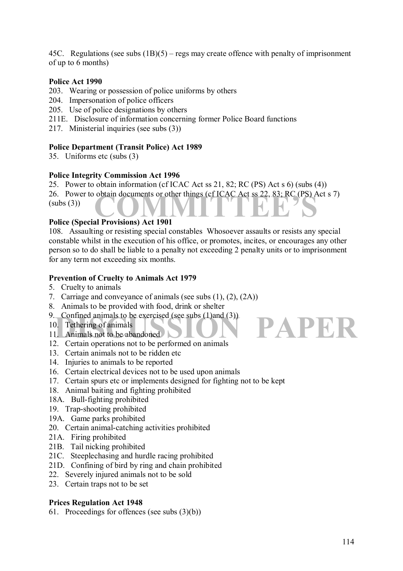45C. Regulations (see subs  $(1B)(5)$  – regs may create offence with penalty of imprisonment of up to 6 months)

## **Police Act 1990**

- 203. Wearing or possession of police uniforms by others
- 204. Impersonation of police officers
- 205. Use of police designations by others
- 211E. Disclosure of information concerning former Police Board functions
- 217. Ministerial inquiries (see subs (3))

## **Police Department (Transit Police) Act 1989**

35. Uniforms etc (subs (3)

## **Police Integrity Commission Act 1996**

26. Power to obtain documents or other things (cf ICAC Act ss 22, 83; RC (PS) Act s 7)<br>
(subs (3))<br> **Police (Special Provisions)** Act 1901 25. Power to obtain information (cf ICAC Act ss 21, 82; RC (PS) Act s 6) (subs (4))  $(subs(3))$ 

## **Police (Special Provisions) Act 1901**

108. Assaulting or resisting special constables Whosoever assaults or resists any special constable whilst in the execution of his office, or promotes, incites, or encourages any other person so to do shall be liable to a penalty not exceeding 2 penalty units or to imprisonment for any term not exceeding six months.

## **Prevention of Cruelty to Animals Act 1979**

- 5. Cruelty to animals
- 7. Carriage and conveyance of animals (see subs (1), (2), (2A))
- 8. Animals to be provided with food, drink or shelter
- 9. Confined animals to be exercised (see subs (1)and (3))
- 10. Tethering of animals
- 11. Animals not to be abandoned
- 12. Certain operations not to be performed on animals
- 13. Certain animals not to be ridden etc
- 14. Injuries to animals to be reported
- 16. Certain electrical devices not to be used upon animals
- 17. Certain spurs etc or implements designed for fighting not to be kept
- 18. Animal baiting and fighting prohibited
- 18A. Bull-fighting prohibited
- 19. Trap-shooting prohibited
- 19A. Game parks prohibited
- 20. Certain animal-catching activities prohibited
- 21A. Firing prohibited
- 21B. Tail nicking prohibited
- 21C. Steeplechasing and hurdle racing prohibited
- 21D. Confining of bird by ring and chain prohibited
- 22. Severely injured animals not to be sold
- 23. Certain traps not to be set

## **Prices Regulation Act 1948**

61. Proceedings for offences (see subs (3)(b))

PAPER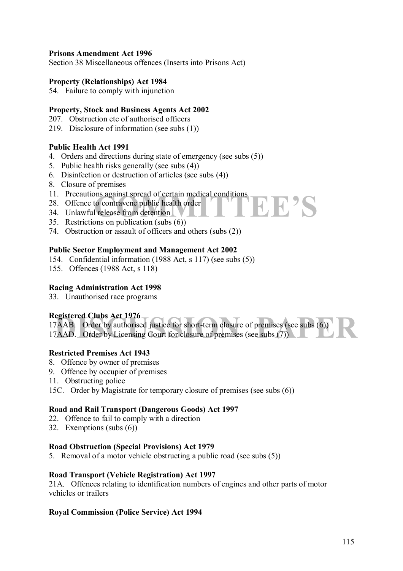## **Prisons Amendment Act 1996**

Section 38 Miscellaneous offences (Inserts into Prisons Act)

#### **Property (Relationships) Act 1984**

54. Failure to comply with injunction

## **Property, Stock and Business Agents Act 2002**

- 207. Obstruction etc of authorised officers
- 219. Disclosure of information (see subs (1))

## **Public Health Act 1991**

- 4. Orders and directions during state of emergency (see subs (5))
- 5. Public health risks generally (see subs (4))
- 6. Disinfection or destruction of articles (see subs (4))
- 8. Closure of premises
- 11. Precautions against spread of certain medical conditions
- 28. Offence to contravene public health order
- 34. Unlawful release from detention
- 35. Restrictions on publication (subs (6))
- 74. Obstruction or assault of officers and others (subs (2))

## **Public Sector Employment and Management Act 2002**

- 154. Confidential information (1988 Act, s 117) (see subs (5))
- 155. Offences (1988 Act, s 118)

## **Racing Administration Act 1998**

33. Unauthorised race programs

## **Registered Clubs Act 1976**

| Registered Clubs Act 1976<br>17AAB. Order by authorised justice for short-term closure of premises (see subs (6)) |
|-------------------------------------------------------------------------------------------------------------------|
| 17AAD. Order by Licensing Court for closure of premises (see subs (7)                                             |
|                                                                                                                   |

**CEP'S** 

#### **Restricted Premises Act 1943**

- 8. Offence by owner of premises
- 9. Offence by occupier of premises
- 11. Obstructing police
- 15C. Order by Magistrate for temporary closure of premises (see subs (6))

## **Road and Rail Transport (Dangerous Goods) Act 1997**

- 22. Offence to fail to comply with a direction
- 32. Exemptions (subs (6))

#### **Road Obstruction (Special Provisions) Act 1979**

5. Removal of a motor vehicle obstructing a public road (see subs (5))

#### **Road Transport (Vehicle Registration) Act 1997**

21A. Offences relating to identification numbers of engines and other parts of motor vehicles or trailers

#### **Royal Commission (Police Service) Act 1994**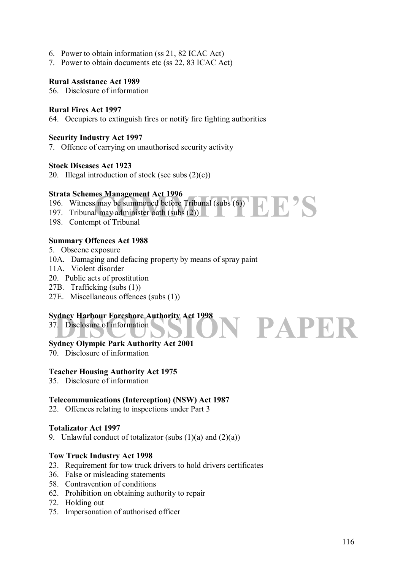- 6. Power to obtain information (ss 21, 82 ICAC Act)
- 7. Power to obtain documents etc (ss 22, 83 ICAC Act)

## **Rural Assistance Act 1989**

56. Disclosure of information

## **Rural Fires Act 1997**

64. Occupiers to extinguish fires or notify fire fighting authorities

## **Security Industry Act 1997**

7. Offence of carrying on unauthorised security activity

## **Stock Diseases Act 1923**

20. Illegal introduction of stock (see subs  $(2)(c)$ )

## **Strata Schemes Management Act 1996**

- 196. Witness may be summoned before Tribunal (subs (6))
- **COMMITTEE SCHOOLS COMMITTEE SCHOOLS COMMITTEE SCHOOLS COMMITTEE SCHOOLS COMMITTEE SCHOOLS COMMITTEE SCHOOLS COMMITTEE SCHOOLS COMMITTEE SCHOOLS COMMITTEE SCHOOLS COMMITTEE SCHOOLS COMMITTEE SCHOOLS COMMITTEE SCHOOLS COMMI** 197. Tribunal may administer oath (subs (2))
- 198. Contempt of Tribunal

## **Summary Offences Act 1988**

- 5. Obscene exposure
- 10A. Damaging and defacing property by means of spray paint
- 11A. Violent disorder
- 20. Public acts of prostitution
- 27B. Trafficking (subs (1))
- 27E. Miscellaneous offences (subs (1))

## **Sydney Harbour Foreshore Authority Act 1998**

SION PAPER 37. Disclosure of information

## **Sydney Olympic Park Authority Act 2001**

70. Disclosure of information

## **Teacher Housing Authority Act 1975**

35. Disclosure of information

## **Telecommunications (Interception) (NSW) Act 1987**

22. Offences relating to inspections under Part 3

#### **Totalizator Act 1997**

9. Unlawful conduct of totalizator (subs  $(1)(a)$  and  $(2)(a)$ )

#### **Tow Truck Industry Act 1998**

- 23. Requirement for tow truck drivers to hold drivers certificates
- 36. False or misleading statements
- 58. Contravention of conditions
- 62. Prohibition on obtaining authority to repair
- 72. Holding out
- 75. Impersonation of authorised officer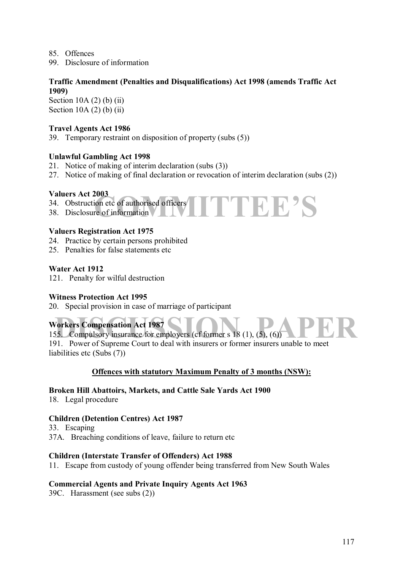- 85. Offences
- 99. Disclosure of information

## **Traffic Amendment (Penalties and Disqualifications) Act 1998 (amends Traffic Act 1909)**

Section  $10A(2)$  (b) (ii) Section  $10A(2)$  (b) (ii)

## **Travel Agents Act 1986**

39. Temporary restraint on disposition of property (subs (5))

## **Unlawful Gambling Act 1998**

- 21. Notice of making of interim declaration (subs (3))
- 27. Notice of making of final declaration or revocation of interim declaration (subs (2))

**COMMITTEEíS** 

## **Valuers Act 2003**

- 34. Obstruction etc of authorised officers
- 38. Disclosure of information

## **Valuers Registration Act 1975**

- 24. Practice by certain persons prohibited
- 25. Penalties for false statements etc

## **Water Act 1912**

121. Penalty for wilful destruction

#### **Witness Protection Act 1995**

20. Special provision in case of marriage of participant

## **Workers Compensation Act 1987**

**Workers Compensation Act 1987**<br>
155. Compulsory insurance for employers (cf former s 18 (1), (5), (6))<br>
101 Power of Supreme Gourt to dool with insurance or former insurance unable to meet

191. Power of Supreme Court to deal with insurers or former insurers unable to meet liabilities etc (Subs (7))

## **Offences with statutory Maximum Penalty of 3 months (NSW):**

## **Broken Hill Abattoirs, Markets, and Cattle Sale Yards Act 1900**

18. Legal procedure

## **Children (Detention Centres) Act 1987**

33. Escaping

37A. Breaching conditions of leave, failure to return etc

## **Children (Interstate Transfer of Offenders) Act 1988**

11. Escape from custody of young offender being transferred from New South Wales

## **Commercial Agents and Private Inquiry Agents Act 1963**

39C. Harassment (see subs (2))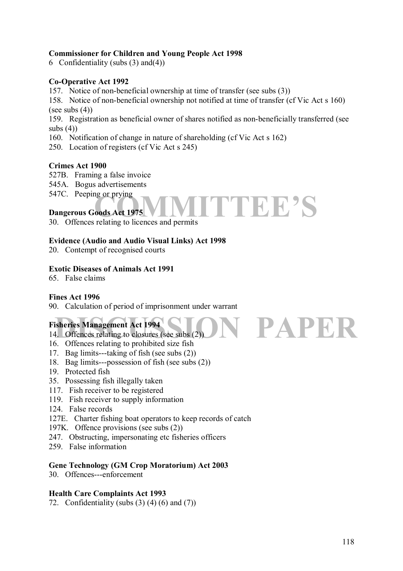## **Commissioner for Children and Young People Act 1998**

6 Confidentiality (subs  $(3)$  and $(4)$ )

## **Co-Operative Act 1992**

157. Notice of non-beneficial ownership at time of transfer (see subs (3))

158. Notice of non-beneficial ownership not notified at time of transfer (cf Vic Act s 160) (see subs  $(4)$ )

159. Registration as beneficial owner of shares notified as non-beneficially transferred (see subs  $(4)$ )

TTEE'S

**PAPER** 

160. Notification of change in nature of shareholding (cf Vic Act s 162)

250. Location of registers (cf Vic Act s 245)

## **Crimes Act 1900**

- 527B. Framing a false invoice
- 545A. Bogus advertisements

547C. Peeping or prying

## **Dangerous Goods Act 1975**

30. Offences relating to licences and permits

## **Evidence (Audio and Audio Visual Links) Act 1998**

20. Contempt of recognised courts

## **Exotic Diseases of Animals Act 1991**

65. False claims

## **Fines Act 1996**

90. Calculation of period of imprisonment under warrant

## **Fisheries Management Act 1994**

- 14. Offences relating to closures (see subs (2))
- 16. Offences relating to prohibited size fish
- 17. Bag limits---taking of fish (see subs (2))
- 18. Bag limits---possession of fish (see subs (2))
- 19. Protected fish
- 35. Possessing fish illegally taken
- 117. Fish receiver to be registered
- 119. Fish receiver to supply information
- 124. False records
- 127E. Charter fishing boat operators to keep records of catch
- 197K. Offence provisions (see subs (2))
- 247. Obstructing, impersonating etc fisheries officers
- 259. False information

## **Gene Technology (GM Crop Moratorium) Act 2003**

30. Offences---enforcement

## **Health Care Complaints Act 1993**

72. Confidentiality (subs  $(3)$   $(4)$   $(6)$  and  $(7)$ )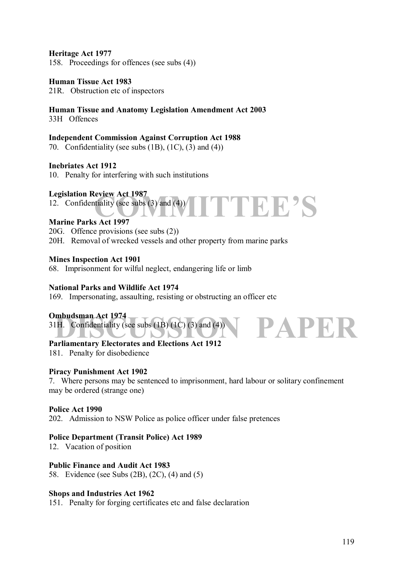## **Heritage Act 1977**

158. Proceedings for offences (see subs (4))

#### **Human Tissue Act 1983**

21R. Obstruction etc of inspectors

## **Human Tissue and Anatomy Legislation Amendment Act 2003**

33H Offences

#### **Independent Commission Against Corruption Act 1988**

70. Confidentiality (see subs (1B), (1C), (3) and (4))

#### **Inebriates Act 1912**

10. Penalty for interfering with such institutions

#### **Legislation Review Act 1987**

12. Confidentiality (see subs (3) and (4))

#### **Marine Parks Act 1997**

20G. Offence provisions (see subs (2))

20H. Removal of wrecked vessels and other property from marine parks

PTEE'S

#### **Mines Inspection Act 1901**

68. Imprisonment for wilful neglect, endangering life or limb

#### **National Parks and Wildlife Act 1974**

169. Impersonating, assaulting, resisting or obstructing an officer etc

#### **Ombudsman Act 1974**

THE Confidentiality (see subs (1B) (1C) (3) and (4) 31H. Confidentiality (see subs  $(1B) (1C) (3)$  and  $(4)$ )

## **Parliamentary Electorates and Elections Act 1912**

181. Penalty for disobedience

#### **Piracy Punishment Act 1902**

7. Where persons may be sentenced to imprisonment, hard labour or solitary confinement may be ordered (strange one)

#### **Police Act 1990**

202. Admission to NSW Police as police officer under false pretences

#### **Police Department (Transit Police) Act 1989**

12. Vacation of position

#### **Public Finance and Audit Act 1983**

58. Evidence (see Subs (2B), (2C), (4) and (5)

#### **Shops and Industries Act 1962**

151. Penalty for forging certificates etc and false declaration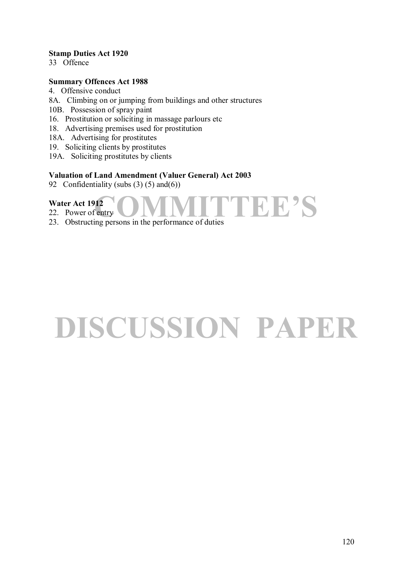## **Stamp Duties Act 1920**

33 Offence

## **Summary Offences Act 1988**

- 4. Offensive conduct
- 8A. Climbing on or jumping from buildings and other structures
- 10B. Possession of spray paint
- 16. Prostitution or soliciting in massage parlours etc
- 18. Advertising premises used for prostitution
- 18A. Advertising for prostitutes
- 19. Soliciting clients by prostitutes
- 19A. Soliciting prostitutes by clients

## **Valuation of Land Amendment (Valuer General) Act 2003**

92 Confidentiality (subs  $(3)$   $(5)$  and $(6)$ )

## **Water Act 1912**

22. Power of entry

23. Obstructing persons in the performance of duties

# **DISCUSSION PAPER**

PTEE'S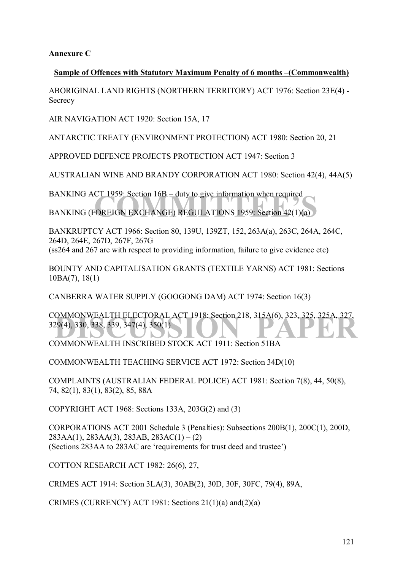**Annexure C** 

## **Sample of Offences with Statutory Maximum Penalty of 6 months – (Commonwealth)**

ABORIGINAL LAND RIGHTS (NORTHERN TERRITORY) ACT 1976: Section 23E(4) - **Secrecy** 

AIR NAVIGATION ACT 1920: Section 15A, 17

ANTARCTIC TREATY (ENVIRONMENT PROTECTION) ACT 1980: Section 20, 21

APPROVED DEFENCE PROJECTS PROTECTION ACT 1947: Section 3

AUSTRALIAN WINE AND BRANDY CORPORATION ACT 1980: Section 42(4), 44A(5)

CT 1959: Section 16B – duty to give information when required<br>
COREIGN EXCHANGE) REGULATIONS 1959: Section 42(1)(a) BANKING ACT 1959: Section  $16B -$  duty to give information when required BANKING (FOREIGN EXCHANGE) REGULATIONS 1959: Section 42(1)(a)

BANKRUPTCY ACT 1966: Section 80, 139U, 139ZT, 152, 263A(a), 263C, 264A, 264C, 264D, 264E, 267D, 267F, 267G (ss264 and 267 are with respect to providing information, failure to give evidence etc)

BOUNTY AND CAPITALISATION GRANTS (TEXTILE YARNS) ACT 1981: Sections 10BA(7), 18(1)

CANBERRA WATER SUPPLY (GOOGONG DAM) ACT 1974: Section 16(3)

COMMONWEALTH ELECTORAL ACT 1918: Section 218, 315A(6), 323, 325, 325A, 327, 329(4), 330, 338, 339, 347(4), 350(1)<br>COMMONWEALTH INSCRIPED STOCK ACT 1911: Section 51BA 329(4), 330, 338, 339, 347(4), 350(1)

COMMONWEALTH INSCRIBED STOCK ACT 1911: Section 51BA

COMMONWEALTH TEACHING SERVICE ACT 1972: Section 34D(10)

COMPLAINTS (AUSTRALIAN FEDERAL POLICE) ACT 1981: Section 7(8), 44, 50(8), 74, 82(1), 83(1), 83(2), 85, 88A

COPYRIGHT ACT 1968: Sections 133A, 203G(2) and (3)

CORPORATIONS ACT 2001 Schedule 3 (Penalties): Subsections 200B(1), 200C(1), 200D,  $283AA(1)$ ,  $283AA(3)$ ,  $283AB$ ,  $283AC(1) - (2)$ (Sections 283AA to 283AC are 'requirements for trust deed and trustee')

COTTON RESEARCH ACT 1982: 26(6), 27,

CRIMES ACT 1914: Section 3LA(3), 30AB(2), 30D, 30F, 30FC, 79(4), 89A,

CRIMES (CURRENCY) ACT 1981: Sections 21(1)(a) and(2)(a)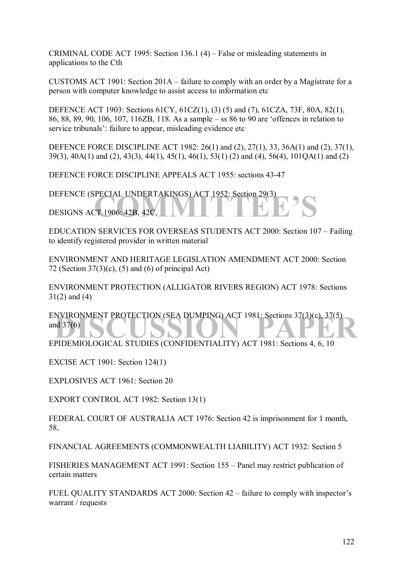CRIMINAL CODE ACT 1995: Section 136.1  $(4)$  – False or misleading statements in applications to the Cth

CUSTOMS ACT 1901: Section  $201A -$  failure to comply with an order by a Magistrate for a person with computer knowledge to assist access to information etc

DEFENCE ACT 1903: Sections 61CY, 61CZ(1), (3) (5) and (7), 61CZA, 73F, 80A, 82(1), 86, 88, 89, 90, 106, 107, 116ZB, 118. As a sample – ss 86 to 90 are 'offences in relation to service tribunals': failure to appear, misleading evidence etc

DEFENCE FORCE DISCIPLINE ACT 1982: 26(1) and (2), 27(1), 33, 36A(1) and (2), 37(1), 39(3), 40A(1) and (2), 43(3), 44(1), 45(1), 46(1), 53(1) (2) and (4), 56(4), 101QA(1) and (2)

DEFENCE FORCE DISCIPLINE APPEALS ACT 1955: sections 43-47

DEFENCE (SPECIAL UNDERTAKINGS) ACT 1952: Section 29(3)<br>DESIGNS ACT 1906: 42B, 42C, DESIGNS ACT 1906: 42B, 42C,

EDUCATION SERVICES FOR OVERSEAS STUDENTS ACT 2000: Section 107 – Failing to identify registered provider in written material

ENVIRONMENT AND HERITAGE LEGISLATION AMENDMENT ACT 2000: Section 72 (Section  $37(3)(c)$ , (5) and (6) of principal Act)

ENVIRONMENT PROTECTION (ALLIGATOR RIVERS REGION) ACT 1978: Sections 31(2) and (4)

ENVIRONMENT PROTECTION (SEA DUMPING) ACT 1981: Sections 37(3)(c), 37(5)<br>and 37(6)<br>EPIDEMIOLOGICAL STUDIES (CONEIDENTIALITY) ACT 1981: Sections 4, 6, 19 and 37(6)

EPIDEMIOLOGICAL STUDIES (CONFIDENTIALITY) ACT 1981: Sections 4, 6, 10

EXCISE ACT 1901: Section 124(1)

EXPLOSIVES ACT 1961: Section 20

EXPORT CONTROL ACT 1982: Section 13(1)

FEDERAL COURT OF AUSTRALIA ACT 1976: Section 42 is imprisonment for 1 month, 58,

FINANCIAL AGREEMENTS (COMMONWEALTH LIABILITY) ACT 1932: Section 5

FISHERIES MANAGEMENT ACT 1991: Section 155 – Panel may restrict publication of certain matters

FUEL QUALITY STANDARDS ACT 2000: Section  $42$  – failure to comply with inspector's warrant / requests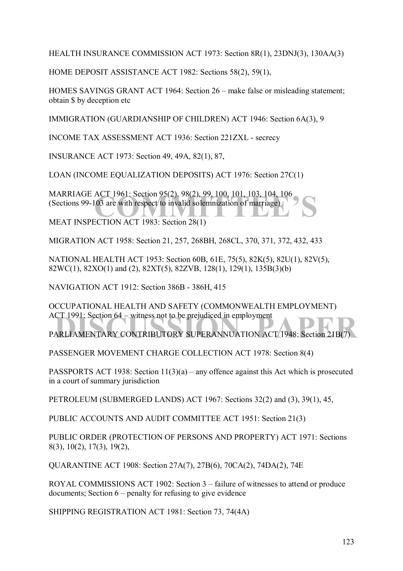HEALTH INSURANCE COMMISSION ACT 1973: Section 8R(1), 23DNJ(3), 130AA(3)

HOME DEPOSIT ASSISTANCE ACT 1982: Sections 58(2), 59(1),

HOMES SAVINGS GRANT ACT 1964: Section 26 – make false or misleading statement; obtain \$ by deception etc

IMMIGRATION (GUARDIANSHIP OF CHILDREN) ACT 1946: Section 6A(3), 9

INCOME TAX ASSESSMENT ACT 1936: Section 221ZXL - secrecy

INSURANCE ACT 1973: Section 49, 49A, 82(1), 87,

LOAN (INCOME EQUALIZATION DEPOSITS) ACT 1976: Section 27C(1)

ACT 1961: Section 95(2), 98(2), 99, 100, 101, 103, 104, 106<br>03 are with respect to invalid solemnization of marriage)<br>CCTION ACT 1983: Section 28(1) MARRIAGE ACT 1961: Section 95(2), 98(2), 99, 100, 101, 103, 104, 106 (Sections 99-103 are with respect to invalid solemnization of marriage)

MEAT INSPECTION ACT 1983: Section 28(1)

MIGRATION ACT 1958: Section 21, 257, 268BH, 268CL, 370, 371, 372, 432, 433

NATIONAL HEALTH ACT 1953: Section 60B, 61E, 75(5), 82K(5), 82U(1), 82V(5), 82WC(1), 82XO(1) and (2), 82XT(5), 82ZVB, 128(1), 129(1), 135B(3)(b)

NAVIGATION ACT 1912: Section 386B - 386H, 415

OCCUPATIONAL HEALTH AND SAFETY (COMMONWEALTH EMPLOYMENT) ACT 1991: Section  $64 -$  witness not to be prejudiced in employment

ACT 1991: Section 64 – witness not to be prejudiced in employment<br>PARLIAMENTARY CONTRIBUTORY SUPERANNUATION ACT 1948: Section 21B(7)

PASSENGER MOVEMENT CHARGE COLLECTION ACT 1978: Section 8(4)

PASSPORTS ACT 1938: Section  $11(3)(a)$  – any offence against this Act which is prosecuted in a court of summary jurisdiction

PETROLEUM (SUBMERGED LANDS) ACT 1967: Sections 32(2) and (3), 39(1), 45,

PUBLIC ACCOUNTS AND AUDIT COMMITTEE ACT 1951: Section 21(3)

PUBLIC ORDER (PROTECTION OF PERSONS AND PROPERTY) ACT 1971: Sections 8(3), 10(2), 17(3), 19(2),

QUARANTINE ACT 1908: Section 27A(7), 27B(6), 70CA(2), 74DA(2), 74E

ROYAL COMMISSIONS ACT 1902: Section  $3$  – failure of witnesses to attend or produce documents; Section  $6$  – penalty for refusing to give evidence

SHIPPING REGISTRATION ACT 1981: Section 73, 74(4A)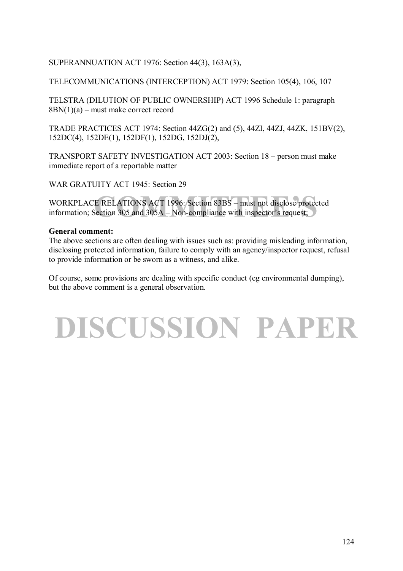## SUPERANNUATION ACT 1976: Section 44(3), 163A(3),

## TELECOMMUNICATIONS (INTERCEPTION) ACT 1979: Section 105(4), 106, 107

TELSTRA (DILUTION OF PUBLIC OWNERSHIP) ACT 1996 Schedule 1: paragraph  $8BN(1)(a)$  – must make correct record

TRADE PRACTICES ACT 1974: Section 44ZG(2) and (5), 44ZI, 44ZJ, 44ZK, 151BV(2), 152DC(4), 152DE(1), 152DF(1), 152DG, 152DJ(2),

TRANSPORT SAFETY INVESTIGATION ACT 2003: Section 18 – person must make immediate report of a reportable matter

WAR GRATUITY ACT 1945: Section 29

E RELATIONS ACT 1996: Section 83BS – must not disclose protected<br>Section 305 and 305A – Non-compliance with inspector's request; WORKPLACE RELATIONS ACT 1996: Section 83BS – must not disclose protected information; Section 305 and  $305A - Non-compliance$  with inspector's request;

## **General comment:**

The above sections are often dealing with issues such as: providing misleading information, disclosing protected information, failure to comply with an agency/inspector request, refusal to provide information or be sworn as a witness, and alike.

Of course, some provisions are dealing with specific conduct (eg environmental dumping), but the above comment is a general observation.

# **DISCUSSION PAPER**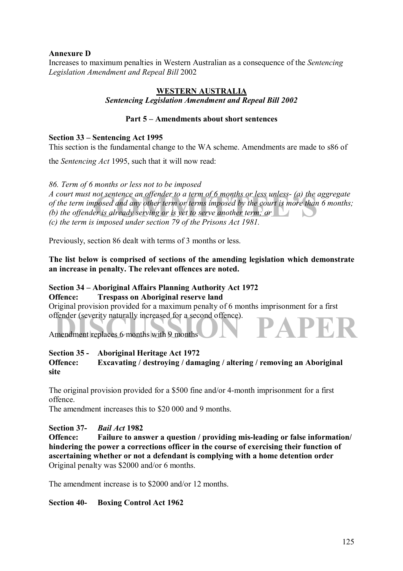## **Annexure D**

Increases to maximum penalties in Western Australian as a consequence of the *Sentencing Legislation Amendment and Repeal Bill* 2002

## **WESTERN AUSTRALIA** *Sentencing Legislation Amendment and Repeal Bill 2002*

## **Part 5 – Amendments about short sentences**

#### **Section 33 – Sentencing Act 1995**

This section is the fundamental change to the WA scheme. Amendments are made to s86 of

the *Sentencing Act* 1995, such that it will now read:

*86. Term of 6 months or less not to be imposed* 

not sentence an offender to a term of 6 months or less unless- (a) the ag<br>posed and any other term or terms imposed by the court is more than 6<br>er is already serving or is yet to serve another term; or *A court must not sentence an offender to a term of 6 months or less unless- (a) the aggregate of the term imposed and any other term or terms imposed by the court is more than 6 months; (b) the offender is already serving or is yet to serve another term; or (c) the term is imposed under section 79 of the Prisons Act 1981.* 

Previously, section 86 dealt with terms of 3 months or less.

## **The list below is comprised of sections of the amending legislation which demonstrate an increase in penalty. The relevant offences are noted.**

#### **Section 34 – Aboriginal Affairs Planning Authority Act 1972 Offence: Trespass on Aboriginal reserve land**

offender (severity naturally increased for a second offence).<br>
Amendment replaces 6 months with 9 months Original provision provided for a maximum penalty of 6 months imprisonment for a first offender (severity naturally increased for a second offence).

## **Section 35 - Aboriginal Heritage Act 1972**

## **Offence: Excavating / destroying / damaging / altering / removing an Aboriginal site**

The original provision provided for a \$500 fine and/or 4-month imprisonment for a first offence.

The amendment increases this to \$20 000 and 9 months.

## **Section 37-** *Bail Act* **1982**

**Offence: Failure to answer a question / providing mis-leading or false information/ hindering the power a corrections officer in the course of exercising their function of ascertaining whether or not a defendant is complying with a home detention order**  Original penalty was \$2000 and/or 6 months.

The amendment increase is to \$2000 and/or 12 months.

## **Section 40- Boxing Control Act 1962**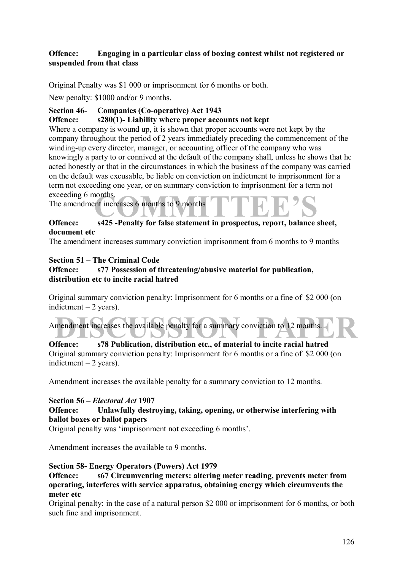## **Offence: Engaging in a particular class of boxing contest whilst not registered or suspended from that class**

Original Penalty was \$1 000 or imprisonment for 6 months or both.

New penalty: \$1000 and/or 9 months.

## **Section 46- Companies (Co-operative) Act 1943**

## **Offence: s280(1)- Liability where proper accounts not kept**

not increases 6 months to 9 months<br>
c<sup>425</sup> Penalty for false statement in prespectus, report belongs sh Where a company is wound up, it is shown that proper accounts were not kept by the company throughout the period of 2 years immediately preceding the commencement of the winding-up every director, manager, or accounting officer of the company who was knowingly a party to or connived at the default of the company shall, unless he shows that he acted honestly or that in the circumstances in which the business of the company was carried on the default was excusable, be liable on conviction on indictment to imprisonment for a term not exceeding one year, or on summary conviction to imprisonment for a term not exceeding 6 months.

The amendment increases 6 months to 9 months

## **Offence: s425 -Penalty for false statement in prospectus, report, balance sheet, document etc**

The amendment increases summary conviction imprisonment from 6 months to 9 months

## **Section 51 – The Criminal Code**

## **Offence: s77 Possession of threatening/abusive material for publication, distribution etc to incite racial hatred**

Original summary conviction penalty: Imprisonment for 6 months or a fine of \$2 000 (on indictment  $-2$  years).

| Amendment increases the available penalty for a summary conviction to 12 months.                                                                                                                                                  |
|-----------------------------------------------------------------------------------------------------------------------------------------------------------------------------------------------------------------------------------|
|                                                                                                                                                                                                                                   |
| $\Omega$ of the state of the state of the state of the state of the state of the state of the state of the state of the state of the state of the state of the state of the state of the state of the state of the state of the s |

**Offence: s78 Publication, distribution etc., of material to incite racial hatred**  Original summary conviction penalty: Imprisonment for 6 months or a fine of \$2 000 (on indictment  $-2$  years).

Amendment increases the available penalty for a summary conviction to 12 months.

## **Section 56 – Electoral Act 1907**

## **Offence: Unlawfully destroying, taking, opening, or otherwise interfering with ballot boxes or ballot papers**

Original penalty was 'imprisonment not exceeding 6 months'.

Amendment increases the available to 9 months.

## **Section 58- Energy Operators (Powers) Act 1979**

**Offence: s67 Circumventing meters: altering meter reading, prevents meter from operating, interferes with service apparatus, obtaining energy which circumvents the meter etc** 

Original penalty: in the case of a natural person \$2 000 or imprisonment for 6 months, or both such fine and imprisonment.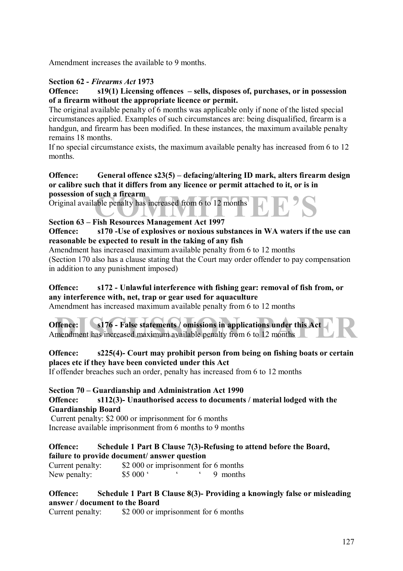Amendment increases the available to 9 months.

## **Section 62 -** *Firearms Act* **1973**

## **Offence:** s19(1) Licensing offences – sells, disposes of, purchases, or in possession **of a firearm without the appropriate licence or permit.**

The original available penalty of 6 months was applicable only if none of the listed special circumstances applied. Examples of such circumstances are: being disqualified, firearm is a handgun, and firearm has been modified. In these instances, the maximum available penalty remains 18 months.

If no special circumstance exists, the maximum available penalty has increased from 6 to 12 months.

## **Offence:** General offence s23(5) – defacing/altering ID mark, alters firearm design **or calibre such that it differs from any licence or permit attached to it, or is in possession of such a firearm**

such a firearm<br>able penalty has increased from 6 to 12 months<br>Fish Besources Management Act 1997 Original available penalty has increased from 6 to 12 months

## **Section 63 – Fish Resources Management Act 1997**

**Offence: s170 -Use of explosives or noxious substances in WA waters if the use can reasonable be expected to result in the taking of any fish** 

Amendment has increased maximum available penalty from 6 to 12 months (Section 170 also has a clause stating that the Court may order offender to pay compensation in addition to any punishment imposed)

## **Offence: s172 - Unlawful interference with fishing gear: removal of fish from, or any interference with, net, trap or gear used for aquaculture**

Amendment has increased maximum available penalty from 6 to 12 months

| Offence: s176 - False statements / omissions in applications under this Act |  |  |
|-----------------------------------------------------------------------------|--|--|
| Amendment has increased maximum available penalty from 6 to 12 months       |  |  |

## **Offence: s225(4)- Court may prohibit person from being on fishing boats or certain places etc if they have been convicted under this Act**

If offender breaches such an order, penalty has increased from 6 to 12 months

## **Section 70 – Guardianship and Administration Act 1990**

#### **Offence: s112(3)- Unauthorised access to documents / material lodged with the Guardianship Board**

 Current penalty: \$2 000 or imprisonment for 6 months Increase available imprisonment from 6 months to 9 months

## **Offence: Schedule 1 Part B Clause 7(3)-Refusing to attend before the Board, failure to provide document/ answer question**

Current penalty: \$2 000 or imprisonment for 6 months New penalty: \$5 000 °  $\qquad \qquad$  9 months

## **Offence: Schedule 1 Part B Clause 8(3)- Providing a knowingly false or misleading answer / document to the Board**

Current penalty: \$2 000 or imprisonment for 6 months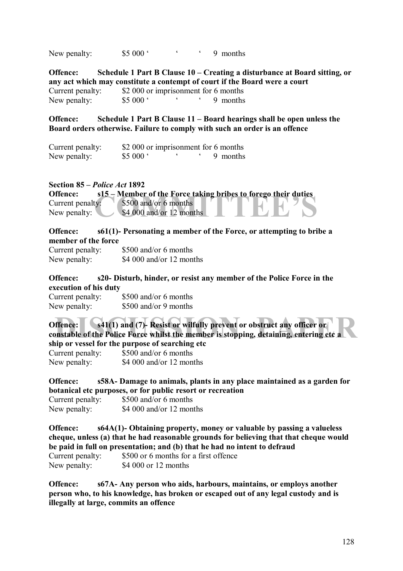New penalty:  $$5000$   $\cdot$   $$9$  months

**Offence:** Schedule 1 Part B Clause 10 – Creating a disturbance at Board sitting, or **any act which may constitute a contempt of court if the Board were a court**  Current penalty: \$2 000 or imprisonment for 6 months New penalty: \$5 000 °  $\qquad \qquad$  9 months

**Offence:** Schedule 1 Part B Clause 11 – Board hearings shall be open unless the **Board orders otherwise. Failure to comply with such an order is an offence** 

| Current penalty: |                     | \$2 000 or imprisonment for 6 months |          |
|------------------|---------------------|--------------------------------------|----------|
| New penalty:     | \$5000 <sup>o</sup> |                                      | 9 months |

#### **Section 85 – Police Act 1892**

| Offence:         | s15 – Member of the Force taking bribes to forego their duties |
|------------------|----------------------------------------------------------------|
| Current penalty: | $$500$ and/or 6 months                                         |
| New penalty:     | $$4,000$ and/or 12 months                                      |
|                  |                                                                |

#### **Offence: s61(1)- Personating a member of the Force, or attempting to bribe a member of the force**

| Current penalty: | \$500 and/or 6 months    |
|------------------|--------------------------|
| New penalty:     | \$4,000 and/or 12 months |

## **Offence: s20- Disturb, hinder, or resist any member of the Police Force in the execution of his duty**

| Current penalty: | \$500 and/or 6 months |
|------------------|-----------------------|
| New penalty:     | \$500 and/or 9 months |

**Example 15 and 316 and 31 and 31 and 31 and 31 and 31 and 31 and 31 and 31 and 31 and 31 and 31 and 31 and 31 and 31 and 31 and 31 and 31 and 31 and 31 and 31 and 31 and 31 and 31 and 31 and 31 and 31 and 31 and 31 and 31 Offence:** s41(1) and (7)- Resist or wilfully prevent or obstruct any officer or **constable of the Police Force whilst the member is stopping, detaining, entering etc a ship or vessel for the purpose of searching etc**  Current penalty: \$500 and/or 6 months New penalty: \$4 000 and/or 12 months

**Offence: s58A- Damage to animals, plants in any place maintained as a garden for botanical etc purposes, or for public resort or recreation**  Current penalty: \$500 and/or 6 months New penalty: \$4 000 and/or 12 months

**Offence: s64A(1)- Obtaining property, money or valuable by passing a valueless cheque, unless (a) that he had reasonable grounds for believing that that cheque would be paid in full on presentation; and (b) that he had no intent to defraud**  Current penalty: \$500 or 6 months for a first offence New penalty: \$4 000 or 12 months

**Offence: s67A- Any person who aids, harbours, maintains, or employs another person who, to his knowledge, has broken or escaped out of any legal custody and is illegally at large, commits an offence**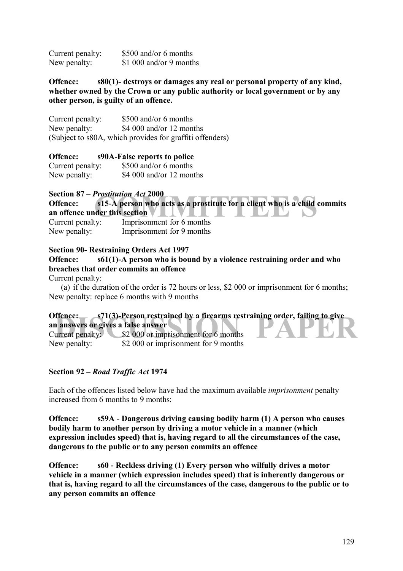| Current penalty: | \$500 and/or 6 months   |
|------------------|-------------------------|
| New penalty:     | \$1 000 and/or 9 months |

**Offence: s80(1)- destroys or damages any real or personal property of any kind, whether owned by the Crown or any public authority or local government or by any other person, is guilty of an offence.** 

Current penalty: \$500 and/or 6 months New penalty: \$4 000 and/or 12 months (Subject to s80A, which provides for graffiti offenders)

**Offence: s90A-False reports to police**  Current penalty: \$500 and/or 6 months New penalty: \$4 000 and/or 12 months

## **Section 87 – Prostitution Act 2000**

**Prostitution Act 2000**<br>
s15-A person who acts as a prostitute for a client who is a child conder this section<br>
We consider this section **Offence: s15-A person who acts as a prostitute for a client who is a child commits an offence under this section**  Current penalty: Imprisonment for 6 months New penalty: Imprisonment for 9 months

## **Section 90- Restraining Orders Act 1997**

**Offence: s61(1)-A person who is bound by a violence restraining order and who breaches that order commits an offence** 

Current penalty:

(a) if the duration of the order is 72 hours or less, \$2 000 or imprisonment for 6 months; New penalty: replace 6 months with 9 months

| Offence:                           | $\sim$ s71(3)-Person restrained by a firearms restraining order, failing to give |
|------------------------------------|----------------------------------------------------------------------------------|
| an answers or gives a false answer |                                                                                  |
|                                    | Current penalty: \$2 000 or imprisonment for 6 months                            |
| New penalty:                       | \$2,000 or imprisonment for 9 months                                             |

#### **Section 92 – Road Traffic Act 1974**

Each of the offences listed below have had the maximum available *imprisonment* penalty increased from 6 months to 9 months.

**Offence: s59A - Dangerous driving causing bodily harm (1) A person who causes bodily harm to another person by driving a motor vehicle in a manner (which expression includes speed) that is, having regard to all the circumstances of the case, dangerous to the public or to any person commits an offence** 

**Offence: s60 - Reckless driving (1) Every person who wilfully drives a motor vehicle in a manner (which expression includes speed) that is inherently dangerous or that is, having regard to all the circumstances of the case, dangerous to the public or to any person commits an offence**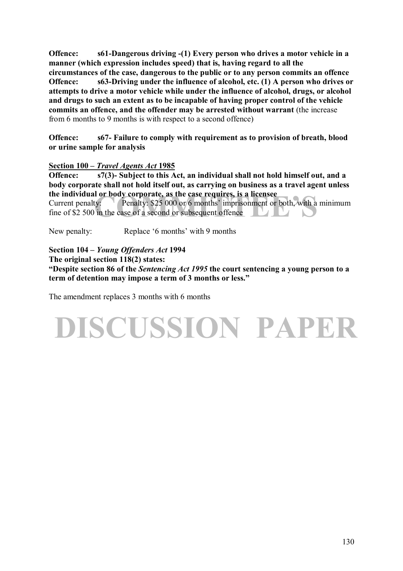**Offence: s61-Dangerous driving -(1) Every person who drives a motor vehicle in a manner (which expression includes speed) that is, having regard to all the circumstances of the case, dangerous to the public or to any person commits an offence Offence: s63-Driving under the influence of alcohol, etc. (1) A person who drives or attempts to drive a motor vehicle while under the influence of alcohol, drugs, or alcohol and drugs to such an extent as to be incapable of having proper control of the vehicle commits an offence, and the offender may be arrested without warrant** (the increase from 6 months to 9 months is with respect to a second offence)

**Offence: s67- Failure to comply with requirement as to provision of breath, blood or urine sample for analysis** 

## **Section 100 – Travel Agents Act 1985**

**Offence: s7(3)- Subject to this Act, an individual shall not hold himself out, and a body corporate shall not hold itself out, as carrying on business as a travel agent unless the individual or body corporate, as the case requires, is a licensee** 

I or body corporate, as the case requires, is a licensee<br>ty: Penalty: \$25 000 or 6 months' imprisonment or both, with a m<br>in the case of a second or subsequent offence Current penalty: Penalty:  $$25,000$  or 6 months' imprisonment or both, with a minimum fine of \$2 500 in the case of a second or subsequent offence

New penalty: Replace '6 months' with 9 months

**Section 104 –** *Young Offenders Act* **1994 The original section 118(2) states: ìDespite section 86 of the** *Sentencing Act 1995* **the court sentencing a young person to a**  term of detention may impose a term of 3 months or less."

The amendment replaces 3 months with 6 months

# **DISCUSSION PAPER**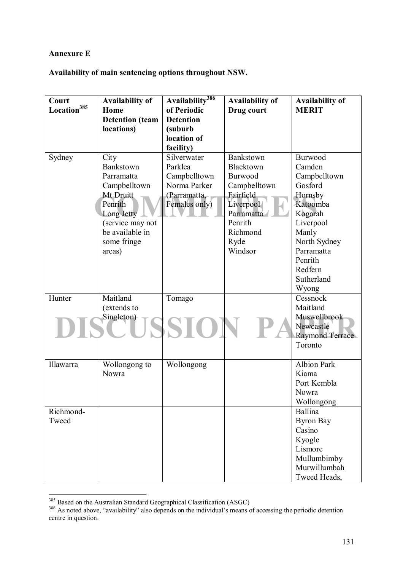## **Annexure E**

**Availability of main sentencing options throughout NSW.** 

| Court                   | Availability of        | Availability <sup>386</sup> | <b>Availability of</b> | <b>Availability of</b> |
|-------------------------|------------------------|-----------------------------|------------------------|------------------------|
| Location <sup>385</sup> | Home                   | of Periodic                 | Drug court             | <b>MERIT</b>           |
|                         | <b>Detention</b> (team | <b>Detention</b>            |                        |                        |
|                         | locations)             | (suburb                     |                        |                        |
|                         |                        | location of                 |                        |                        |
|                         |                        | facility)                   |                        |                        |
| Sydney                  | City                   | Silverwater                 | Bankstown              | Burwood                |
|                         | Bankstown              | Parklea                     | Blacktown              | Camden                 |
|                         | Parramatta             | Campbelltown                | Burwood                | Campbelltown           |
|                         | Campbelltown           | Norma Parker                | Campbelltown           | Gosford                |
|                         | Mt Druitt              | (Parramatta,                | Fairfield              | Hornsby                |
|                         | Penrith                | Females only)               | Liverpool              | Katoomba               |
|                         | Long Jetty             |                             | Parramatta             | Kogarah                |
|                         | (service may not       |                             | Penrith                | Liverpool              |
|                         | be available in        |                             | Richmond               | Manly                  |
|                         | some fringe            |                             | Ryde                   | North Sydney           |
|                         | areas)                 |                             | Windsor                | Parramatta             |
|                         |                        |                             |                        | Penrith                |
|                         |                        |                             |                        | Redfern                |
|                         |                        |                             |                        | Sutherland             |
|                         |                        |                             |                        | Wyong                  |
| Hunter                  | Maitland               | Tomago                      |                        | Cessnock               |
|                         | (extends to            |                             |                        | Maitland               |
|                         | Singleton)             |                             |                        | Muswellbrook           |
|                         |                        |                             |                        | Newcastle              |
|                         |                        |                             |                        | Raymond Terrace        |
|                         |                        |                             |                        | Toronto                |
|                         |                        |                             |                        |                        |
| Illawarra               | Wollongong to          | Wollongong                  |                        | <b>Albion Park</b>     |
|                         | Nowra                  |                             |                        | Kiama                  |
|                         |                        |                             |                        | Port Kembla            |
|                         |                        |                             |                        | Nowra                  |
|                         |                        |                             |                        | Wollongong             |
| Richmond-               |                        |                             |                        | Ballina                |
| Tweed                   |                        |                             |                        | <b>Byron Bay</b>       |
|                         |                        |                             |                        | Casino                 |
|                         |                        |                             |                        | Kyogle                 |
|                         |                        |                             |                        | Lismore                |
|                         |                        |                             |                        | Mullumbimby            |
|                         |                        |                             |                        | Murwillumbah           |
|                         |                        |                             |                        | Tweed Heads,           |

 $\overline{a}$ 

<sup>&</sup>lt;sup>385</sup> Based on the Australian Standard Geographical Classification (ASGC)<br><sup>386</sup> As noted above, "availability" also depends on the individual's means of accessing the periodic detention centre in question.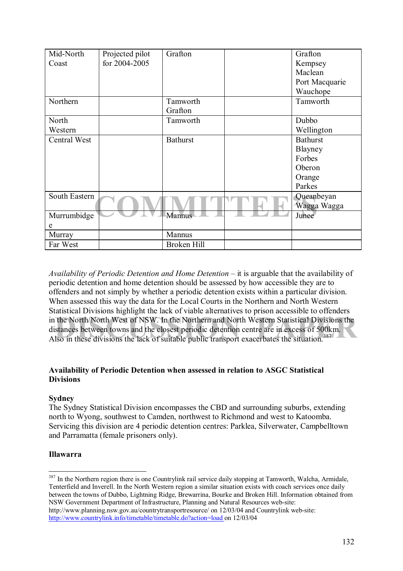| Mid-North     | Projected pilot<br>for 2004-2005 | Grafton         | Grafton         |
|---------------|----------------------------------|-----------------|-----------------|
| Coast         |                                  |                 | Kempsey         |
|               |                                  |                 | Maclean         |
|               |                                  |                 | Port Macquarie  |
|               |                                  |                 | Wauchope        |
| Northern      |                                  | Tamworth        | Tamworth        |
|               |                                  | Grafton         |                 |
| North         |                                  | Tamworth        | Dubbo           |
| Western       |                                  |                 | Wellington      |
| Central West  |                                  | <b>Bathurst</b> | <b>Bathurst</b> |
|               |                                  |                 | Blayney         |
|               |                                  |                 | Forbes          |
|               |                                  |                 | Oberon          |
|               |                                  |                 | Orange          |
|               |                                  |                 | Parkes          |
| South Eastern |                                  |                 | Queanbeyan      |
|               |                                  |                 | Wagga Wagga     |
| Murrumbidge   |                                  | Mannus          | Junee           |
| e             |                                  |                 |                 |
| Murray        |                                  | Mannus          |                 |
| Far West      |                                  | Broken Hill     |                 |

in the North/North West of NSW. In the Northern and North Western Statistical Divisions the distances between towns and the closest periodic detention centre are in excess of 500km.<br>Also in these divisions the lack of suit *Availability of Periodic Detention and Home Detention* – it is arguable that the availability of periodic detention and home detention should be assessed by how accessible they are to offenders and not simply by whether a periodic detention exists within a particular division. When assessed this way the data for the Local Courts in the Northern and North Western Statistical Divisions highlight the lack of viable alternatives to prison accessible to offenders distances between towns and the closest periodic detention centre are in excess of 500km. Also in these divisions the lack of suitable public transport exacerbates the situation.<sup>387</sup>

## **Availability of Periodic Detention when assessed in relation to ASGC Statistical Divisions**

## **Sydney**

The Sydney Statistical Division encompasses the CBD and surrounding suburbs, extending north to Wyong, southwest to Camden, northwest to Richmond and west to Katoomba. Servicing this division are 4 periodic detention centres: Parklea, Silverwater, Campbelltown and Parramatta (female prisoners only).

## **Illawarra**

 $\overline{a}$ 

<sup>387</sup> In the Northern region there is one Countrylink rail service daily stopping at Tamworth, Walcha, Armidale, Tenterfield and Inverell. In the North Western region a similar situation exists with coach services once daily between the towns of Dubbo, Lightning Ridge, Brewarrina, Bourke and Broken Hill. Information obtained from NSW Government Department of Infrastructure, Planning and Natural Resources web-site: http://www.planning.nsw.gov.au/countrytransportresource/ on 12/03/04 and Countrylink web-site: http://www.countrylink.info/timetable/timetable.do?action=load on 12/03/04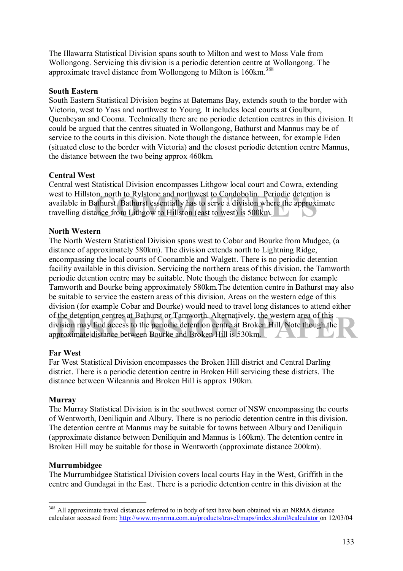The Illawarra Statistical Division spans south to Milton and west to Moss Vale from Wollongong. Servicing this division is a periodic detention centre at Wollongong. The approximate travel distance from Wollongong to Milton is 160km.<sup>388</sup>

## **South Eastern**

South Eastern Statistical Division begins at Batemans Bay, extends south to the border with Victoria, west to Yass and northwest to Young. It includes local courts at Goulburn, Quenbeyan and Cooma. Technically there are no periodic detention centres in this division. It could be argued that the centres situated in Wollongong, Bathurst and Mannus may be of service to the courts in this division. Note though the distance between, for example Eden (situated close to the border with Victoria) and the closest periodic detention centre Mannus, the distance between the two being approx 460km.

## **Central West**

on, north to Rylstone and northwest to Condobolin. Periodic detention<br>athurst. Bathurst essentially has to serve a division where the approxim<br>ance from Lithgow to Hillston (east to west) is 500km. Central west Statistical Division encompasses Lithgow local court and Cowra, extending west to Hillston, north to Rylstone and northwest to Condobolin. Periodic detention is available in Bathurst. Bathurst essentially has to serve a division where the approximate travelling distance from Lithgow to Hillston (east to west) is 500km.

## **North Western**

If the detention centres at Bathurst or Tamworth. Alternatively, the western area of this vision may find access to the periodic detention centre at Broken Hill. Note though the proximate distance between Bourke and Broken The North Western Statistical Division spans west to Cobar and Bourke from Mudgee, (a distance of approximately 580km). The division extends north to Lightning Ridge, encompassing the local courts of Coonamble and Walgett. There is no periodic detention facility available in this division. Servicing the northern areas of this division, the Tamworth periodic detention centre may be suitable. Note though the distance between for example Tamworth and Bourke being approximately 580km.The detention centre in Bathurst may also be suitable to service the eastern areas of this division. Areas on the western edge of this division (for example Cobar and Bourke) would need to travel long distances to attend either of the detention centres at Bathurst or Tamworth. Alternatively, the western area of this division may find access to the periodic detention centre at Broken Hill. Note though the approximate distance between Bourke and Broken Hill is 530km.

## **Far West**

Far West Statistical Division encompasses the Broken Hill district and Central Darling district. There is a periodic detention centre in Broken Hill servicing these districts. The distance between Wilcannia and Broken Hill is approx 190km.

#### **Murray**

The Murray Statistical Division is in the southwest corner of NSW encompassing the courts of Wentworth, Deniliquin and Albury. There is no periodic detention centre in this division. The detention centre at Mannus may be suitable for towns between Albury and Deniliquin (approximate distance between Deniliquin and Mannus is 160km). The detention centre in Broken Hill may be suitable for those in Wentworth (approximate distance 200km).

#### **Murrumbidgee**

 $\overline{a}$ 

The Murrumbidgee Statistical Division covers local courts Hay in the West, Griffith in the centre and Gundagai in the East. There is a periodic detention centre in this division at the

<sup>&</sup>lt;sup>388</sup> All approximate travel distances referred to in body of text have been obtained via an NRMA distance calculator accessed from: http://www.mynrma.com.au/products/travel/maps/index.shtml#calculator on 12/03/04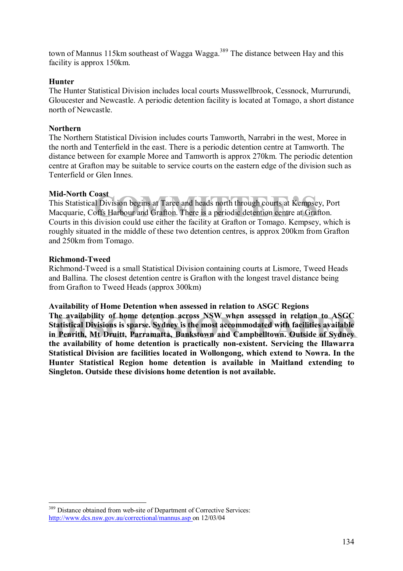town of Mannus 115km southeast of Wagga Wagga.<sup>389</sup> The distance between Hay and this facility is approx 150km.

## **Hunter**

The Hunter Statistical Division includes local courts Musswellbrook, Cessnock, Murrurundi, Gloucester and Newcastle. A periodic detention facility is located at Tomago, a short distance north of Newcastle.

## **Northern**

The Northern Statistical Division includes courts Tamworth, Narrabri in the west, Moree in the north and Tenterfield in the east. There is a periodic detention centre at Tamworth. The distance between for example Moree and Tamworth is approx 270km. The periodic detention centre at Grafton may be suitable to service courts on the eastern edge of the division such as Tenterfield or Glen Innes.

## **Mid-North Coast**

**COMMITTEE 1995**<br>
COMMITTEE 1 Division begins at Taree and heads north through courts at Kempsey,<br>
COMMITTEE is a periodic detention centre at Grafto<br>
division could use either the facility at Grafton or Tomago, Kempsey, y This Statistical Division begins at Taree and heads north through courts at Kempsey, Port Macquarie, Coffs Harbour and Grafton. There is a periodic detention centre at Grafton. Courts in this division could use either the facility at Grafton or Tomago. Kempsey, which is roughly situated in the middle of these two detention centres, is approx 200km from Grafton and 250km from Tomago.

## **Richmond-Tweed**

Richmond-Tweed is a small Statistical Division containing courts at Lismore, Tweed Heads and Ballina. The closest detention centre is Grafton with the longest travel distance being from Grafton to Tweed Heads (approx 300km)

#### **Availability of Home Detention when assessed in relation to ASGC Regions**

The availability of home detention across NSW when assessed in relation to ASGC<br>Statistical Divisions is sparse. Sydney is the most accommodated with facilities available<br>in Penrith, Mt Druitt, Parramatta, Bankstown and Ca **Statistical Divisions is sparse. Sydney is the most accommodated with facilities available in Penrith, Mt Druitt, Parramatta, Bankstown and Campbelltown. Outside of Sydney the availability of home detention is practically non-existent. Servicing the Illawarra Statistical Division are facilities located in Wollongong, which extend to Nowra. In the Hunter Statistical Region home detention is available in Maitland extending to Singleton. Outside these divisions home detention is not available.** 

 $\overline{a}$ <sup>389</sup> Distance obtained from web-site of Department of Corrective Services: http://www.dcs.nsw.gov.au/correctional/mannus.asp on 12/03/04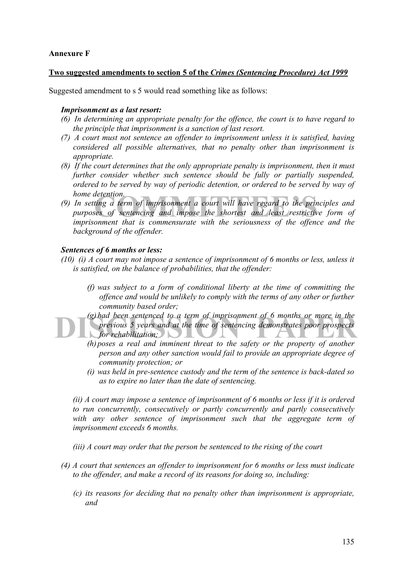## **Annexure F**

#### **Two suggested amendments to section 5 of the** *Crimes (Sentencing Procedure) Act 1999*

Suggested amendment to s 5 would read something like as follows:

#### *Imprisonment as a last resort:*

- *(6) In determining an appropriate penalty for the offence, the court is to have regard to the principle that imprisonment is a sanction of last resort.*
- *(7) A court must not sentence an offender to imprisonment unless it is satisfied, having considered all possible alternatives, that no penalty other than imprisonment is appropriate.*
- *(8) If the court determines that the only appropriate penalty is imprisonment, then it must further consider whether such sentence should be fully or partially suspended, ordered to be served by way of periodic detention, or ordered to be served by way of home detention.*
- detention.<br>ting a term of imprisonment a court will have regard to the princi<sub>s</sub><br>es of sentencing and impose the shortest and least restrictive<br>onment that is commensurate with the seriousness of the offence. *(9) In setting a term of imprisonment a court will have regard to the principles and purposes of sentencing and impose the shortest and least restrictive form of imprisonment that is commensurate with the seriousness of the offence and the background of the offender.*

## *Sentences of 6 months or less:*

- *(10) (i) A court may not impose a sentence of imprisonment of 6 months or less, unless it is satisfied, on the balance of probabilities, that the offender:* 
	- *(f) was subject to a form of conditional liberty at the time of committing the offence and would be unlikely to comply with the terms of any other or further community based order;*

(g) had been sentenced to a term of imprisonment of 6 months or more in the<br>previous 5 years and at the time of sentencing demonstrates poor prospects<br>for rehabilitation;<br>(b) pesses a year, and imminant threat to the safet *(g) had been sentenced to a term of imprisonment of 6 months or more in the previous 5 years and at the time of sentencing demonstrates poor prospects for rehabilitation;* 

- *(h) poses a real and imminent threat to the safety or the property of another person and any other sanction would fail to provide an appropriate degree of community protection; or*
- *(i) was held in pre-sentence custody and the term of the sentence is back-dated so as to expire no later than the date of sentencing.*

*(ii) A court may impose a sentence of imprisonment of 6 months or less if it is ordered to run concurrently, consecutively or partly concurrently and partly consecutively with any other sentence of imprisonment such that the aggregate term of imprisonment exceeds 6 months.* 

*(iii) A court may order that the person be sentenced to the rising of the court* 

- *(4) A court that sentences an offender to imprisonment for 6 months or less must indicate to the offender, and make a record of its reasons for doing so, including:* 
	- *(c) its reasons for deciding that no penalty other than imprisonment is appropriate, and*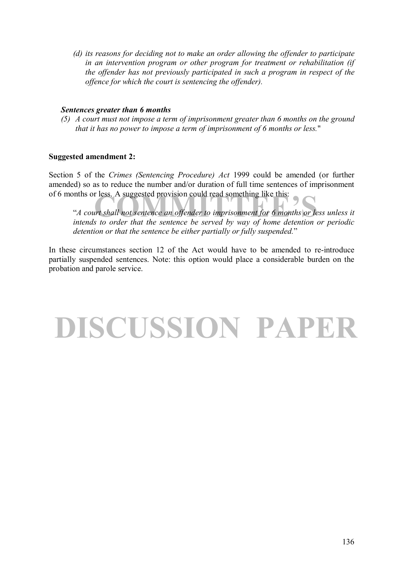*(d) its reasons for deciding not to make an order allowing the offender to participate in an intervention program or other program for treatment or rehabilitation (if the offender has not previously participated in such a program in respect of the offence for which the court is sentencing the offender).* 

#### *Sentences greater than 6 months*

*(5) A court must not impose a term of imprisonment greater than 6 months on the ground that it has no power to impose a term of imprisonment of 6 months or less.*"

## **Suggested amendment 2:**

Section 5 of the *Crimes (Sentencing Procedure) Act* 1999 could be amended (or further amended) so as to reduce the number and/or duration of full time sentences of imprisonment of 6 months or less. A suggested provision could read something like this:

r less. A suggested provision could read something like this:<br>Intervalse and the sentence and offender to imprisonment for 6 months or less<br>A to order that the sentence be served by way of home detention or <sup>4</sup> *A court shall not sentence an offender to imprisonment for 6 months or less unless it intends to order that the sentence be served by way of home detention or periodic*  detention or that the sentence be either partially or fully suspended.<sup>"</sup>

In these circumstances section 12 of the Act would have to be amended to re-introduce partially suspended sentences. Note: this option would place a considerable burden on the probation and parole service.

## **DISCUSSION PAPER**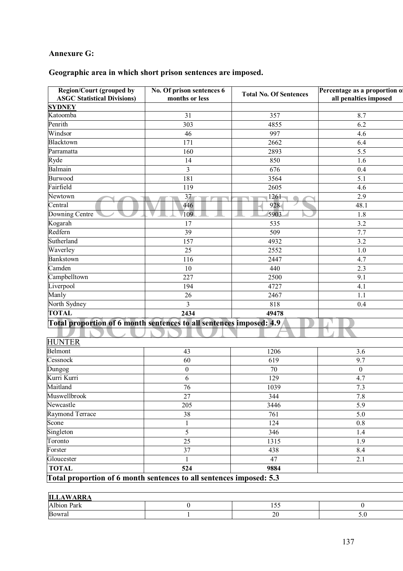## **Annexure G:**

## **Geographic area in which short prison sentences are imposed.**

| <b>Region/Court (grouped by</b><br><b>ASGC Statistical Divisions)</b> | No. Of prison sentences 6<br>months or less | <b>Total No. Of Sentences</b> | Percentage as a proportion of<br>all penalties imposed |
|-----------------------------------------------------------------------|---------------------------------------------|-------------------------------|--------------------------------------------------------|
| <b>SYDNEY</b>                                                         |                                             |                               |                                                        |
| Katoomba                                                              | 31                                          | 357                           | 8.7                                                    |
| Penrith                                                               | 303                                         | 4855                          | 6.2                                                    |
| Windsor                                                               | 46                                          | 997                           | 4.6                                                    |
| Blacktown                                                             | 171                                         | 2662                          | 6.4                                                    |
| Parramatta                                                            | 160                                         | 2893                          | 5.5                                                    |
| Ryde                                                                  | 14                                          | 850                           | 1.6                                                    |
| Balmain                                                               | $\mathfrak{Z}$                              | 676                           | 0.4                                                    |
| <b>Burwood</b>                                                        | 181                                         | 3564                          | 5.1                                                    |
| Fairfield                                                             | 119                                         | 2605                          | 4.6                                                    |
| Newtown                                                               | 37                                          | 1261                          | 2.9                                                    |
| Central                                                               | 446                                         | 928                           | 48.1                                                   |
| Downing Centre                                                        | 109                                         | 5903                          | 1.8                                                    |
| Kogarah                                                               | 17                                          | 535                           | 3.2                                                    |
| Redfern                                                               | $\overline{39}$                             | 509                           | 7.7                                                    |
| Sutherland                                                            | 157                                         | 4932                          | 3.2                                                    |
| Waverley                                                              | 25                                          | 2552                          | $1.0$                                                  |
| <b>Bankstown</b>                                                      | 116                                         | 2447                          | 4.7                                                    |
| Camden                                                                | 10                                          | 440                           | 2.3                                                    |
| Campbelltown                                                          | 227                                         | 2500                          | 9.1                                                    |
| Liverpool                                                             | 194                                         | 4727                          | 4.1                                                    |
| Manly                                                                 | 26                                          | 2467                          | 1.1                                                    |
| North Sydney                                                          | 3                                           | 818                           | 0.4                                                    |
| <b>TOTAL</b>                                                          | 2434                                        | 49478                         |                                                        |
| Total proportion of 6 month sentences to all sentences imposed: 4.9   |                                             |                               |                                                        |
|                                                                       |                                             |                               |                                                        |
| <b>HUNTER</b>                                                         |                                             |                               |                                                        |
| Belmont                                                               | 43                                          | 1206                          | 3.6                                                    |
| Cessnock                                                              | 60                                          | 619                           | $\overline{9.7}$                                       |
| Dungog                                                                | $\boldsymbol{0}$                            | 70                            | $\boldsymbol{0}$                                       |
| Kurri Kurri                                                           | 6                                           | 129                           | 4.7                                                    |
| Maitland                                                              | 76                                          | 1039                          | $7.3\,$                                                |
| Muswellbrook                                                          | 27                                          | 344                           | 7.8                                                    |
| Newcastle                                                             | 205                                         | 3446                          | $\overline{5.9}$                                       |
| Raymond Terrace                                                       | 38                                          | 761                           | $\overline{5.0}$                                       |
| Scone                                                                 | $\mathbf{1}$                                | 124                           | 0.8                                                    |
| Singleton                                                             | 5                                           | 346                           | 1.4                                                    |
| Toronto                                                               | 25                                          | 1315                          | 1.9                                                    |
| Forster                                                               | 37                                          | 438                           | 8.4                                                    |
| Gloucester                                                            | 1                                           | 47                            | 2.1                                                    |
| <b>TOTAL</b>                                                          | 524                                         | 9884                          |                                                        |
| Total proportion of 6 month sentences to all sentences imposed: 5.3   |                                             |                               |                                                        |
|                                                                       |                                             |                               |                                                        |
| <b>ITT AWADD</b>                                                      |                                             |                               |                                                        |

| .<br>Ш<br>.                                                    |  |                  |                 |
|----------------------------------------------------------------|--|------------------|-----------------|
| 11<br>$\overline{\phantom{a}}$<br>Park<br>$\mathbf{A}$<br>oion |  | - -<br>$\sim$    |                 |
| Bowral                                                         |  | ∩∩<br>$\angle U$ | $\cup$ . $\cup$ |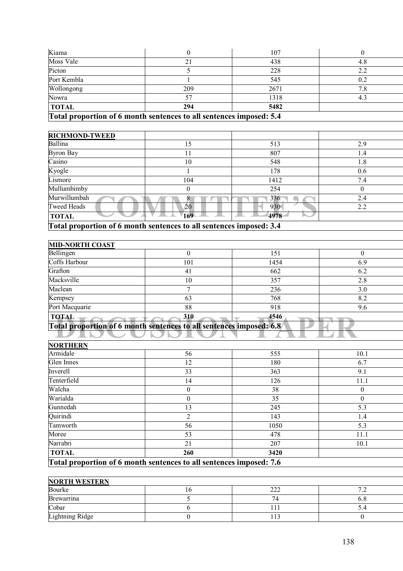|              | $\Gamma$ at al nuon oution of 6 month sontoneos to all sontoneos imposed: $\epsilon A$ |      |      |
|--------------|----------------------------------------------------------------------------------------|------|------|
| <b>TOTAL</b> | 294                                                                                    | 5482 |      |
| Nowra        |                                                                                        | 1318 | -4.3 |
| Wollongong   | 209                                                                                    | 2671 | 8. / |
| Port Kembla  |                                                                                        | 545  | 0.2  |
| Picton       |                                                                                        | 228  |      |
| Moss Vale    |                                                                                        | 438  | 4.8  |
| Kiama        |                                                                                        | 107  |      |

## **Total proportion of 6 month sentences to all sentences imposed: 5.4**

| <b>RICHMOND-TWEED</b> |                                                                     |      |          |  |  |
|-----------------------|---------------------------------------------------------------------|------|----------|--|--|
| Ballina               | 15                                                                  | 513  | 2.9      |  |  |
| Byron Bay             |                                                                     | 807  | 1.4      |  |  |
| Casino                | 10                                                                  | 548  | 1.8      |  |  |
| Kyogle                |                                                                     | 178  | 0.6      |  |  |
| Lismore               | 104                                                                 | 1412 | 7.4      |  |  |
| Mullumbimby           | $\theta$                                                            | 254  | $\theta$ |  |  |
| Murwillumbah          |                                                                     | 336  | 2.4      |  |  |
| <b>Tweed Heads</b>    | 20                                                                  | 930  | 2.2      |  |  |
| <b>TOTAL</b>          | 169                                                                 | 4978 |          |  |  |
|                       | Total proportion of 6 month sentences to all sentences imposed: 3.4 |      |          |  |  |

| <b>MID-NORTH COAST</b>                                              |          |      |          |
|---------------------------------------------------------------------|----------|------|----------|
| Bellingen                                                           | $\Omega$ | 151  | $\theta$ |
| Coffs Harbour                                                       | 101      | 1454 | 6.9      |
| Grafton                                                             | 41       | 662  | 6.2      |
| Macksville                                                          | 10       | 357  | 2.8      |
| Maclean                                                             |          | 236  | 3.0      |
| Kempsey                                                             | 63       | 768  | 8.2      |
| Port Macquarie                                                      | 88       | 918  | 9.6      |
| <b>TOTAL</b>                                                        | 310      | 4546 |          |
| Total proportion of 6 month sentences to all sentences imposed: 6.8 |          |      |          |
|                                                                     |          |      |          |
| , , , , <del>, , , , , ,</del> , ,                                  |          |      |          |

| <b>NORTHERN</b> |                                                                     |      |          |
|-----------------|---------------------------------------------------------------------|------|----------|
| Armidale        | 56                                                                  | 555  | 10.1     |
| Glen Innes      | 12                                                                  | 180  | 6.7      |
| Inverell        | 33                                                                  | 363  | 9.1      |
| Tenterfield     | 14                                                                  | 126  | 11.1     |
| Walcha          | 0                                                                   | 38   | $\theta$ |
| Warialda        | $\theta$                                                            | 35   | $\theta$ |
| Gunnedah        | 13                                                                  | 245  | 5.3      |
| Quirindi        | 2                                                                   | 143  | 1.4      |
| Tamworth        | 56                                                                  | 1050 | 5.3      |
| Moree           | 53                                                                  | 478  | 11.1     |
| Narrabri        | 21                                                                  | 207  | 10.1     |
| <b>TOTAL</b>    | 260                                                                 | 3420 |          |
|                 | Total proportion of 6 month sentences to all sentences imposed: 7.6 |      |          |

| <b>NORTH WESTERN</b> |     |           |   |  |
|----------------------|-----|-----------|---|--|
| Bourke               | . O | ົ<br>44 L | - |  |
| <b>Brewarrina</b>    |     | 14        |   |  |
| Cobar                |     |           |   |  |
| Lightning Ridge      |     | .13       |   |  |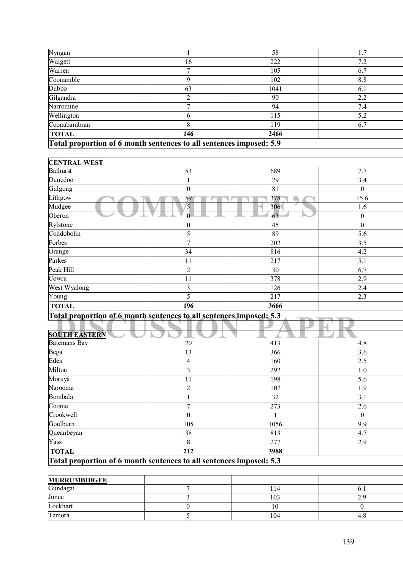| Total proportion of 6 month sentences to all sentences imposed: 5.9 |     |      |     |  |
|---------------------------------------------------------------------|-----|------|-----|--|
| <b>TOTAL</b>                                                        | 146 | 2466 |     |  |
| Coonabarabran                                                       |     | 119  | 6.7 |  |
| Wellington                                                          |     | 115  | 5.2 |  |
| Narromine                                                           |     | 94   | 7.4 |  |
| Gilgandra                                                           |     | 90   | 2.2 |  |
| Dubbo                                                               | 63  | 1041 | 6.1 |  |
| Coonamble                                                           |     | 102  | 8.8 |  |
| Warren                                                              |     | 105  | 6.7 |  |
| Walgett                                                             | 16  | 222  | 7.2 |  |
| Nyngan                                                              |     | 58   | 1.7 |  |

| <b>CENTRAL WEST</b> |                  |      |                  |
|---------------------|------------------|------|------------------|
| <b>Bathurst</b>     | 53               | 689  | 7.7              |
| Dunedoo             |                  | 29   | 3.4              |
| Gulgong             | $\boldsymbol{0}$ | 81   | $\mathbf{0}$     |
| Lithgow             | 59               | 378  | 15.6             |
| Mudgee              | 5                | 306  | 1.6              |
| Oberon              |                  | 63   | $\mathbf{0}$     |
| Rylstone            | $\mathbf{0}$     | 45   | $\boldsymbol{0}$ |
| Condobolin          | 5                | 89   | 5.6              |
| Forbes              | $\overline{7}$   | 202  | 3.5              |
| Orange              | 34               | 816  | 4.2              |
| Parkes              | 11               | 217  | 5.1              |
| Peak Hill           | $\overline{2}$   | 30   | 6.7              |
| Cowra               | 11               | 378  | 2.9              |
| West Wyalong        | 3                | 126  | 2.4              |
| $\overline{Y}$ oung | 5                | 217  | 2.3              |
| <b>TOTAL</b>        | 196              | 3666 |                  |

| Total proportion of 6 month sentences to all sentences imposed: 5.3 |                                                                     |      |          |  |
|---------------------------------------------------------------------|---------------------------------------------------------------------|------|----------|--|
|                                                                     |                                                                     |      |          |  |
| <b>SOUTH EASTERN</b>                                                |                                                                     |      |          |  |
| <b>Batemans Bay</b>                                                 | 20                                                                  | 413  | 4.8      |  |
| Bega                                                                | 13                                                                  | 366  | 3.6      |  |
| Eden                                                                | 4                                                                   | 160  | 2.5      |  |
| Milton                                                              | 3                                                                   | 292  | 1.0      |  |
| Moruya                                                              | 11                                                                  | 198  | 5.6      |  |
| Narooma                                                             | $\overline{c}$                                                      | 107  | 1.9      |  |
| Bombala                                                             |                                                                     | 32   | 3.1      |  |
| Cooma                                                               | 7                                                                   | 273  | 2.6      |  |
| Crookwell                                                           | $\theta$                                                            |      | $\theta$ |  |
| Goulburn                                                            | 105                                                                 | 1056 | 9.9      |  |
| Queanbeyan                                                          | 38                                                                  | 813  | 4.7      |  |
| Yass                                                                | 8                                                                   | 277  | 2.9      |  |
| <b>TOTAL</b>                                                        | 212                                                                 | 3988 |          |  |
|                                                                     | Total proportion of 6 month sentences to all sentences imposed: 5.3 |      |          |  |

**Total proportion of 6 month sentences to all sentences imposed: 5.3**

| <b>MURRUMBIDGEE</b> |     |      |
|---------------------|-----|------|
| Gundagai            | 114 | v. 1 |
| Junee               | 103 |      |
| Lockhart            | 1 V |      |
| Temora              | 104 | 4.0  |